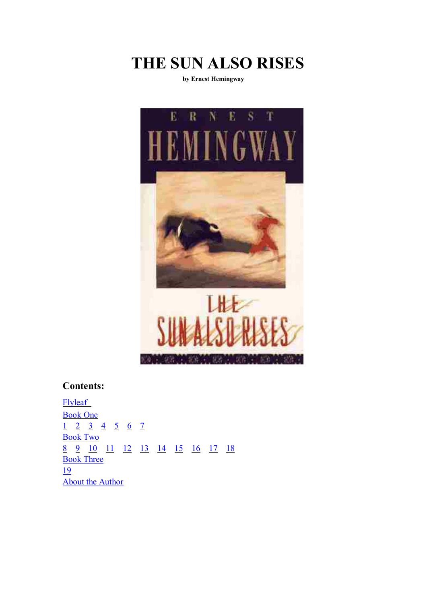

**by Ernest Hemingway** 



# **Contents:**

**Flyleaf** Book One 1 2 3 4 5 6 7 Book Two 8 9 10 11 12 13 14 15 16 17 18 **Book Three** 19 About the Author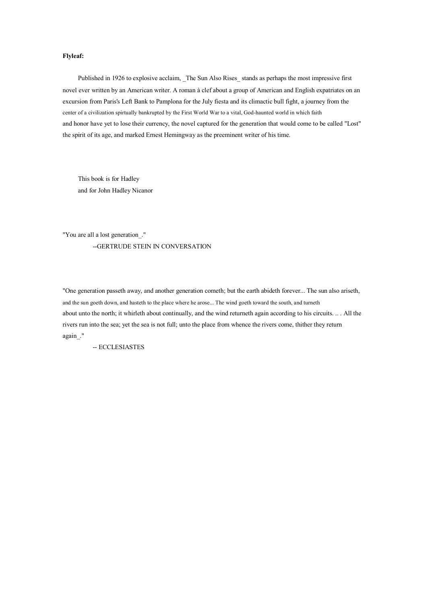### **Flyleaf:**

Published in 1926 to explosive acclaim, The Sun Also Rises stands as perhaps the most impressive first novel ever written by an American writer. A roman à clef about <sup>a</sup> group of American and English expatriates on an excursion from Paris's Left Bank to Pamplona for the July fiesta and its climactic bull fight, <sup>a</sup> journey from the center of <sup>a</sup> civilization spirtually bankrupted by the First World War to <sup>a</sup> vital, God-haunted world in which faith and honor have ye<sup>t</sup> to lose their currency, the novel captured for the generation that would come to be called "Lost" the spirit of its age, and marked Ernest Hemingway as the preeminent writer of his time.

This book is for Hadley and for John Hadley Nicanor

"You are all <sup>a</sup> lost generation\_." --GERTRUDE STEIN IN CONVERSATION

"One generation passeth away, and another generation cometh; but the earth abideth forever... The sun also ariseth, and the sun goeth down, and hasteth to the place where he arose... The wind goeth toward the south, and turneth about unto the north; it whirleth about continually, and the wind returneth again according to his circuits. .. . All the rivers run into the sea; ye<sup>t</sup> the sea is not full; unto the place from whence the rivers come, thither they return again\_."

-- ECCLESIASTES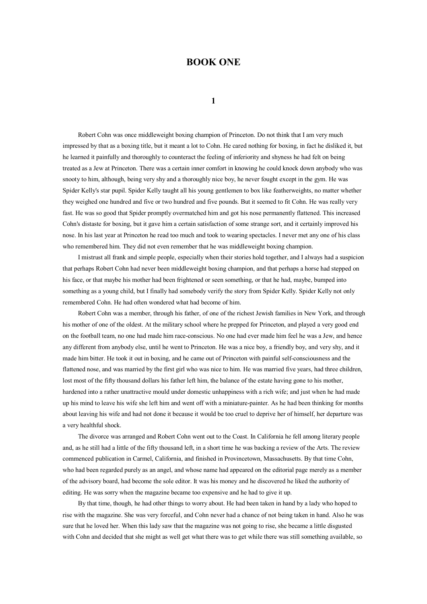## **BOOK ONE**

**1**

Robert Cohn was once middleweight boxing champion of Princeton. Do not think that I am very much impressed by that as <sup>a</sup> boxing title, but it meant <sup>a</sup> lot to Cohn. He cared nothing for boxing, in fact he disliked it, but he learned it painfully and thoroughly to counteract the feeling of inferiority and shyness he had felt on being treated as <sup>a</sup> Jew at Princeton. There was <sup>a</sup> certain inner comfort in knowing he could knock down anybody who was snooty to him, although, being very shy and <sup>a</sup> thoroughly nice boy, he never fought excep<sup>t</sup> in the gym. He was Spider Kelly's star pupil. Spider Kelly taught all his young gentlemen to box like featherweights, nomatter whether they weighed one hundred and five or two hundred and five pounds. But it seemed to fit Cohn. He was really very fast. He was so good that Spider promptly overmatched him and go<sup>t</sup> his nose permanently flattened. This increased Cohn's distaste for boxing, but it gave him <sup>a</sup> certain satisfaction of some strange sort, and it certainly improved his nose. In his last year at Princeton he read too much and took to wearing spectacles. I never met any one of his class who remembered him. They did not even remember that he was middleweight boxing champion.

I mistrust all frank and simple people, especially when their stories hold together, and I always had <sup>a</sup> suspicion that perhaps Robert Cohn had never been middleweight boxing champion, and that perhaps <sup>a</sup> horse had stepped on his face, or that maybe his mother had been frightened or seen something, or that he had, maybe, bumped into something as <sup>a</sup> young child, but I finally had somebody verify the story from Spider Kelly. Spider Kelly not only remembered Cohn. He had often wondered what had become of him.

Robert Cohn was <sup>a</sup> member, through his father, of one of the richest Jewish families in New York, and through his mother of one of the oldest. At the military school where he prepped for Princeton, and played <sup>a</sup> very good end on the football team, noone had made himrace-conscious. No one had ever made him feel he was <sup>a</sup> Jew, and hence any different from anybody else, until he went to Princeton. He was <sup>a</sup> nice boy, <sup>a</sup> friendly boy, and very shy, and it made him bitter. He took it out in boxing, and he came out of Princeton with painful self-consciousness and the flattened nose, and was married by the first girl who was nice to him. He was married five years, had three children, lost most of the fifty thousand dollars his father left him, the balance of the estate having gone to his mother, hardened into <sup>a</sup> rather unattractive mould under domestic unhappiness with <sup>a</sup> rich wife; and just when he had made up his mind to leave his wife she left him and went off with <sup>a</sup> miniature-painter. As he had been thinking for months about leaving his wife and had not done it because it would be too cruel to deprive her of himself, her departure was <sup>a</sup> very healthful shock.

The divorce was arranged and Robert Cohn went out to the Coast. In California he fell among literary people and, as he still had <sup>a</sup> little of the fifty thousand left, in <sup>a</sup> short time he was backing <sup>a</sup> review of the Arts. The review commenced publication in Carmel, California, and finished in Provincetown, Massachusetts. By that time Cohn, who had been regarded purely as an angel, and whose name had appeared on the editorial page merely as <sup>a</sup> member of the advisory board, had become the sole editor. It was his money and he discovered he liked the authority of editing. He was sorry when the magazine became too expensive and he had to give it up.

By that time, though, he had other things to worry about. He had been taken in hand by <sup>a</sup> lady who hoped to rise with the magazine. She was very forceful, and Cohn never had <sup>a</sup> chance of not being taken in hand. Also he was sure that he loved her. When this lady saw that the magazine was not going to rise, she became <sup>a</sup> little disgusted with Cohn and decided that she might as well ge<sup>t</sup> what there was to ge<sup>t</sup> while there was still something available, so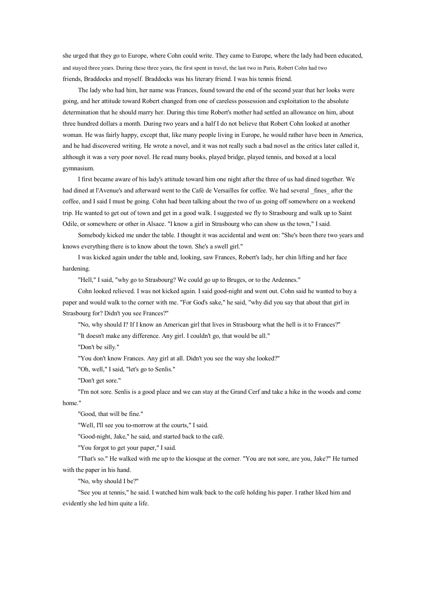she urged that they go to Europe, where Cohn could write. They came to Europe, where the lady had been educated, and stayed three years. During these three years, the first spent in travel, the last two in Paris, Robert Cohn had two friends, Braddocks and myself. Braddocks was his literary friend. I was his tennis friend.

The lady who had him, her name was Frances, found toward the end of the second year that her looks were going, and her attitude toward Robert changed from one of careless possession and exploitation to the absolute determination that he should marry her. During this time Robert's mother had settled an allowance on him, about three hundred dollars <sup>a</sup> month. During two years and <sup>a</sup> half I do not believe that Robert Cohn looked at another woman. He was fairly happy, excep<sup>t</sup> that, like many people living in Europe, he would rather have been in America, and he had discovered writing. He wrote <sup>a</sup> novel, and it was not really such <sup>a</sup> bad novel as the critics later called it, although it was <sup>a</sup> very poor novel. He read many books, played bridge, played tennis, and boxed at <sup>a</sup> local gymnasium.

I first became aware of his lady's attitude toward him one night after the three of us had dined together. We had dined at l'Avenue's and afterward went to the Café de Versailles for coffee. We had several \_fines\_ after the coffee, and I said I must be going. Cohn had been talking about the two of us going off somewhere on <sup>a</sup> weekend trip. He wanted to ge<sup>t</sup> out of town and ge<sup>t</sup> in <sup>a</sup> good walk. I suggested we fly to Strasbourg and walk up to Saint Odile, or somewhere or other in Alsace. "I know <sup>a</sup> girl in Strasbourg who can show us the town," I said.

Somebody kicked me under the table. I thought it was accidental and went on: "She's been there two years and knows everything there is to know about the town. She's <sup>a</sup> swell girl."

I was kicked again under the table and, looking, saw Frances, Robert's lady, her chin lifting and her face hardening.

"Hell," I said, "why go to Strasbourg? We could go up to Bruges, or to the Ardennes."

Cohn looked relieved. I was not kicked again. I said good-night and went out. Cohn said he wanted to buy <sup>a</sup> paper and would walk to the corner with me. "For God's sake," he said, "why did you say that about that girl in Strasbourg for? Didn't you see Frances?"

"No, why should I? If I know an American girl that lives in Strasbourg what the hell is it to Frances?" "It doesn't make any difference. Any girl. I couldn't go, that would be all."

"Don't be silly."

"You don't know Frances. Any girl at all. Didn't you see the way she looked?"

"Oh, well," I said, "let's go to Senlis."

"Don't ge<sup>t</sup> sore."

"I'm not sore. Senlis is <sup>a</sup> good place and we can stay at the Grand Cerf and take <sup>a</sup> hike in the woods and come home."

"Good, that will be fine."

"Well, I'll see you to-morrow at the courts," I said.

"Good-night, Jake," he said, and started back to the café.

"You forgot to ge<sup>t</sup> your paper," I said.

"That's so." He walked with me up to the kiosque at the corner. "You are not sore, are you, Jake?" He turned with the paper in his hand.

"No, why should I be?"

"See you at tennis," he said. I watched him walk back to the café holding his paper. I rather liked him and evidently she led him quite <sup>a</sup> life.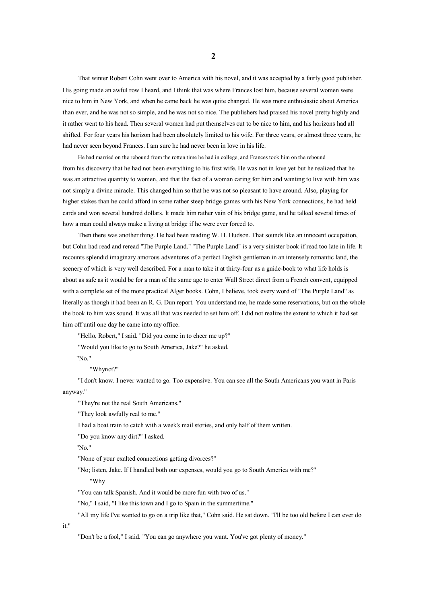That winter Robert Cohn went over to America with his novel, and it was accepted by <sup>a</sup> fairly good publisher. His going made an awful row I heard, and I think that was where Frances lost him, because several women were nice to him in New York, and when he came back he was quite changed. He was more enthusiastic about America than ever, and he was not sosimple, and he was not sonice. The publishers had praised his novel pretty highly and it rather went to his head. Then several women had pu<sup>t</sup> themselves out to be nice to him, and his horizons had all shifted. For four years his horizon had been absolutely limited to his wife. For three years, or almost three years, he had never seen beyond Frances. I am sure he had never been in love in his life.

He had married on the rebound from the rotten time he had in college, and Frances took him on the rebound from his discovery that he had not been everything to his first wife. He was not in love ye<sup>t</sup> but he realized that he was an attractive quantity to women, and that the fact of <sup>a</sup> woman caring for him and wanting to live with him was not simply <sup>a</sup> divine miracle. This changed him so that he was not sopleasant to have around. Also, playing for higher stakes than he could afford in some rather steep bridge games with his New York connections, he had held cards and won several hundred dollars. It made himrather vain of his bridge game, and he talked several times of how <sup>a</sup> man could always make <sup>a</sup> living at bridge if he were ever forced to.

Then there was another thing. He had been reading W. H. Hudson. That sounds like an innocent occupation, but Cohn had read and reread "The Purple Land." "The Purple Land" is <sup>a</sup> very sinister book if read too late in life. It recounts splendid imaginary amorous adventures of <sup>a</sup> perfect English gentleman in an intensely romantic land, the scenery of which is very well described. For <sup>a</sup> man to take it at thirty-four as <sup>a</sup> guide-book to what life holds is about as safe as it would be for <sup>a</sup> man of the same age to enter Wall Street direct from <sup>a</sup> French convent, equipped with <sup>a</sup> complete set of the more practical Alger books. Cohn, I believe, took every word of "The Purple Land" as literally as though it had been an R. G. Dun report. You understand me, he made some reservations, but on the whole the book to him was sound. It was all that was needed to set him off. I did not realize the extent to which it had set him off until one day he came into my office.

"Hello, Robert," I said. "Did you come in to cheer me up?"

"Would you like to go to South America, Jake?" he asked.

"No."

"Whynot?"

"I don't know. I never wanted to go. Too expensive. You can see all the South Americans you want in Paris anyway."

"They're not the real South Americans."

"They look awfully real to me."

I had <sup>a</sup> boat train to catch with <sup>a</sup> week's mail stories, and only half of themwritten.

"Do you know any dirt?" I asked.

"No."

it."

"None of your exalted connections getting divorces?"

"No; listen, Jake. If I handled both our expenses, would you go to South America with me?"

"Why

"You can talk Spanish. And it would be more fun with two of us."

"No," I said, "I like this town and I go to Spain in the summertime."

"All my life I've wanted to go on <sup>a</sup> trip like that," Cohn said. He sat down. "I'll be too old before I can ever do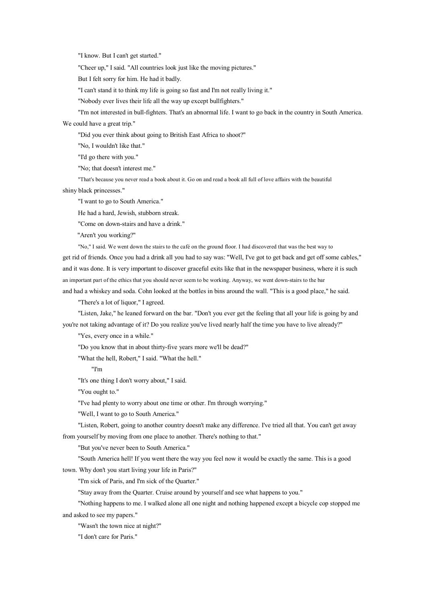"I know. But I can't ge<sup>t</sup> started."

"Cheer up," I said. "All countries look just like the moving pictures."

But I felt sorry for him. He had it badly.

"I can't stand it to think my life is going so fast and I'm not really living it."

"Nobody ever lives their life all the way up excep<sup>t</sup> bullfighters."

"I'm not interested in bull-fighters. That's an abnormal life. I want to go back in the country in South America.

We could have <sup>a</sup> great trip."

"Did you ever think about going to British East Africa to shoot?"

"No, I wouldn't like that."

"I'd go there with you."

"No; that doesn't interest me."

"That's because you never read <sup>a</sup> book about it. Go on and read <sup>a</sup> book all full of love affairs with the beautiful shiny black princesses."

"I want to go to South America."

He had <sup>a</sup> hard, Jewish, stubborn streak.

"Come on down-stairs and have <sup>a</sup> drink."

"Aren't you working?"

"No," I said. We went down the stairs to the café on the ground floor. I had discovered that was the best way to ge<sup>t</sup> rid of friends. Once you had <sup>a</sup> drink all you had to say was: "Well, I've go<sup>t</sup> toget back and ge<sup>t</sup> off some cables," and it was done. It is very important to discover graceful exits like that in the newspaper business, where it is such an important par<sup>t</sup> of the ethics that you should never seemto be working. Anyway, we went down-stairs to the bar and had <sup>a</sup> whiskey and soda. Cohn looked at the bottles in bins around the wall. "This is <sup>a</sup> good place," he said.

"There's <sup>a</sup> lot of liquor," I agreed.

"Listen, Jake," he leaned forward on the bar. "Don't you ever ge<sup>t</sup> the feeling that all your life is going by and you're not taking advantage of it? Do you realize you've lived nearly half the time you have to live already?"

"Yes, every once in <sup>a</sup> while."

"Do you know that in about thirty-five years more we'll be dead?"

"What the hell, Robert," I said. "What the hell."

"I'm

"It's one thing I don't worry about," I said.

"You ought to."

"I've had plenty to worry about one time or other. I'm through worrying."

"Well, I want to go to South America."

"Listen, Robert, going to another country doesn't make any difference. I've tried all that. You can't ge<sup>t</sup> away from yourself by moving from one place to another. There's nothing to that."

"But you've never been to South America."

"South America hell! If you went there the way you feel now it would be exactly the same. This is <sup>a</sup> good

town. Why don't you start living your life in Paris?"

"I'm sick of Paris, and I'm sick of the Quarter."

"Stay away from the Quarter. Cruise around by yourself and see what happens to you."

"Nothing happens to me. I walked alone all one night and nothing happened excep<sup>t</sup> <sup>a</sup> bicycle cop stopped me and asked to see my papers."

"Wasn't the town nice at night?"

"I don't care for Paris."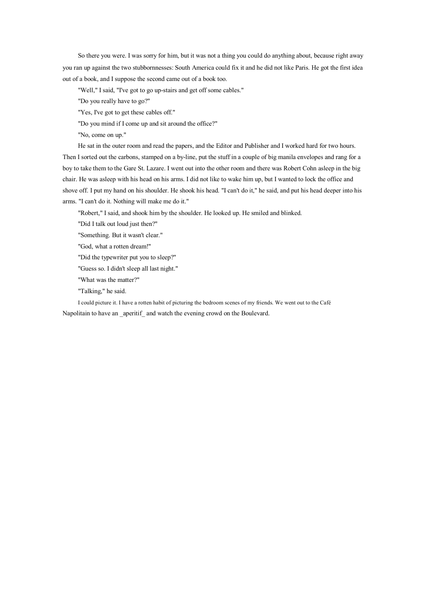So there you were. I was sorry for him, but it was not <sup>a</sup> thing you could do anything about, because right away you ran up against the two stubbornnesses: South America could fix it and he did not like Paris. He go<sup>t</sup> the first idea out of <sup>a</sup> book, and I suppose the second came out of <sup>a</sup> book too.

"Well," I said, "I've go<sup>t</sup> to go up-stairs and ge<sup>t</sup> off some cables."

"Do you really have to go?"

"Yes, I've got to get these cables off."

"Do you mind if I come up and sit around the office?"

"No, come on up."

He sat in the outer roomand read the papers, and the Editor and Publisher and I worked hard for two hours. Then I sorted out the carbons, stamped on <sup>a</sup> by-line, put the stuff in <sup>a</sup> couple of big manila envelopes and rang for <sup>a</sup> boy to take them to the Gare St. Lazare. I went out into the other roomand there was Robert Cohn asleep in the big chair. He was asleep with his head on his arms. I did not like to wake him up, but I wanted to lock the office and shove off. I pu<sup>t</sup> my hand on his shoulder. He shook his head. "I can't do it," he said, and pu<sup>t</sup> his head deeper into his arms. "I can't do it. Nothing will make me do it."

"Robert," I said, and shook him by the shoulder. He looked up. He smiled and blinked.

"Did I talk out loud just then?"

"Something. But it wasn't clear."

"God, what <sup>a</sup> rotten dream!"

"Did the typewriter put you to sleep?"

"Guess so. I didn't sleep all last night."

"What was the matter?"

"Talking," he said.

I could picture it. I have <sup>a</sup> rotten habit of picturing the bedroom scenes of my friends. We went out to the Café Napolitain to have an aperitif and watch the evening crowd on the Boulevard.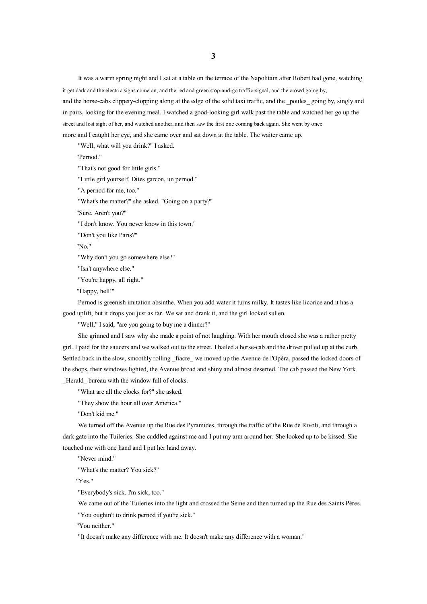It was <sup>a</sup> warm spring night and I sat at <sup>a</sup> table on the terrace of the Napolitain after Robert had gone, watching it ge<sup>t</sup> dark and the electric signs come on, and the red and green stop-and-go traffic-signal, and the crowd going by, and the horse-cabs clippety-clopping along at the edge of the solid taxi traffic, and the poules going by, singly and in pairs, looking for the evening meal. I watched <sup>a</sup> good-looking girl walk pas<sup>t</sup> the table and watched her go up the street and lost sight of her, and watched another, and then saw the first one coming back again. She went by once more and I caught her eye, and she came over and sat down at the table. The waiter came up.

"Well, what will you drink?" I asked.

"Pernod."

"That's not good for little girls."

"Little girl yourself. Dites garcon, un pernod."

"A pernod for me, too."

"What's the matter?" she asked. "Going on <sup>a</sup> party?"

"Sure. Aren't you?"

"I don't know. You never know in this town."

"Don't you like Paris?"

"No."

"Why don't you go somewhere else?"

"Isn't anywhere else."

"You're happy, all right."

"Happy, hell!"

Pernod is greenish imitation absinthe. When you add water it turns milky. It tastes like licorice and it has <sup>a</sup> good uplift, but it drops you just as far. We sat and drank it, and the girl looked sullen.

"Well," I said, "are you going to buy me <sup>a</sup> dinner?"

She grinned and I saw why she made <sup>a</sup> point of not laughing. With her mouth closed she was <sup>a</sup> rather pretty girl. I paid for the saucers and we walked out to the street. I hailed <sup>a</sup> horse-cab and the driver pulled up at the curb. Settled back in the slow, smoothly rolling fiacre we moved up the Avenue de l'Opéra, passed the locked doors of the shops, their windows lighted, the Avenue broad and shiny and almost deserted. The cab passed the New York Herald bureau with the window full of clocks.

"What are all the clocks for?" she asked.

"They show the hour all over America."

"Don't kid me."

We turned off the Avenue up the Rue des Pyramides, through the traffic of the Rue de Rivoli, and through <sup>a</sup> dark gate into the Tuileries. She cuddled against me and I put my arm around her. She looked up to be kissed. She touched me with one hand and I put her hand away.

"Never mind."

"What's the matter? You sick?"

"Yes."

"Everybody's sick. I'm sick, too."

We came out of the Tuileries into the light and crossed the Seine and then turned up the Rue des Saints Pères. "You oughtn't to drink pernod if you're sick."

"You neither."

"It doesn't make any difference with me. It doesn't make any difference with <sup>a</sup> woman."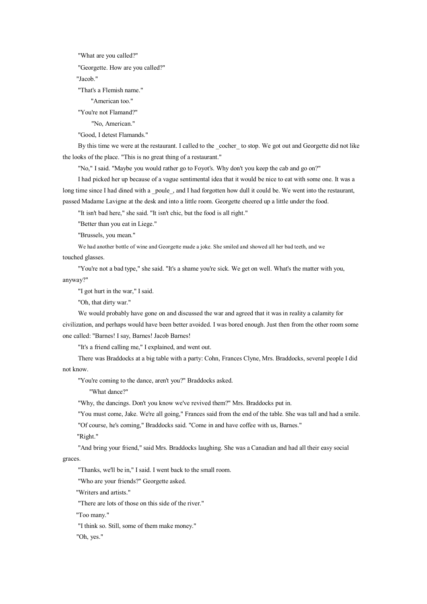"What are you called?"

"Georgette. How are you called?"

"Jacob."

"That's <sup>a</sup> Flemish name."

"American too."

"You're not Flamand?"

"No, American."

"Good, I detest Flamands."

By this time we were at the restaurant. I called to the cocher to stop. We got out and Georgette did not like the looks of the place. "This is no great thing of <sup>a</sup> restaurant."

"No," I said. "Maybe you would rather go to Foyot's. Why don't you keep the cab and go on?"

I had picked her up because of <sup>a</sup> vague sentimental idea that it would be nice to eat with some one. It was <sup>a</sup> long time since I had dined with a \_poule\_, and I had forgotten how dull it could be. We went into the restaurant, passed Madame Lavigne at the desk and into <sup>a</sup> little room. Georgette cheered up <sup>a</sup> little under the food.

"It isn't bad here," she said. "It isn't chic, but the food is all right."

"Better than you eat in Liege."

"Brussels, you mean."

We had another bottle of wine and Georgette made <sup>a</sup> joke. She smiled and showed all her bad teeth, and we

touched glasses.

"You're not <sup>a</sup> bad type," she said. "It's <sup>a</sup> shame you're sick. We ge<sup>t</sup> onwell. What's the matter with you, anyway?"

"I go<sup>t</sup> hurt in the war," I said.

"Oh, that dirty war."

We would probably have gone on and discussed the war and agreed that it was in reality <sup>a</sup> calamity for civilization, and perhaps would have been better avoided. I was bored enough. Just then from the other roomsome one called: "Barnes! I say, Barnes! Jacob Barnes!

"It's <sup>a</sup> friend calling me," I explained, and went out.

There was Braddocks at <sup>a</sup> big table with <sup>a</sup> party: Cohn, Frances Clyne, Mrs. Braddocks, several people I did not know.

"You're coming to the dance, aren't you?" Braddocks asked.

"What dance?"

"Why, the dancings. Don't you know we've revived them?" Mrs. Braddocks put in.

"You must come, Jake. We're all going," Frances said from the end of the table. She was tall and had <sup>a</sup> smile. "Of course, he's coming," Braddocks said. "Come in and have coffee with us, Barnes."

"Right."

"And bring your friend," said Mrs. Braddocks laughing. She was <sup>a</sup> Canadian and had all their easy social

graces.

"Thanks, we'll be in," I said. I went back to the small room.

"Who are your friends?" Georgette asked.

"Writers and artists."

"There are lots of those on this side of the river."

"Too many."

"I think so. Still, some of them make money."

"Oh, yes."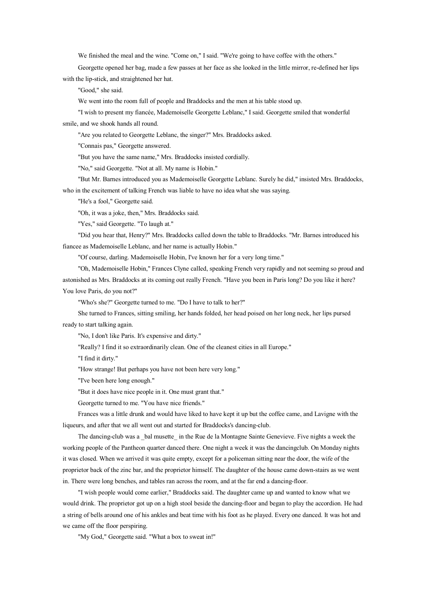We finished the meal and the wine. "Come on," I said. "We're going to have coffee with the others."

Georgette opened her bag, made <sup>a</sup> few passes at her face as she looked in the little mirror, re-defined her lips with the lip-stick, and straightened her hat.

"Good," she said.

We went into the room full of people and Braddocks and the men at his table stood up.

"I wish to present my fiancée, Mademoiselle Georgette Leblanc," I said. Georgette smiled that wonderful smile, and we shook hands all round.

"Are you related to Georgette Leblanc, the singer?" Mrs. Braddocks asked.

"Connais pas," Georgette answered.

"But you have the same name," Mrs. Braddocks insisted cordially.

"No," said Georgette. "Not at all. My name is Hobin."

"But Mr. Barnes introduced you as Mademoiselle Georgette Leblanc. Surely he did," insisted Mrs. Braddocks, who in the excitement of talking French was liable to have no idea what she was saying.

"He's <sup>a</sup> fool," Georgette said.

"Oh, it was <sup>a</sup> joke, then," Mrs. Braddocks said.

"Yes," said Georgette. "To laugh at."

"Did you hear that, Henry?" Mrs. Braddocks called down the table to Braddocks. "Mr. Barnes introduced his fiancee as Mademoiselle Leblanc, and her name is actually Hobin."

"Of course, darling. Mademoiselle Hobin, I've known her for <sup>a</sup> very long time."

"Oh, Mademoiselle Hobin," Frances Clyne calIed, speaking French very rapidly and not seeming so proud and astonished as Mrs. Braddocks at its coming out really French. "Have you been in Paris long? Do you like it here? You love Paris, do you not?"

"Who's she?" Georgette turned to me. "Do I have to talk to her?"

She turned to Frances, sitting smiling, her hands folded, her head poised on her long neck, her lips pursed ready to start talking again.

"No, I don't like Paris. It's expensive and dirty."

"Really? I find it so extraordinarily clean. One of the cleanest cities in all Europe."

"I find it dirty."

"How strange! But perhaps you have not been here very long."

"I've been here long enough."

"But it does have nice people in it. One must gran<sup>t</sup> that."

Georgette turned to me. "You have nice friends."

Frances was <sup>a</sup> little drunk and would have liked to have kept it up but the coffee came, and Lavigne with the liqueurs, and after that we all went out and started for Braddocks's dancing-club.

The dancing-club was a \_bal musette \_in the Rue de la Montagne Sainte Genevieve. Five nights a week the working people of the Pantheon quarter danced there. One night <sup>a</sup> week it was the dancingclub. On Monday nights it was closed. When we arrived it was quite empty, excep<sup>t</sup> for <sup>a</sup> policeman sitting near the door, the wife of the proprietor back of the zinc bar, and the proprietor himself. The daughter of the house came down-stairs as we went in. There were long benches, and tables ran across the room, and at the far end <sup>a</sup> dancing-floor.

"I wish people would come earlier," Braddocks said. The daughter came up and wanted to know what we would drink. The proprietor go<sup>t</sup> up on <sup>a</sup> high stool beside the dancing-floor and began to play the accordion. He had <sup>a</sup> string of bells around one of his ankles and beat time with his foot as he played. Every one danced. It was hot and we came off the floor perspiring.

"My God," Georgette said. "What <sup>a</sup> box to sweat in!"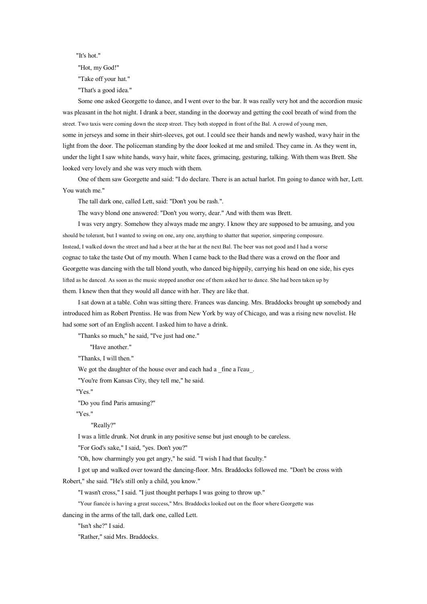"It's hot."

"Hot, my God!"

"Take off your hat."

"That's a good idea."

Some one asked Georgette to dance, and I went over to the bar. It was really very hot and the accordion music was pleasant in the hot night. I drank <sup>a</sup> beer, standing in the doorway and getting the cool breath of wind from the street. Two taxis were coming down the steep street. They both stopped in front of the Bal. A crowd of young men, some in jerseys and some in their shirt-sleeves, go<sup>t</sup> out. I could see their hands and newly washed, wavy hair in the light from the door. The policeman standing by the door looked at me and smiled. They came in. As they went in, under the light I saw white hands, wavy hair, white faces, grimacing, gesturing, talking. With them was Brett. She looked very lovely and she was very much with them.

One of them saw Georgette and said: "I do declare. There is an actual harlot. I'm going to dance with her, Lett. You watch me."

The tall dark one, called Lett, said: "Don't you be rash.".

The wavy blond one answered: "Don't you worry, dear." And with them was Brett.

I was very angry. Somehow they always made me angry. I know they are supposed to be amusing, and you should be tolerant, but I wanted to swing on one, any one, anything to shatter that superior, simpering composure. Instead, I walked down the street and had <sup>a</sup> beer at the bar at the next Bal. The beer was not good and I had <sup>a</sup> worse cognac to take the taste Out of my mouth. When I came back to the Bad there was <sup>a</sup> crowd on the floor and Georgette was dancing with the tall blond youth, who danced big-hippily, carrying his head on one side, his eyes lifted as he danced. As soon as the music stopped another one of them asked her to dance. She had been taken up by them. I knew then that they would all dance with her. They are like that.

I sat down at <sup>a</sup> table. Cohn was sitting there. Frances was dancing. Mrs. Braddocks brought up somebody and introduced him as Robert Prentiss. He was from New York by way of Chicago, and was <sup>a</sup> rising new novelist. He had some sort of an English accent. I asked him to have <sup>a</sup> drink.

"Thanks so much," he said, "I've just had one."

"Have another."

"Thanks, I will then."

We got the daughter of the house over and each had a \_fine a l'eau \_.

"You're from Kansas City, they tell me," he said.

"Yes."

"Do you find Paris amusing?"

"Yes."

"Really?"

I was <sup>a</sup> little drunk. Not drunk in any positive sense but just enough to be careless.

"For God's sake," I said, "yes. Don't you?"

"Oh, how charmingly you ge<sup>t</sup> angry," he said. "I wish I had that faculty."

I go<sup>t</sup> up and walked over toward the dancing-floor. Mrs. Braddocks followed me. "Don't be cross with Robert," she said. "He's still only <sup>a</sup> child, you know."

"I wasn't cross," I said. "I just thought perhaps I was going to throw up."

"Your fiancée is having <sup>a</sup> grea<sup>t</sup> success," Mrs. Braddocks looked out on the floor where Georgette was

dancing in the arms of the tall, dark one, called Lett.

"Isn't she?" I said.

"Rather," said Mrs. Braddocks.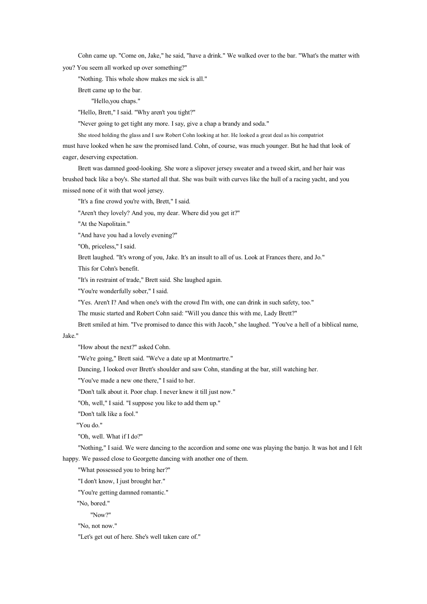Cohn came up. "Come on, Jake," he said, "have <sup>a</sup> drink." We walked over to the bar. "What's the matter with

you? You seem all worked up over something?"

"Nothing. This whole show makes me sick is all."

Brett came up to the bar.

"Hello,you chaps."

"Hello, Brett," I said. "Why aren't you tight?"

"Never going to ge<sup>t</sup> tight any more. I say, give <sup>a</sup> chap <sup>a</sup> brandy and soda."

She stood holding the glass and I saw Robert Cohn looking at her. He looked <sup>a</sup> grea<sup>t</sup> deal as his compatriot

must have looked when he saw the promised land. Cohn, of course, was much younger. But he had that look of eager, deserving expectation.

Brett was damned good-looking. She wore <sup>a</sup> slipover jersey sweater and <sup>a</sup> tweed skirt, and her hair was brushed back like <sup>a</sup> boy's. She started all that. She was built with curves like the hull of <sup>a</sup> racing yacht, and you missed none of it with that wool jersey.

"It's <sup>a</sup> fine crowd you're with, Brett," I said.

"Aren't they lovely? And you, my dear. Where did you get it?"

"At the Napolitain."

"And have you had <sup>a</sup> lovely evening?"

"Oh, priceless," I said.

Brett laughed. "It's wrong of you, Jake. It's an insult to all of us. Look at Frances there, and Jo."

This for Cohn's benefit.

"It's in restraint of trade," Brett said. She laughed again.

"You're wonderfully sober," I said.

"Yes. Aren't I? And when one's with the crowd I'm with, one can drink in such safety, too."

The music started and Robert Cohn said: "Will you dance this with me, Lady Brett?"

Brett smiled at him. "I've promised to dance this with Jacob," she laughed. "You've <sup>a</sup> hell of <sup>a</sup> biblical name,

## Jake."

"How about the next?" asked Cohn.

"We're going," Brett said. "We've <sup>a</sup> date up at Montmartre."

Dancing, I looked over Brett's shoulder and saw Cohn, standing at the bar, still watching her.

"You've made <sup>a</sup> new one there," I said to her.

"Don't talk about it. Poor chap. I never knew it till just now."

"Oh, well," I said. "I suppose you like to add them up."

"Don't talk like <sup>a</sup> fool."

"You do."

"Oh, well. What if I do?"

"Nothing," I said. We were dancing to the accordion and some one was playing the banjo. It was hot and I felt happy. We passed close to Georgette dancing with another one of them.

"What possessed you to bring her?"

"I don't know, I just brought her."

"You're getting damned romantic."

"No, bored."

"Now?"

"No, not now."

"Let's ge<sup>t</sup> out of here. She's well taken care of."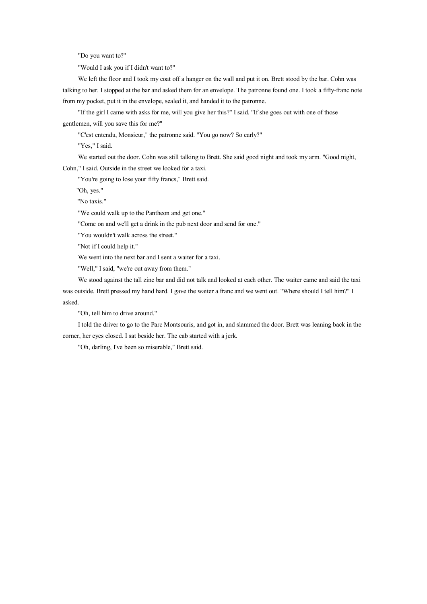"Do you want to?"

"Would I ask you if I didn't want to?"

We left the floor and I took my coat off <sup>a</sup> hanger on the wall and put it on. Brett stood by the bar. Cohn was talking to her. I stopped at the bar and asked them for an envelope. The patronne found one. I took <sup>a</sup> fifty-franc note from my pocket, put it in the envelope, sealed it, and handed it to the patronne.

"If the girl I came with asks for me, will you give her this?" I said. "If she goes out with one of those gentlemen, will you save this for me?"

"C'est entendu, Monsieur," the patronne said. "You go now? So early?"

"Yes," I said.

We started out the door. Cohn was still talking to Brett. She said good night and took my arm. "Good night,

Cohn," I said. Outside in the street we looked for <sup>a</sup> taxi.

"You're going to lose your fifty francs," Brett said.

"Oh, yes."

"No taxis."

"We could walk up to the Pantheon and ge<sup>t</sup> one."

"Come on and we'll ge<sup>t</sup> <sup>a</sup> drink in the pub next door and send for one."

"You wouldn't walk across the street."

"Not if I could help it."

We went into the next bar and I sent <sup>a</sup> waiter for <sup>a</sup> taxi.

"Well," I said, "we're out away from them."

We stood against the tall zinc bar and did not talk and looked at each other. The waiter came and said the taxi was outside. Brett pressed my hand hard. I gave the waiter <sup>a</sup> franc and we went out. "Where should I tell him?" I asked.

"Oh, tell him to drive around."

I told the driver to go to the Parc Montsouris, and go<sup>t</sup> in, and slammed the door. Brett was leaning back in the corner, her eyes closed. I sat beside her. The cab started with <sup>a</sup> jerk.

"Oh, darling, I've been so miserable," Brett said.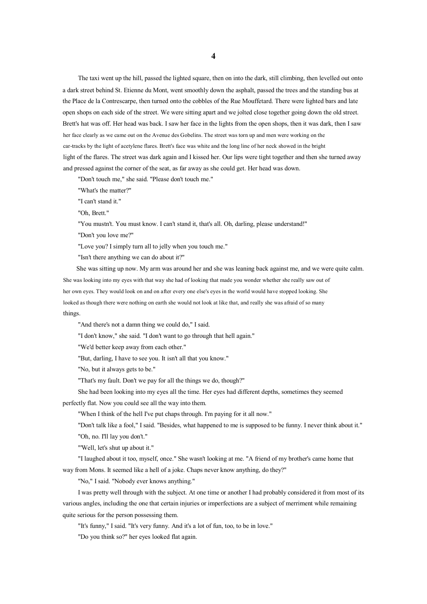The taxi went up the hill, passed the lighted square, then on into the dark, still climbing, then levelled out onto <sup>a</sup> dark street behind St. Etienne du Mont, went smoothly down the asphalt, passed the trees and the standing bus at the Place de la Contrescarpe, then turned onto the cobbles of the Rue Mouffetard. There were lighted bars and late open shops on each side of the street. We were sitting apart and we jolted close together going down the old street. Brett's hat was off. Her head was back. I saw her face in the lights from the open shops, then it was dark, then I saw her face clearly as we came out on the Avenue des Gobelins. The street was torn up and men were working on the car-tracks by the light of acetylene flares. Brett's face was white and the long line of her neck showed in the bright light of the flares. The street was dark again and I kissed her. Our lips were tight together and then she turned away and pressed against the corner of the seat, as far away as she could get. Her head was down.

"Don't touch me," she said. "Please don't touch me."

"What's the matter?"

"I can't stand it."

"Oh, Brett."

"You mustn't. You must know. I can't stand it, that's all. Oh, darling, please understand!"

"Don't you love me?"

"Love you? I simply turn all to jelly when you touch me."

"Isn't there anything we can do about it?"

She was sitting up now. My arm was around her and she was leaning back against me, and we were quite calm. She was looking into my eyes with that way she had of looking that made you wonder whether she really saw out of her own eyes. They would look on and on after every one else's eyes in the world would have stopped looking. She looked as though there were nothing on earth she would not look at like that, and really she was afraid of so many things.

"And there's not a damn thing we could do," I said.

"I don't know," she said. "I don't want to go through that hell again."

"We'd better keep away from each other."

"But, darling, I have to see you. It isn't all that you know."

"No, but it always gets to be."

"That's my fault. Don't we pay for all the things we do, though?"

She had been looking into my eyes all the time. Her eyes had different depths, sometimes they seemed

perfectly flat. Now you could see all the way into them.

"When I think of the hell I've pu<sup>t</sup> chaps through. I'm paying for it all now."

"Don't talk like <sup>a</sup> fool," I said. "Besides, what happened to me is supposed to be funny. I never think about it."

"Oh, no. I'll lay you don't."

"'Well, let's shut up about it."

"I laughed about it too, myself, once." She wasn't looking at me. "A friend of my brother's came home that way from Mons. It seemed like a hell of a joke. Chaps never know anything, do they?"

"No," I said. "Nobody ever knows anything."

I was pretty well through with the subject. At one time or another I had probably considered it from most of its various angles, including the one that certain injuries or imperfections are <sup>a</sup> subject of merriment while remaining quite serious for the person possessing them.

"It's funny," I said. "It's very funny. And it's <sup>a</sup> lot of fun, too, to be in love."

"Do you think so?" her eyes looked flat again.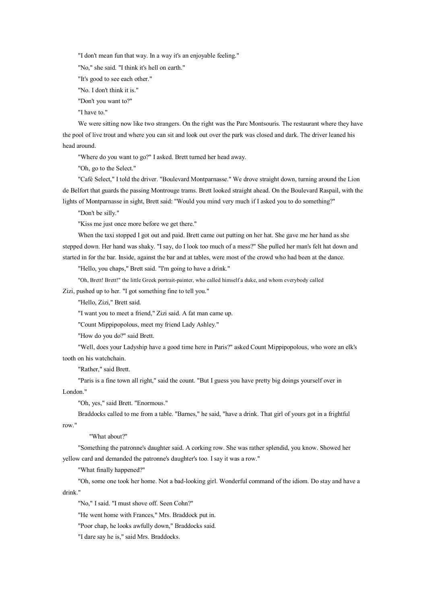"I don't mean fun that way. In <sup>a</sup> way it's an enjoyable feeling."

"No," she said. "I think it's hell on earth."

"It's good to see each other."

"No. I don't think it is."

"Don't you want to?"

"I have to."

We were sitting now like two strangers. On the right was the Parc Montsouris. The restaurant where they have the pool of live trout and where you can sit and look out over the park was closed and dark. The driver leaned his head around.

"Where do you want to go?" I asked. Brett turned her head away.

"Oh, go to the Select."

"Café Select," I told the driver. "Boulevard Montparnasse." We drove straight down, turning around the Lion de Belfort that guards the passing Montrouge trams. Brett looked straight ahead. On the Boulevard Raspail, with the lights of Montparnasse in sight, Brett said: "Would you mind very much if I asked you to do something?"

"Don't be silly."

"Kiss me just once more before we ge<sup>t</sup> there."

When the taxi stopped I go<sup>t</sup> out and paid. Brett came out putting on her hat. She gave me her hand as she stepped down. Her hand was shaky. "I say, do I look too much of a mess?" She pulled her man's felt hat down and started in for the bar. Inside, against the bar and at tables, were most of the crowd who had been at the dance.

"Hello, you chaps," Brett said. "I'm going to have a drink."

"Oh, Brett! Brett!" the little Greek portrait-painter, who called himself <sup>a</sup> duke, and whom everybody called

Zizi, pushed up to her. "I go<sup>t</sup> something fine to tell you."

"Hello, Zizi," Brett said.

"I want you to meet <sup>a</sup> friend," Zizi said. A fat man came up.

"Count Mippipopolous, meet my friend Lady Ashley."

"How do you do?" said Brett.

"Well, does your Ladyship have <sup>a</sup> good time here in Paris?" asked Count Mippipopolous, who wore an elk's tooth on his watchchain.

"Rather," said Brett.

"Paris is <sup>a</sup> fine town all right," said the count. "But I guess you have pretty big doings yourself over in London."

"Oh, yes," said Brett. "Enormous."

Braddocks called to me from <sup>a</sup> table. "Barnes," he said, "have <sup>a</sup> drink. That girl of yours go<sup>t</sup> in <sup>a</sup> frightful row."

"What about?"

"Something the patronne's daughter said. A corking row. She was rather splendid, you know. Showed her yellow card and demanded the patronne's daughter's too. I say it was <sup>a</sup> row."

"What finally happened?"

"Oh, some one took her home. Not <sup>a</sup> bad-looking girl. Wonderful command of the idiom. Do stay and have <sup>a</sup> drink."

"No," I said. "I must shove off. Seen Cohn?"

"He went home with Frances," Mrs. Braddock put in.

"Poor chap, he looks awfully down," Braddocks said.

"I dare say he is," said Mrs. Braddocks.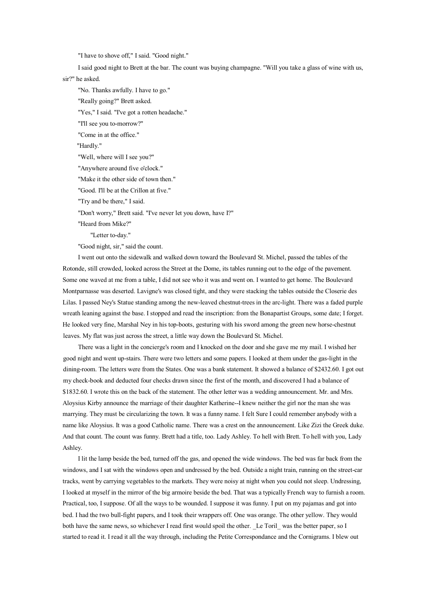"I have to shove off," I said. "Good night."

I said good night to Brett at the bar. The count was buying champagne. "Will you take <sup>a</sup> glass of wine with us, sir?" he asked.

"No. Thanks awfully. I have to go." "Really going?" Brett asked. "Yes," I said. "I've go<sup>t</sup> <sup>a</sup> rotten headache." "I'll see you to-morrow?" "Come in at the office." "Hardly." "Well, where will I see you?" "Anywhere around five <sup>o</sup>'clock." "Make it the other side of town then." "Good. I'll be at the Crillon at five." "Try and be there," I said. "Don't worry," Brett said. "I've never let you down, have I?" "Heard from Mike?" "Letter to-day." "Good night, sir," said the count.

I went out onto the sidewalk and walked down toward the Boulevard St. Michel, passed the tables of the Rotonde, still crowded, looked across the Street at the Dome, its tables running out to the edge of the pavement. Some one waved at me from <sup>a</sup> table, I did not see who it was and went on. I wanted to ge<sup>t</sup> home. The Boulevard Montparnasse was deserted. Lavigne's was closed tight, and they were stacking the tables outside the Closerie des Lilas. I passed Ney's Statue standing among the new-leaved chestnut-trees in the arc-light. There was <sup>a</sup> faded purple wreath leaning against the base. I stopped and read the inscription: from the Bonapartist Groups, some date; I forget. He looked very fine, Marshal Ney in his top-boots, gesturing with his sword among the green new horse-chestnut leaves. My flat was just across the street, <sup>a</sup> little way down the Boulevard St. Michel.

There was <sup>a</sup> light in the concierge's room and I knocked on the door and she gave me my mail. I wished her good night and went up-stairs. There were two letters and some papers. I looked at them under the gas-light in the dining-room. The letters were from the States. One was <sup>a</sup> bank statement. It showed <sup>a</sup> balance of \$2432.60. I go<sup>t</sup> out my check-book and deducted four checks drawn since the first of the month, and discovered I had <sup>a</sup> balance of \$1832.60. I wrote this on the back of the statement. The other letter was <sup>a</sup> wedding announcement. Mr. and Mrs. Aloysius Kirby announce the marriage of their daughter Katherine--I knew neither the girl nor the man she was marrying. They must be circularizing the town. It was <sup>a</sup> funny name. I felt Sure I could remember anybody with <sup>a</sup> name like Aloysius. It was <sup>a</sup> good Catholic name. There was <sup>a</sup> crest on the announcement. Like Zizi the Greek duke. And that count. The count was funny. Brett had <sup>a</sup> title, too. Lady Ashley. To hell with Brett. To hell with you, Lady Ashley.

I lit the lamp beside the bed, turned off the gas, and opened the wide windows. The bed was far back from the windows, and I sat with the windows open and undressed by the bed. Outside <sup>a</sup> night train, running on the street-car tracks, went by carrying vegetables to the markets. They were noisy at night when you could not sleep. Undressing, I looked at myself in the mirror of the big armoire beside the bed. That was <sup>a</sup> typically French way to furnish <sup>a</sup> room. Practical, too, I suppose. Of all the ways to be wounded. I suppose it was funny. I pu<sup>t</sup> on my pajamas and go<sup>t</sup> into bed. I had the two bull-fight papers, and I took their wrappers off. One was orange. The other yellow. They would both have the same news, so whichever I read first would spoil the other. Le Toril was the better paper, so I started to read it. I read it all the way through, including the Petite Correspondance and the Cornigrams. I blew out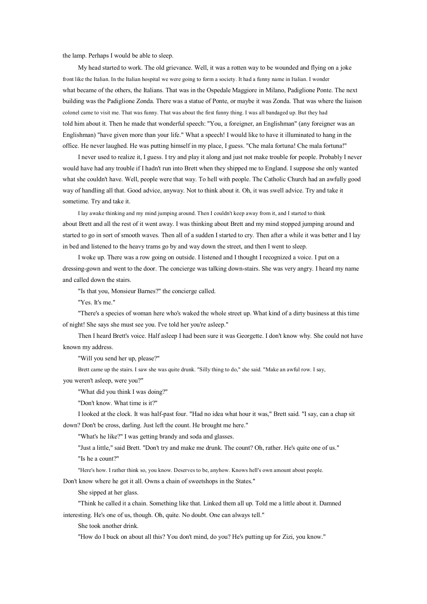the lamp. Perhaps I would be able to sleep.

My head started to work. The old grievance. Well, it was <sup>a</sup> rotten way to be wounded and flying on <sup>a</sup> joke front like the Italian. In the Italian hospital we were going to form <sup>a</sup> society. It had <sup>a</sup> funny name in Italian. I wonder what became of the others, the Italians. That was in the Ospedale Maggiore in Milano, Padiglione Ponte. The next building was the Padiglione Zonda. There was <sup>a</sup> statue of Ponte, or maybe it was Zonda. That was where the liaison colonel came to visit me. That was funny. That was about the first funny thing. I was all bandaged up. But they had told him about it. Then he made that wonderful speech: "You, <sup>a</sup> foreigner, an Englishman" (any foreigner was an Englishman) "have given more than your life." What <sup>a</sup> speech! I would like to have it illuminated to hang in the office. He never laughed. He was putting himself in my place, I guess. "Che mala fortuna! Che mala fortuna!"

I never used to realize it, I guess. I try and play it along and just not make trouble for people. Probably I never would have had any trouble if I hadn't run into Brett when they shipped me to England. I suppose she only wanted what she couldn't have. Well, people were that way. To hell with people. The Catholic Church had an awfully good way of handling all that. Good advice, anyway. Not tothink about it. Oh, it was swell advice. Try and take it sometime. Try and take it.

I lay awake thinking and my mind jumping around. Then I couldn't keep away from it, and I started to think about Brett and all the rest of it went away. I was thinking about Brett and my mind stopped jumping around and started to go in sort of smooth waves. Then all of <sup>a</sup> sudden I started to cry. Then after <sup>a</sup> while it was better and I lay in bed and listened to the heavy trams go by and way down the street, and then I went to sleep.

I woke up. There was <sup>a</sup> row going on outside. I listened and I thought I recognized <sup>a</sup> voice. I pu<sup>t</sup> on <sup>a</sup> dressing-gown and went to the door. The concierge was talking down-stairs. She was very angry. I heard my name and called down the stairs.

"Is that you, Monsieur Barnes?" the concierge called.

"Yes. It's me."

"There's <sup>a</sup> species of woman here who's waked the whole street up. What kind of <sup>a</sup> dirty business at this time of night! She says she must see you. I've told her you're asleep."

Then I heard Brett's voice. Half asleep I had been sure it was Georgette. I don't know why. She could not have known my address.

"Will you send her up, please?"

Brett came up the stairs. I sawshe was quite drunk. "Silly thing to do," she said. "Make an awful row. I say,

you weren't asleep, were you?"

"What did you think I was doing?"

"Don't know. What time is it?"

I looked at the clock. It was half-past four. "Had no idea what hour it was," Brett said. "I say, can <sup>a</sup> chap sit down? Don't be cross, darling. Just left the count. He brought me here."

"What's he like?" I was getting brandy and soda and glasses.

"Just <sup>a</sup> little," said Brett. "Don't try and make me drunk. The count? Oh, rather. He's quite one of us."

"Is he <sup>a</sup> count?"

"Here's how. I rather think so, you know. Deserves to be, anyhow. Knows hell's own amount about people.

Don't know where he go<sup>t</sup> it all. Owns <sup>a</sup> chain of sweetshops in the States."

She sipped at her glass.

"Think he called it <sup>a</sup> chain. Something like that. Linked them all up. Told me <sup>a</sup> little about it. Damned

interesting. He's one of us, though. Oh, quite. No doubt. One can always tell."

She took another drink.

"How do I buck on about all this? You don't mind, do you? He's putting up for Zizi, you know."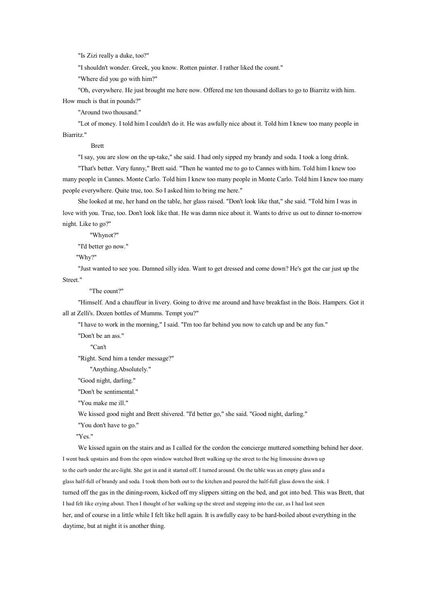"Is Zizi really <sup>a</sup> duke, too?"

"I shouldn't wonder. Greek, you know. Rotten painter. I rather liked the count."

"Where did you go with him?"

"Oh, everywhere. He just brought me here now. Offered me ten thousand dollars to go to Biarritz with him. How much is that in pounds?"

"Around two thousand."

"Lot of money. I told him I couldn't do it. He was awfully nice about it. Told him I knew too many people in Biarritz."

Brett

"I say, you are slow on the up-take," she said. I had only sipped my brandy and soda. I took <sup>a</sup> long drink.

"That's better. Very funny," Brett said. "Then he wanted me to go to Cannes with him. Told him I knew too many people in Cannes. Monte Carlo. Told him I knew too many people in Monte Carlo. Told him I knew too many people everywhere. Quite true, too. So I asked him to bring me here."

She looked at me, her hand on the table, her glass raised. "Don't look like that," she said. "Told him I was in love with you. True, too. Don't look like that. He was damn nice about it. Wants to drive us out to dinner to-morrow night. Like to go?"

"Whynot?"

"I'd better go now."

"Why?"

"Just wanted to see you. Damned silly idea. Want to get dressed and come down? He's got the car just up the Street."

"The count?"

"Himself. And <sup>a</sup> chauffeur in livery. Going to drive me around and have breakfast in the Bois. Hampers. Got it all at Zelli's. Dozen bottles of Mumms. Tempt you?"

"I have to work in the morning," I said. "I'm too far behind you now to catch up and be any fun."

"Don't be an ass."

"Can't

"Right. Send him <sup>a</sup> tender message?"

"Anything.Absolutely."

"Good night, darling."

"Don't be sentimental."

"You make me ill."

We kissed good night and Brett shivered. "I'd better go," she said. "Good night, darling."

"You don't have to go."

"Yes."

We kissed again on the stairs and as I called for the cordon the concierge muttered something behind her door. I went back upstairs and from the open window watched Brett walking up the street to the big limousine drawn up to the curb under the arc-light. She got in and it started off. I turned around. On the table was an empty glass and a glass half-full of brandy and soda. I took them both out tothe kitchen and poured the half-full glass down the sink. I turned off the gas in the dining-room, kicked off my slippers sitting on the bed, and go<sup>t</sup> into bed. This was Brett, that I had felt like crying about. Then I thought of her walking up the street and stepping into the car, as I had last seen her, and of course in <sup>a</sup> little while I felt like hell again. It is awfully easy to be hard-boiled about everything in the daytime, but at night it is another thing.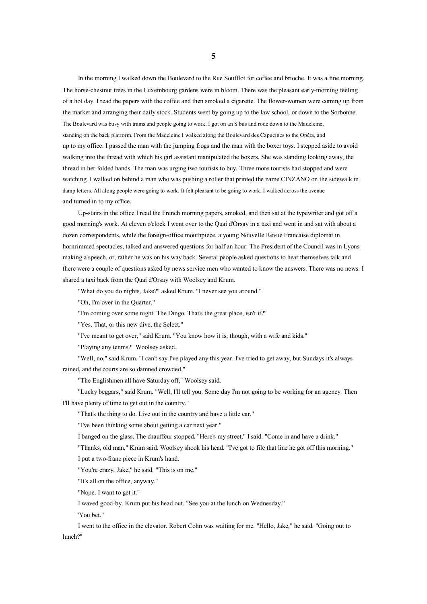In the morning I walked down the Boulevard to the Rue Soufflot for coffee and brioche. It was <sup>a</sup> fine morning. The horse-chestnut trees in the Luxembourg gardens were in bloom. There was the pleasant early-morning feeling of <sup>a</sup> hot day. I read the papers with the coffee and then smoked <sup>a</sup> cigarette. The flower-women were coming up from the market and arranging their daily stock. Students went by going up to the law school, or down to the Sorbonne. The Boulevard was busy with trams and people going to work. I go<sup>t</sup> on an S bus and rode down to the Madeleine, standing on the back platform. From the Madeleine I walked along the Boulevard des Capucines to the Opéra, and up to my office. I passed the man with the jumping frogs and the man with the boxer toys. I stepped aside to avoid walking into the thread with which his girl assistant manipulated the boxers. She was standing looking away, the thread in her folded hands. The man was urging two tourists to buy. Three more tourists had stopped and were watching. I walked on behind <sup>a</sup> man who was pushing <sup>a</sup> roller that printed the name CINZANO on the sidewalk in damp letters. All along people were going to work. It felt pleasant to be going to work. I walked across the avenue and turned in to my office.

Up-stairs in the office I read the French morning papers, smoked, and then sat at the typewriter and go<sup>t</sup> off <sup>a</sup> good morning's work. At eleven <sup>o</sup>'clock I went over to the Quai d'Orsay in <sup>a</sup> taxi and went in and sat with about <sup>a</sup> dozen correspondents, while the foreign-office mouthpiece, <sup>a</sup> young Nouvelle Revue Francaise diplomat in hornrimmed spectacles, talked and answered questions for half an hour. The President of the Council was in Lyons making <sup>a</sup> speech, or, rather he was on his way back. Several people asked questions to hear themselves talk and there were <sup>a</sup> couple of questions asked by news service men who wanted to know the answers. There was no news. I shared <sup>a</sup> taxi back from the Quai d'Orsay with Woolsey and Krum.

"What do you do nights, Jake?" asked Krum. "I never see you around."

"Oh, I'm over in the Quarter."

"I'm coming over some night. The Dingo. That's the great place, isn't it?"

"Yes. That, or this new dive, the Select."

"I've meant to ge<sup>t</sup> over," said Krum. "You know how it is, though, with <sup>a</sup> wife and kids."

"Playing any tennis?" Woolsey asked.

"Well, no," said Krum. "I can't say I've played any this year. I've tried to ge<sup>t</sup> away, but Sundays it's always rained, and the courts are so damned crowded."

"The Englishmen all have Saturday off," Woolsey said.

"Lucky beggars," said Krum. "Well, I'll tell you. Some day I'm not going to be working for an agency. Then I'll have plenty of time to ge<sup>t</sup> out in the country."

"That's the thing to do. Live out in the country and have <sup>a</sup> little car."

"I've been thinking some about getting <sup>a</sup> car next year."

I banged on the glass. The chauffeur stopped. "Here's my street," I said. "Come in and have <sup>a</sup> drink."

"Thanks, old man," Krum said. Woolsey shook his head. "I've go<sup>t</sup> tofile that line he go<sup>t</sup> off this morning."

I pu<sup>t</sup> <sup>a</sup> two-franc piece in Krum's hand.

"You're crazy, Jake," he said. "This is on me."

"It's all on the office, anyway."

"Nope. I want to ge<sup>t</sup> it."

I waved good-by. Krum pu<sup>t</sup> his head out. "See you at the lunch on Wednesday."

"You bet."

I went tothe office in the elevator. Robert Cohn was waiting for me. "Hello, Jake," he said. "Going out to lunch?"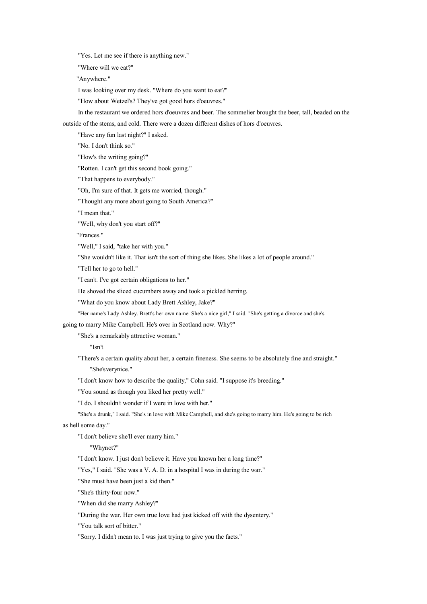"Yes. Let me see if there is anything new."

"Where will we eat?"

"Anywhere."

I was looking over my desk. "Where do you want to eat?"

"How about Wetzel's? They've go<sup>t</sup> good hors d'oeuvres."

In the restaurant we ordered hors d'oeuvres and beer. The sommelier brought the beer, tall, beaded on the

outside of the stems, and cold. There were <sup>a</sup> dozen different dishes of hors d'oeuvres.

"Have any fun last night?" I asked.

"No. I don't think so."

"How's the writing going?"

"Rotten. I can't ge<sup>t</sup> this second book going."

"That happens to everybody."

"Oh, I'm sure of that. It gets me worried, though."

"Thought any more about going to South America?"

"I mean that."

"Well, why don't you start off?"

"Frances."

"Well," I said, "take her with you."

"She wouldn't like it. That isn't the sort of thing she likes. She likes <sup>a</sup> lot of people around."

"Tell her to go to hell."

"I can't. I've go<sup>t</sup> certain obligations to her."

He shoved the sliced cucumbers away and took <sup>a</sup> pickled herring.

"What do you know about Lady Brett Ashley, Jake?"

"Her name's Lady Ashley. Brett's her own name. She's <sup>a</sup> nice girl," I said. "She's getting <sup>a</sup> divorce and she's

going to marry Mike Campbell. He's over in Scotland now. Why?"

"She's <sup>a</sup> remarkably attractive woman."

"Isn't

"There's <sup>a</sup> certain quality about her, <sup>a</sup> certain fineness. She seems to be absolutely fine and straight." "She'sverynice."

"I don't know how to describe the quality," Cohn said. "I suppose it's breeding."

"You sound as though you liked her pretty well."

"I do. I shouldn't wonder if I were in love with her."

"She's <sup>a</sup> drunk," I said. "She's in love with Mike Campbell, and she's going to marry him. He's going to be rich as hell some day."

"I don't believe she'll ever marry him."

"Whynot?"

"I don't know. I just don't believe it. Have you known her <sup>a</sup> long time?"

"Yes," I said. "She was a V. A. D. in a hospital I was in during the war."

"She must have been just <sup>a</sup> kid then."

"She's thirty-four now."

"When did she marry Ashley?"

"During the war. Her own true love had just kicked off with the dysentery."

"You talk sort of bitter."

"Sorry. I didn't mean to. I was just trying to give you the facts."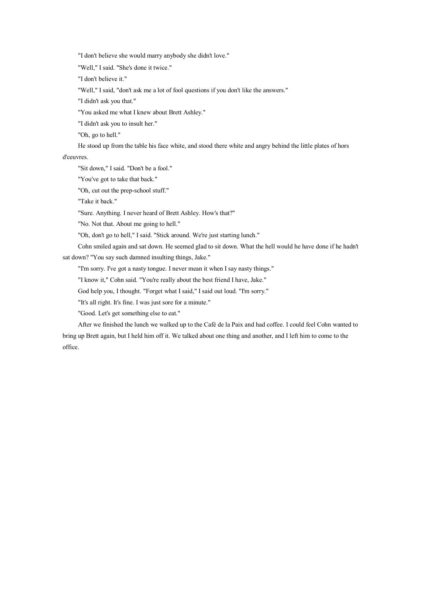"I don't believe she would marry anybody she didn't love."

"Well," I said. "She's done it twice."

"I don't believe it."

"Well," I said, "don't ask me <sup>a</sup> lot of fool questions if you don't like the answers."

"I didn't ask you that."

"You asked me what I knew about Brett Ashley."

"I didn't ask you to insult her."

"Oh, go to hell."

He stood up from the table his face white, and stood there white and angry behind the little plates of hors

d'ceuvres.

"Sit down," I said. "Don't be <sup>a</sup> fool."

"You've got to take that back."

"Oh, cut out the prep-school stuff."

"Take it back."

"Sure. Anything. I never heard of Brett Ashley. How's that?"

"No. Not that. About me going to hell."

"Oh, don't go to hell," I said. "Stick around. We're just starting lunch."

Cohn smiled again and sat down. He seemed glad to sit down. What the hell would he have done if he hadn't

sat down? "You say such damned insulting things, Jake."

"I'm sorry. I've go<sup>t</sup> <sup>a</sup> nasty tongue. I never mean it when I say nasty things."

"I know it," Cohn said. "You're really about the best friend I have, Jake."

God help you, I thought. "Forget what I said," I said out loud. "I'm sorry."

"It's all right. It's fine. I was just sore for <sup>a</sup> minute."

"Good. Let's ge<sup>t</sup> something else to eat."

After we finished the lunch we walked up to the Café de la Paix and had coffee. I could feel Cohn wanted to bring up Brett again, but I held him off it. We talked about one thing and another, and I left him to come to the office.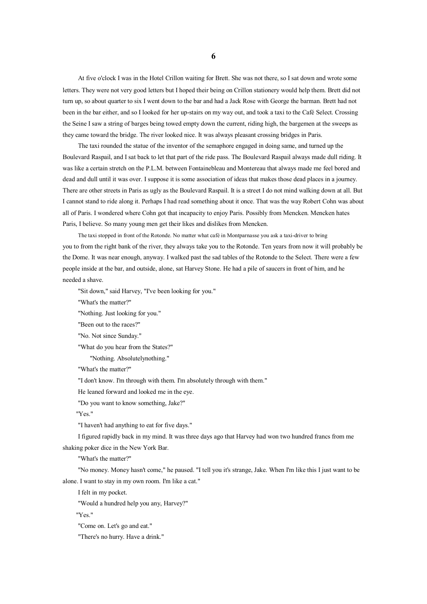At five <sup>o</sup>'clock I was in the Hotel Crillon waiting for Brett. She was not there, so I sat down and wrote some letters. They were not very good letters but I hoped their being on Crillon stationery would help them. Brett did not turn up, so about quarter to six I went down to the bar and had <sup>a</sup> Jack Rose with George the barman. Brett had not been in the bar either, and so I looked for her up-stairs on my way out, and took <sup>a</sup> taxi to the Café Select. Crossing the Seine I saw <sup>a</sup> string of barges being towed empty down the current, riding high, the bargemen at the sweeps as they came toward the bridge. The river looked nice. It was always pleasant crossing bridges in Paris.

The taxi rounded the statue of the inventor of the semaphore engaged in doing same, and turned up the Boulevard Raspail, and I sat back to let that par<sup>t</sup> of the ride pass. The Boulevard Raspail always made dull riding. It was like <sup>a</sup> certain stretch on the P.L.M. between Fontainebleau and Montereau that always made me feel bored and dead and dull until it was over. I suppose it is some association of ideas that makes those dead places in <sup>a</sup> journey. There are other streets in Paris as ugly as the Boulevard Raspail. It is <sup>a</sup> street I do not mind walking down at all. But I cannot stand to ride along it. Perhaps I had read something about it once. That was the way Robert Cohn was about all of Paris. I wondered where Cohn go<sup>t</sup> that incapacity to enjoy Paris. Possibly from Mencken. Mencken hates Paris, I believe. Somany young men ge<sup>t</sup> their likes and dislikes from Mencken.

The taxi stopped in front of the Rotonde. No matter what café in Montparnasse you ask <sup>a</sup> taxi-driver to bring you to from the right bank of the river, they always take you to the Rotonde. Ten years from now it will probably be the Dome. It was near enough, anyway. I walked pas<sup>t</sup> the sad tables of the Rotonde to the Select. There were <sup>a</sup> few people inside at the bar, and outside, alone, sat Harvey Stone. He had <sup>a</sup> pile of saucers in front of him, and he needed <sup>a</sup> shave.

"Sit down," said Harvey, "I've been looking for you."

"What's the matter?"

"Nothing. Just looking for you."

"Been out to the races?"

"No. Not since Sunday."

"What do you hear from the States?"

"Nothing. Absolutelynothing."

"What's the matter?"

"I don't know. I'm through with them. I'm absolutely through with them."

He leaned forward and looked me in the eye.

"Do you want to know something, Jake?"

"Yes."

"I haven't had anything to eat for five days."

I figured rapidly back in my mind. It was three days ago that Harvey had won two hundred francs from me shaking poker dice in the New York Bar.

"What's the matter?"

"No money. Money hasn't come," he paused. "I tell you it's strange, Jake. When I'mlike this I just want to be alone. I want to stay in my own room. I'm like <sup>a</sup> cat."

I felt in my pocket.

"Would <sup>a</sup> hundred help you any, Harvey?"

"Yes."

"Come on. Let's go and eat."

"There's no hurry. Have <sup>a</sup> drink."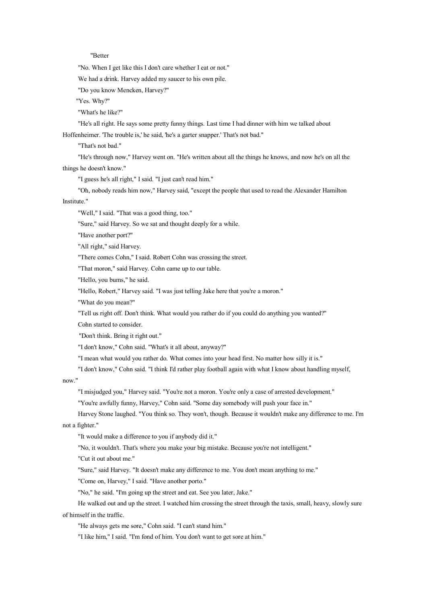#### "Better

"No. When I ge<sup>t</sup> like this I don't care whether I eat or not."

We had <sup>a</sup> drink. Harvey added my saucer to his own pile.

"Do you know Mencken, Harvey?"

"Yes. Why?"

"What's he like?"

"He's all right. He says some pretty funny things. Last time I had dinner with him we talked about

Hoffenheimer. 'The trouble is,' he said, 'he's <sup>a</sup> garter snapper.' That's not bad."

"That's not bad."

"He's through now," Harvey went on. "He's written about all the things he knows, and now he's on all the things he doesn't know."

"I guess he's all right," I said. "I just can't read him."

"Oh, nobody reads him now," Harvey said, "except the people that used to read the Alexander Hamilton

Institute."

"Well," I said. "That was <sup>a</sup> good thing, too."

"Sure," said Harvey. So we sat and thought deeply for <sup>a</sup> while.

"Have another port?"

"All right," said Harvey.

"There comes Cohn," I said. Robert Cohn was crossing the street.

"That moron," said Harvey. Cohn came up to our table.

"Hello, you bums," he said.

"Hello, Robert," Harvey said. "I was just telling Jake here that you're a moron."

"What do you mean?"

"Tell us right off. Don't think. What would you rather do if you could do anything you wanted?"

Cohn started to consider.

"Don't think. Bring it right out."

"I don't know," Cohn said. "What's it all about, anyway?"

"I mean what would you rather do. What comes into your head first. No matter how silly it is."

"I don't know," Cohn said. "I think I'd rather play football again with what I know about handling myself,

now."

"I misjudged you," Harvey said. "You're not a moron. You're only a case of arrested development."

"You're awfully funny, Harvey," Cohn said. "Some day somebody will push your face in."

Harvey Stone laughed. "You think so. They won't, though. Because it wouldn't make any difference to me. I'm not <sup>a</sup> fighter."

"It would make <sup>a</sup> difference to you if anybody did it."

"No, it wouldn't. That's where you make your big mistake. Because you're not intelligent."

"Cut it out about me."

"Sure," said Harvey. "It doesn't make any difference to me. You don't mean anything to me."

"Come on, Harvey," I said. "Have another porto."

"No," he said. "I'm going up the street and eat. See you later, Jake."

He walked out and up the street. I watched him crossing the street through the taxis, small, heavy, slowly sure of himself in the traffic.

"He always gets me sore," Cohn said. "I can't stand him."

"I like him," I said. "I'm fond of him. You don't want to ge<sup>t</sup> sore at him."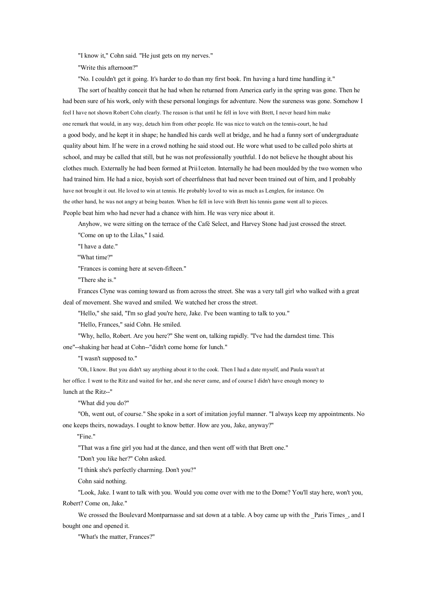"I know it," Cohn said. "He just gets on my nerves."

"Write this afternoon?"

"No. I couldn't ge<sup>t</sup> it going. It's harder to do than my first book. I'm having <sup>a</sup> hard time handling it."

The sort of healthy conceit that he had when he returned from America early in the spring was gone. Then he had been sure of his work, only with these personal longings for adventure. Now the sureness was gone. Somehow I feel I have not shown Robert Cohn clearly. The reason is that until he fell in love with Brett, I never heard him make one remark that would, in any way, detach him from other people. He was nice to watch on the tennis-court, he had <sup>a</sup> good body, and he kept it in shape; he handled his cards well at bridge, and he had <sup>a</sup> funny sort of undergraduate quality about him. If he were in <sup>a</sup> crowd nothing he said stood out. He wore what used to be called polo shirts at school, and may be called that still, but he was not professionally youthful. I do not believe he thought about his clothes much. Externally he had been formed at Prii1ceton. Internally he had been moulded by the two women who had trained him. He had a nice, boyish sort of cheerfulness that had never been trained out of him, and I probably have not brought it out. He loved to win at tennis. He probably loved to win as much as Lenglen, for instance. On the other hand, he was not angry at being beaten. When he fell in love with Brett his tennis game went all to pieces. People beat him who had never had <sup>a</sup> chance with him. He was very nice about it.

Anyhow, we were sitting on the terrace of the Café Select, and Harvey Stone had just crossed the street.

"Come on up to the Lilas," I said.

"I have <sup>a</sup> date."

"What time?"

"Frances is coming here at seven-fifteen."

"There she is."

Frances Clyne was coming toward us from across the street. She was <sup>a</sup> very tall girl who walked with <sup>a</sup> great deal of movement. She waved and smiled. We watched her cross the street.

"Hello," she said, "I'm so glad you're here, Jake. I've been wanting to talk to you."

"Hello, Frances," said Cohn. He smiled.

"Why, hello, Robert. Are you here?" She went on, talking rapidly. "I've had the darndest time. This one"--shaking her head at Cohn--"didn't come home for lunch."

"I wasn't supposed to."

"Oh, I know. But you didn't say anything about it to the cook. Then I had <sup>a</sup> date myself, and Paula wasn't at her office. I went tothe Ritz and waited for her, and she never came, and of course I didn't have enough money to lunch at the Ritz--"

"What did you do?"

"Oh, went out, of course." She spoke in <sup>a</sup> sort of imitation joyful manner. "I always keep my appointments. No one keeps theirs, nowadays. I ought to know better. How are you, Jake, anyway?"

"Fine."

"That was <sup>a</sup> fine girl you had at the dance, and then went off with that Brett one."

"Don't you like her?" Cohn asked.

"I think she's perfectly charming. Don't you?"

Cohn said nothing.

"Look, Jake. I want to talk with you. Would you come over with me to the Dome? You'll stay here, won't you, Robert? Come on, Jake."

We crossed the Boulevard Montparnasse and sat down at a table. A boy came up with the Paris Times, and I bought one and opened it.

"What's the matter, Frances?"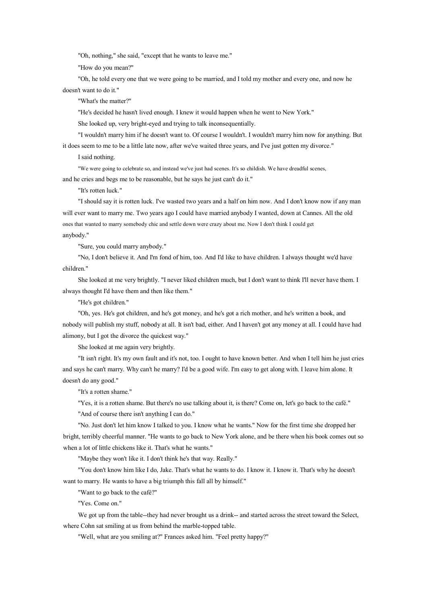"Oh, nothing," she said, "except that he wants to leave me."

"How do you mean?"

"Oh, he told every one that we were going to be married, and I told my mother and every one, and now he doesn't want to do it."

"What's the matter?"

"He's decided he hasn't lived enough. I knew it would happen when he went to New York."

She looked up, very bright-eyed and trying to talk inconsequentially.

"I wouldn't marry him if he doesn't want to. Of course I wouldn't. I wouldn't marry him now for anything. But it does seem to me to be <sup>a</sup> little late now, after we've waited three years, and I've just gotten my divorce."

I said nothing.

"We were going to celebrate so, and instead we've just had scenes. It's so childish. We have dreadful scenes,

and he cries and begs me to be reasonable, but he says he just can't do it."

"It's rotten luck."

"I should say it is rotten luck. I've wasted two years and <sup>a</sup> half on him now. And I don't know now if any man will ever want to marry me. Two years ago I could have married anybody I wanted, down at Cannes. All the old ones that wanted to marry somebody chic and settle down were crazy about me. Now I don't think I could ge<sup>t</sup>

## anybody."

"Sure, you could marry anybody."

"No, I don't believe it. And I'm fond of him, too. And I'd like to have children. I always thought we'd have children."

She looked at me very brightly. "I never liked children much, but I don't want to think I'll never have them. I always thought I'd have them and then like them."

"He's go<sup>t</sup> children."

"Oh, yes. He's go<sup>t</sup> children, and he's go<sup>t</sup> money, and he's go<sup>t</sup> <sup>a</sup> rich mother, and he's written <sup>a</sup> book, and nobody will publish my stuff, nobody at all. It isn't bad, either. And I haven't go<sup>t</sup> any money at all. I could have had alimony, but I go<sup>t</sup> the divorce the quickest way."

She looked at me again very brightly.

"It isn't right. It's my own fault and it's not, too. I ought to have known better. And when I tell him he just cries and says he can't marry. Why can't he marry? I'd be <sup>a</sup> good wife. I'm easy to ge<sup>t</sup> along with. I leave him alone. It doesn't do any good."

"It's <sup>a</sup> rotten shame."

"Yes, it is <sup>a</sup> rotten shame. But there's no use talking about it, is there? Come on, let's go back to the café."

"And of course there isn't anything I can do."

"No. Just don't let him know I talked to you. I know what he wants." Now for the first time she dropped her bright, terribly cheerful manner. "He wants to go back to New York alone, and be there when his book comes out so when <sup>a</sup> lot of little chickens like it. That's what he wants."

"Maybe they won't like it. I don't think he's that way. Really."

"You don't know him like I do, Jake. That's what he wants to do. I know it. I know it. That's why he doesn't want to marry. He wants to have <sup>a</sup> big triumph this fall all by himself."

"Want to go back to the café?"

"Yes. Come on."

We got up from the table--they had never brought us a drink-- and started across the street toward the Select, where Cohn sat smiling at us from behind the marble-topped table.

"Well, what are you smiling at?" Frances asked him. "Feel pretty happy?"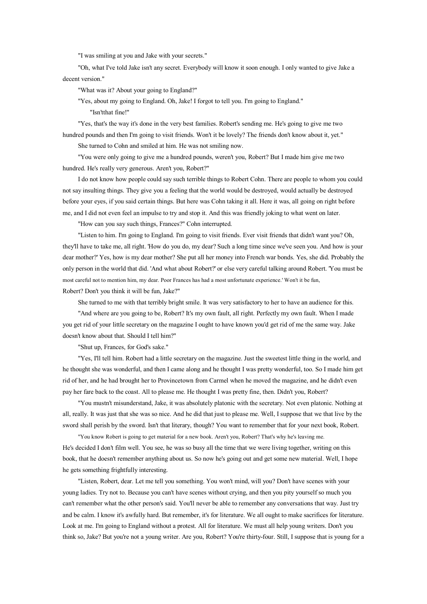"I was smiling at you and Jake with your secrets."

"Oh, what I've told Jake isn't any secret. Everybody will know it soon enough. I only wanted to give Jake <sup>a</sup> decent version."

"What was it? About your going to England?"

"Yes, about my going to England. Oh, Jake! I forgot to tell you. I'm going to England."

"Isn'tthat fine!"

"Yes, that's the way it's done in the very best families. Robert's sending me. He's going to give me two hundred pounds and then I'm going to visit friends. Won't it be lovely? The friends don't know about it, yet." She turned to Cohn and smiled at him. He was not smiling now.

"You were only going to give me <sup>a</sup> hundred pounds, weren't you, Robert? But I made himgive me two hundred. He's really very generous. Aren't you, Robert?"

I do not know how people could say such terrible things to Robert Cohn. There are people to whom you could not say insulting things. They give you <sup>a</sup> feeling that the world would be destroyed, would actually be destroyed before your eyes, if you said certain things. But here was Cohn taking it all. Here it was, all going on right before me, and I did not even feel animpulse to try and stop it. And this was friendly joking to what went onlater.

"How can you say such things, Frances?" Cohn interrupted.

"Listen to him. I'm going to England. I'm going to visit friends. Ever visit friends that didn't want you? Oh, they'll have to take me, all right. 'How do you do, my dear? Such <sup>a</sup> long time since we've seen you. And how is your dear mother?' Yes, how is my dear mother? She put all her money into French war bonds. Yes, she did. Probably the only person in the world that did. 'And what about Robert?' or else very careful talking around Robert. 'You must be most careful not to mention him, my dear. Poor Frances has had <sup>a</sup> most unfortunate experience.' Won't it be fun, Robert? Don't you think it will be fun, Jake?"

She turned to me with that terribly bright smile. It was very satisfactory to her to have an audience for this.

"And where are you going to be, Robert? It's my own fault, all right. Perfectly my own fault. When I made you ge<sup>t</sup> rid of your little secretary on the magazine I ought tohave known you'd ge<sup>t</sup> rid of me the same way. Jake doesn't know about that. Should I tell him?"

"Shut up, Frances, for God's sake."

"Yes, I'll tell him. Robert had <sup>a</sup> little secretary on the magazine. Just the sweetest little thing in the world, and he thought she was wonderful, and then I came along and he thought I was pretty wonderful, too. So I made him ge<sup>t</sup> rid of her, and he had brought her to Provincetown from Carmel when he moved the magazine, and he didn't even pay her fare back to the coast. All to please me. He thought I was pretty fine, then. Didn't you, Robert?

"You mustn't misunderstand, Jake, it was absolutely platonic with the secretary. Not even platonic. Nothing at all, really. It was just that she was so nice. And he did that just to please me. Well, I suppose that we that live by the sword shall perish by the sword. Isn't that literary, though? You want to remember that for your next book, Robert.

"You know Robert is going to ge<sup>t</sup> material for <sup>a</sup> new book. Aren't you, Robert? That's why he's leaving me. He's decided I don't film well. You see, he was so busy all the time that we were living together, writing on this book, that he doesn't remember anything about us. Sonow he's going out and ge<sup>t</sup> some new material. Well, I hope he gets something frightfully interesting.

"Listen, Robert, dear. Let me tell you something. You won't mind, will you? Don't have scenes with your young ladies. Try not to. Because you can't have scenes without crying, and then you pity yourself so much you can't remember what the other person's said. You'll never be able to remember any conversations that way. Just try and be calm. I know it's awfully hard. But remember, it's for literature. We all ought to make sacrifices for literature. Look at me. I'm going to England without a protest. All for literature. We must all help young writers. Don't you think so, Jake? But you're not a young writer. Are you, Robert? You're thirty-four. Still, I suppose that is young for a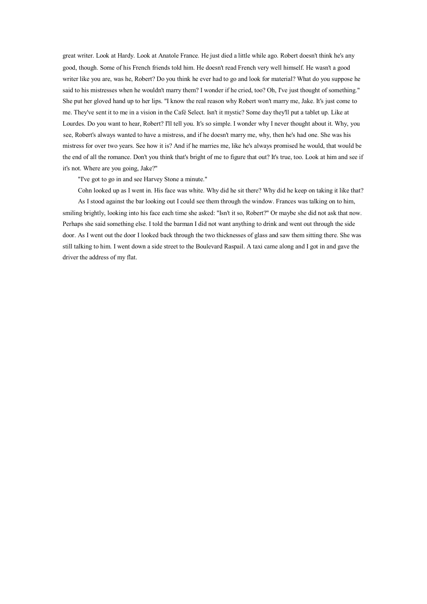grea<sup>t</sup> writer. Look at Hardy. Look at Anatole France. He just died <sup>a</sup> little while ago. Robert doesn't think he's any good, though. Some of his French friends told him. He doesn't read French very well himself. He wasn't <sup>a</sup> good writer like you are, was he, Robert? Do you think he ever had to go and look for material? What do you suppose he said to his mistresses when he wouldn't marry them? I wonder if he cried, too? Oh, I've just thought of something." She pu<sup>t</sup> her gloved hand up to her lips. "I know the real reason why Robert won't marry me, Jake. It's just come to me. They've sent it to me in <sup>a</sup> vision in the Café Select. Isn't it mystic? Some day they'll put <sup>a</sup> tablet up. Like at Lourdes. Do you want to hear, Robert? I'll tell you. It's so simple. I wonder why I never thought about it. Why, you see, Robert's always wanted to have <sup>a</sup> mistress, and if he doesn't marry me, why, then he's had one. She was his mistress for over two years. See how it is? And if he marries me, like he's always promised he would, that would be the end of all the romance. Don't you think that's bright of me to figure that out? It's true, too. Look at him and see if it's not. Where are you going, Jake?"

"I've go<sup>t</sup> to go in and see Harvey Stone <sup>a</sup> minute."

Cohn looked up as I went in. His face was white. Why did he sit there? Why did he keep on taking it like that? As I stood against the bar looking out I could see them through the window. Frances was talking on to him, smiling brightly, looking into his face each time she asked: "Isn't it so, Robert?" Or maybe she did not ask that now. Perhaps she said something else. I told the barman I did not want anything to drink and went out through the side door. As I went out the door I looked back through the two thicknesses of glass and saw them sitting there. She was still talking to him. I went down a side street to the Boulevard Raspail. A taxi came along and I got in and gave the driver the address of my flat.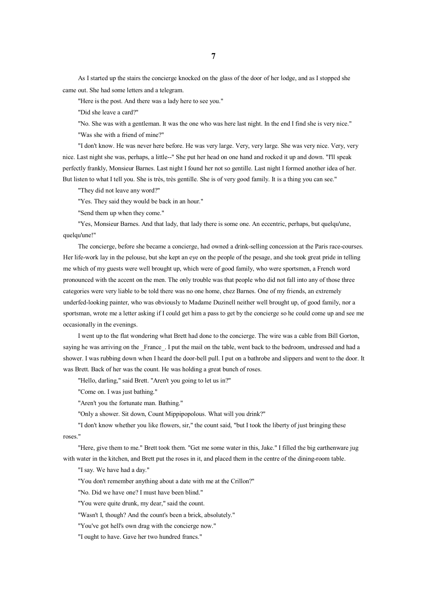As I started up the stairs the concierge knocked on the glass of the door of her lodge, and as I stopped she came out. She had some letters and <sup>a</sup> telegram.

"Here is the post. And there was <sup>a</sup> lady here to see you."

"Did she leave <sup>a</sup> card?"

"No. She was with <sup>a</sup> gentleman. It was the one who was here last night. In the end I find she is very nice." "Was she with <sup>a</sup> friend of mine?"

"I don't know. He was never here before. He was very large. Very, very large. She was very nice. Very, very nice. Last night she was, perhaps, <sup>a</sup> little--" She put her head on one hand and rocked it up and down. "I'll speak perfectly frankly, Monsieur Barnes. Last night I found her not sogentille. Last night I formed another idea of her. But listen to what I tell you. She is très, très gentille. She is of very good family. It is <sup>a</sup> thing you can see."

"They did not leave any word?"

"Yes. They said they would be back in an hour."

"Send them up when they come."

"Yes, Monsieur Barnes. And that lady, that lady there is some one. An eccentric, perhaps, but quelqu'une, quelqu'une!"

The concierge, before she became <sup>a</sup> concierge, had owned <sup>a</sup> drink-selling concession at the Paris race-courses. Her life-work lay in the pelouse, but she kept aneye on the people of the pesage, and she took great pride in telling me which of my guests were well brought up, which were of good family, who were sportsmen, <sup>a</sup> French word pronounced with the accent on the men. The only trouble was that people who did not fall into any of those three categories were very liable to be told there was no one home, chez Barnes. One of my friends, an extremely underfed-looking painter, who was obviously to Madame Duzinell neither well brought up, of good family, nor <sup>a</sup> sportsman, wrote me <sup>a</sup> letter asking if I could ge<sup>t</sup> him <sup>a</sup> pass to ge<sup>t</sup> by the concierge so he could come up and see me occasionally in the evenings.

I went up to the flat wondering what Brett had done to the concierge. The wire was <sup>a</sup> cable from Bill Gorton, saying he was arriving on the France. I put the mail on the table, went back to the bedroom, undressed and had a shower. I was rubbing down when I heard the door-bell pull. I pu<sup>t</sup> on <sup>a</sup> bathrobe and slippers and went to the door. It was Brett. Back of her was the count. He was holding <sup>a</sup> great bunch of roses.

"Hello, darling," said Brett. "Aren't you going to let us in?"

"Come on. I was just bathing."

"Aren't you the fortunate man. Bathing."

"Only <sup>a</sup> shower. Sit down, Count Mippipopolous. What will you drink?"

"I don't know whether you like flowers, sir," the count said, "but I took the liberty of just bringing these roses."

"Here, give them to me." Brett took them. "Get me some water in this, Jake." I filled the big earthenware jug with water in the kitchen, and Brett put the roses in it, and placed them in the centre of the dining-room table.

"I say. We have had <sup>a</sup> day."

"You don't remember anything about <sup>a</sup> date with me at the Crillon?"

"No. Did we have one? I must have been blind."

"You were quite drunk, my dear," said the count.

"Wasn't I, though? And the count's been <sup>a</sup> brick, absolutely."

"You've go<sup>t</sup> hell's own drag with the concierge now."

"I ought to have. Gave her two hundred francs."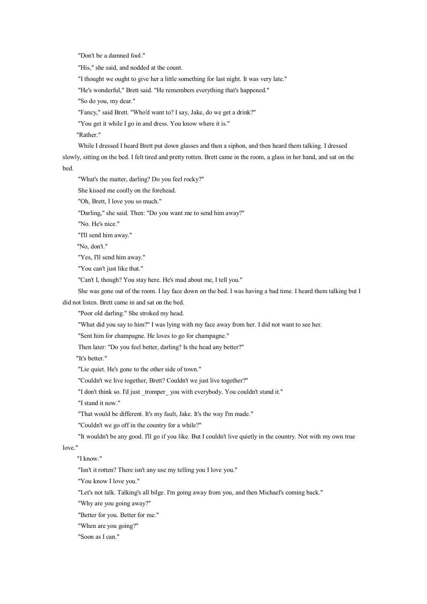"Don't be <sup>a</sup> damned fool."

"His," she said, and nodded at the count.

"I thought we ought to give her <sup>a</sup> little something for last night. It was very late."

"He's wonderful," Brett said. "He remembers everything that's happened."

"So do you, my dear."

"Fancy," said Brett. "Who'd want to? I say, Jake, do we ge<sup>t</sup> <sup>a</sup> drink?"

"You ge<sup>t</sup> it while I go in and dress. You know where it is."

"Rather."

While I dressed I heard Brett put down glasses and then <sup>a</sup> siphon, and then heard them talking. I dressed slowly, sitting on the bed. I felt tired and pretty rotten. Brett came in the room, <sup>a</sup> glass in her hand, and sat on the bed.

"What's the matter, darling? Do you feel rocky?"

She kissed me coolly on the forehead.

"Oh, Brett, I love you so much."

"Darling," she said. Then: "Do you want me to send him away?"

"No. He's nice."

"I'll send him away."

"No, don't."

"Yes, I'll send him away."

"You can't just like that."

"Can't I, though? You stay here. He's mad about me, I tell you."

She was gone out of the room. I lay face down on the bed. I was having <sup>a</sup> bad time. I heard them talking but I did not listen. Brett came in and sat on the bed.

"Poor old darling." She stroked my head.

"What did you say to him?" I was lying with my face away from her. I did not want to see her.

"Sent him for champagne. He loves to go for champagne."

Then later: "Do you feel better, darling? Is the head any better?"

"It's better."

"Lie quiet. He's gone to the other side of town."

"Couldn't we live together, Brett? Couldn't we just live together?"

"I don't think so. I'd just tromper you with everybody. You couldn't stand it."

"I stand it now."

"That would be different. It's my fault, Jake. It's the way I'm made."

"Couldn't we go off in the country for <sup>a</sup> while?"

"It wouldn't be any good. I'll go if you like. But I couldn't live quietly in the country. Not with my own true

love."

"I know."

"Isn't it rotten? There isn't any use my telling you I love you."

"You know I love you."

"Let's not talk. Talking's all bilge. I'm going away from you, and then Michael's coming back."

"Why are you going away?"

"Better for you. Better for me."

"When are you going?"

"Soon as I can."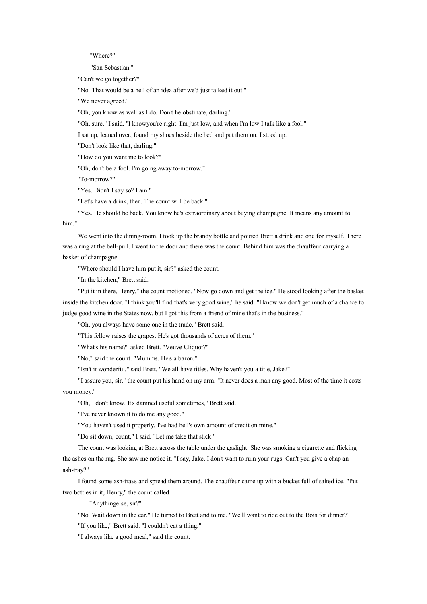"Where?"

"San Sebastian."

"Can't we go together?"

"No. That would be <sup>a</sup> hell of an idea after we'd just talked it out."

"We never agreed."

"Oh, you know as well as I do. Don't he obstinate, darling."

"Oh, sure," I said. "I knowyou're right. I'm just low, and when I'm low I talk like a fool."

I sat up, leaned over, found my shoes beside the bed and pu<sup>t</sup> them on. I stood up.

"Don't look like that, darling."

"How do you want me to look?"

"Oh, don't be <sup>a</sup> fool. I'm going away to-morrow."

"To-morrow?"

"Yes. Didn't I say so? I am."

"Let's have <sup>a</sup> drink, then. The count will be back."

him." "Yes. He should be back. You know he's extraordinary about buying champagne. It means any amount to

We went into the dining-room. I took up the brandy bottle and poured Brett <sup>a</sup> drink and one for myself. There was <sup>a</sup> ring at the bell-pull. I went to the door and there was the count. Behind him was the chauffeur carrying <sup>a</sup> basket of champagne.

"Where should I have him pu<sup>t</sup> it, sir?" asked the count.

"In the kitchen," Brett said.

"Put it in there, Henry," the count motioned. "Now go down and ge<sup>t</sup> the ice." He stood looking after the basket inside the kitchen door. "I think you'll find that's very good wine," he said. "I know we don't ge<sup>t</sup> much of <sup>a</sup> chance to judge good wine in the States now, but I go<sup>t</sup> this from <sup>a</sup> friend of mine that's in the business."

"Oh, you always have some one in the trade," Brett said.

"This fellow raises the grapes. He's go<sup>t</sup> thousands of acres of them."

"What's his name?" asked Brett. "Veuve Cliquot?"

"No," said the count. "Mumms. He's <sup>a</sup> baron."

"Isn't it wonderful," said Brett. "We all have titles. Why haven't you <sup>a</sup> title, Jake?"

"I assure you, sir," the count pu<sup>t</sup> his hand on my arm. "It never does <sup>a</sup> man any good. Most of the time it costs you money."

"Oh, I don't know. It's damned useful sometimes," Brett said.

"I've never known it to do me any good."

"You haven't used it properly. I've had hell's own amount of credit on mine."

"Do sit down, count," I said. "Let me take that stick."

The count was looking at Brett across the table under the gaslight. She was smoking <sup>a</sup> cigarette and flicking the ashes on the rug. She saw me notice it. "I say, Jake, I don't want to ruin your rugs. Can't you give <sup>a</sup> chap an ash-tray?"

I found some ash-trays and spread them around. The chauffeur came up with <sup>a</sup> bucket full of salted ice. "Put two bottles in it, Henry," the count called.

"Anythingelse, sir?"

"No. Wait down in the car." He turned to Brett and to me. "We'll want to ride out to the Bois for dinner?"

"If you like," Brett said. "I couldn't eat <sup>a</sup> thing."

"I always like <sup>a</sup> good meal," said the count.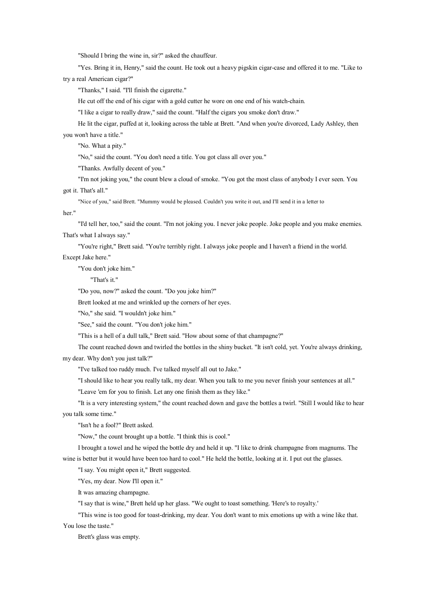"Should I bring the wine in, sir?" asked the chauffeur.

"Yes. Bring it in, Henry," said the count. He took out <sup>a</sup> heavy pigskin cigar-case and offered it to me. "Like to try <sup>a</sup> real American cigar?"

"Thanks," I said. "I'll finish the cigarette."

He cut off the end of his cigar with <sup>a</sup> gold cutter he wore on one end of his watch-chain.

"I like <sup>a</sup> cigar to really draw," said the count. "Half the cigars you smoke don't draw."

He lit the cigar, puffed at it, looking across the table at Brett. "And when you're divorced, Lady Ashley, then

you won't have <sup>a</sup> title."

"No. What <sup>a</sup> pity."

"No," said the count. "You don't need <sup>a</sup> title. You go<sup>t</sup> class all over you."

"Thanks. Awfully decent of you."

"I'm not joking you," the count blew <sup>a</sup> cloud of smoke. "You go<sup>t</sup> the most class of anybody I ever seen. You go<sup>t</sup> it. That's all."

"Nice of you," said Brett. "Mummy would be pleased. Couldn't you write it out, and I'll send it in <sup>a</sup> letter to

her."

"I'd tell her, too," said the count. "I'm not joking you. I never joke people. Joke people and you make enemies. That's what I always say."

"You're right," Brett said. "You're terribly right. I always joke people and I haven't <sup>a</sup> friend in the world. Except Jake here."

"You don't joke him."

"That's it."

"Do you, now?" asked the count. "Do you joke him?"

Brett looked at me and wrinkled up the corners of her eyes.

"No," she said. "I wouldn't joke him."

"See," said the count. "You don't joke him."

"This is <sup>a</sup> hell of <sup>a</sup> dull talk," Brett said. "How about some of that champagne?"

The count reached down and twirled the bottles in the shiny bucket. "It isn't cold, yet. You're always drinking, my dear. Why don't you just talk?"

"I've talked too ruddy much. I've talked myself all out to Jake."

"I should like to hear you really talk, my dear. When you talk to me you never finish your sentences at all."

"Leave 'em for you to finish. Let any one finish them as they like."

"It is <sup>a</sup> very interesting system," the count reached down and gave the bottles <sup>a</sup> twirl. "Still I would like to hear you talk some time."

"Isn't he <sup>a</sup> fool?" Brett asked.

"Now," the count brought up <sup>a</sup> bottle. "I think this is cool."

I brought <sup>a</sup> towel and he wiped the bottle dry and held it up. "I like to drink champagne from magnums. The wine is better but it would have been too hard to cool." He held the bottle, looking at it. I pu<sup>t</sup> out the glasses.

"I say. You might open it," Brett suggested.

"Yes, my dear. Now I'll open it."

It was amazing champagne.

"I say that is wine," Brett held up her glass. "We ought to toast something. 'Here's to royalty.'

"This wine is too good for toast-drinking, my dear. You don't want to mix emotions up with <sup>a</sup> wine like that. You lose the taste."

Brett's glass was empty.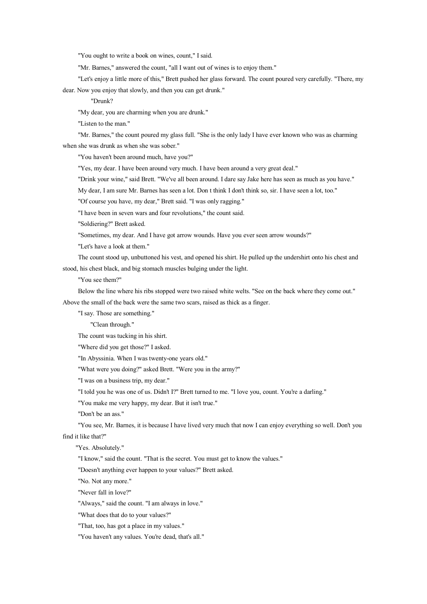"You ought to write a book on wines, count," I said.

"Mr. Barnes," answered the count, "all I want out of wines is to enjoy them."

"Let's enjoy <sup>a</sup> little more of this," Brett pushed her glass forward. The count poured very carefully. "There, my dear. Now you enjoy that slowly, and then you can ge<sup>t</sup> drunk."

"Drunk?

"My dear, you are charming when you are drunk."

"Listen to the man."

"Mr. Barnes," the count poured my glass full. "She is the only lady I have ever known who was as charming when she was drunk as when she was sober."

"You haven't been around much, have you?"

"Yes, my dear. I have been around very much. I have been around <sup>a</sup> very grea<sup>t</sup> deal."

"Drink your wine," said Brett. "We've all been around. I dare say Jake here has seen as much as you have."

My dear, I am sure Mr. Barnes has seen a lot. Don t think I don't think so, sir. I have seen a lot, too."

"Of course you have, my dear," Brett said. "I was only ragging."

"I have been in seven wars and four revolutions," the count said.

"Soldiering?" Brett asked.

"Sometimes, my dear. And I have go<sup>t</sup> arrow wounds. Have you ever seen arrow wounds?"

"Let's have <sup>a</sup> look at them."

The count stood up, unbuttoned his vest, and opened his shirt. He pulled up the undershirt onto his chest and stood, his chest black, and big stomach muscles bulging under the light.

"You see them?"

Below the line where his ribs stopped were two raised white welts. "See on the back where they come out." Above the small of the back were the same two scars, raised as thick as <sup>a</sup> finger.

"I say. Those are something."

"Clean through."

The count was tucking in his shirt.

"Where did you ge<sup>t</sup> those?" I asked.

"In Abyssinia. When I was twenty-one years old."

"What were you doing?" asked Brett. "Were you in the army?"

"I was on <sup>a</sup> business trip, my dear."

"I told you he was one of us. Didn't I?" Brett turned to me. "I love you, count. You're a darling."

"You make me very happy, my dear. But it isn't true."

"Don't be an ass."

"You see, Mr. Barnes, it is because I have lived very much that now I can enjoy everything so well. Don't you

find it like that?"

"Yes. Absolutely."

"I know," said the count. "That is the secret. You must ge<sup>t</sup> to know the values."

"Doesn't anything ever happen to your values?" Brett asked.

"No. Not any more."

"Never fall in love?"

"Always," said the count. "I am always in love."

"What does that do to your values?"

"That, too, has go<sup>t</sup> <sup>a</sup> place in my values."

"You haven't any values. You're dead, that's all."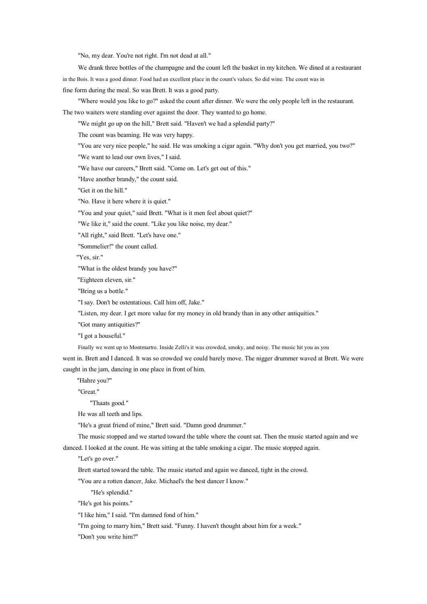"No, my dear. You're not right. I'm not dead at all."

We drank three bottles of the champagne and the count left the basket in my kitchen. We dined at <sup>a</sup> restaurant in the Bois. It was <sup>a</sup> good dinner. Food had an excellent place in the count's values. Sodid wine. The count was in fine form during the meal. So was Brett. It was <sup>a</sup> good party.

"Where would you like to go?" asked the count after dinner. We were the only people left in the restaurant. The two waiters were standing over against the door. They wanted to go home.

"We might go up on the hill," Brett said. "Haven't we had <sup>a</sup> splendid party?"

The count was beaming. He was very happy.

"You are very nice people," he said. He was smoking <sup>a</sup> cigar again. "Why don't you ge<sup>t</sup> married, you two?"

"We want to lead our own lives," I said.

"We have our careers," Brett said. "Come on. Let's ge<sup>t</sup> out of this."

"Have another brandy," the count said.

"Get it on the hill."

"No. Have it here where it is quiet."

"You and your quiet," said Brett. "What is it men feel about quiet?"

"We like it," said the count. "Like you like noise, my dear."

"All right," said Brett. "Let's have one."

"Sommelier!" the count called.

"Yes, sir."

"What is the oldest brandy you have?"

"Eighteen eleven, sir."

"Bring us <sup>a</sup> bottle."

"I say. Don't be ostentatious. Call him off, Jake."

"Listen, my dear. I ge<sup>t</sup> more value for my money in old brandy than in any other antiquities."

"Got many antiquities?"

"I go<sup>t</sup> <sup>a</sup> houseful."

Finally we went up to Montmartre. Inside Zelli's it was crowded, smoky, and noisy. The music hit you as you

went in. Brett and I danced. It was so crowded we could barely move. The nigger drummer waved at Brett. We were caught in the jam, dancing in one place in front of him.

"Hahre you?"

"Great."

"Thaats good."

He was all teeth and lips.

"He's <sup>a</sup> grea<sup>t</sup> friend of mine," Brett said. "Damn good drummer."

The music stopped and we started toward the table where the count sat. Then the music started again and we danced. I looked at the count. He was sitting at the table smoking <sup>a</sup> cigar. The music stopped again.

"Let's go over."

Brett started toward the table. The music started and again we danced, tight in the crowd.

"You are <sup>a</sup> rotten dancer, Jake. Michael's the best dancer I know."

"He's splendid."

"He's go<sup>t</sup> his points."

"I like him," I said. "I'm damned fond of him."

"I'm going to marry him," Brett said. "Funny. I haven't thought about him for <sup>a</sup> week."

"Don't you write him?"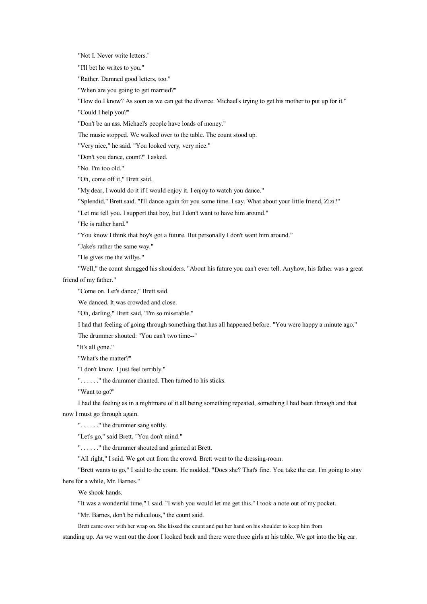"Not I. Never write letters."

"I'll bet he writes to you."

"Rather. Damned good letters, too."

"When are you going to ge<sup>t</sup> married?"

"How do I know? As soon as we can ge<sup>t</sup> the divorce. Michael's trying to ge<sup>t</sup> his mother to pu<sup>t</sup> up for it."

"Could I help you?"

"Don't be an ass. Michael's people have loads of money."

The music stopped. We walked over to the table. The count stood up.

"Very nice," he said. "You looked very, very nice."

"Don't you dance, count?" I asked.

"No. I'm too old."

"Oh, come off it," Brett said.

"My dear, I would do it if I would enjoy it. I enjoy to watch you dance."

"Splendid," Brett said. "I'll dance again for you some time. I say. What about your little friend, Zizi?"

"Let me tell you. I support that boy, but I don't want to have him around."

"He is rather hard."

"You know I think that boy's go<sup>t</sup> <sup>a</sup> future. But personally I don't want him around."

"Jake's rather the same way."

"He gives me the willys."

"Well," the count shrugged his shoulders. "About his future you can't ever tell. Anyhow, his father was <sup>a</sup> grea<sup>t</sup> friend of my father."

"Come on. Let's dance," Brett said.

We danced. It was crowded and close.

"Oh, darling," Brett said, "I'm so miserable."

I had that feeling of going through something that has all happened before. "You were happy <sup>a</sup> minute ago." The drummer shouted: "You can't two time--"

"It's all gone."

"What's the matter?"

"I don't know. I just feel terribly."

". . . . . ." the drummer chanted. Then turned to his sticks.

"Want to go?"

I had the feeling as in <sup>a</sup> nightmare of it all being something repeated, something I had been through and that now I must go through again.

". . . . . ." the drummer sang softly.

"Let's go," said Brett. "You don't mind."

". . . . . ." the drummer shouted and grinned at Brett.

"All right," I said. We go<sup>t</sup> out from the crowd. Brett went to the dressing-room.

"Brett wants to go," I said to the count. He nodded. "Does she? That's fine. You take the car. I'm going to stay here for <sup>a</sup> while, Mr. Barnes."

We shook hands.

"It was <sup>a</sup> wonderful time," I said. "I wish you would let me ge<sup>t</sup> this." I took <sup>a</sup> note out of my pocket.

"Mr. Barnes, don't be ridiculous," the count said.

Brett came over with her wrap on. She kissed the count and pu<sup>t</sup> her hand on his shoulder to keep him from

standing up. As we went out the door I looked back and there were three girls at his table. We go<sup>t</sup> into the big car.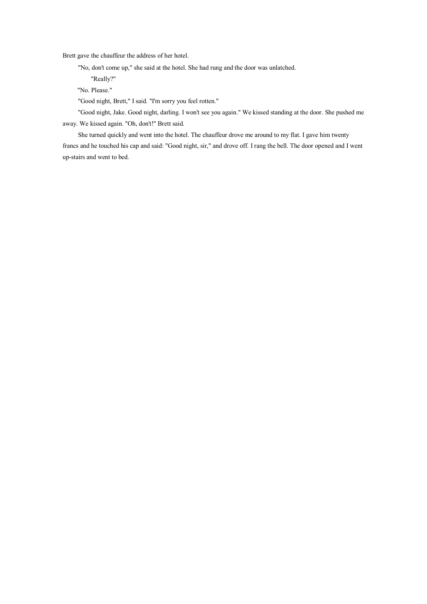Brett gave the chauffeur the address of her hotel.

"No, don't come up," she said at the hotel. She had rung and the door was unlatched.

"Really?"

"No. Please."

"Good night, Brett," I said. "I'm sorry you feel rotten."

"Good night, Jake. Good night, darling. I won't see you again." We kissed standing at the door. She pushed me away. We kissed again. "Oh, don't!" Brett said.

She turned quickly and went into the hotel. The chauffeur drove me around to my flat. I gave him twenty francs and he touched his cap and said: "Good night, sir," and drove off. I rang the bell. The door opened and I went up-stairs and went to bed.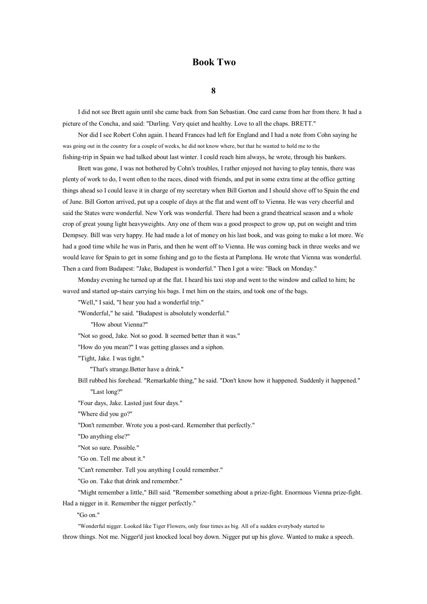## **Book Two**

### **8**

I did not see Brett again until she came back from San Sebastian. One card came from her from there. It had <sup>a</sup> picture of the Concha, and said: "Darling. Very quiet and healthy. Love to all the chaps. BRETT."

Nor did I see Robert Cohn again. I heard Frances had left for England and I had <sup>a</sup> note from Cohn saying he was going out in the country for <sup>a</sup> couple of weeks, he did not know where, but that he wanted to hold me to the fishing-trip in Spain we had talked about last winter. I could reach him always, he wrote, through his bankers.

Brett was gone, I was not bothered by Cohn's troubles, I rather enjoyed not having to play tennis, there was plenty of work to do, I went often to the races, dined with friends, and pu<sup>t</sup> in some extra time at the office getting things ahead so I could leave it in charge of my secretary when Bill Gorton and I should shove off to Spain the end of June. Bill Gorton arrived, put up <sup>a</sup> couple of days at the flat and went off to Vienna. He was very cheerful and said the States were wonderful. New York was wonderful. There had been <sup>a</sup> grand theatrical season and <sup>a</sup> whole crop of great young light heavyweights. Any one of them was a good prospect to grow up, put on weight and trim Dempsey. Bill was very happy. He had made <sup>a</sup> lot of money on his last book, and was going to make <sup>a</sup> lot more. We had <sup>a</sup> good time while he was in Paris, and then he went off to Vienna. He was coming back in three weeks and we would leave for Spain to ge<sup>t</sup> in some fishing and go to the fiesta at Pamplona. He wrote that Vienna was wonderful. Then <sup>a</sup> card from Budapest: "Jake, Budapest is wonderful." Then I go<sup>t</sup> <sup>a</sup> wire: "Back on Monday."

Monday evening he turned up at the flat. I heard his taxi stop and went to the window and called to him; he waved and started up-stairs carrying his bags. I met him on the stairs, and took one of the bags.

"Well," I said, "I hear you had <sup>a</sup> wonderful trip."

"Wonderful," he said. "Budapest is absolutely wonderful."

"How about Vienna?"

"Not so good, Jake. Not so good. It seemed better than it was."

"How do you mean?" I was getting glasses and <sup>a</sup> siphon.

"Tight, Jake. I was tight."

"That's strange.Better have <sup>a</sup> drink."

Bill rubbed his forehead. "Remarkable thing," he said. "Don't know how it happened. Suddenly it happened." "Last long?"

"Four days, Jake. Lasted just four days."

"Where did you go?"

"Don't remember. Wrote you <sup>a</sup> post-card. Remember that perfectly."

"Do anything else?"

"Not sosure. Possible."

"Go on. Tell me about it."

"Can't remember. Tell you anything I could remember."

"Go on. Take that drink and remember."

"Might remember <sup>a</sup> little," Bill said. "Remember something about <sup>a</sup> prize-fight. Enormous Vienna prize-fight.

Had <sup>a</sup> nigger in it. Remember the nigger perfectly."

"Go on."

"Wonderful nigger. Looked like Tiger Flowers, only four times as big. All of a sudden everybody started to

throw things. Not me. Nigger'd just knocked local boy down. Nigger pu<sup>t</sup> uphis glove. Wanted to make <sup>a</sup> speech.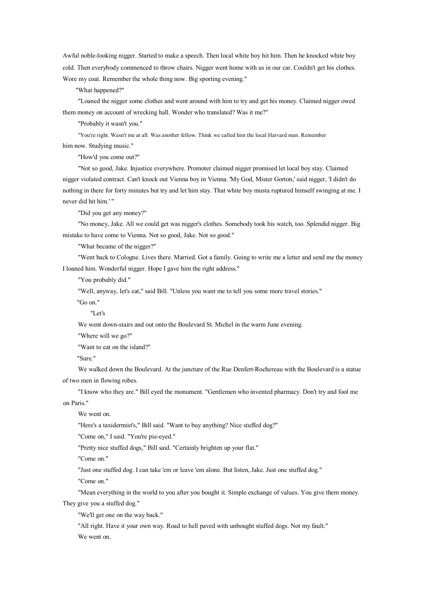Awful noble-looking nigger. Started to make <sup>a</sup> speech. Then local white boy hit him. Then he knocked white boy cold. Then everybody commenced to throw chairs. Nigger went home with us in our car. Couldn't ge<sup>t</sup> his clothes. Wore my coat. Remember the whole thing now. Big sporting evening."

"What happened?"

"Loaned the nigger some clothes and went around with him to try and ge<sup>t</sup> his money. Claimed nigger owed them money on account of wrecking hall. Wonder who translated? Was it me?"

"Probably it wasn't you."

"You're right. Wasn't me at all. Was another fellow. Think we called him the local Harvard man. Remember him now. Studying music."

"How'd you come out?"

"Not sogood, Jake. Injustice everywhere. Promoter claimed nigger promised let local boy stay. Claimed nigger violated contract. Can't knock out Vienna boy in Vienna. 'My God, Mister Gorton,' said nigger, 'I didn't do nothing in there for forty minutes but try and let him stay. That white boy musta ruptured himself swinging at me. I never did hit him.' "

"Did you ge<sup>t</sup> any money?"

"No money, Jake. All we could ge<sup>t</sup> was nigger's clothes. Somebody took his watch, too. Splendid nigger. Big mistake to have come to Vienna. Not so good, Jake. Not so good."

"What became of the nigger?"

"Went back to Cologne. Lives there. Married. Got <sup>a</sup> family. Going to write me <sup>a</sup> letter and send me the money I loaned him. Wonderful nigger. Hope I gave him the right address."

"You probably did."

"Well, anyway, let's eat," said Bill. "Unless you want me to tell you some more travel stories."

"Go on."

"Let's

We went down-stairs and out onto the Boulevard St. Michel in the warm June evening.

"Where will we go?"

"Want to eat on the island?"

"Sure."

We walked down the Boulevard. At the juncture of the Rue Denfert-Rochereau with the Boulevard is <sup>a</sup> statue of two men in flowing robes.

"I know who they are." Bill eyed the monument. "Gentlemen who invented pharmacy. Don't try and fool me on Paris."

We went on.

"Here's <sup>a</sup> taxidermist's," Bill said. "Want to buy anything? Nice stuffed dog?"

"Come on," I said. "You're pie-eyed."

"Pretty nice stuffed dogs," Bill said. "Certainly brighten up your flat."

"Come on."

"Just one stuffed dog. I can take 'em or leave 'em alone. But listen, Jake. Just one stuffed dog."

"Come on."

"Mean everything in the world to you after you bought it. Simple exchange of values. You give them money.

They give you <sup>a</sup> stuffed dog."

"We'll ge<sup>t</sup> one on the way back."

"All right. Have it your own way. Road to hell paved with unbought stuffed dogs. Not my fault." We went on.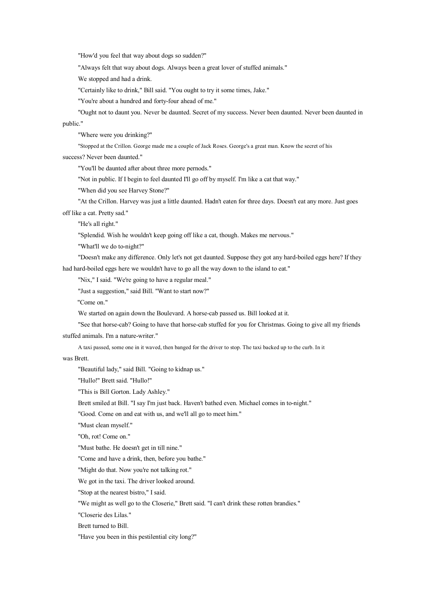"How'd you feel that way about dogs so sudden?"

"Always felt that way about dogs. Always been <sup>a</sup> great lover of stuffed animals."

We stopped and had <sup>a</sup> drink.

"Certainly like to drink," Bill said. "You ought to try it some times, Jake."

"You're about <sup>a</sup> hundred and forty-four ahead of me."

"Ought not to daunt you. Never be daunted. Secret of my success. Never been daunted. Never been daunted in public."

"Where were you drinking?"

"Stopped at the Crillon. George made me <sup>a</sup> couple of Jack Roses. George's <sup>a</sup> grea<sup>t</sup> man. Know the secret of his

success? Never been daunted."

"You'll be daunted after about three more pernods."

"Not in public. If I begin to feel daunted I'll go off by myself. I'm like <sup>a</sup> cat that way."

"When did you see Harvey Stone?"

"At the Crillon. Harvey was just <sup>a</sup> little daunted. Hadn't eaten for three days. Doesn't eat any more. Just goes off like <sup>a</sup> cat. Pretty sad."

"He's all right."

"Splendid. Wish he wouldn't keep going off like <sup>a</sup> cat, though. Makes me nervous."

"What'll we do to-night?"

"Doesn't make any difference. Only let's not ge<sup>t</sup> daunted. Suppose they go<sup>t</sup> any hard-boiled eggs here? If they had hard-boiled eggs here we wouldn't have to go all the way down to the island to eat."

"Nix," I said. "We're going to have <sup>a</sup> regular meal."

"Just <sup>a</sup> suggestion," said Bill. "Want to start now?"

"Come on."

We started on again down the Boulevard. A horse-cab passed us. Bill looked at it.

"See that horse-cab? Going to have that horse-cab stuffed for you for Christmas. Going to give all my friends stuffed animals. I'm <sup>a</sup> nature-writer."

A taxi passed, some one in it waved, then banged for the driver to stop. The taxi backed up to the curb. In it

was Brett.

"Beautiful lady," said Bill. "Going to kidnap us."

"Hullo!" Brett said. "Hullo!"

"This is Bill Gorton. Lady Ashley."

Brett smiled at Bill. "I say I'm just back. Haven't bathed even. Michael comes in to-night."

"Good. Come on and eat with us, and we'll all go to meet him."

"Must clean myself."

"Oh, rot! Come on."

"Must bathe. He doesn't ge<sup>t</sup> in till nine."

"Come and have <sup>a</sup> drink, then, before you bathe."

"Might do that. Now you're not talking rot."

We go<sup>t</sup> in the taxi. The driver looked around.

"Stop at the nearest bistro," I said.

"We might as well go to the Closerie," Brett said. "I can't drink these rotten brandies."

"Closerie des Lilas."

Brett turned to Bill.

"Have you been in this pestilential city long?"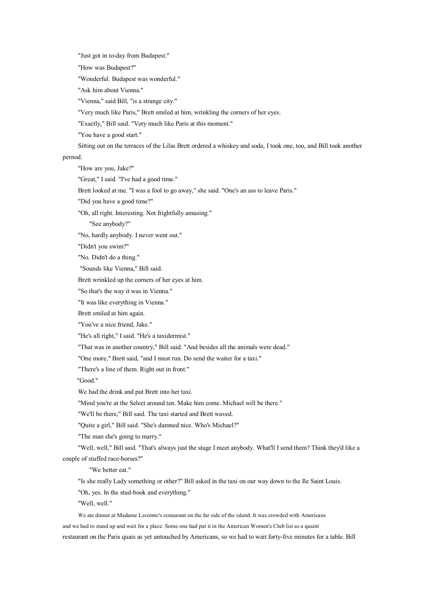"Just go<sup>t</sup> in to-day from Budapest."

"How was Budapest?"

"Wonderful. Budapest was wonderful."

"Ask him about Vienna."

"Vienna," said Bill, "is <sup>a</sup> strange city."

"Very much like Paris," Brett smiled at him, wrinkling the corners of her eyes.

"Exactly," Bill said. "Very much like Paris at this moment."

"You have <sup>a</sup> good start."

Sitting out on the terraces of the Lilas Brett ordered <sup>a</sup> whiskey and soda, I took one, too, and Bill took another

pernod.

"How are you, Jake?"

"Great," I said. "I've had <sup>a</sup> good time."

Brett looked at me. "I was <sup>a</sup> fool to go away," she said. "One's an ass to leave Paris."

"Did you have <sup>a</sup> good time?"

"Oh, all right. Interesting. Not frightfully amusing."

"See anybody?"

"No, hardly anybody. I never went out."

"Didn't you swim?"

"No. Didn't do <sup>a</sup> thing."

"Sounds like Vienna," Bill said.

Brett wrinkled up the corners of her eyes at him.

"So that's the way it was in Vienna."

"It was like everything in Vienna."

Brett smiled at him again.

"You've <sup>a</sup> nice friend, Jake."

"He's all right," I said. "He's <sup>a</sup> taxidermist."

"That was in another country," Bill said. "And besides all the animals were dead."

"One more," Brett said, "and I must run. Do send the waiter for <sup>a</sup> taxi."

"There's <sup>a</sup> line of them. Right out in front."

"Good."

We had the drink and put Brett into her taxi.

"Mind you're at the Select around ten. Make him come. Michael will be there."

"We'll be there," Bill said. The taxi started and Brett waved.

"Quite <sup>a</sup> girl," Bill said. "She's damned nice. Who's Michael?"

"The man she's going to marry."

"Well, well," Bill said. "That's always just the stage I meet anybody. What'll I send them? Think they'd like <sup>a</sup> couple of stuffed race-horses?"

"We better eat."

"Is she really Lady something or other?" Bill asked in the taxi on our way down to the Ile Saint Louis.

"Oh, yes. In the stud-book and everything."

"Well, well."

We ate dinner at Madame Lecomte's restaurant on the far side of the island. It was crowded with Americans and we had to stand up and wait for <sup>a</sup> place. Some one had pu<sup>t</sup> it inthe American Women's Club list as <sup>a</sup> quaint restaurant on the Paris quais as ye<sup>t</sup> untouched by Americans, so we had to wait forty-five minutes for <sup>a</sup> table. Bill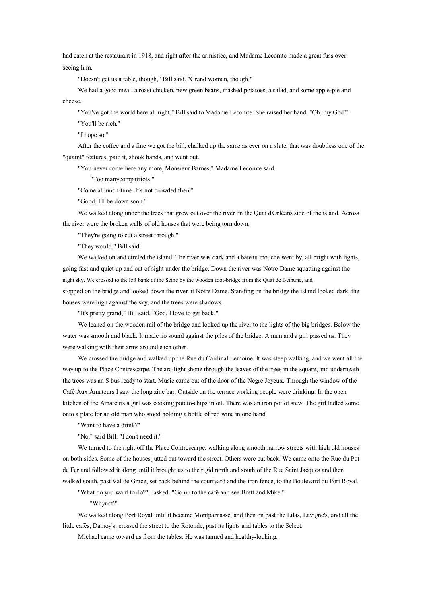had eaten at the restaurant in 1918, and right after the armistice, and Madame Lecomte made <sup>a</sup> great fuss over seeing him.

"Doesn't ge<sup>t</sup> us <sup>a</sup> table, though," Bill said. "Grand woman, though."

We had <sup>a</sup> good meal, <sup>a</sup> roast chicken, new green beans, mashed potatoes, <sup>a</sup> salad, and some apple-pie and cheese.

"You've go<sup>t</sup> the world here all right," Bill said to Madame Lecomte. She raised her hand. "Oh, my God!"

"You'll be rich."

"I hope so."

After the coffee and <sup>a</sup> fine we go<sup>t</sup> the bill, chalked up the same as ever on <sup>a</sup> slate, that was doubtless one of the "quaint" features, paid it, shook hands, and went out.

"You never come here any more, Monsieur Barnes," Madame Lecomte said.

"Too manycompatriots."

"Come at lunch-time. It's not crowded then."

"Good. I'll be down soon."

We walked along under the trees that grew out over the river on the Quai d'Orléans side of the island. Across the river were the broken walls of old houses that were being torn down.

"They're going to cut <sup>a</sup> street through."

"They would," Bill said.

We walked on and circled the island. The river was dark and a bateau mouche went by, all bright with lights, going fast and quiet up and out of sight under the bridge. Down the river was Notre Dame squatting against the night sky. We crossed to the left bank of the Seine by the wooden foot-bridge from the Quai de Bethune, and stopped on the bridge and looked down the river at Notre Dame. Standing on the bridge the island looked dark, the houses were high against the sky, and the trees were shadows.

"It's pretty grand," Bill said. "God, I love to ge<sup>t</sup> back."

We leaned on the wooden rail of the bridge and looked up the river to the lights of the big bridges. Below the water was smooth and black. It made no sound against the piles of the bridge. A man and <sup>a</sup> girl passed us. They were walking with their arms around each other.

We crossed the bridge and walked up the Rue du Cardinal Lemoine. It was steep walking, and we went all the way up to the Place Contrescarpe. The arc-light shone through the leaves of the trees in the square, and underneath the trees was an S bus ready to start. Music came out of the door of the Negre Joyeux. Through the window of the Café Aux Amateurs I saw the long zinc bar. Outside on the terrace working people were drinking. In the open kitchen of the Amateurs <sup>a</sup> girl was cooking potato-chips in oil. There was an iron po<sup>t</sup> of stew. The girl ladled some onto <sup>a</sup> plate for an old man who stood holding <sup>a</sup> bottle of red wine in one hand.

"Want to have <sup>a</sup> drink?"

"No," said Bill. "I don't need it."

We turned to the right off the Place Contrescarpe, walking along smooth narrow streets with high old houses on both sides. Some of the houses jutted out toward the street. Others were cut back. We came onto the Rue du Pot de Fer and followed it along until it brought us to the rigid north and south of the Rue Saint Jacques and then walked south, pas<sup>t</sup> Val de Grace, set back behind the courtyard and the iron fence, to the Boulevard du Port Royal.

"What do you want to do?" I asked. "Go up to the café and see Brett and Mike?"

"Whynot?"

We walked along Port Royal until it became Montparnasse, and then on pas<sup>t</sup> the Lilas, Lavigne's, and all the little cafés, Damoy's, crossed the street to the Rotonde, pas<sup>t</sup> its lights and tables to the Select.

Michael came toward us from the tables. He was tanned and healthy-looking.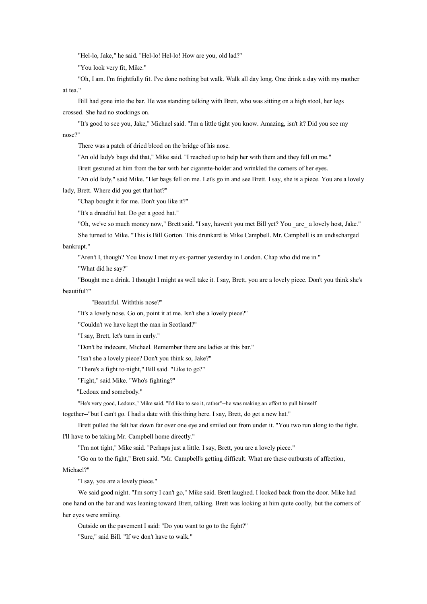"Hel-lo, Jake," he said. "Hel-lo! Hel-lo! How are you, old lad?"

"You look very fit, Mike."

"Oh, I am. I'm frightfully fit. I've done nothing but walk. Walk all day long. One drink <sup>a</sup> day with my mother at tea."

Bill had gone into the bar. He was standing talking with Brett, who was sitting on <sup>a</sup> high stool, her legs crossed. She had no stockings on.

"It's good to see you, Jake," Michael said. "I'm <sup>a</sup> little tight you know. Amazing, isn't it? Did you see my nose?"

There was <sup>a</sup> patch of dried blood on the bridge of his nose.

"An old lady's bags did that," Mike said. "I reached up to help her with them and they fell on me."

Brett gestured at him from the bar with her cigarette-holder and wrinkled the corners of her eyes.

"An old lady," said Mike. "Her bags fell on me. Let's go in and see Brett. I say, she is <sup>a</sup> piece. You are <sup>a</sup> lovely lady, Brett. Where did you ge<sup>t</sup> that hat?"

"Chap bought it for me. Don't you like it?"

"It's <sup>a</sup> dreadful hat. Do ge<sup>t</sup> <sup>a</sup> good hat."

"Oh, we've so much money now," Brett said. "I say, haven't you met Bill yet? You \_are\_ <sup>a</sup> lovely host, Jake."

She turned to Mike. "This is Bill Gorton. This drunkard is Mike Campbell. Mr. Campbell is an undischarged bankrupt."

"Aren't I, though? You know I met my ex-partner yesterday in London. Chap who did me in."

"What did he say?"

"Bought me <sup>a</sup> drink. I thought I might as well take it. I say, Brett, you are <sup>a</sup> lovely piece. Don't you think she's beautiful?"

"Beautiful. Withthis nose?"

"It's <sup>a</sup> lovely nose. Go on, point it at me. Isn't she <sup>a</sup> lovely piece?"

"Couldn't we have kept the man in Scotland?"

"I say, Brett, let's turn in early."

"Don't be indecent, Michael. Remember there are ladies at this bar."

"Isn't she <sup>a</sup> lovely piece? Don't you think so, Jake?"

"There's <sup>a</sup> fight to-night," Bill said. "Like to go?"

"Fight," said Mike. "Who's fighting?"

"Ledoux and somebody."

"He's very good, Ledoux," Mike said. "I'd like to see it, rather"--he was making an effort to pull himself

together--"but I can't go. I had <sup>a</sup> date with this thing here. I say, Brett, doget <sup>a</sup> new hat."

Brett pulled the felt hat down far over one eye and smiled out from under it. "You two run along to the fight. I'll have to be taking Mr. Campbell home directly."

"I'm not tight," Mike said. "Perhaps just <sup>a</sup> little. I say, Brett, you are <sup>a</sup> lovely piece."

"Go on to the fight," Brett said. "Mr. Campbell's getting difficult. What are these outbursts of affection,

Michael?"

"I say, you are <sup>a</sup> lovely piece."

We said good night. "I'm sorry I can't go," Mike said. Brett laughed. I looked back from the door. Mike had one hand on the bar and was leaning toward Brett, talking. Brett was looking at him quite coolly, but the corners of her eyes were smiling.

Outside on the pavemen<sup>t</sup> I said: "Do you want to go to the fight?" "Sure," said Bill. "If we don't have to walk."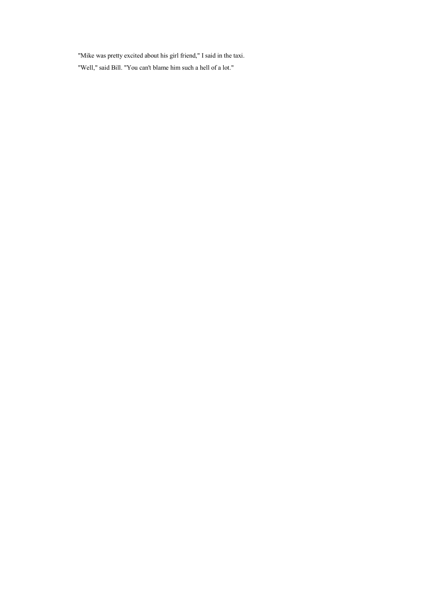"Mike was pretty excited about his girl friend," I said in the taxi. "Well," said Bill. "You can't blame him such <sup>a</sup> hell of <sup>a</sup> lot."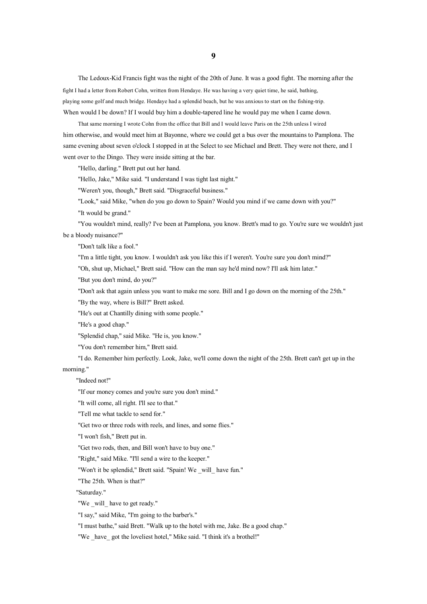The Ledoux-Kid Francis fight was the night of the 20th of June. It was <sup>a</sup> good fight. The morning after the fight I had <sup>a</sup> letter from Robert Cohn, written from Hendaye. He was having <sup>a</sup> very quiet time, he said, bathing, playing some golf and much bridge. Hendaye had <sup>a</sup> splendid beach, but he was anxious to start onthe fishing-trip. When would I be down? If I would buy him a double-tapered line he would pay me when I came down.

That same morning I wrote Cohn from the office that Bill and I would leave Paris on the 25th unless I wired him otherwise, and would meet him at Bayonne, where we could ge<sup>t</sup> <sup>a</sup> bus over the mountains to Pamplona. The same evening about seven <sup>o</sup>'clock I stopped in at the Select to see Michael and Brett. They were not there, and I went over to the Dingo. They were inside sitting at the bar.

"Hello, darling." Brett pu<sup>t</sup> out her hand.

"Hello, Jake," Mike said. "I understand I was tight last night."

"Weren't you, though," Brett said. "Disgraceful business."

"Look," said Mike, "when do you go down to Spain? Would you mind if we came down with you?"

"It would be grand."

"You wouldn't mind, really? I've been at Pamplona, you know. Brett's mad to go. You're sure we wouldn't just be <sup>a</sup> bloody nuisance?"

"Don't talk like <sup>a</sup> fool."

"I'm <sup>a</sup> little tight, you know. I wouldn't ask you like this if I weren't. You're sure you don't mind?"

"Oh, shut up, Michael," Brett said. "How can the man say he'd mind now? I'll ask him later."

"But you don't mind, do you?"

"Don't ask that again unless you want to make me sore. Bill and I go down on the morning of the 25th."

"By the way, where is Bill?" Brett asked.

"He's out at Chantilly dining with some people."

"He's a good chap."

"Splendid chap," said Mike. "He is, you know."

"You don't remember him," Brett said.

"I do. Remember him perfectly. Look, Jake, we'll come down the night of the 25th. Brett can't ge<sup>t</sup> up in the morning."

## "Indeed not!"

"If our money comes and you're sure you don't mind."

"It will come, all right. I'll see to that."

"Tell me what tackle to send for."

"Get two or three rods with reels, and lines, and some flies."

"I won't fish," Brett pu<sup>t</sup> in.

"Get two rods, then, and Bill won't have to buy one."

"Right," said Mike. "I'll send <sup>a</sup> wire to the keeper."

"Won't it be splendid," Brett said. "Spain! We will have fun."

"The 25th. When is that?"

"Saturday."

"We will have to get ready."

"I say," said Mike, "I'm going to the barber's."

"I must bathe," said Brett. "Walk up to the hotel with me, Jake. Be <sup>a</sup> good chap."

"We have got the loveliest hotel," Mike said. "I think it's a brothel!"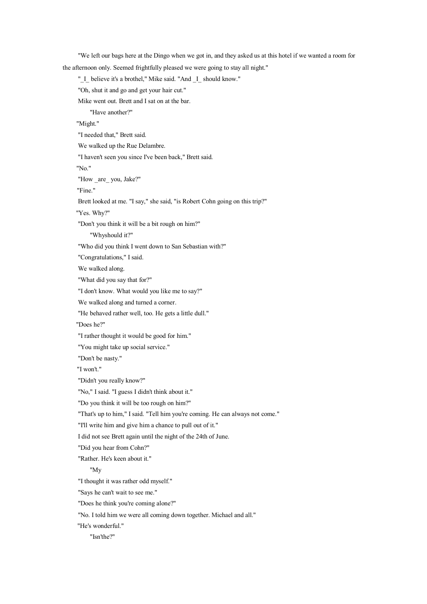"We left our bags here at the Dingo when we go<sup>t</sup> in, and they asked us at this hotel if we wanted <sup>a</sup> room for the afternoon only. Seemed frightfully pleased we were going to stay all night." " I believe it's a brothel," Mike said. "And I should know." "Oh, shut it and go and ge<sup>t</sup> your hair cut." Mike went out. Brett and I sat on at the bar. "Have another?" "Might." "I needed that," Brett said. We walked up the Rue Delambre. "I haven't seen you since I've been back," Brett said. "No." "How \_are\_ you, Jake?" "Fine." Brett looked at me. "I say," she said, "is Robert Cohn going on this trip?" "Yes. Why?" "Don't you think it will be <sup>a</sup> bit rough on him?" "Whyshould it?" "Who did you think I went down to San Sebastian with?" "Congratulations," I said. We walked along. "What did you say that for?" "I don't know. What would you like me to say?" We walked along and turned <sup>a</sup> corner. "He behaved rather well, too. He gets <sup>a</sup> little dull." "Does he?" "I rather thought it would be good for him." "You might take up social service." "Don't be nasty." "I won't." "Didn't you really know?" "No," I said. "I guess I didn't think about it." "Do you think it will be too rough on him?" "That's up to him," I said. "Tell him you're coming. He can always not come." "I'll write him and give him <sup>a</sup> chance to pull out of it." I did not see Brett again until the night of the 24th of June. "Did you hear from Cohn?" "Rather. He's keen about it." "My "I thought it was rather odd myself." "Says he can't wait to see me." "Does he think you're coming alone?" "No. I told him we were all coming down together. Michael and all." "He's wonderful." "Isn'the?"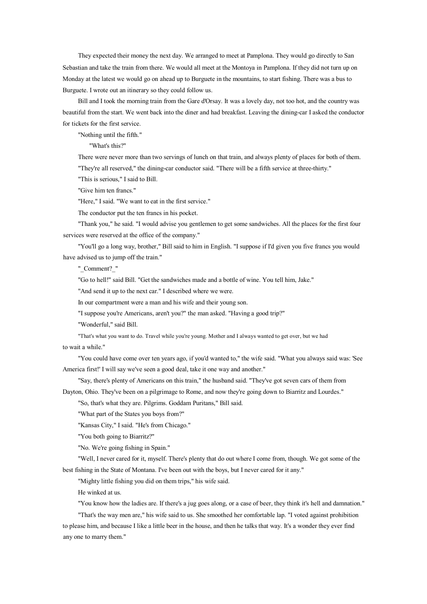They expected their money the next day. We arranged to meet at Pamplona. They would go directly to San Sebastian and take the train from there. We would all meet at the Montoya in Pamplona. If they did not turn up on Monday at the latest we would go on ahead up to Burguete in the mountains, to start fishing. There was <sup>a</sup> bus to Burguete. I wrote out an itinerary so they could follow us.

Bill and I took the morning train from the Gare d'Orsay. It was <sup>a</sup> lovely day, not too hot, and the country was beautiful from the start. We went back into the diner and had breakfast. Leaving the dining-car I asked the conductor for tickets for the first service.

"Nothing until the fifth."

"What's this?"

There were never more than two servings of lunch on that train, and always plenty of places for both of them. "They're all reserved," the dining-car conductor said. "There will be <sup>a</sup> fifth service at three-thirty."

"This is serious," I said to Bill.

"Give him ten francs."

"Here," I said. "We want to eat in the first service."

The conductor pu<sup>t</sup> the ten francs in his pocket.

"Thank you," he said. "I would advise you gentlemen to ge<sup>t</sup> some sandwiches. All the places for the first four services were reserved at the office of the company."

"You'll go <sup>a</sup> long way, brother," Bill said to him in English. "I suppose if I'd given you five francs you would have advised us to jump off the train."

"\_Comment?\_"

"Go to hell!" said Bill. "Get the sandwiches made and <sup>a</sup> bottle of wine. You tell him, Jake."

"And send it up to the next car." I described where we were.

In our compartment were <sup>a</sup> man and his wife and their young son.

"I suppose you're Americans, aren't you?" the man asked. "Having <sup>a</sup> good trip?"

"Wonderful," said Bill.

"That's what you want to do. Travel while you're young. Mother and I always wanted to ge<sup>t</sup> over, but we had to wait <sup>a</sup> while."

"You could have come over ten years ago, if you'd wanted to," the wife said. "What you always said was: 'See America first!' I will say we've seen <sup>a</sup> good deal, take it one way and another."

"Say, there's plenty of Americans on this train," the husband said. "They've go<sup>t</sup> seven cars of them from Dayton, Ohio. They've been on <sup>a</sup> pilgrimage to Rome, and now they're going down to Biarritz and Lourdes."

"So, that's what they are. Pilgrims. Goddam Puritans," Bill said.

"What part of the States you boys from?"

"Kansas City," I said. "He's from Chicago."

"You both going to Biarritz?"

"No. We're going fishing in Spain."

"Well, I never cared for it, myself. There's plenty that do out where I come from, though. We go<sup>t</sup> some of the best fishing in the State of Montana. I've been out with the boys, but I never cared for it any."

"Mighty little fishing you did on them trips," his wife said.

He winked at us.

"You know how the ladies are. If there's <sup>a</sup> jug goes along, or <sup>a</sup> case of beer, they think it's hell and damnation."

"That's the way men are," his wife said to us. She smoothed her comfortable lap. "I voted against prohibition to please him, and because I like <sup>a</sup> little beer in the house, and then he talks that way. It's <sup>a</sup> wonder they ever find any one to marry them."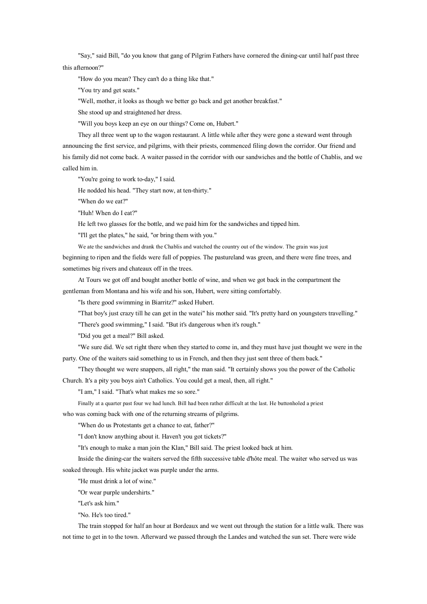"Say," said Bill, "do you know that gang of Pilgrim Fathers have cornered the dining-car until half pas<sup>t</sup> three this afternoon?"

"How do you mean? They can't do <sup>a</sup> thing like that."

"You try and ge<sup>t</sup> seats."

"Well, mother, it looks as though we better go back and ge<sup>t</sup> another breakfast."

She stood up and straightened her dress.

"Will you boys keep an eye on our things? Come on, Hubert."

They all three went up to the wagon restaurant. A little while after they were gone <sup>a</sup> steward went through announcing the first service, and pilgrims, with their priests, commenced filing down the corridor. Our friend and his family did not come back. A waiter passed in the corridor with our sandwiches and the bottle of Chablis, and we called him in.

"You're going to work to-day," I said.

He nodded his head. "They start now, at ten-thirty."

"When do we eat?"

"Huh! When do I eat?"

He left two glasses for the bottle, and we paid him for the sandwiches and tipped him.

"I'll ge<sup>t</sup> the plates," he said, "or bring them with you."

We ate the sandwiches and drank the Chablis and watched the country out of the window. The grain was just

beginning to ripen and the fields were full of poppies. The pastureland was green, and there were fine trees, and sometimes big rivers and chateaux off in the trees.

At Tours we go<sup>t</sup> off and bought another bottle of wine, and when we go<sup>t</sup> back in the compartment the gentleman from Montana and his wife and his son, Hubert, were sitting comfortably.

"Is there good swimming in Biarritz?" asked Hubert.

"That boy's just crazy till he can ge<sup>t</sup> in the watei" his mother said. "It's pretty hard on youngsters travelling."

"There's good swimming," I said. "But it's dangerous when it's rough."

"Did you ge<sup>t</sup> <sup>a</sup> meal?" Bill asked.

"We sure did. We set right there when they started to come in, and they must have just thought we were in the party. One of the waiters said something to us in French, and then they just sent three of themback."

"They thought we were snappers, all right," the man said. "It certainly shows you the power of the Catholic

Church. It's <sup>a</sup> pity you boys ain't Catholics. You could ge<sup>t</sup> <sup>a</sup> meal, then, all right."

"I am," I said. "That's what makes me so sore."

Finally at <sup>a</sup> quarter pas<sup>t</sup> four we had lunch. Bill had been rather difficult at the last. He buttonholed <sup>a</sup> priest

who was coming back with one of the returning streams of pilgrims.

"When do us Protestants ge<sup>t</sup> <sup>a</sup> chance to eat, father?"

"I don't know anything about it. Haven't you go<sup>t</sup> tickets?"

"It's enough to make <sup>a</sup> man join the Klan," Bill said. The priest looked back at him.

Inside the dining-car the waiters served the fifth successive table d'hôte meal. The waiter who served us was soaked through. His white jacket was purple under the arms.

"He must drink <sup>a</sup> lot of wine."

"Or wear purple undershirts."

"Let's ask him."

"No. He's too tired."

The train stopped for half an hour at Bordeaux and we went out through the station for <sup>a</sup> little walk. There was not time to ge<sup>t</sup> in to the town. Afterward we passed through the Landes and watched the sun set. There were wide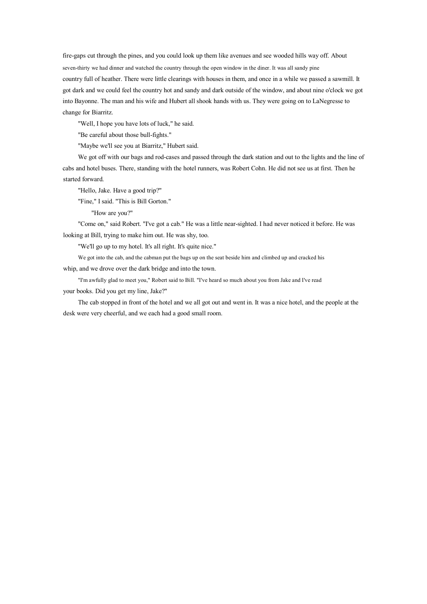fire-gaps cut through the pines, and you could look up them like avenues and see wooded hills way off. About seven-thirty we had dinner and watched the country through the open window in the diner. It was all sandy pine country full of heather. There were little clearings with houses in them, and once in <sup>a</sup> while we passed <sup>a</sup> sawmill. It go<sup>t</sup> dark and we could feel the country hot and sandy and dark outside of the window, and about nine <sup>o</sup>'clock we go<sup>t</sup> into Bayonne. The man and his wife and Hubert all shook hands with us. They were going on to LaNegresse to change for Biarritz.

"Well, I hope you have lots of luck," he said.

"Be careful about those bull-fights."

"Maybe we'll see you at Biarritz," Hubert said.

We go<sup>t</sup> off with our bags and rod-cases and passed through the dark station and out to the lights and the line of cabs and hotel buses. There, standing with the hotel runners, was Robert Cohn. He did not see us at first. Then he started forward.

"Hello, Jake. Have <sup>a</sup> good trip?"

"Fine," I said. "This is Bill Gorton."

"How are you?"

"Come on," said Robert. "I've go<sup>t</sup> <sup>a</sup> cab." He was <sup>a</sup> little near-sighted. I had never noticed it before. He was looking at Bill, trying to make him out. He was shy, too.

"We'll go up to my hotel. It's all right. It's quite nice."

We got into the cab, and the cabman put the bags up on the seat beside him and climbed up and cracked his

whip, and we drove over the dark bridge and into the town.

"I'm awfully glad to meet you," Robert said to Bill. "I've heard so much about you from Jake and I've read your books. Did you ge<sup>t</sup> my line, Jake?"

The cab stopped in front of the hotel and we all go<sup>t</sup> out and went in. It was <sup>a</sup> nice hotel, and the people at the desk were very cheerful, and we each had <sup>a</sup> good small room.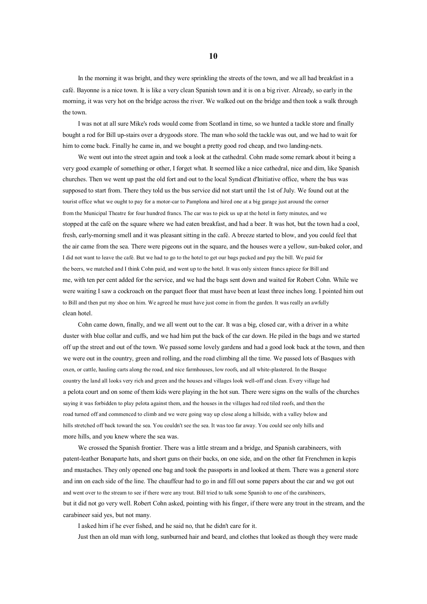In the morning it was bright, and they were sprinkling the streets of the town, and we all had breakfast in <sup>a</sup> café. Bayonne is <sup>a</sup> nice town. It is like <sup>a</sup> very clean Spanish town and it is on <sup>a</sup> big river. Already, so early in the morning, it was very hot on the bridge across the river. We walked out on the bridge and then took <sup>a</sup> walk through the town.

I was not at all sure Mike's rods would come from Scotland in time, so we hunted <sup>a</sup> tackle store and finally bought <sup>a</sup> rod for Bill up-stairs over <sup>a</sup> drygoods store. The man who sold the tackle was out, and we had to wait for him to come back. Finally he came in, and we bought <sup>a</sup> pretty good rod cheap, and two landing-nets.

We went out into the street again and took a look at the cathedral. Cohn made some remark about it being a very good example of something or other, I forget what. It seemed like <sup>a</sup> nice cathedral, nice and dim, like Spanish churches. Then we went up pas<sup>t</sup> the old fort and out to the local Syndicat d'Initiative office, where the bus was supposed to start from. There they told us the bus service did not start until the 1st of July. We found out at the tourist office what we ought to pay for <sup>a</sup> motor-car to Pamplona and hired one at <sup>a</sup> big garage just around the corner from the Municipal Theatre for four hundred francs. The car was to pick us up at the hotel in forty minutes, and we stopped at the café on the square where we had eaten breakfast, and had <sup>a</sup> beer. It was hot, but the town had <sup>a</sup> cool, fresh, early-morning smell and it was pleasant sitting in the café. A breeze started to blow, and you could feel that the air came from the sea. There were pigeons out in the square, and the houses were <sup>a</sup> yellow, sun-baked color, and I did not want toleave the café. But we had to go to the hotel toget our bags packed and pay the bill. We paid for the beers, we matched and I think Cohn paid, and went up to the hotel. It was only sixteen francs apiece for Bill and me, with ten per cent added for the service, and we had the bags sent down and waited for Robert Cohn. While we were waiting I saw <sup>a</sup> cockroach on the parque<sup>t</sup> floor that must have been at least three inches long. I pointed him out to Bill and then pu<sup>t</sup> my shoe on him. We agreed he must have just come in from the garden. It was really an awfully clean hotel.

Cohn came down, finally, and we all went out to the car. It was <sup>a</sup> big, closed car, with <sup>a</sup> driver in <sup>a</sup> white duster with blue collar and cuffs, and we had him pu<sup>t</sup> the back of the car down. He piled in the bags and we started off up the street and out of the town. We passed some lovely gardens and had <sup>a</sup> good look back at the town, and then we were out in the country, green and rolling, and the road climbing all the time. We passed lots of Basques with oxen, or cattle, hauling carts along the road, and nice farmhouses, low roofs, and all white-plastered. In the Basque country the land all looks very rich and green and the houses and villages look well-off and clean. Every village had <sup>a</sup> pelota court and on some of themkids were playing in the hot sun. There were signs on the walls of the churches saying it was forbidden to play pelota against them, and the houses in the villages had red tiled roofs, and then the road turned off and commenced to climb and we were going way up close along <sup>a</sup> hillside, with <sup>a</sup> valley below and hills stretched off back toward the sea. You couldn't see the sea. It was too far away. You could see only hills and more hills, and you knew where the sea was.

We crossed the Spanish frontier. There was <sup>a</sup> little stream and <sup>a</sup> bridge, and Spanish carabineers, with patent-leather Bonaparte hats, and short guns on their backs, on one side, and on the other fat Frenchmen in kepis and mustaches. They only opened one bag and took the passports in and looked at them. There was <sup>a</sup> general store and inn on each side of the line. The chauffeur had to go in and fill out some papers about the car and we go<sup>t</sup> out and went over to the stream to see if there were any trout. Bill tried to talk some Spanish to one of the carabineers, but it did not go very well. Robert Cohn asked, pointing with his finger, if there were any trout in the stream, and the carabineer said yes, but not many.

I asked him if he ever fished, and he said no, that he didn't care for it.

Just then an old man with long, sunburned hair and beard, and clothes that looked as though they were made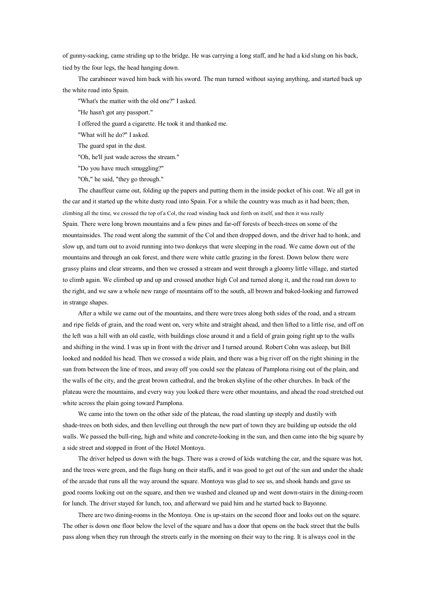of gunny-sacking, came striding up to the bridge. He was carrying <sup>a</sup> long staff, and he had <sup>a</sup> kid slung on his back, tied by the four legs, the head hanging down.

The carabineer waved him back with his sword. The man turned without saying anything, and started back up the white road into Spain.

"What's the matter with the old one?" I asked.

"He hasn't go<sup>t</sup> any passport."

I offered the guard <sup>a</sup> cigarette. He took it and thanked me.

"What will he do?" I asked.

The guard spa<sup>t</sup> in the dust.

"Oh, he'll just wade across the stream."

"Do you have much smuggling?"

"Oh," he said, "they go through."

The chauffeur came out, folding up the papers and putting them in the inside pocket of his coat. We all go<sup>t</sup> in the car and it started up the white dusty road into Spain. For <sup>a</sup> while the country was much as it had been; then, climbing all the time, we crossed the top of <sup>a</sup> Col, the road winding back and forth on itself, and then it was really Spain. There were long brown mountains and <sup>a</sup> few pines and far-off forests of beech-trees on some of the mountainsides. The road went along the summit of the Col and then dropped down, and the driver had to honk, and slow up, and turn out to avoid running into two donkeys that were sleeping in the road. We came down out of the mountains and through an oak forest, and there were white cattle grazing in the forest. Down below there were grassy plains and clear streams, and then we crossed <sup>a</sup> stream and went through <sup>a</sup> gloomy little village, and started to climb again. We climbed up and up and crossed another high Col and turned along it, and the road ran down to the right, and we saw <sup>a</sup> whole new range of mountains off to the south, all brown and baked-looking and furrowed in strange shapes.

After <sup>a</sup> while we came out of the mountains, and there were trees along both sides of the road, and <sup>a</sup> stream and ripe fields of grain, and the road went on, very white and straight ahead, and then lifted to <sup>a</sup> little rise, and off on the left was <sup>a</sup> hill with an old castle, with buildings close around it and <sup>a</sup> field of grain going right up to the walls and shifting in the wind. I was up in front with the driver and I turned around. Robert Cohn was asleep, but Bill looked and nodded his head. Then we crossed <sup>a</sup> wide plain, and there was <sup>a</sup> big river off on the right shining in the sun from between the line of trees, and away off you could see the plateau of Pamplona rising out of the plain, and the walls of the city, and the great brown cathedral, and the broken skyline of the other churches. In back of the plateau were the mountains, and every way you looked there were other mountains, and ahead the road stretched out white across the plain going toward Pamplona.

We came into the town on the other side of the plateau, the road slanting up steeply and dustily with shade-trees on both sides, and then levelling out through the new par<sup>t</sup> of town they are building up outside the old walls. We passed the bull-ring, high and white and concrete-looking in the sun, and then came into the big square by <sup>a</sup> side street and stopped in front of the Hotel Montoya.

The driver helped us down with the bags. There was <sup>a</sup> crowd of kids watching the car, and the square was hot, and the trees were green, and the flags hung on their staffs, and it was good to ge<sup>t</sup> out of the sun and under the shade of the arcade that runs all the way around the square. Montoya was glad to see us, and shook hands and gave us good rooms looking out onthe square, and then we washed and cleaned up and went down-stairs in the dining-room for lunch. The driver stayed for lunch, too, and afterward we paid him and he started back to Bayonne.

There are two dining-rooms in the Montoya. One is up-stairs on the second floor and looks out on the square. The other is down one floor below the level of the square and has <sup>a</sup> door that opens on the back street that the bulls pass along when they run through the streets early in the morning on their way to the ring. It is always cool inthe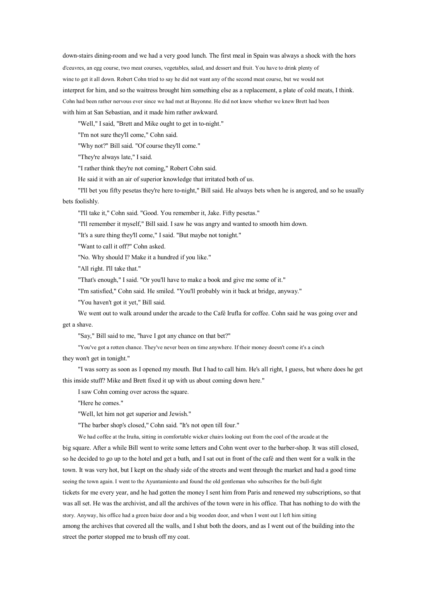down-stairs dining-room and we had <sup>a</sup> very good lunch. The first meal in Spain was always <sup>a</sup> shock with the hors d'ceuvres, an egg course, two meat courses, vegetables, salad, and dessert and fruit. You have to drink plenty of wine to ge<sup>t</sup> it all down. Robert Cohn tried to say he did not want any of the second meat course, but we would not interpret for him, and so the waitress brought him something else as <sup>a</sup> replacement, <sup>a</sup> plate of cold meats, I think. Cohn had been rather nervous ever since we had met at Bayonne. He did not know whether we knew Brett had been with him at San Sebastian, and it made himrather awkward.

"Well," I said, "Brett and Mike ought to ge<sup>t</sup> in to-night."

"I'm not sure they'll come," Cohn said.

"Why not?" Bill said. "Of course they'll come."

"They're always late," I said.

"I rather think they're not coming," Robert Cohn said.

He said it with an air of superior knowledge that irritated both of us.

"I'll bet you fifty pesetas they're here to-night," Bill said. He always bets when he is angered, and so he usually bets foolishly.

"I'll take it," Cohn said. "Good. You remember it, Jake. Fifty pesetas."

"I'll remember it myself," Bill said. I saw he was angry and wanted to smooth him down.

"It's <sup>a</sup> sure thing they'll come," I said. "But maybe not tonight."

"Want to call it off?" Cohn asked.

"No. Why should I? Make it <sup>a</sup> hundred if you like."

"All right. I'll take that."

"That's enough," I said. "Or you'll have to make <sup>a</sup> book and give me some of it."

"I'm satisfied," Cohn said. He smiled. "You'll probably win it back at bridge, anyway."

"You haven't go<sup>t</sup> it yet," Bill said.

We went out to walk around under the arcade to the Café Irufla for coffee. Cohn said he was going over and ge<sup>t</sup> <sup>a</sup> shave.

"Say," Bill said to me, "have I go<sup>t</sup> any chance on that bet?"

"You've go<sup>t</sup> <sup>a</sup> rotten chance. They've never been on time anywhere. If their money doesn't come it's <sup>a</sup> cinch

they won't ge<sup>t</sup> in tonight."

"I was sorry as soon as I opened my mouth. But I had to call him. He's all right, I guess, but where does he ge<sup>t</sup> this inside stuff? Mike and Brett fixed it up with us about coming down here."

I saw Cohn coming over across the square.

"Here he comes."

"Well, let him not ge<sup>t</sup> superior and Jewish."

"The barber shop's closed," Cohn said. "It's not open till four."

We had coffee at the Iruña, sitting in comfortable wicker chairs looking out from the cool of the arcade at the

big square. After <sup>a</sup> while Bill went to write some letters and Cohn went over to the barber-shop. It was still closed, so he decided to go up to the hotel and ge<sup>t</sup> <sup>a</sup> bath, and I sat out in front of the café and then went for <sup>a</sup> walk in the town. It was very hot, but I kept on the shady side of the streets and went through the market and had a good time seeing the town again. I went to the Ayuntamiento and found the old gentleman who subscribes for the bull-fight tickets for me every year, and he had gotten the money I sent him from Paris and renewed my subscriptions, so that

was all set. He was the archivist, and all the archives of the town were in his office. That has nothing to do with the story. Anyway, his office had <sup>a</sup> green baize door and <sup>a</sup> big wooden door, and when I went out I left him sitting

among the archives that covered all the walls, and I shut both the doors, and as I went out of the building into the street the porter stopped me to brush off my coat.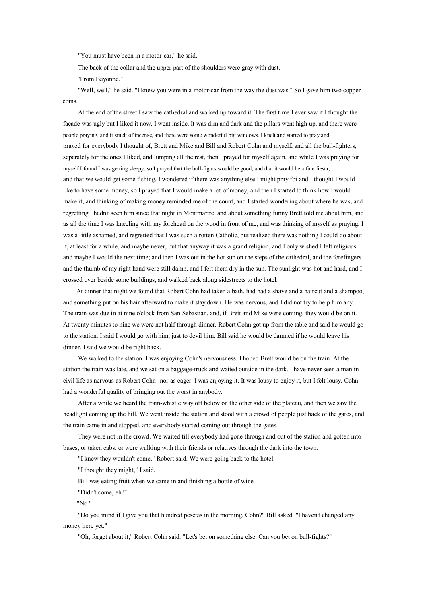"You must have been in <sup>a</sup> motor-car," he said.

The back of the collar and the upper part of the shoulders were gray with dust.

"From Bayonne."

"Well, well," he said. "I knew you were in <sup>a</sup> motor-car from the way the dust was." So I gave him two copper coins.

At the end of the street I saw the cathedral and walked up toward it. The first time I ever saw it I thought the facade was ugly but I liked it now. I went inside. It was dim and dark and the pillars went high up, and there were people praying, and it smelt of incense, and there were some wonderful big windows. I knelt and started to pray and prayed for everybody I thought of, Brett and Mike and Bill and Robert Cohn and myself, and all the bull-fighters, separately for the ones I liked, and lumping all the rest, then I prayed for myself again, and while I was praying for myself I found I was getting sleepy, so I prayed that the bull-fights would be good, and that it would be <sup>a</sup> fine fiesta, and that we would ge<sup>t</sup> some fishing. I wondered if there was anything else I might pray foi and I thought I would like to have some money, so I prayed that I would make <sup>a</sup> lot of money, and then I started to think how I would make it, and thinking of making money reminded me of the count, and I started wondering about where he was, and regretting I hadn't seen him since that night in Montmartre, and about something funny Brett told me about him, and as all the time I was kneeling with my forehead on the wood in front of me, and was thinking of myself as praying, I was <sup>a</sup> little ashamed, and regretted that I was such <sup>a</sup> rotten Catholic, but realized there was nothing I could do about it, at least for <sup>a</sup> while, and maybe never, but that anyway it was <sup>a</sup> grand religion, and I only wished I felt religious and maybe I would the next time; and then I was out in the hot sun on the steps of the cathedral, and the forefingers and the thumb of my right hand were still damp, and I felt them dry in the sun. The sunlight was hot and hard, and I crossed over beside some buildings, and walked back along sidestreets to the hotel.

At dinner that night we found that Robert Cohn had taken <sup>a</sup> bath, had had <sup>a</sup> shave and <sup>a</sup> haircut and <sup>a</sup> shampoo, and something put on his hair afterward to make it stay down. He was nervous, and I did not try to help him any. The train was due in at nine <sup>o</sup>'clock from San Sebastian, and, if Brett and Mike were coming, they would be on it. At twenty minutes to nine we were not half through dinner. Robert Cohn go<sup>t</sup> up from the table and said he would go to the station. I said I would go with him, just to devil him. Bill said he would be damned if he would leave his dinner. I said we would be right back.

We walked to the station. I was enjoying Cohn's nervousness. I hoped Brett would be on the train. At the station the train was late, and we sat on <sup>a</sup> baggage-truck and waited outside in the dark. I have never seen <sup>a</sup> man in civil life as nervous as Robert Cohn--nor as eager. I was enjoying it. It was lousy to enjoy it, but I felt lousy. Cohn had <sup>a</sup> wonderful quality of bringing out the worst in anybody.

After <sup>a</sup> while we heard the train-whistle way off below on the other side of the plateau, and then we saw the headlight coming up the hill. We went inside the station and stood with <sup>a</sup> crowd of people just back of the gates, and the train came in and stopped, and everybody started coming out through the gates.

They were not in the crowd. We waited till everybody had gone through and out of the station and gotten into buses, or taken cabs, or were walking with their friends or relatives through the dark into the town.

"I knew they wouldn't come," Robert said. We were going back to the hotel.

"I thought they might," I said.

Bill was eating fruit when we came in and finishing <sup>a</sup> bottle of wine.

"Didn't come, eh?"

"No."

"Do you mind if I give you that hundred pesetas in the morning, Cohn?" Bill asked. "I haven't changed any money here yet."

"Oh, forget about it," Robert Cohn said. "Let's bet onsomething else. Can you bet on bull-fights?"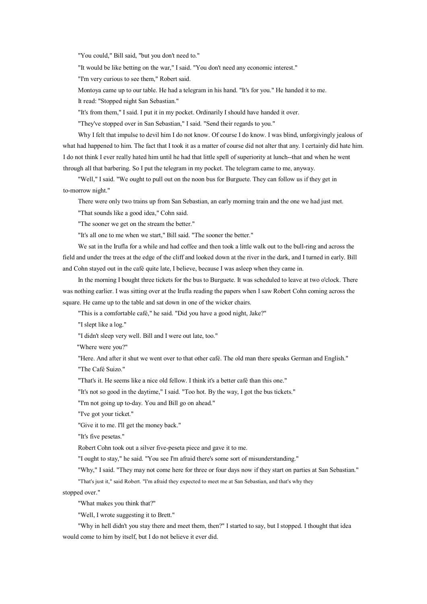"You could," Bill said, "but you don't need to."

"It would be like betting on the war," I said. "You don't need any economic interest."

"I'm very curious to see them," Robert said.

Montoya came up to our table. He had <sup>a</sup> telegram in his hand. "It's for you." He handed it to me.

It read: "Stopped night San Sebastian."

"It's from them," I said. I pu<sup>t</sup> it in my pocket. Ordinarily I should have handed it over.

"They've stopped over in San Sebastian," I said. "Send their regards to you."

Why I felt that impulse to devil him I do not know. Of course I do know. I was blind, unforgivingly jealous of what had happened to him. The fact that I took it as <sup>a</sup> matter of course did not alter that any. I certainly did hate him. I do not think I ever really hated him until he had that little spell of superiority at lunch--that and when he went through all that barbering. So I pu<sup>t</sup> the telegram in my pocket. The telegram came to me, anyway.

"Well," I said. "We ought to pull out on the noon bus for Burguete. They can follow us if they get in to-morrow night."

There were only two trains up from San Sebastian, an early morning train and the one we had just met.

"That sounds like <sup>a</sup> good idea," Cohn said.

"The sooner we ge<sup>t</sup> on the stream the better."

"It's all one to me when we start," Bill said. "The sooner the better."

We sat in the Irufla for <sup>a</sup> while and had coffee and then took <sup>a</sup> little walk out to the bull-ring and across the field and under the trees at the edge of the cliff and looked down at the river in the dark, and I turned in early. Bill and Cohn stayed out in the café quite late, I believe, because I was asleep when they came in.

In the morning I bought three tickets for the bus to Burguete. It was scheduled to leave at two <sup>o</sup>'clock. There was nothing earlier. I was sitting over at the Irufla reading the papers when I saw Robert Cohn coming across the square. He came up to the table and sat down in one of the wicker chairs.

"This is <sup>a</sup> comfortable café," he said. "Did you have <sup>a</sup> good night, Jake?"

"I slept like <sup>a</sup> log."

"I didn't sleep very well. Bill and I were out late, too."

"Where were you?"

"Here. And after it shut we went over to that other café. The old man there speaks German and English."

"The Café Suizo."

"That's it. He seems like <sup>a</sup> nice old fellow. I think it's <sup>a</sup> better café than this one."

"It's not so good in the daytime," I said. "Too hot. By the way, I got the bus tickets."

"I'm not going up to-day. You and Bill go on ahead."

"I've go<sup>t</sup> your ticket."

"Give it to me. I'll ge<sup>t</sup> the money back."

"It's five pesetas."

Robert Cohn took out <sup>a</sup> silver five-peseta piece and gave it to me.

"I ought to stay," he said. "You see I'm afraid there's some sort of misunderstanding."

"Why," I said. "They may not come here for three or four days now if they start on parties at San Sebastian."

"That's just it," said Robert. "I'm afraid they expected to meet me at San Sebastian, and that's why they

stopped over."

"What makes you think that?"

"Well, I wrote suggesting it to Brett."

"Why in hell didn't you stay there and meet them, then?" I started to say, but I stopped. I thought that idea would come to him by itself, but I do not believe it ever did.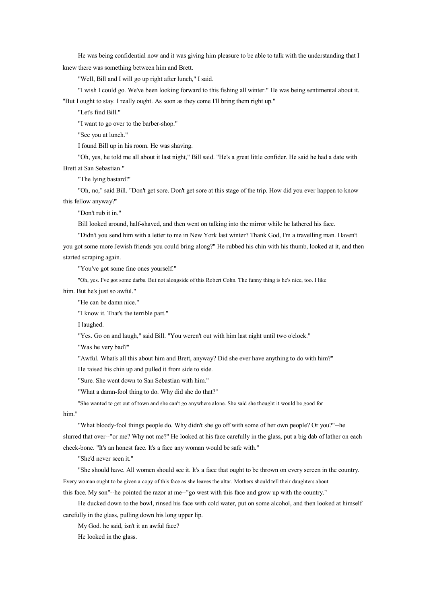He was being confidential now and it was giving him pleasure to be able to talk with the understanding that I knew there was something between him and Brett.

"Well, Bill and I will go up right after lunch," I said.

"I wish I could go. We've been looking forward to this fishing all winter." He was being sentimental about it. "But I ought to stay. I really ought. As soon as they come I'll bring them right up."

"Let's find Bill."

"I want to go over to the barber-shop."

"See you at lunch."

I found Bill up in his room. He was shaving.

"Oh, yes, he told me all about it last night," Bill said. "He's <sup>a</sup> great little confider. He said he had <sup>a</sup> date with Brett at San Sebastian."

"The lying bastard!"

"Oh, no," said Bill. "Don't ge<sup>t</sup> sore. Don't ge<sup>t</sup> sore at this stage of the trip. How did you ever happen to know this fellow anyway?"

"Don't rub it in."

Bill looked around, half-shaved, and then went ontalking into the mirror while he lathered his face.

"Didn't you send him with <sup>a</sup> letter to me in New York last winter? Thank God, I'm <sup>a</sup> travelling man. Haven't you go<sup>t</sup> some more Jewish friends you could bring along?" He rubbed his chin with his thumb, looked at it, and then started scraping again.

"You've go<sup>t</sup> some fine ones yourself."

"Oh, yes. I've go<sup>t</sup> some darbs. But not alongside of this Robert Cohn. The funny thing is he's nice, too. I like

him. But he's just so awful."

"He can be damn nice."

"I know it. That's the terrible part."

I laughed.

"Yes. Go on and laugh," said Bill. "You weren't out with him last night until two <sup>o</sup>'clock."

"Was he very bad?"

"Awful. What's all this about him and Brett, anyway? Did she ever have anything to do with him?"

He raised his chin up and pulled it from side to side.

"Sure. She went down to San Sebastian with him."

"What <sup>a</sup> damn-fool thing to do. Why did she do that?"

"She wanted to ge<sup>t</sup> out of town and she can't go anywhere alone. She said she thought it would be good for

him."

"What bloody-fool things people do. Why didn't she go off with some of her own people? Or you?"--he slurred that over--"or me? Why not me?" He looked at his face carefully in the glass, put a big dab of lather on each cheek-bone. "It's an honest face. It's <sup>a</sup> face any woman would be safe with."

"She'd never seen it."

"She should have. All women should see it. It's <sup>a</sup> face that ought to be thrown on every screen in the country. Every woman ought tobe given <sup>a</sup> copy of this face as she leaves the altar. Mothers should tell their daughters about

this face. My son"--he pointed the razor at me--"go west with this face and grow up with the country."

He ducked down to the bowl, rinsed his face with cold water, pu<sup>t</sup> on some alcohol, and then looked at himself carefully in the glass, pulling down his long upper lip.

My God. he said, isn't it an awful face?

He looked in the glass.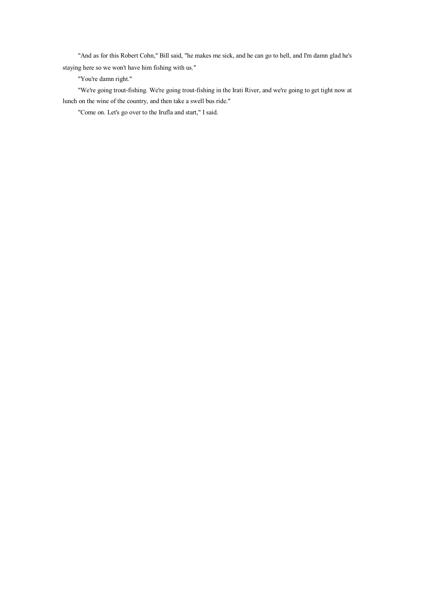"And as for this Robert Cohn," Bill said, "he makes me sick, and he can go to hell, and I'm damn glad he's staying here so we won't have him fishing with us."

"You're damn right."

"We're going trout-fishing. We're going trout-fishing in the Irati River, and we're going to ge<sup>t</sup> tight now at lunch on the wine of the country, and then take <sup>a</sup> swell bus ride."

"Come on. Let's go over to the Irufla and start," I said.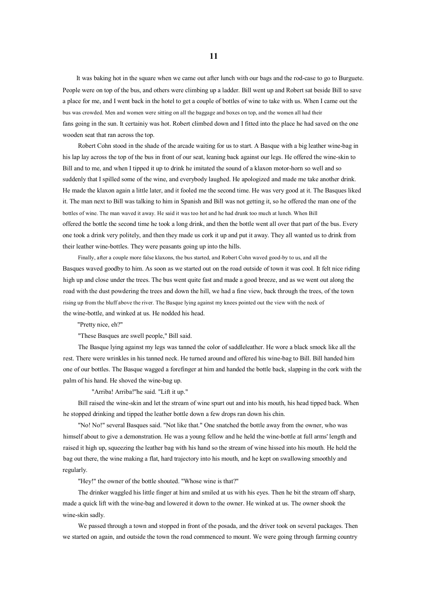It was baking hot in the square when we came out after lunch with our bags and the rod-case to go to Burguete. People were on top of the bus, and others were climbing up <sup>a</sup> ladder. Bill went up and Robert sat beside Bill to save <sup>a</sup> place for me, and I went back in the hotel to ge<sup>t</sup> <sup>a</sup> couple of bottles of wine to take with us. When I came out the bus was crowded. Men and women were sitting on all the baggage and boxes on top, and the women all had their fans going in the sun. It certainiy was hot. Robert climbed down and I fitted into the place he had saved on the one wooden seat that ran across the top.

Robert Cohn stood in the shade of the arcade waiting for us to start. A Basque with <sup>a</sup> big leather wine-bag in his lap lay across the top of the bus in front of our seat, leaning back against our legs. He offered the wine-skin to Bill and to me, and when I tipped it up to drink he imitated the sound of <sup>a</sup> klaxon motor-horn so well and so suddenly that I spilled some of the wine, and everybody laughed. He apologized and made me take another drink. He made the klaxon again <sup>a</sup> little later, and it fooled me the second time. He was very good at it. The Basques liked it. The man next to Bill was talking to him in Spanish and Bill was not getting it, so he offered the man one of the bottles of wine. The man waved it away. He said it was too hot and he had drunk too much at lunch. When Bill offered the bottle the second time he took <sup>a</sup> long drink, and then the bottle went all over that part of the bus. Every one took <sup>a</sup> drink very politely, and then they made us cork it up and put it away. They all wanted us to drink from their leather wine-bottles. They were peasants going up into the hills.

Finally, after <sup>a</sup> couple more false klaxons, the bus started, and Robert Cohn waved good-by to us, and all the Basques waved goodby to him. As soon as we started out on the road outside of town it was cool. It felt nice riding high up and close under the trees. The bus went quite fast and made <sup>a</sup> good breeze, and as we went out along the road with the dust powdering the trees and down the hill, we had <sup>a</sup> fine view, back through the trees, of the town rising up from the bluff above the river. The Basque lying against my knees pointed out the view with the neck of the wine-bottle, and winked at us. He nodded his head.

"Pretty nice, eh?"

"These Basques are swell people," Bill said.

The Basque lying against my legs was tanned the color of saddleleather. He wore <sup>a</sup> black smock like all the rest. There were wrinkles in his tanned neck. He turned around and offered his wine-bag to Bill. Bill handed him one of our bottles. The Basque wagged <sup>a</sup> forefinger at him and handed the bottle back, slapping in the cork with the palm of his hand. He shoved the wine-bag up.

"Arriba! Arriba!"he said. "Lift it up."

Bill raised the wine-skin and let the stream of wine spur<sup>t</sup> out and into his mouth, his head tipped back. When he stopped drinking and tipped the leather bottle down <sup>a</sup> few drops ran down his chin.

"No! No!" several Basques said. "Not like that." One snatched the bottle away from the owner, who was himself about to give <sup>a</sup> demonstration. He was <sup>a</sup> young fellow and he held the wine-bottle at full arms' length and raised it high up, squeezing the leather bag with his hand so the stream of wine hissed into his mouth. He held the bag out there, the wine making a flat, hard trajectory into his mouth, and he kept on swallowing smoothly and regularly.

"Hey!" the owner of the bottle shouted. "Whose wine is that?"

The drinker waggled his little finger at him and smiled at us with his eyes. Then he bit the stream off sharp, made <sup>a</sup> quick lift with the wine-bag and lowered it down to the owner. He winked at us. The owner shook the wine-skin sadly.

We passed through <sup>a</sup> town and stopped in front of the posada, and the driver took on several packages. Then we started on again, and outside the town the road commenced to mount. We were going through farming country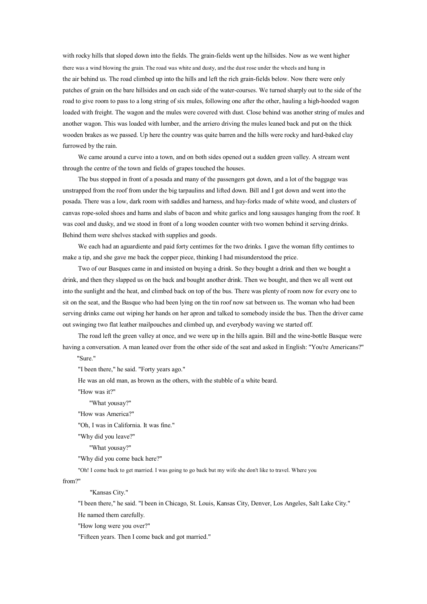with rocky hills that sloped down into the fields. The grain-fields went up the hillsides. Now as we went higher there was <sup>a</sup> wind blowing the grain. The road was white and dusty, and the dust rose under the wheels and hung in the air behind us. The road climbed up into the hills and left the rich grain-fields below. Now there were only patches of grain on the bare hillsides and on each side of the water-courses. We turned sharply out to the side of the road to give room to pass to <sup>a</sup> long string of six mules, following one after the other, hauling <sup>a</sup> high-hooded wagon loaded with freight. The wagon and the mules were covered with dust. Close behind was another string of mules and another wagon. This was loaded with lumber, and the arriero driving the mules leaned back and put on the thick wooden brakes as we passed. Up here the country was quite barren and the hills were rocky and hard-baked clay furrowed by the rain.

We came around <sup>a</sup> curve into <sup>a</sup> town, and on both sides opened out <sup>a</sup> sudden green valley. A stream went through the centre of the town and fields of grapes touched the houses.

The bus stopped in front of <sup>a</sup> posada and many of the passengers go<sup>t</sup> down, and <sup>a</sup> lot of the baggage was unstrapped from the roof from under the big tarpaulins and lifted down. Bill and I go<sup>t</sup> down and went into the posada. There was <sup>a</sup> low, dark room with saddles and harness, and hay-forks made of white wood, and clusters of canvas rope-soled shoes and hams and slabs of bacon and white garlics and long sausages hanging from the roof. It was cool and dusky, and we stood in front of <sup>a</sup> long wooden counter with two women behind it serving drinks. Behind them were shelves stacked with supplies and goods.

We each had an aguardiente and paid forty centimes for the two drinks. I gave the woman fifty centimes to make <sup>a</sup> tip, and she gave me back the copper piece, thinking I had misunderstood the price.

Two of our Basques came in and insisted on buying <sup>a</sup> drink. Sothey bought <sup>a</sup> drink and then we bought <sup>a</sup> drink, and then they slapped us on the back and bought another drink. Then we bought, and then we all went out into the sunlight and the heat, and climbed back on top of the bus. There was plenty of roomnow for every one to sit on the seat, and the Basque who had been lying on the tin roof now sat between us. The woman who had been serving drinks came out wiping her hands on her apron and talked to somebody inside the bus. Then the driver came out swinging two flat leather mailpouches and climbed up, and everybody waving we started off.

The road left the green valley at once, and we were up in the hills again. Bill and the wine-bottle Basque were having <sup>a</sup> conversation. A man leaned over from the other side of the seat and asked in English: "You're Americans?"

"Sure."

"I been there," he said. "Forty years ago."

He was an old man, as brown as the others, with the stubble of <sup>a</sup> white beard.

"How was it?"

"What yousay?"

"How was America?"

"Oh, I was in California. It was fine."

"Why did you leave?"

"What yousay?"

"Why did you come back here?"

"Oh! I come back to ge<sup>t</sup> married. I was going to go back but my wife she don't like to travel. Where you

from?"

"Kansas City."

"I been there," he said. "I been in Chicago, St. Louis, Kansas City, Denver, Los Angeles, Salt Lake City."

He named them carefully.

"How long were you over?"

"Fifteen years. Then I come back and go<sup>t</sup> married."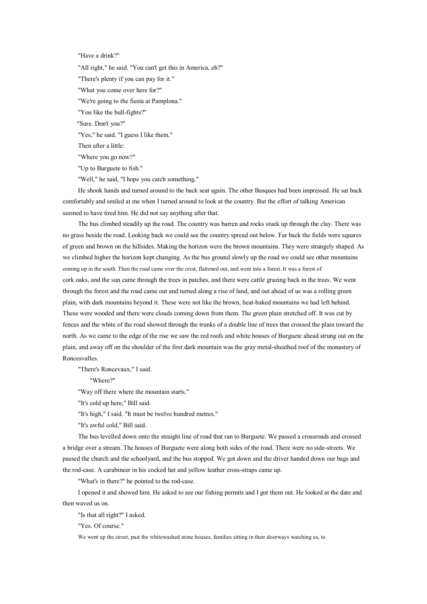"Have <sup>a</sup> drink?"

"All right," he said. "You can't ge<sup>t</sup> this in America, eh?"

"There's plenty if you can pay for it."

"What you come over here for?"

"We're going to the fiesta at Pamplona."

"You like the bull-fights?"

"Sure. Don't you?"

"Yes," he said. "I guess I like them."

Then after <sup>a</sup> little:

"Where you go now?"

"Up to Burguete to fish."

"Well," he said, "I hope you catch something."

He shook hands and turned around to the back seat again. The other Basques had been impressed. He sat back comfortably and smiled at me when I turned around to look at the country. But the effort of talking American seemed to have tired him. He did not say anything after that.

The bus climbed steadily up the road. The country was barren and rocks stuck up through the clay. There was no grass beside the road. Looking back we could see the country spread out below. Far back the fields were squares of green and brown on the hillsides. Making the horizon were the brown mountains. They were strangely shaped. As we climbed higher the horizon kept changing. As the bus ground slowly up the road we could see other mountains coming up in the south. Then the road came over the crest, flattened out, and went into <sup>a</sup> forest. It was <sup>a</sup> forest of cork oaks, and the sun came through the trees in patches, and there were cattle grazing back in the trees. We went through the forest and the road came out and turned along <sup>a</sup> rise of land, and out ahead of us was <sup>a</sup> rolling green plain, with dark mountains beyond it. These were not like the brown, heat-baked mountains we had left behind. These were wooded and there were clouds coming down from them. The green plain stretched off. It was cut by fences and the white of the road showed through the trunks of <sup>a</sup> double line of trees that crossed the plain toward the north. As we came to the edge of the rise we saw the red roofs and white houses of Burguete ahead strung out on the plain, and away off on the shoulder of the first dark mountain was the gray metal-sheathed roof of the monastery of Roncesvalles.

"There's Roncevaux," I said.

"Where?"

"Way off there where the mountain starts."

"It's cold up here," Bill said.

"It's high," I said. "It must be twelve hundred metres."

"It's awful cold," Bill said.

The bus levelled down onto the straight line of road that ran to Burguete. We passed <sup>a</sup> crossroads and crossed <sup>a</sup> bridge over <sup>a</sup> stream. The houses of Burguete were along both sides of the road. There were no side-streets. We passed the church and the schoolyard, and the bus stopped. We go<sup>t</sup> down and the driver handed down our bags and the rod-case. A carabineer in his cocked hat and yellow leather cross-straps came up.

"What's in there?" he pointed to the rod-case.

I opened it and showed him. He asked to see our fishing permits and I go<sup>t</sup> them out. He looked at the date and then waved us on.

"Is that all right?" I asked.

"Yes. Of course."

We went up the street, pas<sup>t</sup> the whitewashed stone houses, families sitting in their doorways watching us, to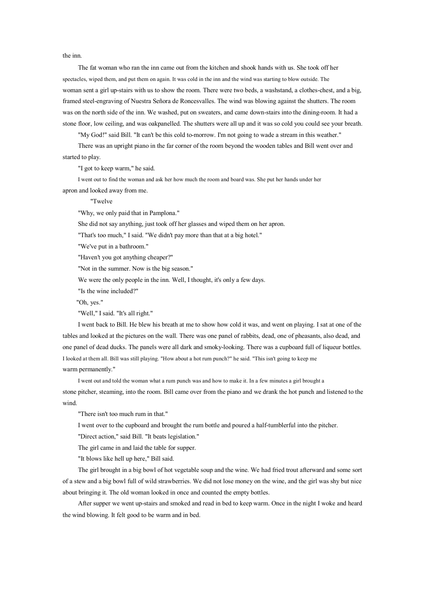the inn.

The fat woman who ran the inn came out from the kitchen and shook hands with us. She took off her spectacles, wiped them, and pu<sup>t</sup> them on again. It was cold in the inn and the wind was starting to blow outside. The woman sent <sup>a</sup> girl up-stairs with us to show the room. There were two beds, <sup>a</sup> washstand, <sup>a</sup> clothes-chest, and <sup>a</sup> big, framed steel-engraving of Nuestra Señora de Roncesvalles. The wind was blowing against the shutters. The room was on the north side of the inn. We washed, put on sweaters, and came down-stairs into the dining-room. It had <sup>a</sup> stone floor, low ceiling, and was oakpanelled. The shutters were all up and it was so cold you could see your breath.

"My God!" said Bill. "It can't be this cold to-morrow. I'm not going to wade <sup>a</sup> stream in this weather." There was an upright piano in the far corner of the room beyond the wooden tables and Bill went over and started to play.

"I go<sup>t</sup> to keep warm," he said.

I went out to find the woman and ask her howmuch the room and board was. She pu<sup>t</sup> her hands under her apron and looked away from me.

"Twelve

"Why, we only paid that in Pamplona."

She did not say anything, just took off her glasses and wiped them on her apron.

"That's too much," I said. "We didn't pay more than that at <sup>a</sup> big hotel."

"We've pu<sup>t</sup> in <sup>a</sup> bathroom."

"Haven't you go<sup>t</sup> anything cheaper?"

"Not in the summer. Now is the big season."

We were the only people in the inn. Well, I thought, it's only a few days.

"Is the wine included?"

"Oh, yes."

"Well," I said. "It's all right."

I went back to Bill. He blew his breath at me to show how cold it was, and went onplaying. I sat at one of the tables and looked at the pictures on the wall. There was one panel of rabbits, dead, one of pheasants, also dead, and one panel of dead ducks. The panels were all dark and smoky-looking. There was <sup>a</sup> cupboard full of liqueur bottles. I looked at them all. Bill was still playing. "How about <sup>a</sup> hot rum punch?" he said. "This isn't going to keep me warm permanently."

I went out and told the woman what <sup>a</sup> rum punch was and how to make it. In <sup>a</sup> few minutes <sup>a</sup> girl brought <sup>a</sup> stone pitcher, steaming, into the room. Bill came over from the piano and we drank the hot punch and listened to the wind.

"There isn't too much rum in that."

I went over to the cupboard and brought the rum bottle and poured <sup>a</sup> half-tumblerful into the pitcher.

"Direct action," said Bill. "It beats legislation."

The girl came in and laid the table for supper.

"It blows like hell up here," Bill said.

The girl brought in <sup>a</sup> big bowl of hot vegetable soup and the wine. We had fried trout afterward and some sort of <sup>a</sup> stew and <sup>a</sup> big bowl full of wild strawberries. We did not lose money on the wine, and the girl was shy but nice about bringing it. The old woman looked in once and counted the empty bottles.

After supper we went up-stairs and smoked and read in bed to keep warm. Once in the night I woke and heard the wind blowing. It felt good to be warm and in bed.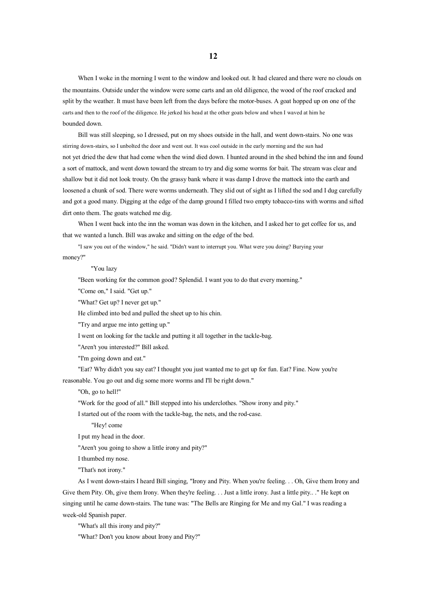When I woke in the morning I went to the window and looked out. It had cleared and there were no clouds on the mountains. Outside under the window were some carts and an old diligence, the wood of the roof cracked and split by the weather. It must have been left from the days before the motor-buses. A goa<sup>t</sup> hopped up on one of the carts and then to the roof of the diligence. He jerked his head at the other goats below and when I waved at him he bounded down.

Bill was still sleeping, so I dressed, put on my shoes outside in the hall, and went down-stairs. No one was stirring down-stairs, so I unbolted the door and went out. It was cool outside in the early morning and the sun had not ye<sup>t</sup> dried the dew that had come when the wind died down. I hunted around in the shed behind the inn and found <sup>a</sup> sort of mattock, and went down toward the stream to try and dig some worms for bait. The stream was clear and shallow but it did not look trouty. On the grassy bank where it was damp I drove the mattock into the earth and loosened <sup>a</sup> chunk of sod. There were worms underneath. They slid out of sight as I lifted the sod and I dug carefully and go<sup>t</sup> <sup>a</sup> good many. Digging at the edge of the damp ground I filled two empty tobacco-tins with worms and sifted dirt onto them. The goats watched me dig.

When I went back into the inn the woman was down in the kitchen, and I asked her to ge<sup>t</sup> coffee for us, and that we wanted <sup>a</sup> lunch. Bill was awake and sitting on the edge of the bed.

"I saw you out of the window," he said. "Didn't want to interrupt you. What were you doing? Burying your

money?"

## "You lazy

"Been working for the common good? Splendid. I want you to do that every morning."

"Come on," I said. "Get up."

"What? Get up? I never ge<sup>t</sup> up."

He climbed into bed and pulled the sheet up to his chin.

"Try and argue me into getting up."

I went on looking for the tackle and putting it all together in the tackle-bag.

"Aren't you interested?" Bill asked.

"I'm going down and eat."

"Eat? Why didn't you say eat? I thought you just wanted me to ge<sup>t</sup> up for fun. Eat? Fine. Now you're

reasonable. You go out and dig some more worms and I'll be right down."

"Oh, go to hell!"

"Work for the good of all." Bill stepped into his underclothes. "Show irony and pity."

I started out of the room with the tackle-bag, the nets, and the rod-case.

"Hey! come

I pu<sup>t</sup> my head in the door.

"Aren't you going to show <sup>a</sup> little irony and pity?"

I thumbed my nose.

"That's not irony."

As I went down-stairs I heard Bill singing, "Irony and Pity. When you're feeling. . . Oh, Give them Irony and Give them Pity. Oh, give them Irony. When they're feeling. . . Just a little irony. Just a little pity.. ." He kept on singing until he came down-stairs. The tune was: "The Bells are Ringing for Me and my Gal." I was reading <sup>a</sup> week-old Spanish paper.

"What's all this irony and pity?"

"What? Don't you know about Irony and Pity?"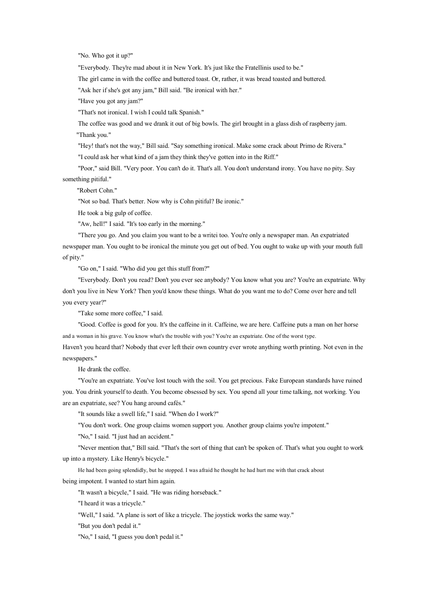"No. Who go<sup>t</sup> it up?"

"Everybody. They're mad about it in New York. It's just like the Fratellinis used to be."

The girl came in with the coffee and buttered toast. Or, rather, it was bread toasted and buttered.

"Ask her if she's go<sup>t</sup> any jam," Bill said. "Be ironical with her."

"Have you go<sup>t</sup> any jam?"

"That's not ironical. I wish I could talk Spanish."

The coffee was good and we drank it out of big bowls. The girl brought in <sup>a</sup> glass dish of raspberry jam. "Thank you."

"Hey! that's not the way," Bill said. "Say something ironical. Make some crack about Primo de Rivera."

"I could ask her what kind of <sup>a</sup> jamthey think they've gotten into in the Riff."

"Poor," said Bill. "Very poor. You can't do it. That's all. You don't understand irony. You have no pity. Say something pitiful."

"Robert Cohn."

"Not sobad. That's better. Now why is Cohn pitiful? Be ironic."

He took <sup>a</sup> big gulp of coffee.

"Aw, hell!" I said. "It's too early in the morning."

"There you go. And you claim you want to be <sup>a</sup> writei too. You're only <sup>a</sup> newspaper man. An expatriated newspaper man. You ought to be ironical the minute you ge<sup>t</sup> out of bed. You ought to wake up with your mouth full of pity."

"Go on," I said. "Who did you ge<sup>t</sup> this stuff from?"

"Everybody. Don't you read? Don't you ever see anybody? You know what you are? You're an expatriate. Why don't you live in New York? Then you'd know these things. What doyou want me to do? Come over here and tell you every year?"

"Take some more coffee," I said.

"Good. Coffee is good for you. It's the caffeine in it. Caffeine, we are here. Caffeine puts <sup>a</sup> man on her horse and <sup>a</sup> woman in his grave. You know what's the trouble with you? You're an expatriate. One of the worst type.

Haven't you heard that? Nobody that ever left their own country ever wrote anything worth printing. Not even in the newspapers."

He drank the coffee.

"You're an expatriate. You've lost touch with the soil. You ge<sup>t</sup> precious. Fake European standards have ruined you. You drink yourself to death. You become obsessed by sex. You spend all your time talking, not working. You are an expatriate, see? You hang around cafés."

"It sounds like <sup>a</sup> swell life," I said. "When do I work?"

"You don't work. One group claims women suppor<sup>t</sup> you. Another group claims you're impotent."

"No," I said. "I just had an accident."

"Never mention that," Bill said. "That's the sort of thing that can't be spoken of. That's what you ought towork up into <sup>a</sup> mystery. Like Henry's bicycle."

He had been going splendidly, but he stopped. I was afraid he thought he had hurt me with that crack about being impotent. I wanted to start him again.

"It wasn't <sup>a</sup> bicycle," I said. "He was riding horseback."

"I heard it was <sup>a</sup> tricycle."

"Well," I said. "A plane is sort of like <sup>a</sup> tricycle. The joystick works the same way."

"But you don't pedal it."

"No," I said, "I guess you don't pedal it."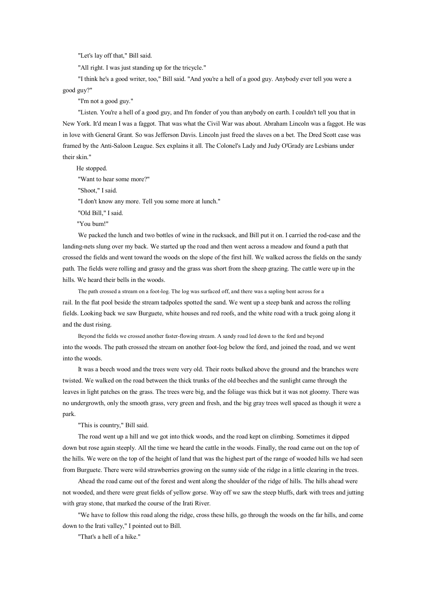"Let's lay off that," Bill said.

"All right. I was just standing up for the tricycle."

"I think he's a good writer, too," Bill said. "And you're a hell of a good guy. Anybody ever tell you were a good guy?"

"I'm not <sup>a</sup> good guy."

"Listen. You're a hell of a good guy, and I'm fonder of you than anybody on earth. I couldn't tell you that in New York. It'd mean I was <sup>a</sup> faggot. That was what the Civil War was about. Abraham Lincoln was <sup>a</sup> faggot. He was in love with General Grant. So was Jefferson Davis. Lincoln just freed the slaves on <sup>a</sup> bet. The Dred Scott case was framed by the Anti-Saloon League. Sex explains it all. The Colonel's Lady and Judy O'Grady are Lesbians under their skin."

He stopped.

"Want to hear some more?"

"Shoot," I said.

"I don't know any more. Tell you some more at lunch."

"Old Bill," I said.

"You bum!"

We packed the lunch and two bottles of wine in the rucksack, and Bill pu<sup>t</sup> it on. I carried the rod-case and the landing-nets slung over my back. We started up the road and then went across <sup>a</sup> meadow and found <sup>a</sup> path that crossed the fields and went toward the woods on the slope of the first hill. We walked across the fields on the sandy path. The fields were rolling and grassy and the grass was short from the sheep grazing. The cattle were up in the hills. We heard their bells in the woods.

The path crossed <sup>a</sup> stream on <sup>a</sup> foot-log. The log was surfaced off, and there was <sup>a</sup> sapling bent across for <sup>a</sup> rail. In the flat pool beside the stream tadpoles spotted the sand. We went up <sup>a</sup> steep bank and across the rolling fields. Looking back we saw Burguete, white houses and red roofs, and the white road with <sup>a</sup> truck going along it and the dust rising.

Beyond the fields we crossed another faster-flowing stream. A sandy road led down to the ford and beyond into the woods. The path crossed the stream on another foot-log below the ford, and joined the road, and we went into the woods.

It was <sup>a</sup> beech wood and the trees were very old. Their roots bulked above the ground and the branches were twisted. We walked on the road between the thick trunks of the old beeches and the sunlight came through the leaves in light patches on the grass. The trees were big, and the foliage was thick but it was not gloomy. There was no undergrowth, only the smooth grass, very green and fresh, and the big gray trees well spaced as though it were <sup>a</sup> park.

"This is country," Bill said.

The road went up <sup>a</sup> hill and we go<sup>t</sup> into thick woods, and the road kept on climbing. Sometimes it dipped down but rose again steeply. All the time we heard the cattle in the woods. Finally, the road came out on the top of the hills. We were on the top of the height of land that was the highest part of the range of wooded hills we had seen from Burguete. There were wild strawberries growing on the sunny side of the ridge in <sup>a</sup> little clearing in the trees.

Ahead the road came out of the forest and went along the shoulder of the ridge of hills. The hills ahead were not wooded, and there were grea<sup>t</sup> fields of yellow gorse. Way off we saw the steep bluffs, dark with trees and jutting with gray stone, that marked the course of the Irati River.

"We have to follow this road along the ridge, cross these hills, go through the woods on the far hills, and come down to the Irati valley," I pointed out to Bill.

"That's <sup>a</sup> hell of <sup>a</sup> hike."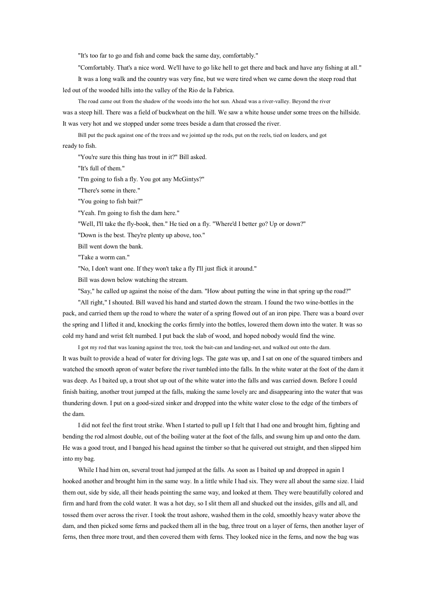"It's too far to go and fish and come back the same day, comfortably."

"Comfortably. That's <sup>a</sup> nice word. We'll have to go like hell to ge<sup>t</sup> there and back and have any fishing at all."

It was <sup>a</sup> long walk and the country was very fine, but we were tired when we came down the steep road that led out of the wooded hills into the valley of the Rio de la Fabrica.

The road came out from the shadow of the woods into the hot sun. Ahead was <sup>a</sup> river-valley. Beyond the river was <sup>a</sup> steep hill. There was <sup>a</sup> field of buckwheat on the hill. We saw <sup>a</sup> white house under some trees on the hillside. It was very hot and we stopped under some trees beside <sup>a</sup> dam that crossed the river.

Bill pu<sup>t</sup> the pack against one of the trees and we jointed up the rods, pu<sup>t</sup> on the reels, tied on leaders, and go<sup>t</sup> ready to fish.

"You're sure this thing has trout in it?" Bill asked.

"It's full of them."

"I'm going to fish <sup>a</sup> fly. You go<sup>t</sup> any McGintys?"

"There's some in there."

"You going to fish bait?"

"Yeah. I'm going to fish the dam here."

"Well, I'll take the fly-book, then." He tied on <sup>a</sup> fly. "Where'd I better go? Up or down?"

"Down is the best. They're plenty up above, too."

Bill went down the bank.

"Take <sup>a</sup> worm can."

"No, I don't want one. If they won't take <sup>a</sup> fly I'll just flick it around."

Bill was down below watching the stream.

"Say," he called up against the noise of the dam. "How about putting the wine in that spring up the road?"

"All right," I shouted. Bill waved his hand and started down the stream. I found the two wine-bottles in the pack, and carried them up the road to where the water of <sup>a</sup> spring flowed out of an iron pipe. There was <sup>a</sup> board over the spring and I lifted it and, knocking the corks firmly into the bottles, lowered them down into the water. It was so cold my hand and wrist felt numbed. I pu<sup>t</sup> back the slab of wood, and hoped nobody would find the wine.

I go<sup>t</sup> my rod that was leaning against the tree, took the bait-can and landing-net, and walked out onto the dam. It was built to provide <sup>a</sup> head of water for driving logs. The gate was up, and I sat on one of the squared timbers and watched the smooth apron of water before the river tumbled into the falls. In the white water at the foot of the dam it was deep. As I baited up, <sup>a</sup> trout shot up out of the white water into the falls and was carried down. Before I could finish baiting, another trout jumped at the falls, making the same lovely arc and disappearing into the water that was thundering down. I pu<sup>t</sup> on <sup>a</sup> good-sized sinker and dropped into the white water close to the edge of the timbers of the dam.

I did not feel the first trout strike. When I started to pull up I felt that I had one and brought him, fighting and bending the rod almost double, out of the boiling water at the foot of the falls, and swung him up and onto the dam. He was <sup>a</sup> good trout, and I banged his head against the timber so that he quivered out straight, and then slipped him into my bag.

While I had him on, several trout had jumped at the falls. As soon as I baited up and dropped in again I hooked another and brought him in the same way. In <sup>a</sup> little while I had six. They were all about the same size. I laid them out, side by side, all their heads pointing the same way, and looked at them. They were beautifully colored and firm and hard from the cold water. It was <sup>a</sup> hot day, so I slit them all and shucked out the insides, gills and all, and tossed them over across the river. I took the trout ashore, washed them in the cold, smoothly heavy water above the dam, and then picked some ferns and packed them all in the bag, three trout on a layer of ferns, then another layer of ferns, then three more trout, and then covered them with ferns. They looked nice in the ferns, and now the bag was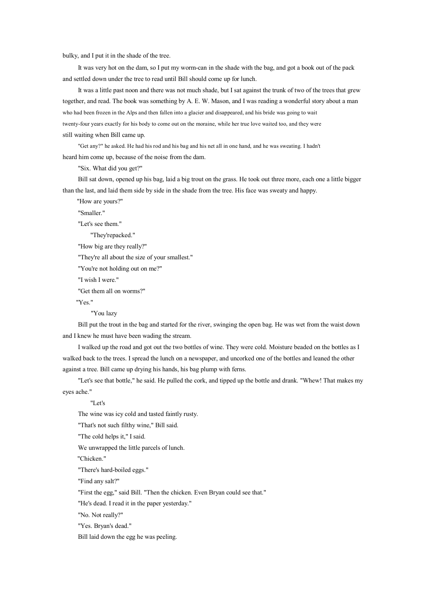bulky, and I put it in the shade of the tree.

It was very hot on the dam, so I pu<sup>t</sup> my worm-can in the shade with the bag, and go<sup>t</sup> <sup>a</sup> book out of the pack and settled down under the tree to read until Bill should come up for lunch.

It was a little past noon and there was not much shade, but I sat against the trunk of two of the trees that grew together, and read. The book was something by A. E. W. Mason, and I was reading <sup>a</sup> wonderful story about <sup>a</sup> man who had been frozen in the Alps and then fallen into <sup>a</sup> glacier and disappeared, and his bride was going to wait twenty-four years exactly for his body to come out on the moraine, while her true love waited too, and they were still waiting when Bill came up.

"Get any?" he asked. He had his rod and his bag and his net all in one hand, and he was sweating. I hadn't heard him come up, because of the noise from the dam.

"Six. What did you get?"

Bill sat down, opened up his bag, laid <sup>a</sup> big trout onthe grass. He took out three more, each one <sup>a</sup> little bigger than the last, and laid them side by side in the shade from the tree. His face was sweaty and happy.

"How are yours?"

"Smaller."

"Let's see them."

"They'repacked."

"How big are they really?"

"They're all about the size of your smallest."

"You're not holding out on me?"

"I wish I were."

"Get them all on worms?"

"Yes."

"You lazy

Bill pu<sup>t</sup> the trout in the bag and started for the river, swinging the open bag. He was wet from the waist down and I knew he must have been wading the stream.

I walked up the road and go<sup>t</sup> out the two bottles of wine. They were cold. Moisture beaded on the bottles as I walked back to the trees. I spread the lunch on <sup>a</sup> newspaper, and uncorked one of the bottles and leaned the other against <sup>a</sup> tree. Bill came up drying his hands, his bag plump with ferns.

"Let's see that bottle," he said. He pulled the cork, and tipped up the bottle and drank. "Whew! That makes my eyes ache."

"Let's

The wine was icy cold and tasted faintly rusty.

"That's not such filthy wine," Bill said.

"The cold helps it," I said.

We unwrapped the little parcels of lunch.

"Chicken."

"There's hard-boiled eggs."

"Find any salt?"

"First the egg," said Bill. "Then the chicken. Even Bryan could see that."

"He's dead. I read it in the paper yesterday."

"No. Not really?"

"Yes. Bryan's dead."

Bill laid down the egg he was peeling.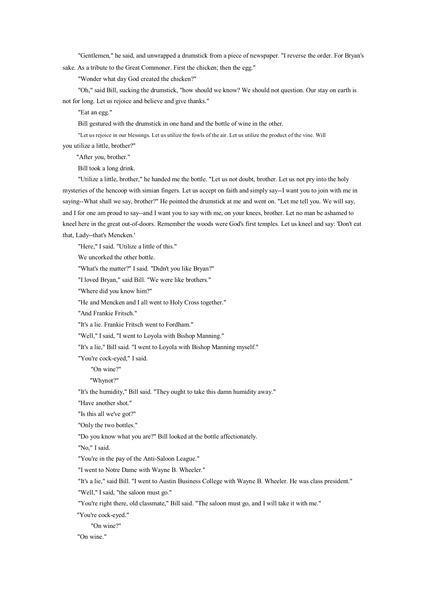"Gentlemen," he said, and unwrapped <sup>a</sup> drumstick from <sup>a</sup> piece of newspaper. "I reverse the order. For Bryan's sake. As <sup>a</sup> tribute to the Great Commoner. First the chicken; then the egg."

"Wonder what day God created the chicken?"

"Oh," said Bill, sucking the drumstick, "how should we know? We should not question. Our stay on earth is not for long. Let us rejoice and believe and give thanks."

"Eat an egg."

Bill gestured with the drumstick in one hand and the bottle of wine in the other.

"Let us rejoice in our blessings. Let us utilize the fowls of the air. Let us utilize the product of the vine. Will you utilize <sup>a</sup> little, brother?"

"After you, brother."

Bill took <sup>a</sup> long drink.

"Utilize <sup>a</sup> little, brother," he handed me the bottle. "Let us not doubt, brother. Let us not pry into the holy mysteries of the hencoop with simian fingers. Let us accep<sup>t</sup> on faith and simply say--I want you to join with me in saying--What shall we say, brother?" He pointed the drumstick at me and went on. "Let me tell you. We will say, and I for one am proud to say--and I want you to say with me, on your knees, brother. Let no man be ashamed to kneel here in the great out-of-doors. Remember the woods were God's first temples. Let us kneel and say: 'Don't eat that, Lady--that's Mencken.'

"Here," I said. "Utilize <sup>a</sup> little of this."

We uncorked the other bottle.

"What's the matter?" I said. "Didn't you like Bryan?"

"I loved Bryan," said Bill. "We were like brothers."

"Where did you know him?"

"He and Mencken and I all went to Holy Cross together."

"And Frankie Fritsch."

"It's <sup>a</sup> lie. Frankie Fritsch went to Fordham."

"Well," I said, "I went to Loyola with Bishop Manning."

"It's <sup>a</sup> lie," Bill said. "I went to Loyola with Bishop Manning myself."

"You're cock-eyed," I said.

"On wine?"

"Whynot?"

"It's the humidity," Bill said. "They ought to take this damn humidity away."

"Have another shot."

"Is this all we've got?"

"Only the two bottles."

"Do you know what you are?" Bill looked at the bottle affectionately.

"No," I said.

"You're in the pay of the Anti-Saloon League."

"I went to Notre Dame with Wayne B. Wheeler."

"It's <sup>a</sup> lie," said Bill. "I went to Austin Business College with Wayne B. Wheeler. He was class president."

"Well," I said, "the saloon must go."

"You're right there, old classmate," Bill said. "The saloon must go, and I will take it with me."

"You're cock-eyed."

"On wine?"

"On wine."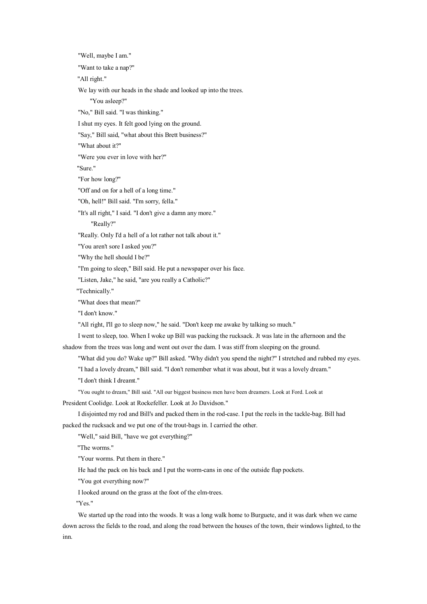"Well, maybe I am." "Want to take <sup>a</sup> nap?" "All right." We lay with our heads in the shade and looked up into the trees. "You asleep?" "No," Bill said. "I was thinking." I shut my eyes. It felt good lying on the ground. "Say," Bill said, "what about this Brett business?" "What about it?" "Were you ever in love with her?" "Sure." "For how long?" "Off and on for <sup>a</sup> hell of <sup>a</sup> long time." "Oh, hell!" Bill said. "I'm sorry, fella." "It's all right," I said. "I don't give <sup>a</sup> damn any more." "Really?" "Really. Only I'd <sup>a</sup> hell of <sup>a</sup> lot rather not talk about it." "You aren't sore I asked you?" "Why the hell should I be?" "I'm going to sleep," Bill said. He put <sup>a</sup> newspaper over his face. "Listen, Jake," he said, "are you really <sup>a</sup> Catholic?" "Technically." "What does that mean?" "I don't know." "All right, I'll go to sleep now," he said. "Don't keep me awake by talking so much." I went tosleep, too. When I woke up Bill was packing the rucksack. Jt was late in the afternoon and the shadow from the trees was long and went out over the dam. I was stiff from sleeping on the ground. "What did you do? Wake up?" Bill asked. "Why didn't you spend the night?" I stretched and rubbed my eyes. "I had <sup>a</sup> lovely dream," Bill said. "I don't remember what it was about, but it was <sup>a</sup> lovely dream." "I don't think I dreamt." "You ought to dream," Bill said. "All our biggest business men have been dreamers. Look at Ford. Look at President Coolidge. Look at Rockefeller. Look at Jo Davidson." I disjointed my rod and Bill's and packed them in the rod-case. I pu<sup>t</sup> the reels in the tackle-bag. Bill had packed the rucksack and we pu<sup>t</sup> one of the trout-bags in. I carried the other. "Well," said Bill, "have we go<sup>t</sup> everything?" "The worms." "Your worms. Put them in there." He had the pack on his back and I put the worm-cans in one of the outside flap pockets. "You go<sup>t</sup> everything now?"

I looked around on the grass at the foot of the elm-trees.

"Yes."

We started up the road into the woods. It was <sup>a</sup> long walk home to Burguete, and it was dark when we came down across the fields to the road, and along the road between the houses of the town, their windows lighted, to the inn.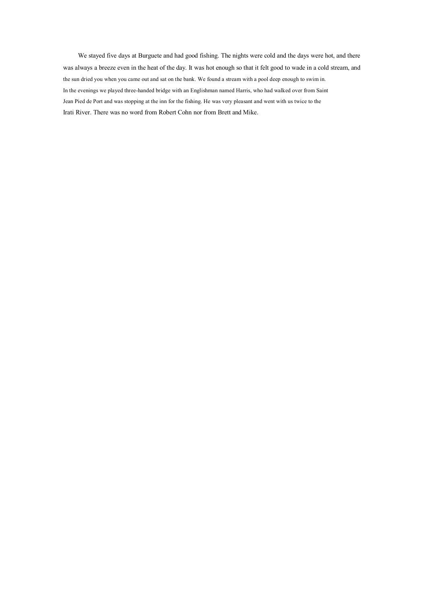We stayed five days at Burguete and had good fishing. The nights were cold and the days were hot, and there was always <sup>a</sup> breeze even in the heat of the day. It was hot enough so that it felt good to wade in <sup>a</sup> cold stream, and the sun dried you when you came out and sat on the bank. We found <sup>a</sup> stream with <sup>a</sup> pool deep enough to swim in. In the evenings we played three-handed bridge with an Englishman named Harris, who had walked over from Saint Jean Pied de Port and was stopping at the inn for the fishing. He was very pleasant and went with us twice to the Irati River. There was no word from Robert Cohn nor from Brett and Mike.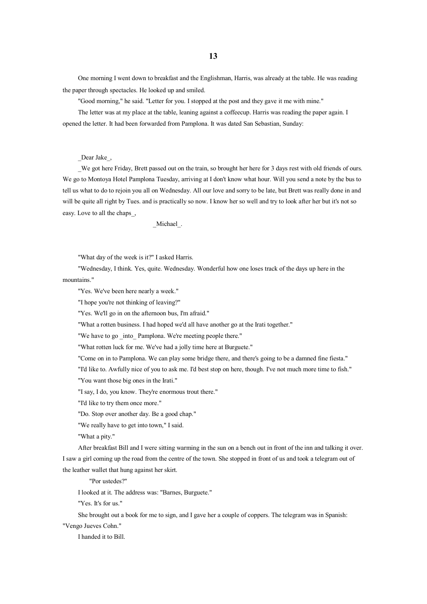**13**

One morning I went down to breakfast and the Englishman, Harris, was already at the table. He was reading the paper through spectacles. He looked up and smiled.

"Good morning," he said. "Letter for you. I stopped at the pos<sup>t</sup> and they gave it me with mine."

The letter was at my place at the table, leaning against <sup>a</sup> coffeecup. Harris was reading the paper again. I opened the letter. It had been forwarded from Pamplona. It was dated San Sebastian, Sunday:

\_Dear Jake\_,

We got here Friday, Brett passed out on the train, so brought her here for 3 days rest with old friends of ours. We go to Montoya Hotel Pamplona Tuesday, arriving at I don't know what hour. Will you send <sup>a</sup> note by the bus to tell us what to do to rejoin you all on Wednesday. All our love and sorry to be late, but Brett was really done in and will be quite all right by Tues. and is practically so now. I know her so well and try to look after her but it's not so easy. Love to all the chaps\_,

\_Michael\_.

"What day of the week is it?" I asked Harris.

"Wednesday, I think. Yes, quite. Wednesday. Wonderful how one loses track of the days up here in the mountains."

"Yes. We've been here nearly <sup>a</sup> week."

"I hope you're not thinking of leaving?"

"Yes. We'll go in on the afternoon bus, I'm afraid."

"What <sup>a</sup> rotten business. I had hoped we'd all have another go at the Irati together."

"We have to go into Pamplona. We're meeting people there."

"What rotten luck for me. We've had <sup>a</sup> jolly time here at Burguete."

"Come on in to Pamplona. We can play some bridge there, and there's going to be <sup>a</sup> damned fine fiesta."

"I'd like to. Awfully nice of you to ask me. I'd best stop on here, though. I've not much more time to fish."

"You want those big ones in the Irati."

"I say, I do, you know. They're enormous trout there."

"I'd like to try them once more."

"Do. Stop over another day. Be <sup>a</sup> good chap."

"We really have to ge<sup>t</sup> into town," I said.

"What <sup>a</sup> pity."

After breakfast Bill and I were sitting warming in the sun on <sup>a</sup> bench out in front of the inn and talking it over. I saw <sup>a</sup> girl coming up the road from the centre of the town. She stopped in front of us and took <sup>a</sup> telegram out of the leather wallet that hung against her skirt.

"Por ustedes?"

I looked at it. The address was: "Barnes, Burguete."

"Yes. It's for us."

She brought out <sup>a</sup> book for me to sign, and I gave her <sup>a</sup> couple of coppers. The telegram was in Spanish:

"Vengo Jueves Cohn."

I handed it to Bill.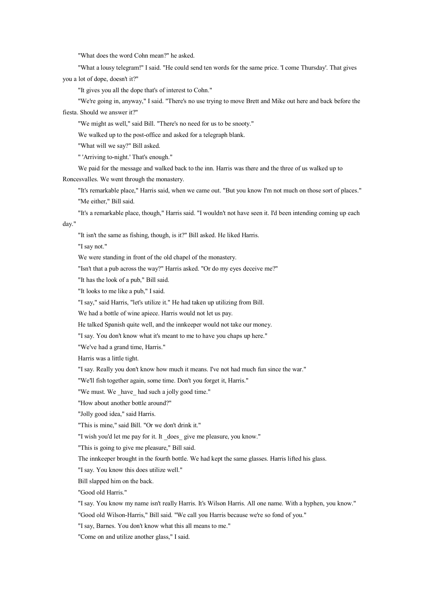"What does the word Cohn mean?" he asked.

"What <sup>a</sup> lousy telegram!" I said. "He could send ten words for the same price. 'I come Thursday'. That gives you <sup>a</sup> lot of dope, doesn't it?"

"It gives you all the dope that's of interest to Cohn."

"We're going in, anyway," I said. "There's no use trying to move Brett and Mike out here and back before the fiesta. Should we answer it?"

"We might as well," said Bill. "There's no need for us to be snooty."

We walked up to the post-office and asked for <sup>a</sup> telegraph blank.

"What will we say?" Bill asked.

" 'Arriving to-night.' That's enough."

We paid for the message and walked back to the inn. Harris was there and the three of us walked up to

Roncesvalles. We went through the monastery.

"It's remarkable place," Harris said, when we came out. "But you know I'm not much on those sort of places." "Me either," Bill said.

"It's <sup>a</sup> remarkable place, though," Harris said. "I wouldn't not have seen it. I'd been intending coming up each day."

"It isn't the same as fishing, though, is it?" Bill asked. He liked Harris.

"I say not."

We were standing in front of the old chapel of the monastery.

"Isn't that <sup>a</sup> pub across the way?" Harris asked. "Or do my eyes deceive me?"

"It has the look of <sup>a</sup> pub," Bill said.

"It looks to me like <sup>a</sup> pub," I said.

"I say," said Harris, "let's utilize it." He had taken up utilizing from Bill.

We had <sup>a</sup> bottle of wine apiece. Harris would not let us pay.

He talked Spanish quite well, and the innkeeper would not take our money.

"I say. You don't know what it's meant to me to have you chaps up here."

"We've had <sup>a</sup> grand time, Harris."

Harris was <sup>a</sup> little tight.

"I say. Really you don't know how much it means. I've not had much fun since the war."

"We'll fish together again, some time. Don't you forget it, Harris."

"We must. We have had such a jolly good time."

"How about another bottle around?"

"Jolly good idea," said Harris.

"This is mine," said Bill. "Or we don't drink it."

"I wish you'd let me pay for it. It \_does\_ give me pleasure, you know."

"This is going to give me pleasure," Bill said.

The innkeeper brought in the fourth bottle. We had kept the same glasses. Harris lifted his glass.

"I say. You know this does utilize well."

Bill slapped him on the back.

"Good old Harris."

"I say. You know my name isn't really Harris. It's Wilson Harris. All one name. With <sup>a</sup> hyphen, you know."

"Good old Wilson-Harris," Bill said. "We call you Harris because we're so fond of you."

"I say, Barnes. You don't know what this all means to me."

"Come on and utilize another glass," I said.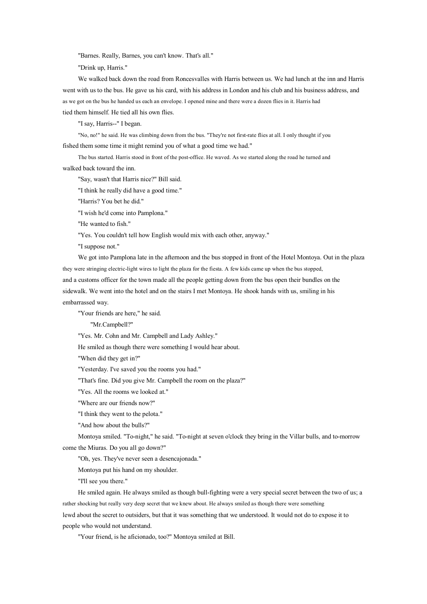"Barnes. Really, Barnes, you can't know. That's all."

"Drink up, Harris."

We walked back down the road from Roncesvalles with Harris between us. We had lunch at the inn and Harris went with us to the bus. He gave us his card, with his address in London and his club and his business address, and as we go<sup>t</sup> on the bus he handed us each an envelope. I opened mine and there were <sup>a</sup> dozen flies in it. Harris had tied them himself. He tied all his own flies.

"I say, Harris--" I began.

"No, no!" he said. He was climbing down from the bus. "They're not first-rate flies at all. I only thought if you fished them some time it might remind you of what <sup>a</sup> good time we had."

The bus started. Harris stood in front of the post-office. He waved. As we started along the road he turned and walked back toward the inn.

"Say, wasn't that Harris nice?" Bill said.

"I think he really did have <sup>a</sup> good time."

"Harris? You bet he did."

"I wish he'd come into Pamplona."

"He wanted to fish."

"Yes. You couldn't tell how English would mix with each other, anyway."

"I suppose not."

We go<sup>t</sup> into Pamplona late in the afternoon and the bus stopped in front of the Hotel Montoya. Out in the plaza they were stringing electric-light wires to light the plaza for the fiesta. A few kids came up when the bus stopped, and <sup>a</sup> customs officer for the town made all the people getting down from the bus open their bundles on the sidewalk. We went into the hotel and on the stairs I met Montoya. He shook hands with us, smiling in his embarrassed way.

"Your friends are here," he said.

"Mr.Campbell?"

"Yes. Mr. Cohn and Mr. Campbell and Lady Ashley."

He smiled as though there were something I would hear about.

"When did they ge<sup>t</sup> in?"

"Yesterday. I've saved you the rooms you had."

"That's fine. Did you give Mr. Campbell the room on the plaza?"

"Yes. All the rooms we looked at."

"Where are our friends now?"

"I think they went to the pelota."

"And how about the bulls?"

Montoya smiled. "To-night," he said. "To-night at seven <sup>o</sup>'clock they bring in the Villar bulls, and to-morrow come the Miuras. Do you all go down?"

"Oh, yes. They've never seen <sup>a</sup> desencajonada."

Montoya pu<sup>t</sup> his hand on my shoulder.

"I'll see you there."

He smiled again. He always smiled as though bull-fighting were <sup>a</sup> very special secret between the two of us; <sup>a</sup> rather shocking but really very deep secret that we knew about. He always smiled as though there were something lewd about the secret to outsiders, but that it was something that we understood. It would not do to expose it to people who would not understand.

"Your friend, is he aficionado, too?" Montoya smiled at Bill.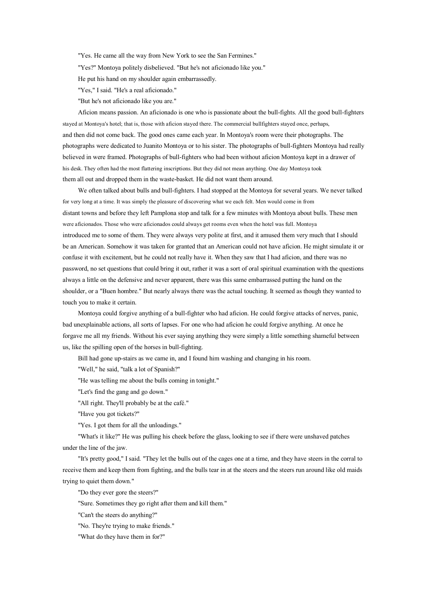"Yes. He came all the way from New York to see the San Fermines."

"Yes?" Montoya politely disbelieved. "But he's not aficionado like you."

He put his hand on my shoulder again embarrassedly.

"Yes," I said. "He's <sup>a</sup> real aficionado."

"But he's not aficionado like you are."

Aficion means passion. An aficionado is one who is passionate about the bull-fights. All the good bull-fighters stayed at Montoya's hotel; that is, those with aficion stayed there. The commercial bullfighters stayed once, perhaps, and then did not come back. The good ones came each year. In Montoya's room were their photographs. The photographs were dedicated to Juanito Montoya or to his sister. The photographs of bull-fighters Montoya had really believed in were framed. Photographs of bull-fighters who had been without aficion Montoya kept in <sup>a</sup> drawer of his desk. They often had the most flattering inscriptions. But they did not mean anything. One day Montoya took them all out and dropped them in the waste-basket. He did not want them around.

We often talked about bulls and bull-fighters. I had stopped at the Montoya for several years. We never talked for very long at <sup>a</sup> time. It was simply the pleasure of discovering what we each felt. Men would come in from distant towns and before they left Pamplona stop and talk for <sup>a</sup> few minutes with Montoya about bulls. These men were aficionados. Those who were aficionados could always ge<sup>t</sup> rooms even when the hotel was full. Montoya introduced me to some of them. They were always very polite at first, and it amused them very much that I should be an American. Somehow it was taken for granted that an American could not have aficion. He might simulate it or confuse it with excitement, but he could not really have it. When they saw that I had aficion, and there was no password, noset questions that could bring it out, rather it was <sup>a</sup> sort of oral spiritual examination with the questions always <sup>a</sup> little on the defensive and never apparent, there was this same embarrassed putting the hand on the shoulder, or <sup>a</sup> "Buen hombre." But nearly always there was the actual touching. It seemed as though they wanted to touch you to make it certain.

Montoya could forgive anything of <sup>a</sup> bull-fighter who had aficion. He could forgive attacks of nerves, panic, bad unexplainable actions, all sorts of lapses. For one who had aficion he could forgive anything. At once he forgave me all my friends. Without his ever saying anything they were simply <sup>a</sup> little something shameful between us, like the spilling open of the horses in bull-fighting.

Bill had gone up-stairs as we came in, and I found him washing and changing in his room.

"Well," he said, "talk <sup>a</sup> lot of Spanish?"

"He was telling me about the bulls coming in tonight."

"Let's find the gang and go down."

"All right. They'll probably be at the café."

"Have you go<sup>t</sup> tickets?"

"Yes. I go<sup>t</sup> them for all the unloadings."

"What's it like?" He was pulling his cheek before the glass, looking to see if there were unshaved patches under the line of the jaw.

"It's pretty good," I said. "They let the bulls out of the cages one at <sup>a</sup> time, and they have steers in the corral to receive them and keep them from fighting, and the bulls tear in at the steers and the steers run around like old maids trying to quiet them down."

"Do they ever gore the steers?"

"Sure. Sometimes they go right after them and kill them."

"Can't the steers do anything?"

"No. They're trying to make friends."

"What do they have them in for?"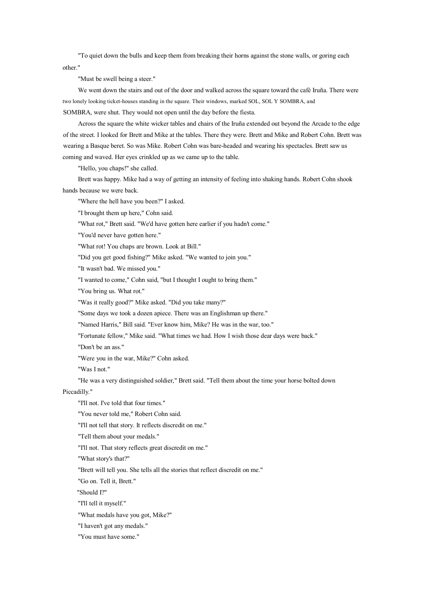"To quiet down the bulls and keep them from breaking their horns against the stone walls, or goring each other."

"Must be swell being <sup>a</sup> steer."

We went down the stairs and out of the door and walked across the square toward the café Iruña. There were two lonely looking ticket-houses standing in the square. Their windows, marked SOL, SOL Y SOMBRA, and SOMBRA, were shut. They would not open until the day before the fiesta.

Across the square the white wicker tables and chairs of the Iruña extended out beyond the Arcade to the edge of the street. I looked for Brett and Mike at the tables. There they were. Brett and Mike and Robert Cohn. Brett was wearing <sup>a</sup> Basque beret. Sowas Mike. Robert Cohn was bare-headed and wearing his spectacles. Brett saw us coming and waved. Her eyes crinkled up as we came up to the table.

"Hello, you chaps!" she called.

Brett was happy. Mike had <sup>a</sup> way of getting an intensity of feeling into shaking hands. Robert Cohn shook hands because we were back.

"Where the hell have you been?" I asked.

"I brought them up here," Cohn said.

"What rot," Brett said. "We'd have gotten here earlier if you hadn't come."

"You'd never have gotten here."

"What rot! You chaps are brown. Look at Bill."

"Did you ge<sup>t</sup> good fishing?" Mike asked. "We wanted to join you."

"It wasn't bad. We missed you."

"I wanted to come," Cohn said, "but I thought I ought tobring them."

"You bring us. What rot."

"Was it really good?" Mike asked. "Did you take many?"

"Some days we took <sup>a</sup> dozen apiece. There was an Englishman up there."

"Named Harris," Bill said. "Ever know him, Mike? He was in the war, too."

"Fortunate fellow," Mike said. "What times we had. How I wish those dear days were back."

"Don't be an ass."

"Were you in the war, Mike?" Cohn asked.

"Was I not."

"He was <sup>a</sup> very distinguished soldier," Brett said. "Tell them about the time your horse bolted down Piccadilly."

"I'll not. I've told that four times."

"You never told me," Robert Cohn said.

"I'll not tell that story. It reflects discredit on me."

"Tell them about your medals."

"I'll not. That story reflects grea<sup>t</sup> discredit on me."

"What story's that?"

"Brett will tell you. She tells all the stories that reflect discredit on me."

"Go on. Tell it, Brett."

"Should I?"

"I'll tell it myself."

"What medals have you got, Mike?"

"I haven't go<sup>t</sup> any medals."

"You must have some."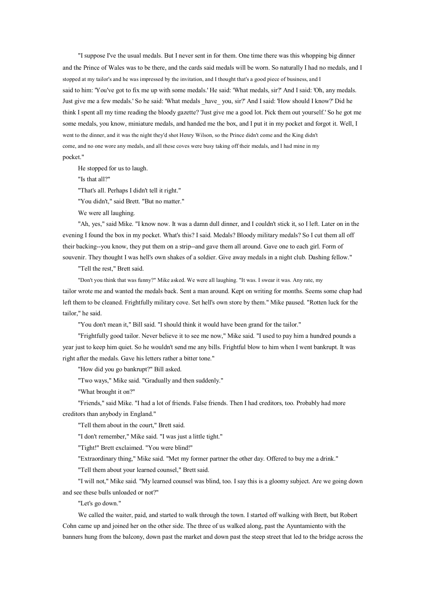"I suppose I've the usual medals. But I never sent in for them. One time there was this whopping big dinner and the Prince of Wales was to be there, and the cards said medals will be worn. Sonaturally I had no medals, and I stopped at my tailor's and he was impressed by the invitation, and I thought that's <sup>a</sup> good piece of business, and I said to him: 'You've got to fix me up with some medals.' He said: 'What medals, sir?' And I said: 'Oh, any medals. Just give me <sup>a</sup> few medals.' So he said: 'What medals \_have\_ you, sir?' And I said: 'Howshould I know?' Did he think I spent all my time reading the bloody gazette? 'Just give me <sup>a</sup> good lot. Pick them out yourself.' So he go<sup>t</sup> me some medals, you know, miniature medals, and handed me the box, and I pu<sup>t</sup> it in my pocket and forgot it. Well, I went to the dinner, and it was the night they'd shot Henry Wilson, so the Prince didn't come and the King didn't come, and no one wore any medals, and all these coves were busy taking off their medals, and I had mine in my pocket."

He stopped for us to laugh.

"Is that all?"

"That's all. Perhaps I didn't tell it right."

"You didn't," said Brett. "But no matter."

We were all laughing.

"Ah, yes," said Mike. "I know now. It was <sup>a</sup> damn dull dinner, and I couldn't stick it, so I left. Later on in the evening I found the box in my pocket. What's this? I said. Medals? Bloody military medals? So I cut them all off their backing--you know, they pu<sup>t</sup> them on <sup>a</sup> strip--and gave them all around. Gave one to each girl. Form of souvenir. They thought I was hell's own shakes of <sup>a</sup> soldier. Give away medals in <sup>a</sup> night club. Dashing fellow."

"Tell the rest," Brett said.

"Don't you think that was funny?" Mike asked. We were all laughing. "It was. I swear it was. Any rate, my tailor wrote me and wanted the medals back. Sent <sup>a</sup> man around. Kept on writing for months. Seems some chap had left them to be cleaned. Frightfully military cove. Set hell's own store by them." Mike paused. "Rotten luck for the tailor," he said.

"You don't mean it," Bill said. "I should think it would have been grand for the tailor."

"Frightfully good tailor. Never believe it to see me now," Mike said. "I used to pay him <sup>a</sup> hundred pounds <sup>a</sup> year just to keep him quiet. So he wouldn't send me any bills. Frightful blow to him when I went bankrupt. It was right after the medals. Gave his letters rather <sup>a</sup> bitter tone."

"How did you go bankrupt?" Bill asked.

"Two ways," Mike said. "Gradually and then suddenly."

"What brought it on?"

"Friends," said Mike. "I had <sup>a</sup> lot of friends. False friends. Then I had creditors, too. Probably had more creditors than anybody in England."

"Tell them about in the court," Brett said.

"I don't remember," Mike said. "I was just <sup>a</sup> little tight."

"Tight!" Brett exclaimed. "You were blind!"

"Extraordinary thing," Mike said. "Met my former partner the other day. Offered to buy me <sup>a</sup> drink."

"Tell them about your learned counsel," Brett said.

"I will not," Mike said. "My learned counsel was blind, too. I say this is <sup>a</sup> gloomy subject. Are we going down and see these bulls unloaded or not?"

"Let's go down."

We called the waiter, paid, and started to walk through the town. I started off walking with Brett, but Robert Cohn came up and joined her on the other side. The three of us walked along, pas<sup>t</sup> the Ayuntamiento with the banners hung from the balcony, down pas<sup>t</sup> the market and down pas<sup>t</sup> the steep street that led to the bridge across the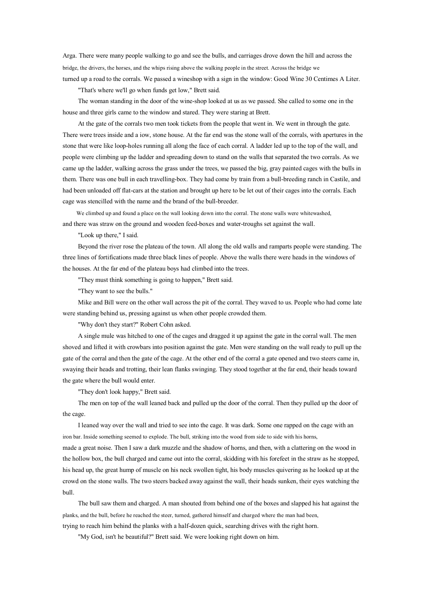Arga. There were many people walking to go and see the bulls, and carriages drove down the hill and across the bridge, the drivers, the horses, and the whips rising above the walking people in the street. Across the bridge we turned up <sup>a</sup> road to the corrals. We passed <sup>a</sup> wineshop with <sup>a</sup> sign in the window: Good Wine 30 Centimes A Liter.

"That's where we'll go when funds ge<sup>t</sup> low," Brett said.

The woman standing in the door of the wine-shop looked at us as we passed. She called to some one in the house and three girls came to the window and stared. They were staring at Brett.

At the gate of the corrals two men took tickets from the people that went in. We went in through the gate. There were trees inside and <sup>a</sup> iow, stone house. At the far end was the stone wall of the corrals, with apertures in the stone that were like loop-holes running all along the face of each corral. A ladder led up to the top of the wall, and people were climbing up the ladder and spreading down to stand on the walls that separated the two corrals. As we came up the ladder, walking across the grass under the trees, we passed the big, gray painted cages with the bulls in them. There was one bull in each travelling-box. They had come by train from <sup>a</sup> bull-breeding ranch in Castile, and had been unloaded off flat-cars at the station and brought up here to be let out of their cages into the corrals. Each cage was stencilled with the name and the brand of the bull-breeder.

We climbed up and found <sup>a</sup> place on the wall looking down into the corral. The stone walls were whitewashed, and there was straw on the ground and wooden feed-boxes and water-troughs set against the wall.

"Look up there," I said.

Beyond the river rose the plateau of the town. All along the old walls and ramparts people were standing. The three lines of fortifications made three black lines of people. Above the walls there were heads in the windows of the houses. At the far end of the plateau boys had climbed into the trees.

"They must think something is going to happen," Brett said.

"They want to see the bulls."

Mike and Bill were on the other wall across the pit of the corral. They waved to us. People who had come late were standing behind us, pressing against us when other people crowded them.

"Why don't they start?" Robert Cohn asked.

A single mule was hitched to one of the cages and dragged it up against the gate in the corral wall. The men shoved and lifted it with crowbars into position against the gate. Men were standing on the wall ready to pull up the gate of the corral and then the gate of the cage. At the other end of the corral <sup>a</sup> gate opened and two steers came in, swaying their heads and trotting, their lean flanks swinging. They stood together at the far end, their heads toward the gate where the bull would enter.

"They don't look happy," Brett said.

The men on top of the wall leaned back and pulled up the door of the corral. Then they pulled up the door of the cage.

I leaned way over the wall and tried to see into the cage. It was dark. Some one rapped on the cage with an iron bar. Inside something seemed to explode. The bull, striking into the wood from side to side with his horns,

made <sup>a</sup> grea<sup>t</sup> noise. Then I saw <sup>a</sup> dark muzzle and the shadow of horns, and then, with <sup>a</sup> clattering on the wood in the hollow box, the bull charged and came out into the corral, skidding with his forefeet in the straw as he stopped, his head up, the grea<sup>t</sup> hump of muscle on his neck swollen tight, his body muscles quivering as he looked up at the crowd on the stone walls. The two steers backed away against the wall, their heads sunken, their eyes watching the bull.

The bull saw them and charged. A man shouted from behind one of the boxes and slapped his hat against the planks, and the bull, before he reached the steer, turned, gathered himself and charged where the man had been,

trying to reach him behind the planks with <sup>a</sup> half-dozen quick, searching drives with the right horn.

"My God, isn't he beautiful?" Brett said. We were looking right down on him.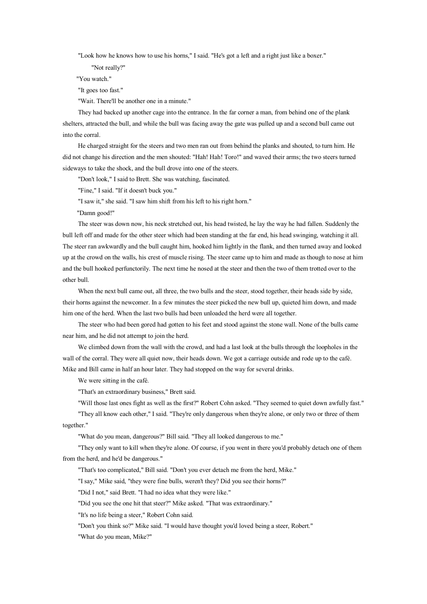"Look how he knows how to use his horns," I said. "He's go<sup>t</sup> <sup>a</sup> left and <sup>a</sup> right just like <sup>a</sup> boxer."

"Not really?"

"You watch."

"It goes too fast."

"Wait. There'll be another one in <sup>a</sup> minute."

They had backed up another cage into the entrance. In the far corner <sup>a</sup> man, from behind one of the plank shelters, attracted the bull, and while the bull was facing away the gate was pulled up and <sup>a</sup> second bull came out into the corral.

He charged straight for the steers and two men ran out from behind the planks and shouted, to turn him. He did not change his direction and the men shouted: "Hah! Hah! Toro!" and waved their arms; the two steers turned sideways to take the shock, and the bull drove into one of the steers.

"Don't look," I said to Brett. She was watching, fascinated.

"Fine," I said. "If it doesn't buck you."

"I saw it," she said. "I saw him shift from his left to his right horn."

"Damn good!"

The steer was down now, his neck stretched out, his head twisted, he lay the way he had fallen. Suddenly the bull left off and made for the other steer which had been standing at the far end, his head swinging, watching it all. The steer ran awkwardly and the bull caught him, hooked him lightly in the flank, and then turned away and looked up at the crowd on the walls, his crest of muscle rising. The steer came up to him and made as though to nose at him and the bull hooked perfunctorily. The next time he nosed at the steer and then the two of them trotted over to the other bull.

When the next bull came out, all three, the two bulls and the steer, stood together, their heads side by side, their horns against the newcomer. In <sup>a</sup> few minutes the steer picked the new bull up, quieted him down, and made him one of the herd. When the last two bulls had been unloaded the herd were all together.

The steer who had been gored had gotten to his feet and stood against the stone wall. None of the bulls came near him, and he did not attempt to join the herd.

We climbed down from the wall with the crowd, and had <sup>a</sup> last look at the bulls through the loopholes in the wall of the corral. They were all quiet now, their heads down. We got a carriage outside and rode up to the café. Mike and Bill came in half an hour later. They had stopped on the way for several drinks.

We were sitting in the café.

"That's an extraordinary business," Brett said.

"Will those last ones fight as well as the first?" Robert Cohn asked. "They seemed to quiet down awfully fast."

"They all know each other," I said. "They're only dangerous when they're alone, or only two or three of them together."

"What do you mean, dangerous?" Bill said. "They all looked dangerous to me."

"They only want to kill when they're alone. Of course, if you went in there you'd probably detach one of them from the herd, and he'd be dangerous."

"That's too complicated," Bill said. "Don't you ever detach me from the herd, Mike."

"I say," Mike said, "they were fine bulls, weren't they? Did you see their horns?"

"Did I not," said Brett. "I had no idea what they were like."

"Did you see the one hit that steer?" Mike asked. "That was extraordinary."

"It's no life being <sup>a</sup> steer," Robert Cohn said.

"Don't you think so?" Mike said. "I would have thought you'd loved being <sup>a</sup> steer, Robert."

"What do you mean, Mike?"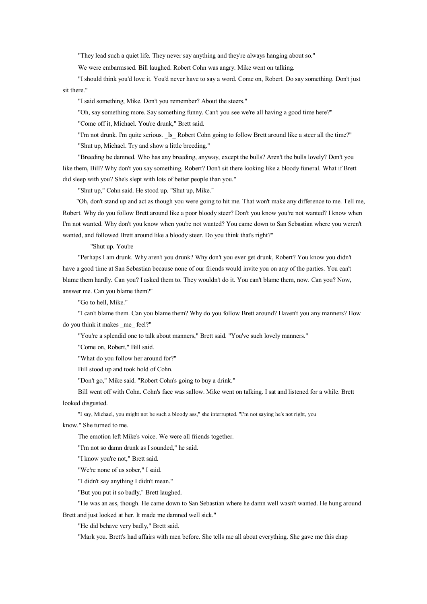"They lead such <sup>a</sup> quiet life. They never say anything and they're always hanging about so."

We were embarrassed. Bill laughed. Robert Cohn was angry. Mike went on talking.

"I should think you'd love it. You'd never have to say <sup>a</sup> word. Come on, Robert. Do say something. Don't just sit there."

"I said something, Mike. Don't you remember? About the steers."

"Oh, say something more. Say something funny. Can't you see we're all having <sup>a</sup> good time here?"

"Come off it, Michael. You're drunk," Brett said.

"I'm not drunk. I'm quite serious. Is Robert Cohn going to follow Brett around like a steer all the time?" "Shut up, Michael. Try and show <sup>a</sup> little breeding."

"Breeding be damned. Who has any breeding, anyway, excep<sup>t</sup> the bulls? Aren't the bulls lovely? Don't you like them, Bill? Why don't you say something, Robert? Don't sit there looking like <sup>a</sup> bloody funeral. What if Brett did sleep with you? She's slept with lots of better people than you."

"Shut up," Cohn said. He stood up. "Shut up, Mike."

"Oh, don't stand up and act as though you were going to hit me. That won't make any difference to me. Tell me, Robert. Why do you follow Brett around like a poor bloody steer? Don't you know you're not wanted? I know when I'm not wanted. Why don't you know when you're not wanted? You came down to San Sebastian where you weren't wanted, and followed Brett around like <sup>a</sup> bloody steer. Do you think that's right?"

"Shut up. You're

"Perhaps I amdrunk. Why aren't you drunk? Why don't you ever ge<sup>t</sup> drunk, Robert? You know you didn't have <sup>a</sup> good time at San Sebastian because none of our friends would invite you on any of the parties. You can't blame them hardly. Can you? I asked them to. They wouldn't do it. You can't blame them, now. Can you? Now, answer me. Can you blame them?"

"Go to hell, Mike."

"I can't blame them. Can you blame them? Why do you follow Brett around? Haven't you any manners? How do you think it makes \_me\_ feel?"

"You're <sup>a</sup> splendid one to talk about manners," Brett said. "You've such lovely manners."

"Come on, Robert," Bill said.

"What do you follow her around for?"

Bill stood up and took hold of Cohn.

"Don't go," Mike said. "Robert Cohn's going to buy <sup>a</sup> drink."

Bill went off with Cohn. Cohn's face was sallow. Mike went on talking. I sat and listened for <sup>a</sup> while. Brett looked disgusted.

"I say, Michael, you might not be such <sup>a</sup> bloody ass," she interrupted. "I'm not saying he's not right, you

know." She turned to me.

The emotion left Mike's voice. We were all friends together.

"I'm not sodamn drunk as I sounded," he said.

"I know you're not," Brett said.

"We're none of us sober," I said.

"I didn't say anything I didn't mean."

"But you pu<sup>t</sup> it sobadly," Brett laughed.

"He was an ass, though. He came down to San Sebastian where he damn well wasn't wanted. He hung around Brett and just looked at her. It made me damned well sick."

"He did behave very badly," Brett said.

"Mark you. Brett's had affairs with men before. She tells me all about everything. She gave me this chap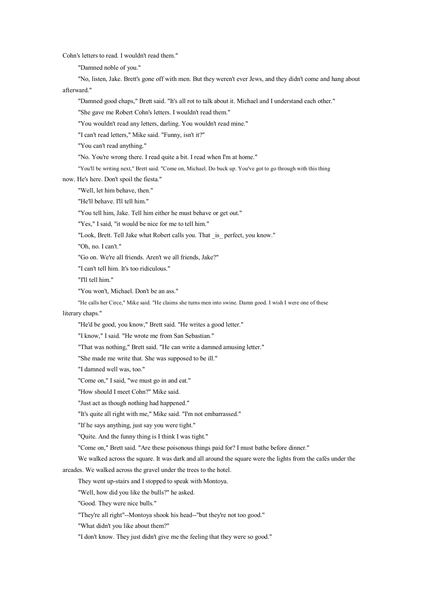Cohn's letters to read. I wouldn't read them."

"Damned noble of you."

"No, listen, Jake. Brett's gone off with men. But they weren't ever Jews, and they didn't come and hang about afterward."

"Damned good chaps," Brett said. "It's all rot to talk about it. Michael and I understand each other."

"She gave me Robert Cohn's letters. I wouldn't read them."

"You wouldn't read any letters, darling. You wouldn't read mine."

"I can't read letters," Mike said. "Funny, isn't it?"

"You can't read anything."

"No. You're wrong there. I read quite a bit. I read when I'm at home."

"You'll be writing next," Brett said. "Come on, Michael. Do buck up. You've go<sup>t</sup> to go through with this thing

now. He's here. Don't spoil the fiesta."

"Well, let him behave, then."

"He'll behave. I'll tell him."

"You tell him, Jake. Tell him either he must behave or ge<sup>t</sup> out."

"Yes," I said, "it would be nice for me to tell him."

"Look, Brett. Tell Jake what Robert calls you. That is perfect, you know."

"Oh, no. I can't."

"Go on. We're all friends. Aren't we all friends, Jake?"

"I can't tell him. It's too ridiculous."

"I'll tell him."

"You won't, Michael. Don't be an ass."

"He calls her Circe," Mike said. "He claims she turns men into swine. Damn good. I wish I were one of these

## literary chaps."

"He'd be good, you know," Brett said. "He writes a good letter."

"I know," I said. "He wrote me from San Sebastian."

"That was nothing," Brett said. "He can write <sup>a</sup> damned amusing letter."

"She made me write that. She was supposed to be ill."

"I damned well was, too."

"Come on," I said, "we must go in and eat."

"How should I meet Cohn?" Mike said.

"Just act as though nothing had happened."

"It's quite all right with me," Mike said. "I'm not embarrassed."

"If he says anything, just say you were tight."

"Quite. And the funny thing is I think I was tight."

"Come on," Brett said. "Are these poisonous things paid for? I must bathe before dinner."

We walked across the square. It was dark and all around the square were the lights from the cafés under the

arcades. We walked across the gravel under the trees to the hotel.

They went up-stairs and I stopped to speak with Montoya.

"Well, how did you like the bulls?" he asked.

"Good. They were nice bulls."

"They're all right"--Montoya shook his head--"but they're not too good."

"What didn't you like about them?"

"I don't know. They just didn't give me the feeling that they were so good."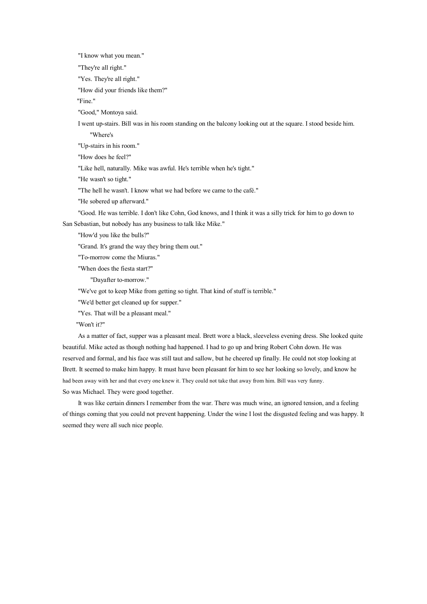"I know what you mean."

"They're all right."

"Yes. They're all right."

"How did your friends like them?"

"Fine."

"Good," Montoya said.

I went up-stairs. Bill was in his room standing on the balcony looking out at the square. I stood beside him.

"Where's

"Up-stairs in his room."

"How does he feel?"

"Like hell, naturally. Mike was awful. He's terrible when he's tight."

"He wasn't so tight."

"The hell he wasn't. I know what we had before we came to the café."

"He sobered up afterward."

"Good. He was terrible. I don't like Cohn, God knows, and I think it was <sup>a</sup> silly trick for him to go down to San Sebastian, but nobody has any business to talk like Mike."

"How'd you like the bulls?"

"Grand. It's grand the way they bring them out."

"To-morrow come the Miuras."

"When does the fiesta start?"

"Dayafter to-morrow."

"We've got to keep Mike from getting so tight. That kind of stuff is terrible."

"We'd better ge<sup>t</sup> cleaned up for supper."

"Yes. That will be <sup>a</sup> pleasant meal."

"Won't it?"

As <sup>a</sup> matter of fact, supper was <sup>a</sup> pleasant meal. Brett wore <sup>a</sup> black, sleeveless evening dress. She looked quite beautiful. Mike acted as though nothing had happened. I had to go up and bring Robert Cohn down. He was reserved and formal, and his face was still taut and sallow, but he cheered up finally. He could not stop looking at Brett. It seemed to make himhappy. It must have been pleasant for him to see her looking so lovely, and know he had been away with her and that every one knew it. They could not take that away from him. Bill was very funny. So was Michael. They were good together.

It was like certain dinners I remember from the war. There was much wine, anignored tension, and <sup>a</sup> feeling of things coming that you could not prevent happening. Under the wine I lost the disgusted feeling and was happy. It seemed they were all such nice people.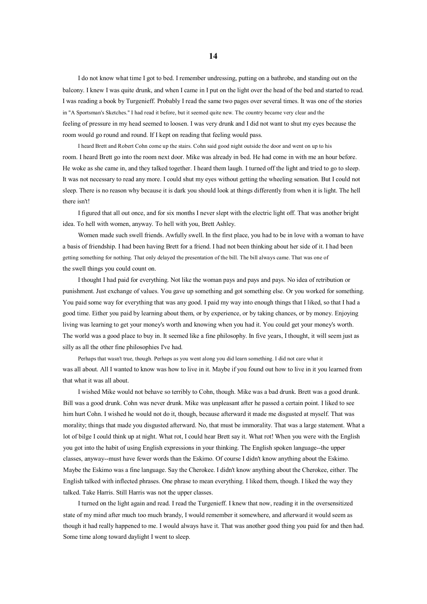I do not know what time I go<sup>t</sup> to bed. I remember undressing, putting on <sup>a</sup> bathrobe, and standing out on the balcony. I knew I was quite drunk, and when I came in I pu<sup>t</sup> on the light over the head of the bed and started to read. I was reading <sup>a</sup> book by Turgenieff. Probably I read the same two pages over several times. It was one of the stories in "A Sportsman's Sketches." I had read it before, but it seemed quite new. The country became very clear and the feeling of pressure in my head seemed to loosen. I was very drunk and I did not want to shut my eyes because the room would go round and round. If I kept on reading that feeling would pass.

I heard Brett and Robert Cohn come up the stairs. Cohn said good night outside the door and went onup to his room. I heard Brett go into the room next door. Mike was already in bed. He had come in with me an hour before. He woke as she came in, and they talked together. I heard them laugh. I turned off the light and tried to go to sleep. It was not necessary to read any more. I could shut my eyes without getting the wheeling sensation. But I could not sleep. There is no reason why because it is dark you should look at things differently from when it is light. The hell there isn't!

I figured that all out once, and for six months I never slept with the electric light off. That was another bright idea. To hell with women, anyway. To hell with you, Brett Ashley.

Women made such swell friends. Awfully swell. In the first place, you had to be in love with <sup>a</sup> woman to have <sup>a</sup> basis of friendship. I had been having Brett for <sup>a</sup> friend. I had not been thinking about her side of it. I had been getting something for nothing. That only delayed the presentation of the bill. The bill always came. That was one of the swell things you could count on.

I thought I had paid for everything. Not like the woman pays and pays and pays. No idea of retribution or punishment. Just exchange of values. You gave up something and go<sup>t</sup> something else. Or you worked for something. You paid some way for everything that was any good. I paid my way into enough things that I liked, so that I had <sup>a</sup> good time. Either you paid by learning about them, or by experience, or by taking chances, or by money. Enjoying living was learning to ge<sup>t</sup> your money's worth and knowing when you had it. You could ge<sup>t</sup> your money's worth. The world was <sup>a</sup> good place to buy in. It seemed like <sup>a</sup> fine philosophy. In five years, I thought, it will seem just as silly as all the other fine philosophies I've had.

Perhaps that wasn't true, though. Perhaps as you went along you did learn something. I did not care what it was all about. All I wanted to know was how to live in it. Maybe if you found out how to live in it you learned from that what it was all about.

I wished Mike would not behave so terribly to Cohn, though. Mike was <sup>a</sup> bad drunk. Brett was <sup>a</sup> good drunk. Bill was <sup>a</sup> good drunk. Cohn was never drunk. Mike was unpleasant after he passed <sup>a</sup> certain point. I liked to see him hurt Cohn. I wished he would not do it, though, because afterward it made me disgusted at myself. That was morality; things that made you disgusted afterward. No, that must be immorality. That was <sup>a</sup> large statement. What <sup>a</sup> lot of bilge I could think up at night. What rot, I could hear Brett say it. What rot! When you were with the English you go<sup>t</sup> into the habit of using English expressions in your thinking. The English spoken language--the upper classes, anyway--mus<sup>t</sup> have fewer words than the Eskimo. Of course I didn't know anything about the Eskimo. Maybe the Eskimo was <sup>a</sup> fine language. Say the Cherokee. I didn't know anything about the Cherokee, either. The English talked with inflected phrases. One phrase to mean everything. I liked them, though. I liked the way they talked. Take Harris. Still Harris was not the upper classes.

I turned on the light again and read. I read the Turgenieff. I knew that now, reading it in the oversensitized state of my mind after much too much brandy, I would remember it somewhere, and afterward it would seem as though it had really happened to me. I would always have it. That was another good thing you paid for and then had. Some time along toward daylight I went to sleep.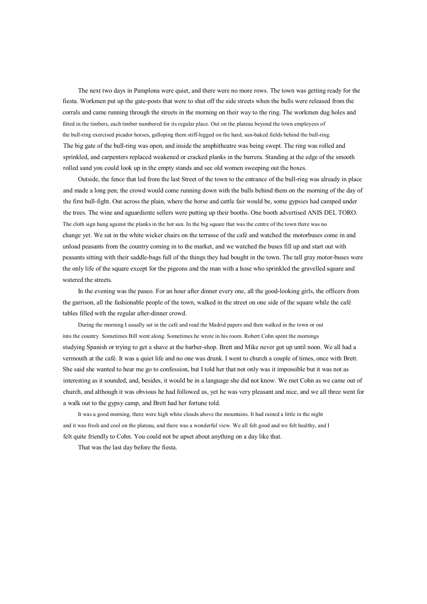The next two days in Pamplona were quiet, and there were no more rows. The town was getting ready for the fiesta. Workmen put up the gate-posts that were to shut off the side streets when the bulls were released from the corrals and came running through the streets in the morning on their way to the ring. The workmen dug holes and fitted in the timbers, each timber numbered for its regular place. Out on the plateau beyond the town employees of the bull-ring exercised picador horses, galloping them stiff-legged on the hard, sun-baked fields behind the bull-ring. The big gate of the bull-ring was open, and inside the amphitheatre was being swept. The ring was rolled and sprinkled, and carpenters replaced weakened or cracked planks in the barrera. Standing at the edge of the smooth rolled sand you could look up in the empty stands and see old women sweeping out the boxes.

Outside, the fence that led from the last Street of the town to the entrance of the bull-ring was already in place and made <sup>a</sup> long pen; the crowd would come running down with the bulls behind them on the morning of the day of the first bull-fight. Out across the plain, where the horse and cattle fair would be, some gypsies had camped under the trees. The wine and aguardiente sellers were putting up their booths. One booth advertised ANIS DEL TORO. The cloth sign hung against the planks in the hot sun. In the big square that was the centre of the town there was no change yet. We sat in the white wicker chairs on the terrasse of the café and watched the motorbuses come in and unload peasants from the country coming in to the market, and we watched the buses fill up and start out with peasants sitting with their saddle-bags full of the things they had bought in the town. The tall gray motor-buses were the only life of the square excep<sup>t</sup> for the pigeons and the man with <sup>a</sup> hose who sprinkled the gravelled square and watered the streets.

In the evening was the paseo. For an hour after dinner every one, all the good-looking girls, the officers from the garrison, all the fashionable people of the town, walked in the street on one side of the square while the café tables filled with the regular after-dinner crowd.

During the morning I usually sat in the café and read the Madrid papers and then walked in the town or out into the country. Sometimes Bill went along. Sometimes he wrote in his room. Robert Cohn spen<sup>t</sup> the mornings studying Spanish or trying to ge<sup>t</sup> <sup>a</sup> shave at the barber-shop. Brett and Mike never go<sup>t</sup> up until noon. We all had <sup>a</sup> vermouth at the café. It was <sup>a</sup> quiet life and no one was drunk. I went to church <sup>a</sup> couple of times, once with Brett. She said she wanted to hear me go to confession, but I told her that not only was it impossible but it was not as interesting as it sounded, and, besides, it would be in <sup>a</sup> language she did not know. We met Cohn as we came out of church, and although it was obvious he had followed us, ye<sup>t</sup> he was very pleasant and nice, and we all three went for <sup>a</sup> walk out to the gypsy camp, and Brett had her fortune told.

It was <sup>a</sup> good morning, there were high white clouds above the mountains. It had rained <sup>a</sup> little in the night and it was fresh and cool on the plateau, and there was <sup>a</sup> wonderful view. We all felt good and we felt healthy, and I felt quite friendly to Cohn. You could not be upse<sup>t</sup> about anything on <sup>a</sup> day like that.

That was the last day before the fiesta.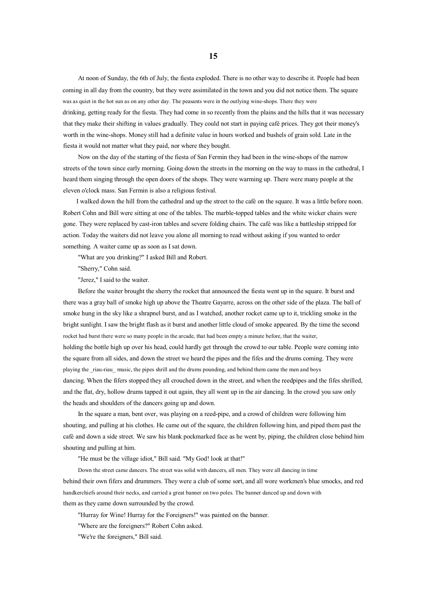At noon of Sunday, the 6th of July, the fiesta exploded. There is no other way to describe it. People had been coming in all day from the country, but they were assimilated in the town and you did not notice them. The square was as quiet in the hot sun as on any other day. The peasants were in the outlying wine-shops. There they were drinking, getting ready for the fiesta. They had come in so recently from the plains and the hills that it was necessary that they make their shifting in values gradually. They could not start in paying café prices. They go<sup>t</sup> their money's worth in the wine-shops. Money still had <sup>a</sup> definite value in hours worked and bushels of grain sold. Late in the fiesta it would not matter what they paid, nor where they bought.

Now on the day of the starting of the fiesta of San Fermin they had been in the wine-shops of the narrow streets of the town since early morning. Going down the streets in the morning on the way to mass in the cathedral, I heard them singing through the open doors of the shops. They were warming up. There were many people at the eleven <sup>o</sup>'clock mass. San Fermin is also <sup>a</sup> religious festival.

I walked down the hill from the cathedral and up the street to the café on the square. It was <sup>a</sup> little before noon. Robert Cohn and Bill were sitting at one of the tables. The marble-topped tables and the white wicker chairs were gone. They were replaced by cast-iron tables and severe folding chairs. The café was like <sup>a</sup> battleship stripped for action. Today the waiters did not leave you alone all morning to read without asking if you wanted to order something. A waiter came up as soon as I sat down.

"What are you drinking?" I asked Bill and Robert.

"Sherry," Cohn said.

"Jerez," I said to the waiter.

Before the waiter brought the sherry the rocket that announced the fiesta went up in the square. It burst and there was <sup>a</sup> gray ball of smoke high up above the Theatre Gayarre, across on the other side of the plaza. The ball of smoke hung in the sky like <sup>a</sup> shrapnel burst, and as I watched, another rocket came up to it, trickling smoke in the bright sunlight. I sawthe bright flash as it burst and another little cloud of smoke appeared. By the time the second rocket had burst there were so many people in the arcade, that had been empty <sup>a</sup> minute before, that the waiter, holding the bottle high up over his head, could hardly ge<sup>t</sup> through the crowd to our table. People were coming into the square from all sides, and down the street we heard the pipes and the fifes and the drums coming. They were playing the \_riau-riau\_ music, the pipes shrill and the drums pounding, and behind them came the men and boys dancing. When the fifers stopped they all crouched down in the street, and when the reedpipes and the fifes shrilled, and the flat, dry, hollow drums tapped it out again, they all went up in the air dancing. In the crowd you saw only the heads and shoulders of the dancers going up and down.

In the square <sup>a</sup> man, bent over, was playing on <sup>a</sup> reed-pipe, and <sup>a</sup> crowd of children were following him shouting, and pulling at his clothes. He came out of the square, the children following him, and piped them pas<sup>t</sup> the café and down <sup>a</sup> side street. We saw his blank pockmarked face as he went by, piping, the children close behind him shouting and pulling at him.

"He must be the village idiot," Bill said. "My God! look at that!"

Down the street came dancers. The street was solid with dancers, all men. They were all dancing in time behind their own fifers and drummers. They were <sup>a</sup> club of some sort, and all wore workmen's blue smocks, and red handkerchiefs around their necks, and carried <sup>a</sup> grea<sup>t</sup> banner on two poles. The banner danced up and down with them as they came down surrounded by the crowd.

"Hurray for Wine! Hurray for the Foreigners!" was painted on the banner.

"Where are the foreigners?" Robert Cohn asked.

"We're the foreigners," Bill said.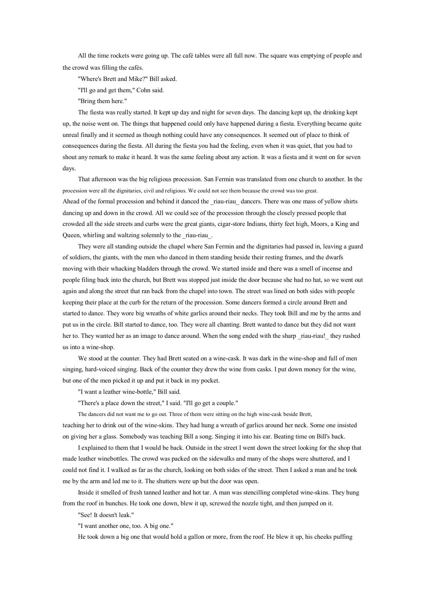All the time rockets were going up. The café tables were all full now. The square was emptying of people and the crowd was filling the cafés.

"Where's Brett and Mike?" Bill asked.

"I'll go and ge<sup>t</sup> them," Cohn said.

"Bring them here."

The fiesta was really started. It kept up day and night for seven days. The dancing kept up, the drinking kept up, the noise went on. The things that happened could only have happened during <sup>a</sup> fiesta. Everything became quite unreal finally and it seemed as though nothing could have any consequences. It seemed out of place to think of consequences during the fiesta. All during the fiesta you had the feeling, even when it was quiet, that you had to shout any remark to make it heard. It was the same feeling about any action. It was <sup>a</sup> fiesta and it went on for seven days.

That afternoon was the big religious procession. San Fermin was translated from one church to another. In the procession were all the dignitaries, civil and religious. We could not see them because the crowd was too great. Ahead of the formal procession and behind it danced the riau-riau dancers. There was one mass of yellow shirts dancing up and down in the crowd. All we could see of the procession through the closely pressed people that crowded all the side streets and curbs were the great giants, cigar-store Indians, thirty feet high, Moors, <sup>a</sup> King and Queen, whirling and waltzing solemnly to the riau-riau.

They were all standing outside the chapel where San Fermin and the dignitaries had passed in, leaving <sup>a</sup> guard of soldiers, the giants, with the men who danced in them standing beside their resting frames, and the dwarfs moving with their whacking bladders through the crowd. We started inside and there was <sup>a</sup> smell of incense and people filing back into the church, but Brett was stopped just inside the door because she had no hat, so we went out again and along the street that ran back from the chapel into town. The street was lined on both sides with people keeping their place at the curb for the return of the procession. Some dancers formed <sup>a</sup> circle around Brett and started to dance. They wore big wreaths of white garlics around their necks. They took Bill and me by the arms and pu<sup>t</sup> us in the circle. Bill started to dance, too. They were all chanting. Brett wanted to dance but they did not want her to. They wanted her as an image to dance around. When the song ended with the sharp riau-riau! they rushed us into <sup>a</sup> wine-shop.

We stood at the counter. They had Brett seated on <sup>a</sup> wine-cask. It was dark in the wine-shop and full of men singing, hard-voiced singing. Back of the counter they drew the wine from casks. I pu<sup>t</sup> down money for the wine, but one of the men picked it up and put it back in my pocket.

"I want <sup>a</sup> leather wine-bottle," Bill said.

"There's <sup>a</sup> place down the street," I said. "I'll go ge<sup>t</sup> <sup>a</sup> couple."

The dancers did not want me to go out. Three of themwere sitting on the high wine-cask beside Brett, teaching her to drink out of the wine-skins. They had hung <sup>a</sup> wreath of garlics around her neck. Some one insisted on giving her <sup>a</sup> glass. Somebody was teaching Bill <sup>a</sup> song. Singing it into his ear. Beating time on Bill's back.

I explained to them that I would be back. Outside in the street I went down the street looking for the shop that made leather winebottles. The crowd was packed on the sidewalks and many of the shops were shuttered, and I could not find it. I walked as far as the church, looking on both sides of the street. Then I asked <sup>a</sup> man and he took me by the arm and led me to it. The shutters were up but the door was open.

Inside it smelled of fresh tanned leather and hot tar. A man was stencilling completed wine-skins. They hung from the roof in bunches. He took one down, blew it up, screwed the nozzle tight, and then jumped on it.

"See! It doesn't leak."

"I want another one, too. A big one."

He took down <sup>a</sup> big one that would hold <sup>a</sup> gallon or more, from the roof. He blew it up, his cheeks puffing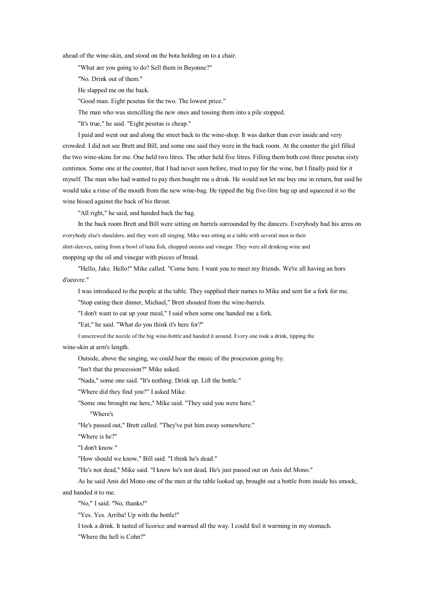ahead of the wine-skin, and stood on the bota holding on to <sup>a</sup> chair.

"What are you going to do? Sell them in Bayonne?"

"No. Drink out of them."

He slapped me on the back.

"Good man. Eight pesetas for the two. The lowest price."

The man who was stencilling the new ones and tossing them into <sup>a</sup> pile stopped.

"It's true," he said. "Eight pesetas is cheap."

I paid and went out and along the street back to the wine-shop. It was darker than ever inside and very crowded. I did not see Brett and Bill, and some one said they were in the back room. At the counter the girl filled the two wine-skins for me. One held two litres. The other held five litres. Filling them both cost three pesetas sixty centimos. Some one at the counter, that I had never seen before, tried to pay for the wine, but I finally paid for it myself. The man who had wanted to pay then bought me <sup>a</sup> drink. He would not let me buy one in return, but said he would take <sup>a</sup> rinse of the mouth from the new wine-bag. He tipped the big five-litre bag up and squeezed it sothe wine hissed against the back of his throat.

"All right," he said, and handed back the bag.

In the back room Brett and Bill were sitting on barrels surrounded by the dancers. Everybody had his arms on everybody else's shoulders, and they were all singing. Mike was sitting at <sup>a</sup> table with several men in their shirt-sleeves, eating from <sup>a</sup> bowl of tuna fish, chopped onions and vinegar. They were all drinking wine and mopping up the oil and vinegar with pieces of bread.

"Hello, Jake. Hello!" Mike called. "Come here. I want you to meet my friends. We're all having an hors d'oeuvre."

I was introduced to the people at the table. They supplied their names to Mike and sent for <sup>a</sup> fork for me.

"Stop eating their dinner, Michael," Brett shouted from the wine-barrels.

"I don't want to eat up your meal," I said when some one handed me <sup>a</sup> fork.

"Eat," he said. "What do you think it's here for?"

I unscrewed the nozzle of the big wine-bottle and handed it around. Every one took <sup>a</sup> drink, tipping the wine-skin at arm's length.

Outside, above the singing, we could hear the music of the procession going by.

"Isn't that the procession?" Mike asked.

"Nada," some one said. "It's nothing. Drink up. Lift the bottle."

"Where did they find you?" I asked Mike.

"Some one brought me here," Mike said. "They said you were here."

"Where's

"He's passed out," Brett called. "They've pu<sup>t</sup> him away somewhere."

"Where is he?"

"I don't know."

"How should we know," Bill said. "I think he's dead."

"He's not dead," Mike said. "I know he's not dead. He's just passed out on Anis del Mono."

As he said Anis del Mono one of the men at the table looked up, brought out <sup>a</sup> bottle from inside his smock,

and handed it to me.

"No," I said. "No, thanks!"

"Yes. Yes. Arriba! Up with the bottle!"

I took <sup>a</sup> drink. It tasted of licorice and warmed all the way. I could feel it warming in my stomach.

"Where the hell is Cohn?"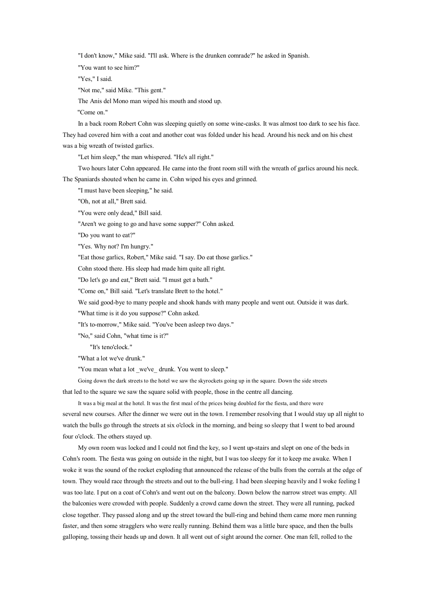"I don't know," Mike said. "I'll ask. Where is the drunken comrade?" he asked in Spanish.

"You want to see him?"

"Yes," I said.

"Not me," said Mike. "This gent."

The Anis del Mono man wiped his mouth and stood up.

"Come on."

In <sup>a</sup> back room Robert Cohn was sleeping quietly on some wine-casks. It was almost too dark to see his face. They had covered him with <sup>a</sup> coat and another coat was folded under his head. Around his neck and on his chest was <sup>a</sup> big wreath of twisted garlics.

"Let him sleep," the man whispered. "He's all right."

Two hours later Cohn appeared. He came into the front room still with the wreath of garlics around his neck. The Spaniards shouted when he came in. Cohn wiped his eyes and grinned.

"I must have been sleeping," he said.

"Oh, not at all," Brett said.

"You were only dead," Bill said.

"Aren't we going to go and have some supper?" Cohn asked.

"Do you want to eat?"

"Yes. Why not? I'm hungry."

"Eat those garlics, Robert," Mike said. "I say. Do eat those garlics."

Cohn stood there. His sleep had made him quite all right.

"Do let's go and eat," Brett said. "I must ge<sup>t</sup> <sup>a</sup> bath."

"Come on," Bill said. "Let's translate Brett to the hotel."

We said good-bye to many people and shook hands with many people and went out. Outside it was dark.

"What time is it do you suppose?" Cohn asked.

"It's to-morrow," Mike said. "You've been asleep two days."

"No," said Cohn, "what time is it?"

"It's teno'clock."

"What <sup>a</sup> lot we've drunk."

"You mean what <sup>a</sup> lot \_we've\_ drunk. You went to sleep."

Going down the dark streets to the hotel we saw the skyrockets going up in the square. Down the side streets that led to the square we saw the square solid with people, those in the centre all dancing.

It was <sup>a</sup> big meal at the hotel. It was the first meal of the prices being doubled for the fiesta, and there were several new courses. After the dinner we were out in the town. I remember resolving that I would stay up all night to watch the bulls go through the streets at six <sup>o</sup>'clock in the morning, and being so sleepy that I went to bed around four <sup>o</sup>'clock. The others stayed up.

My own room was locked and I could not find the key, so I went up-stairs and slept on one of the beds in Cohn's room. The fiesta was going on outside in the night, but I was too sleepy for it to keep me awake. When I woke it was the sound of the rocket exploding that announced the release of the bulls from the corrals at the edge of town. They would race through the streets and out to the bull-ring. I had been sleeping heavily and I woke feeling I was too late. I put on a coat of Cohn's and went out on the balcony. Down below the narrow street was empty. All the balconies were crowded with people. Suddenly <sup>a</sup> crowd came down the street. They were all running, packed close together. They passed along and up the street toward the bull-ring and behind them came more men running faster, and then some stragglers who were really running. Behind them was <sup>a</sup> little bare space, and then the bulls galloping, tossing their heads up and down. It all went out of sight around the corner. One man fell, rolled to the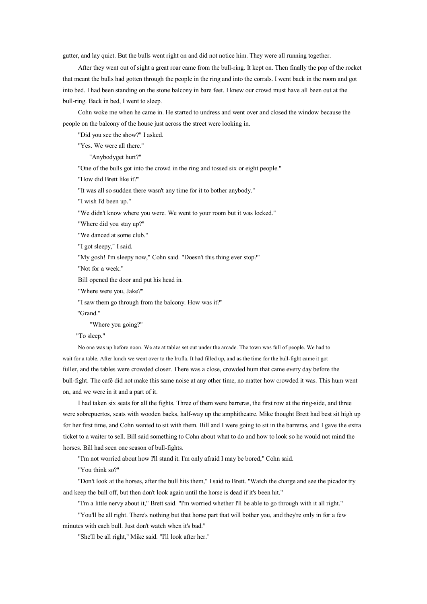gutter, and lay quiet. But the bulls went right on and did not notice him. They were all running together.

After they went out of sight <sup>a</sup> grea<sup>t</sup> roar came from the bull-ring. It kept on. Then finally the pop of the rocket that meant the bulls had gotten through the people in the ring and into the corrals. I went back in the room and go<sup>t</sup> into bed. I had been standing on the stone balcony in bare feet. I knew our crowd must have all been out at the bull-ring. Back in bed, I went to sleep.

Cohn woke me when he came in. He started to undress and went over and closed the window because the people on the balcony of the house just across the street were looking in.

"Did you see the show?" I asked.

"Yes. We were all there."

"Anybodyget hurt?"

"One of the bulls go<sup>t</sup> into the crowd in the ring and tossed six or eight people."

"How did Brett like it?"

"It was all so sudden there wasn't any time for it to bother anybody."

"I wish I'd been up."

"We didn't know where you were. We went to your room but it was locked."

"Where did you stay up?"

"We danced at some club."

"I go<sup>t</sup> sleepy," I said.

"My gosh! I'm sleepy now," Cohn said. "Doesn't this thing ever stop?"

"Not for <sup>a</sup> week."

Bill opened the door and put his head in.

"Where were you, Jake?"

"I saw them go through from the balcony. How was it?"

"Grand."

"Where you going?"

"To sleep."

No one was up before noon. We ate at tables set out under the arcade. The town was full of people. We had to wait for <sup>a</sup> table. After lunch we went over to the Irufla. It had filled up, and as the time for the bull-fight came it go<sup>t</sup> fuller, and the tables were crowded closer. There was <sup>a</sup> close, crowded hum that came every day before the bull-fight. The café did not make this same noise at any other time, nomatter how crowded it was. This humwent on, and we were in it and <sup>a</sup> par<sup>t</sup> of it.

I had taken six seats for all the fights. Three of them were barreras, the first row at the ring-side, and three were sobrepuertos, seats with wooden backs, half-way up the amphitheatre. Mike thought Brett had best sit high up for her first time, and Cohn wanted to sit with them. Bill and I were going to sit in the barreras, and I gave the extra ticket to <sup>a</sup> waiter to sell. Bill said something to Cohn about what to do and how to look so he would not mind the horses. Bill had seen one season of bull-fights.

"I'm not worried about how I'll stand it. I'm only afraid I may be bored," Cohn said.

"You think so?"

"Don't look at the horses, after the bull hits them," I said to Brett. "Watch the charge and see the picador try and keep the bull off, but then don't look again until the horse is dead if it's been hit."

"I'm <sup>a</sup> little nervy about it," Brett said. "I'm worried whether I'll be able to go through with it all right."

"You'll be all right. There's nothing but that horse par<sup>t</sup> that will bother you, and they're only in for <sup>a</sup> few minutes with each bull. Just don't watch when it's bad."

"She'll be all right," Mike said. "I'll look after her."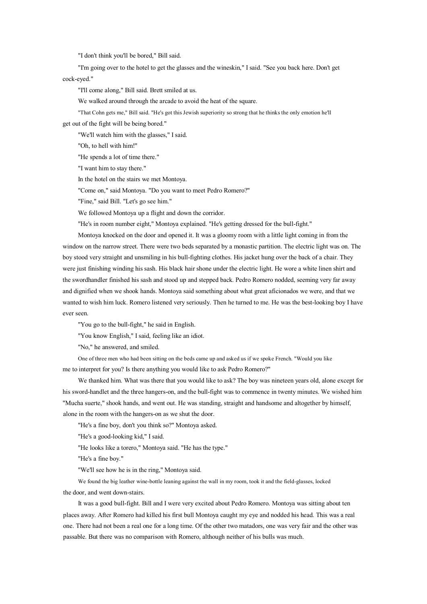"I don't think you'll be bored," Bill said.

"I'm going over to the hotel to ge<sup>t</sup> the glasses and the wineskin," I said. "See you back here. Don't ge<sup>t</sup> cock-eyed."

"I'll come along," Bill said. Brett smiled at us.

We walked around through the arcade to avoid the heat of the square.

"That Cohn gets me," Bill said. "He's go<sup>t</sup> this Jewish superiority so strong that he thinks the only emotion he'll

ge<sup>t</sup> out of the fight will be being bored."

"We'll watch him with the glasses," I said.

"Oh, to hell with him!"

"He spends <sup>a</sup> lot of time there."

"I want him to stay there."

In the hotel on the stairs we met Montoya.

"Come on," said Montoya. "Do you want to meet Pedro Romero?"

"Fine," said Bill. "Let's go see him."

We followed Montoya up <sup>a</sup> flight and down the corridor.

"He's in room number eight," Montoya explained. "He's getting dressed for the bull-fight."

Montoya knocked on the door and opened it. It was <sup>a</sup> gloomy room with <sup>a</sup> little light coming in from the window on the narrow street. There were two beds separated by <sup>a</sup> monastic partition. The electric light was on. The boy stood very straight and unsmiling in his bull-fighting clothes. His jacket hung over the back of <sup>a</sup> chair. They were just finishing winding his sash. His black hair shone under the electric light. He wore <sup>a</sup> white linen shirt and the swordhandler finished his sash and stood up and stepped back. Pedro Romero nodded, seeming very far away and dignified when we shook hands. Montoya said something about what grea<sup>t</sup> aficionados we were, and that we wanted to wish him luck. Romero listened very seriously. Then he turned to me. He was the best-looking boy I have ever seen.

"You go to the bull-fight," he said in English.

"You know English," I said, feeling like an idiot.

"No," he answered, and smiled.

One of three men who had been sitting on the beds came up and asked us if we spoke French. "Would you like me to interpret for you? Is there anything you would like to ask Pedro Romero?"

We thanked him. What was there that you would like to ask? The boy was nineteen years old, alone excep<sup>t</sup> for his sword-handlet and the three hangers-on, and the bull-fight was to commence in twenty minutes. We wished him "Mucha suerte," shook hands, and went out. He was standing, straight and handsome and altogether by himself, alone in the room with the hangers-on as we shut the door.

"He's <sup>a</sup> fine boy, don't you think so?" Montoya asked.

"He's <sup>a</sup> good-looking kid," I said.

"He looks like <sup>a</sup> torero," Montoya said. "He has the type."

"He's <sup>a</sup> fine boy."

"We'll see how he is in the ring," Montoya said.

We found the big leather wine-bottle leaning against the wall in my room, took it and the field-glasses, locked the door, and went down-stairs.

It was <sup>a</sup> good bull-fight. Bill and I were very excited about Pedro Romero. Montoya was sitting about ten places away. After Romero had killed his first bull Montoya caught my eye and nodded his head. This was <sup>a</sup> real one. There had not been <sup>a</sup> real one for <sup>a</sup> long time. Of the other two matadors, one was very fair and the other was passable. But there was no comparison with Romero, although neither of his bulls was much.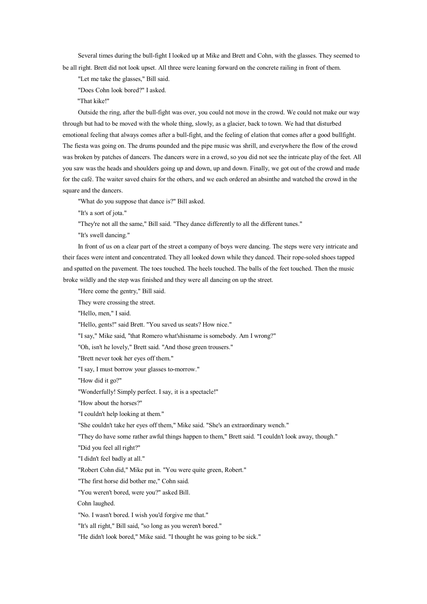Several times during the bull-fight I looked up at Mike and Brett and Cohn, with the glasses. They seemed to be all right. Brett did not look upset. All three were leaning forward on the concrete railing in front of them.

"Let me take the glasses," Bill said.

"Does Cohn look bored?" I asked.

"That kike!"

Outside the ring, after the bull-fight was over, you could not move in the crowd. We could not make our way through but had to be moved with the whole thing, slowly, as <sup>a</sup> glacier, back to town. We had that disturbed emotional feeling that always comes after <sup>a</sup> bull-fight, and the feeling of elation that comes after <sup>a</sup> good bullfight. The fiesta was going on. The drums pounded and the pipe music was shrill, and everywhere the flow of the crowd was broken by patches of dancers. The dancers were in <sup>a</sup> crowd, so you did not see the intricate play of the feet. All you saw was the heads and shoulders going up and down, up and down. Finally, we got out of the crowd and made for the café. The waiter saved chairs for the others, and we each ordered an absinthe and watched the crowd in the square and the dancers.

"What do you suppose that dance is?" Bill asked.

"It's <sup>a</sup> sort of jota."

"They're not all the same," Bill said. "They dance differently to all the different tunes."

"It's swell dancing."

In front of us on <sup>a</sup> clear par<sup>t</sup> of the street <sup>a</sup> company of boys were dancing. The steps were very intricate and their faces were intent and concentrated. They all looked down while they danced. Their rope-soled shoes tapped and spatted on the pavement. The toes touched. The heels touched. The balls of the feet touched. Then the music broke wildly and the step was finished and they were all dancing on up the street.

"Here come the gentry," Bill said.

They were crossing the street.

"Hello, men," I said.

"Hello, gents!" said Brett. "You saved us seats? How nice."

"I say," Mike said, "that Romero what'shisname is somebody. Am I wrong?"

"Oh, isn't he lovely," Brett said. "And those green trousers."

"Brett never took her eyes off them."

"I say, I must borrow your glasses to-morrow."

"How did it go?"

"Wonderfully! Simply perfect. I say, it is <sup>a</sup> spectacle!"

"How about the horses?"

"I couldn't help looking at them."

"She couldn't take her eyes off them," Mike said. "She's an extraordinary wench."

"They do have some rather awful things happen to them," Brett said. "I couldn't look away, though."

"Did you feel all right?"

"I didn't feel badly at all."

"Robert Cohn did," Mike pu<sup>t</sup> in. "You were quite green, Robert."

"The first horse did bother me," Cohn said.

"You weren't bored, were you?" asked Bill.

Cohn laughed.

"No. I wasn't bored. I wish you'd forgive me that."

"It's all right," Bill said, "so long as you weren't bored."

"He didn't look bored," Mike said. "I thought he was going to be sick."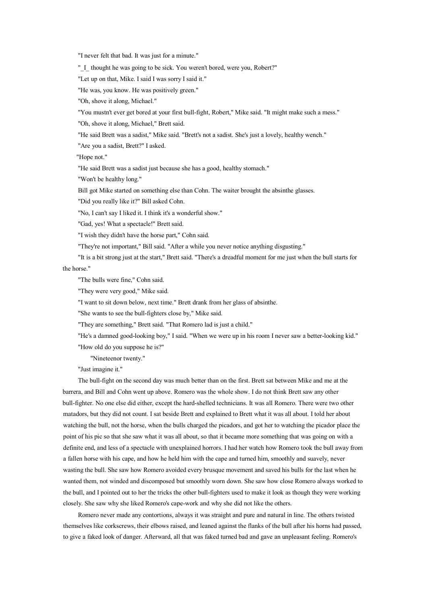"I never felt that bad. It was just for <sup>a</sup> minute."

"\_I\_ thought he was going to be sick. You weren't bored, were you, Robert?"

"Let up on that, Mike. I said I was sorry I said it."

"He was, you know. He was positively green."

"Oh, shove it along, Michael."

"You mustn't ever ge<sup>t</sup> bored at your first bull-fight, Robert," Mike said. "It might make such <sup>a</sup> mess."

"Oh, shove it along, Michael," Brett said.

"He said Brett was <sup>a</sup> sadist," Mike said. "Brett's not <sup>a</sup> sadist. She's just <sup>a</sup> lovely, healthy wench."

"Are you <sup>a</sup> sadist, Brett?" I asked.

"Hope not."

"He said Brett was <sup>a</sup> sadist just because she has <sup>a</sup> good, healthy stomach."

"Won't be healthy long."

Bill go<sup>t</sup> Mike started on something else than Cohn. The waiter brought the absinthe glasses.

"Did you really like it?" Bill asked Cohn.

"No, I can't say I liked it. I think it's <sup>a</sup> wonderful show."

"Gad, yes! What <sup>a</sup> spectacle!" Brett said.

"I wish they didn't have the horse part," Cohn said.

"They're not important," Bill said. "After <sup>a</sup> while you never notice anything disgusting."

"It is <sup>a</sup> bit strong just at the start," Brett said. "There's <sup>a</sup> dreadful moment for me just when the bull starts for the horse."

"The bulls were fine," Cohn said.

"They were very good," Mike said.

"I want to sit down below, next time." Brett drank from her glass of absinthe.

"She wants to see the bull-fighters close by," Mike said.

"They are something," Brett said. "That Romero lad is just <sup>a</sup> child."

"He's <sup>a</sup> damned good-looking boy," I said. "When we were up in his room I never saw <sup>a</sup> better-looking kid."

"How old do you suppose he is?"

"Nineteenor twenty."

"Just imagine it."

The bull-fight on the second day was much better than on the first. Brett sat between Mike and me at the barrera, and Bill and Cohn went up above. Romero was the whole show. I do not think Brett saw any other bull-fighter. No one else did either, excep<sup>t</sup> the hard-shelled technicians. It was all Romero. There were two other matadors, but they did not count. I sat beside Brett and explained to Brett what it was all about. I told her about watching the bull, not the horse, when the bulls charged the picadors, and go<sup>t</sup> her to watching the picador place the point of his pic so that she saw what it was all about, so that it became more something that was going on with <sup>a</sup> definite end, and less of <sup>a</sup> spectacle with unexplained horrors. I had her watch how Romero took the bull away from <sup>a</sup> fallen horse with his cape, and how he held him with the cape and turned him, smoothly and suavely, never wasting the bull. She saw how Romero avoided every brusque movement and saved his bulls for the last when he wanted them, not winded and discomposed but smoothly worn down. She saw how close Romero always worked to the bull, and I pointed out to her the tricks the other bull-fighters used to make it look as though they were working closely. She saw why she liked Romero's cape-work and why she did not like the others.

Romero never made any contortions, always it was straight and pure and natural in line. The others twisted themselves like corkscrews, their elbows raised, and leaned against the flanks of the bull after his horns had passed, to give <sup>a</sup> faked look of danger. Afterward, all that was faked turned bad and gave an unpleasant feeling. Romero's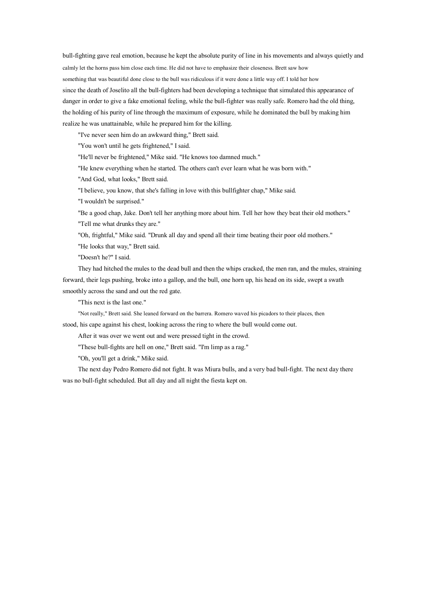bull-fighting gave real emotion, because he kept the absolute purity of line in his movements and always quietly and calmly let the horns pass him close each time. He did not have to emphasize their closeness. Brett saw how something that was beautiful done close to the bull was ridiculous if it were done <sup>a</sup> little way off. I told her how since the death of Joselito all the bull-fighters had been developing <sup>a</sup> technique that simulated this appearance of danger in order to give <sup>a</sup> fake emotional feeling, while the bull-fighter was really safe. Romero had the old thing, the holding of his purity of line through the maximum of exposure, while he dominated the bull bymaking him realize he was unattainable, while he prepared him for the killing.

"I've never seen him do an awkward thing," Brett said.

"You won't until he gets frightened," I said.

"He'll never be frightened," Mike said. "He knows too damned much."

"He knew everything when he started. The others can't ever learn what he was born with."

"And God, what looks," Brett said.

"I believe, you know, that she's falling in love with this bullfighter chap," Mike said.

"I wouldn't be surprised."

"Be <sup>a</sup> good chap, Jake. Don't tell her anything more about him. Tell her howthey beat their old mothers." "Tell me what drunks they are."

"Oh, frightful," Mike said. "Drunk all day and spend all their time beating their poor old mothers."

"He looks that way," Brett said.

"Doesn't he?" I said.

They had hitched the mules to the dead bull and then the whips cracked, the men ran, and the mules, straining forward, their legs pushing, broke into <sup>a</sup> gallop, and the bull, one horn up, his head on its side, swep<sup>t</sup> <sup>a</sup> swath smoothly across the sand and out the red gate.

"This next is the last one."

"Not really," Brett said. She leaned forward on the barrera. Romero waved his picadors to their places, then

stood, his cape against his chest, looking across the ring to where the bull would come out.

After it was over we went out and were pressed tight in the crowd.

"These bull-fights are hell on one," Brett said. "I'm limp as <sup>a</sup> rag."

"Oh, you'll ge<sup>t</sup> <sup>a</sup> drink," Mike said.

The next day Pedro Romero did not fight. It was Miura bulls, and <sup>a</sup> very bad bull-fight. The next day there was no bull-fight scheduled. But all day and all night the fiesta kept on.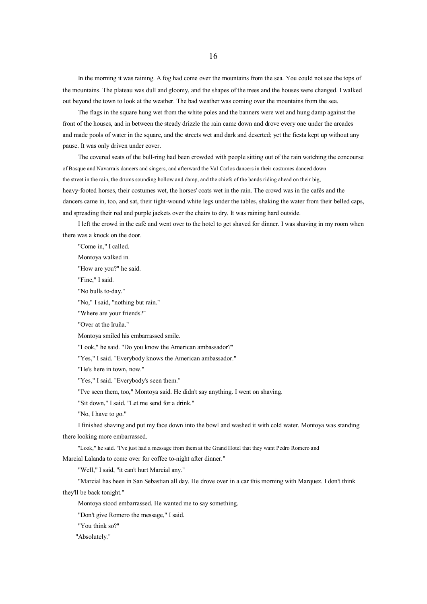In the morning it was raining. A fog had come over the mountains from the sea. You could not see the tops of the mountains. The plateau was dull and gloomy, and the shapes of the trees and the houses were changed. I walked out beyond the town to look at the weather. The bad weather was coming over the mountains from the sea.

The flags in the square hung wet from the white poles and the banners were wet and hung damp against the front of the houses, and in between the steady drizzle the rain came down and drove every one under the arcades and made pools of water in the square, and the streets wet and dark and deserted; ye<sup>t</sup> the fiesta kept up without any pause. It was only driven under cover.

The covered seats of the bull-ring had been crowded with people sitting out of the rain watching the concourse of Basque and Navarrais dancers and singers, and afterward the Val Carlos dancers in their costumes danced down the street in the rain, the drums sounding hollow and damp, and the chiefs of the bands riding ahead on their big, heavy-footed horses, their costumes wet, the horses' coats wet in the rain. The crowd was in the cafés and the dancers came in, too, and sat, their tight-wound white legs under the tables, shaking the water from their belled caps, and spreading their red and purple jackets over the chairs to dry. It was raining hard outside.

I left the crowd in the café and went over to the hotel to ge<sup>t</sup> shaved for dinner. I was shaving in my room when there was <sup>a</sup> knock on the door.

"Come in," I called. Montoya walked in. "How are you?" he said. "Fine." I said. "No bulls to-day." "No," I said, "nothing but rain." "Where are your friends?" "Over at the Iruña." Montoya smiled his embarrassed smile. "Look," he said. "Do you know the American ambassador?" "Yes," I said. "Everybody knows the American ambassador." "He's here in town, now." "Yes," I said. "Everybody's seen them." "I've seen them, too," Montoya said. He didn't say anything. I went on shaving. "Sit down," I said. "Let me send for <sup>a</sup> drink." "No, I have to go." I finished shaving and put my face down into the bowl and washed it with cold water. Montoya was standing there looking more embarrassed. "Look," he said. "I've just had <sup>a</sup> message from them at the Grand Hotel that they want Pedro Romero and Marcial Lalanda to come over for coffee to-night after dinner." "Well," I said, "it can't hurt Marcial any." "Marcial has been in San Sebastian all day. He drove over in <sup>a</sup> car this morning with Marquez. I don't think they'll be back tonight." Montoya stood embarrassed. He wanted me to say something.

"Don't give Romero the message," I said.

"You think so?"

"Absolutely."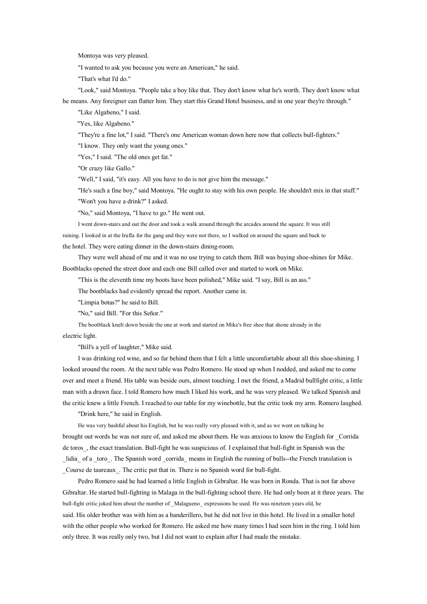Montoya was very pleased.

"I wanted to ask you because you were an American," he said.

"That's what I'd do."

"Look," said Montoya. "People take <sup>a</sup> boy like that. They don't know what he's worth. They don't know what he means. Any foreigner can flatter him. They start this Grand Hotel business, and in one year they're through."

"Like Algabeno," I said.

"Yes, like Algabeno."

"They're <sup>a</sup> fine lot," I said. "There's one American woman down here now that collects bull-fighters."

"I know. They only want the young ones."

"Yes," I said. "The old ones ge<sup>t</sup> fat."

"Or crazy like Gallo."

"Well," I said, "it's easy. All you have to do is not give him the message."

"He's such <sup>a</sup> fine boy," said Montoya. "He ought to stay with his own people. He shouldn't mix in that stuff."

"Won't you have <sup>a</sup> drink?" I asked.

"No," said Montoya, "I have to go." He went out.

I went down-stairs and out the door and took <sup>a</sup> walk around through the arcades around the square. It was still

raining. I looked in at the Irufla for the gang and they were not there, so I walked on around the square and back to the hotel. They were eating dinner in the down-stairs dining-room.

They were well ahead of me and it was no use trying to catch them. Bill was buying shoe-shines for Mike. Bootblacks opened the street door and each one Bill called over and started to work on Mike.

"This is the eleventh time my boots have been polished," Mike said. "I say, Bill is an ass."

The bootblacks had evidently spread the report. Another came in.

"Limpia botas?" he said to Bill.

"No," said Bill. "For this Señor."

The bootblack knelt down beside the one at work and started on Mike's free shoe that shone already in the electric light.

"Bill's <sup>a</sup> yell of laughter," Mike said.

I was drinking red wine, and so far behind them that I felt <sup>a</sup> little uncomfortable about all this shoe-shining. I looked around the room. At the next table was Pedro Romero. He stood up when I nodded, and asked me to come over and meet <sup>a</sup> friend. His table was beside ours, almost touching. I met the friend, <sup>a</sup> Madrid bullfight critic, <sup>a</sup> little man with <sup>a</sup> drawn face. I told Romero how much I liked his work, and he was very pleased. We talked Spanish and the critic knew <sup>a</sup> little French. I reached to our table for my winebottle, but the critic took my arm. Romero laughed.

"Drink here," he said in English.

He was very bashful about his English, but he was really very pleased with it, and as we went on talking he brought out words he was not sure of, and asked me about them. He was anxious to know the English for \_Corrida de toros, the exact translation. Bull-fight he was suspicious of. I explained that bull-fight in Spanish was the lidia of a toro. The Spanish word corrida means in English the running of bulls--the French translation is \_Course de taureaux\_. The critic pu<sup>t</sup> that in. There is no Spanish word for bull-fight.

Pedro Romero said he had learned <sup>a</sup> little English in Gibraltar. He was born in Ronda. That is not far above Gibraltar. He started bull-fighting in Malaga in the bull-fighting school there. He had only been at it three years. The bull-fight critic joked him about the number of \_Malagueno\_ expressions he used. He was nineteen years old, he said. His older brother was with him as <sup>a</sup> banderillero, but he did not live in this hotel. He lived in <sup>a</sup> smaller hotel with the other people who worked for Romero. He asked me how many times I had seen him in the ring. I told him only three. It was really only two, but I did not want to explain after I had made the mistake.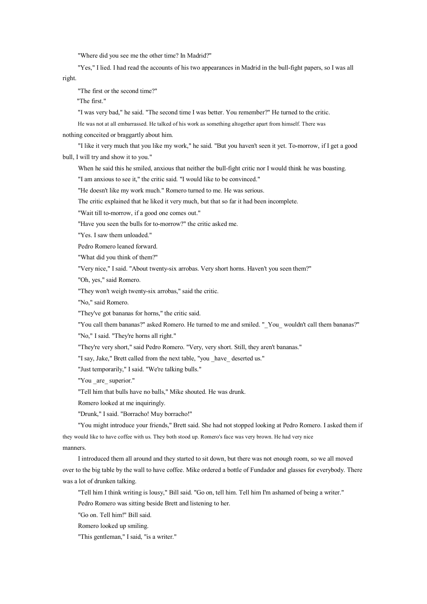"Where did you see me the other time? In Madrid?"

right. "Yes," I lied. I had read the accounts of his two appearances in Madrid in the bull-fight papers, so I was all

"The first or the second time?"

"The first."

"I was very bad," he said. "The second time I was better. You remember?" He turned to the critic.

He was not at all embarrassed. He talked of his work as something altogether apar<sup>t</sup> from himself. There was

nothing conceited or braggartly about him.

"I like it very much that you like my work," he said. "But you haven't seen it yet. To-morrow, if I ge<sup>t</sup> <sup>a</sup> good bull, I will try and show it to you."

When he said this he smiled, anxious that neither the bull-fight critic nor I would think he was boasting.

"I am anxious to see it," the critic said. "I would like to be convinced."

"He doesn't like my work much." Romero turned to me. He was serious.

The critic explained that he liked it very much, but that so far it had been incomplete.

"Wait till to-morrow, if <sup>a</sup> good one comes out."

"Have you seen the bulls for to-morrow?" the critic asked me.

"Yes. I saw them unloaded."

Pedro Romero leaned forward.

"What did you think of them?"

"Very nice," I said. "About twenty-six arrobas. Very short horns. Haven't you seen them?"

"Oh, yes," said Romero.

"They won't weigh twenty-six arrobas," said the critic.

"No," said Romero.

"They've go<sup>t</sup> bananas for horns," the critic said.

"You call them bananas?" asked Romero. He turned to me and smiled. "\_You\_ wouldn't call them bananas?" "No," I said. "They're horns all right."

"They're very short," said Pedro Romero. "Very, very short. Still, they aren't bananas."

"I say, Jake," Brett called from the next table, "you \_have\_ deserted us."

"Just temporarily," I said. "We're talking bulls."

"You \_are\_ superior."

"Tell him that bulls have no balls," Mike shouted. He was drunk.

Romero looked at me inquiringly.

"Drunk," I said. "Borracho! Muy borracho!"

"You might introduce your friends," Brett said. She had not stopped looking at Pedro Romero. I asked them if they would like to have coffee with us. They both stood up. Romero's face was very brown. He had very nice manners.

I introduced them all around and they started to sit down, but there was not enough room, so we all moved over to the big table by the wall to have coffee. Mike ordered <sup>a</sup> bottle of Fundador and glasses for everybody. There was <sup>a</sup> lot of drunken talking.

"Tell him I think writing is lousy," Bill said. "Go on, tell him. Tell him I'm ashamed of being <sup>a</sup> writer."

Pedro Romero was sitting beside Brett and listening to her.

"Go on. Tell him!" Bill said.

Romero looked up smiling.

"This gentleman," I said, "is <sup>a</sup> writer."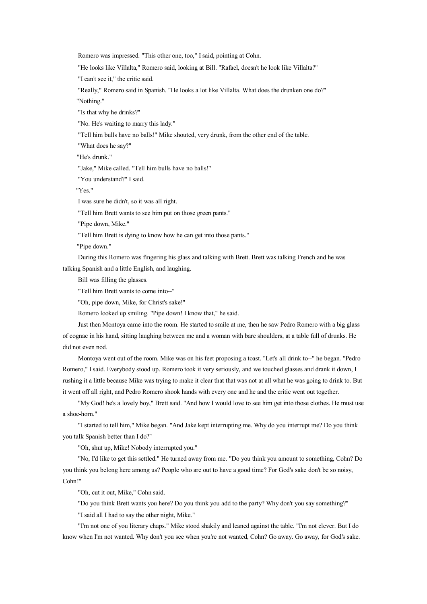Romero was impressed. "This other one, too," I said, pointing at Cohn.

"He looks like Villalta," Romero said, looking at Bill. "Rafael, doesn't he look like Villalta?"

"I can't see it," the critic said.

"Really," Romero said in Spanish. "He looks <sup>a</sup> lot like Villalta. What does the drunken one do?" "Nothing."

"Is that why he drinks?"

"No. He's waiting to marry this lady."

"Tell him bulls have no balls!" Mike shouted, very drunk, from the other end of the table.

"What does he say?"

"He's drunk."

"Jake," Mike called. "Tell him bulls have no balls!"

"You understand?" I said.

"Yes."

I was sure he didn't, so it was all right.

"Tell him Brett wants to see him put on those green pants."

"Pipe down, Mike."

"Tell him Brett is dying to know how he can ge<sup>t</sup> into those pants."

"Pipe down."

During this Romero was fingering his glass and talking with Brett. Brett was talking French and he was talking Spanish and <sup>a</sup> little English, and laughing.

Bill was filling the glasses.

"Tell him Brett wants to come into--"

"Oh, pipe down, Mike, for Christ's sake!"

Romero looked up smiling. "Pipe down! I know that," he said.

Just then Montoya came into the room. He started to smile at me, then he saw Pedro Romero with <sup>a</sup> big glass of cognac in his hand, sitting laughing between me and <sup>a</sup> woman with bare shoulders, at <sup>a</sup> table full of drunks. He did not even nod.

Montoya went out of the room. Mike was on his feet proposing <sup>a</sup> toast. "Let's all drink to--" he began. "Pedro Romero," I said. Everybody stood up. Romero took it very seriously, and we touched glasses and drank it down, I rushing it <sup>a</sup> little because Mike was trying to make it clear that that was not at all what he was going to drink to. But it went off all right, and Pedro Romero shook hands with every one and he and the critic went out together.

"My God! he's <sup>a</sup> lovely boy," Brett said. "And how I would love to see himget into those clothes. He must use <sup>a</sup> shoe-horn."

"I started to tell him," Mike began. "And Jake kept interrupting me. Why do you interrupt me? Do you think you talk Spanish better than I do?"

"Oh, shut up, Mike! Nobody interrupted you."

"No, I'd like to ge<sup>t</sup> this settled." He turned away from me. "Do you think you amount to something, Cohn? Do you think you belong here among us? People who are out to have <sup>a</sup> good time? For God's sake don't be so noisy, Cohn!"

"Oh, cut it out, Mike," Cohn said.

"Do you think Brett wants you here? Do you think you add to the party? Why don't you say something?"

"I said all I had to say the other night, Mike."

"I'm not one of you literary chaps." Mike stood shakily and leaned against the table. "I'm not clever. But I do know when I'mnot wanted. Why don't you see when you're not wanted, Cohn? Go away. Go away, for God's sake.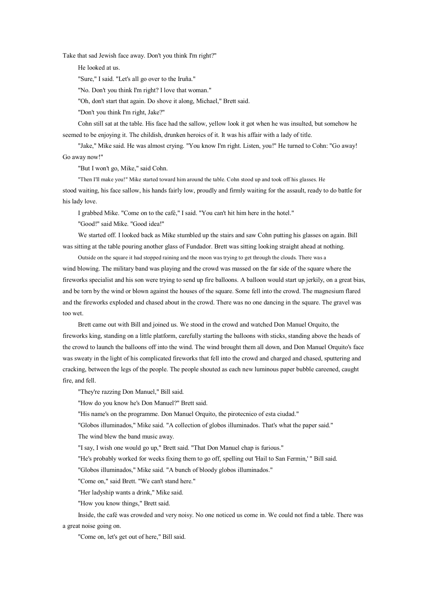Take that sad Jewish face away. Don't you think I'm right?"

He looked at us.

"Sure," I said. "Let's all go over to the Iruña."

"No. Don't you think I'm right? I love that woman."

"Oh, don't start that again. Do shove it along, Michael," Brett said.

"Don't you think I'm right, Jake?"

Cohn still sat at the table. His face had the sallow, yellow look it go<sup>t</sup> when he was insulted, but somehow he seemed to be enjoying it. The childish, drunken heroics of it. It was his affair with <sup>a</sup> lady of title.

"Jake," Mike said. He was almost crying. "You know I'm right. Listen, you!" He turned to Cohn: "Go away! Go away now!"

"But I won't go, Mike," said Cohn.

"Then I'll make you!" Mike started toward him around the table. Cohn stood up and took off his glasses. He stood waiting, his face sallow, his hands fairly low, proudly and firmly waiting for the assault, ready to do battle for his lady love.

I grabbed Mike. "Come on to the café," I said. "You can't hit him here in the hotel."

"Good!" said Mike. "Good idea!"

We started off. I looked back as Mike stumbled up the stairs and saw Cohn putting his glasses on again. Bill was sitting at the table pouring another glass of Fundador. Brett was sitting looking straight ahead at nothing.

Outside on the square it had stopped raining and the moon was trying to ge<sup>t</sup> through the clouds. There was <sup>a</sup> wind blowing. The military band was playing and the crowd was massed on the far side of the square where the fireworks specialist and his son were trying to send up fire balloons. A balloon would start up jerkily, on <sup>a</sup> great bias, and be torn by the wind or blown against the houses of the square. Some fell into the crowd. The magnesium flared and the fireworks exploded and chased about in the crowd. There was no one dancing in the square. The gravel was too wet.

Brett came out with Bill and joined us. We stood in the crowd and watched Don Manuel Orquito, the fireworks king, standing on <sup>a</sup> little platform, carefully starting the balloons with sticks, standing above the heads of the crowd to launch the balloons off into the wind. The wind brought them all down, and Don Manuel Orquito's face was sweaty in the light of his complicated fireworks that fell into the crowd and charged and chased, sputtering and cracking, between the legs of the people. The people shouted as each new luminous paper bubble careened, caught fire, and fell.

"They're razzing Don Manuel," Bill said.

"How do you know he's Don Manuel?" Brett said.

"His name's on the programme. Don Manuel Orquito, the pirotecnico of esta ciudad."

"Globos illuminados," Mike said. "A collection of globos illuminados. That's what the paper said."

The wind blew the band music away.

"I say, I wish one would go up," Brett said. "That Don Manuel chap is furious."

"He's probably worked for weeks fixing them to go off, spelling out 'Hail to San Fermin,' " Bill said.

"Globos illuminados," Mike said. "A bunch of bloody globos illuminados."

"Come on," said Brett. "We can't stand here."

"Her ladyship wants <sup>a</sup> drink," Mike said.

"How you know things," Brett said.

Inside, the café was crowded and very noisy. No one noticed us come in. We could not find <sup>a</sup> table. There was <sup>a</sup> great noise going on.

"Come on, let's ge<sup>t</sup> out of here," Bill said.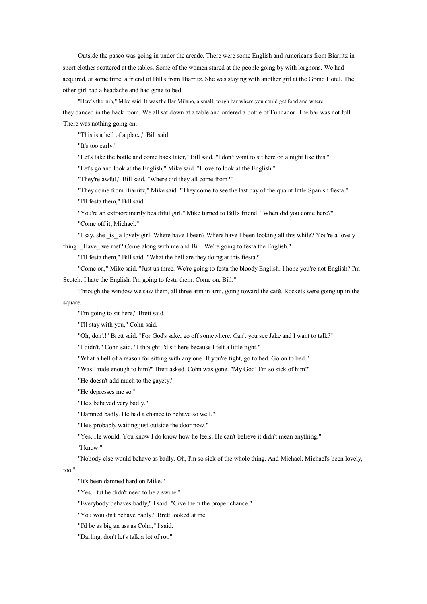Outside the paseo was going in under the arcade. There were some English and Americans from Biarritz in spor<sup>t</sup> clothes scattered at the tables. Some of the women stared at the people going by with lorgnons. We had acquired, at some time, <sup>a</sup> friend of Bill's from Biarritz. She was staying with another girl at the Grand Hotel. The other girl had <sup>a</sup> headache and had gone to bed.

"Here's the pub," Mike said. It was the Bar Milano, <sup>a</sup> small, tough bar where you could ge<sup>t</sup> food and where they danced in the back room. We all sat down at <sup>a</sup> table and ordered <sup>a</sup> bottle of Fundador. The bar was not full. There was nothing going on.

"This is <sup>a</sup> hell of <sup>a</sup> place," Bill said.

"It's too early."

"Let's take the bottle and come back later," Bill said. "I don't want to sit here on <sup>a</sup> night like this."

"Let's go and look at the English," Mike said. "I love to look at the English."

"They're awful," Bill said. "Where did they all come from?"

"They come from Biarritz," Mike said. "They come to see the last day of the quaint little Spanish fiesta." "I'll festa them," Bill said.

"You're an extraordinarily beautiful girl." Mike turned to Bill's friend. "When did you come here?" "Come off it, Michael."

"I say, she is a lovely girl. Where have I been? Where have I been looking all this while? You're a lovely thing. \_Have\_ we met? Come along with me and Bill. We're going to festa the English."

"I'll festa them," Bill said. "What the hell are they doing at this fiesta?"

"Come on," Mike said. "Just us three. We're going to festa the bloody English. I hope you're not English? I'm Scotch. I hate the English. I'm going to festa them. Come on, Bill."

Through the window we saw them, all three arm in arm, going toward the café. Rockets were going up in the square.

"I'm going to sit here," Brett said.

"I'll stay with you," Cohn said.

"Oh, don't!" Brett said. "For God's sake, go off somewhere. Can't you see Jake and I want to talk?"

"I didn't," Cohn said. "I thought I'd sit here because I felt <sup>a</sup> little tight."

"What <sup>a</sup> hell of <sup>a</sup> reason for sitting with any one. If you're tight, go to bed. Go on to bed."

"Was I rude enough to him?" Brett asked. Cohn was gone. "My God! I'm so sick of him!"

"He doesn't add much to the gayety."

"He depresses me so."

"He's behaved very badly."

"Damned badly. He had <sup>a</sup> chance to behave so well."

"He's probably waiting just outside the door now."

"Yes. He would. You know I do know how he feels. He can't believe it didn't mean anything."

"I know."

"Nobody else would behave as badly. Oh, I'm so sick of the whole thing. And Michael. Michael's been lovely,

too."

"It's been damned hard on Mike."

"Yes. But he didn't need to be <sup>a</sup> swine."

"Everybody behaves badly," I said. "Give them the proper chance."

"You wouldn't behave badly." Brett looked at me.

"I'd be as big an ass as Cohn," I said.

"Darling, don't let's talk <sup>a</sup> lot of rot."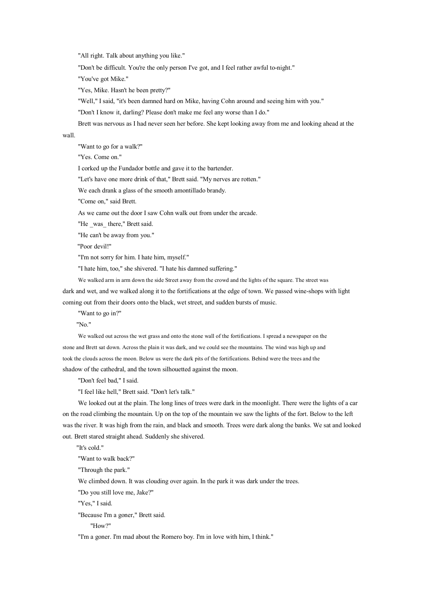"All right. Talk about anything you like."

"Don't be difficult. You're the only person I've got, and I feel rather awful to-night."

"You've go<sup>t</sup> Mike."

"Yes, Mike. Hasn't he been pretty?"

"Well," I said, "it's been damned hard on Mike, having Cohn around and seeing him with you."

"Don't I know it, darling? Please don't make me feel any worse than I do."

Brett was nervous as I had never seen her before. She kept looking away from me and looking ahead at the

## wall.

"Want to go for <sup>a</sup> walk?"

"Yes. Come on."

I corked up the Fundador bottle and gave it to the bartender.

"Let's have one more drink of that," Brett said. "My nerves are rotten."

We each drank <sup>a</sup> glass of the smooth amontillado brandy.

"Come on," said Brett.

As we came out the door I saw Cohn walk out from under the arcade.

"He was there," Brett said.

"He can't be away from you."

"Poor devil!"

"I'm not sorry for him. I hate him, myself."

"I hate him, too," she shivered. "I hate his damned suffering."

We walked arm in arm down the side Street away from the crowd and the lights of the square. The street was dark and wet, and we walked along it to the fortifications at the edge of town. We passed wine-shops with light coming out from their doors onto the black, wet street, and sudden bursts of music.

"Want to go in?"

"No."

We walked out across the wet grass and onto the stone wall of the fortifications. I spread <sup>a</sup> newspaper on the stone and Brett sat down. Across the plain it was dark, and we could see the mountains. The wind was high up and took the clouds across the moon. Below us were the dark pits of the fortifications. Behind were the trees and the shadow of the cathedral, and the town silhouetted against the moon.

"Don't feel bad," I said.

"I feel like hell," Brett said. "Don't let's talk."

We looked out at the plain. The long lines of trees were dark in the moonlight. There were the lights of a car on the road climbing the mountain. Up on the top of the mountain we saw the lights of the fort. Below to the left was the river. It was high from the rain, and black and smooth. Trees were dark along the banks. We sat and looked out. Brett stared straight ahead. Suddenly she shivered.

"It's cold."

"Want to walk back?"

"Through the park."

We climbed down. It was clouding over again. In the park it was dark under the trees.

"Do you still love me, Jake?"

"Yes," I said.

"Because I'm <sup>a</sup> goner," Brett said.

"How?"

"I'm <sup>a</sup> goner. I'm mad about the Romero boy. I'm in love with him, I think."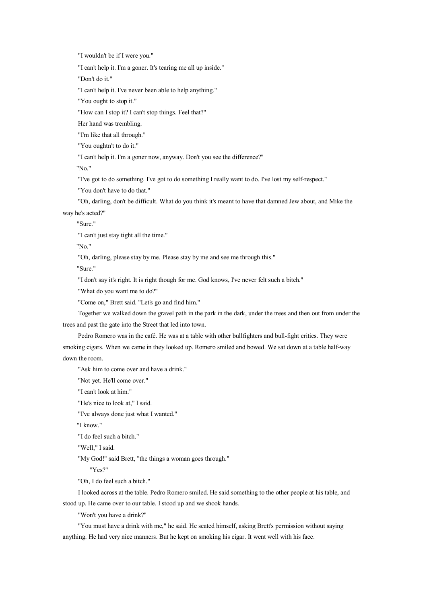"I wouldn't be if I were you."

"I can't help it. I'm <sup>a</sup> goner. It's tearing me all up inside."

"Don't do it."

"I can't help it. I've never been able to help anything."

"You ought to stop it."

"How can I stop it? I can't stop things. Feel that?"

Her hand was trembling.

"I'm like that all through."

"You oughtn't to do it."

"I can't help it. I'm <sup>a</sup> goner now, anyway. Don't you see the difference?"

"No."

"I've got to do something. I've got to do something I really want to do. I've lost my self-respect."

"You don't have to do that."

"Oh, darling, don't be difficult. What do you think it's meant to have that damned Jew about, and Mike the way he's acted?"

"Sure."

"I can't just stay tight all the time."

"No."

"Oh, darling, please stay by me. Please stay by me and see me through this."

"Sure."

"I don't say it's right. It is right though for me. God knows, I've never felt such <sup>a</sup> bitch."

"What do you want me to do?"

"Come on," Brett said. "Let's go and find him."

Together we walked down the gravel path in the park in the dark, under the trees and then out from under the trees and pas<sup>t</sup> the gate into the Street that led into town.

Pedro Romero was in the café. He was at <sup>a</sup> table with other bullfighters and bull-fight critics. They were smoking cigars. When we came in they looked up. Romero smiled and bowed. We sat down at <sup>a</sup> table half-way down the room.

"Ask him to come over and have <sup>a</sup> drink."

"Not yet. He'll come over."

"I can't look at him."

"He's nice to look at," I said.

"I've always done just what I wanted."

"I know."

"I do feel such <sup>a</sup> bitch."

"Well," I said.

"My God!" said Brett, "the things <sup>a</sup> woman goes through."

"Yes?"

"Oh, I do feel such <sup>a</sup> bitch."

I looked across at the table. Pedro Romero smiled. He said something to the other people at his table, and stood up. He came over to our table. I stood up and we shook hands.

"Won't you have <sup>a</sup> drink?"

"You must have <sup>a</sup> drink with me," he said. He seated himself, asking Brett's permission without saying anything. He had very nice manners. But he kept on smoking his cigar. It went well with his face.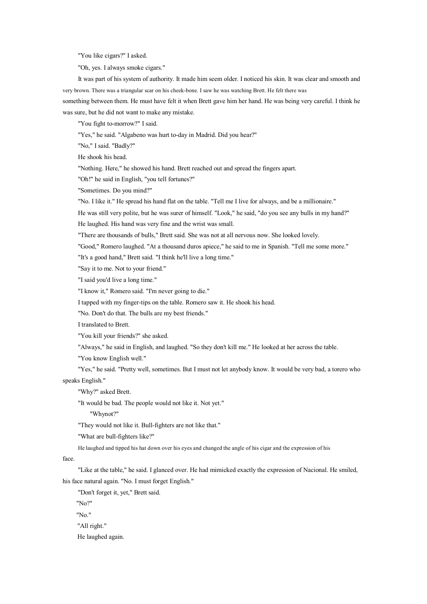"You like cigars?" I asked.

"Oh, yes. I always smoke cigars."

It was part of his system of authority. It made him seem older. I noticed his skin. It was clear and smooth and very brown. There was <sup>a</sup> triangular scar on his cheek-bone. I sawhe was watching Brett. He felt there was something between them. He must have felt it when Brett gave him her hand. He was being very careful. I think he was sure, but he did not want to make any mistake.

"You fight to-morrow?" I said.

"Yes," he said. "Algabeno was hurt to-day in Madrid. Did you hear?"

"No," I said. "Badly?"

He shook his head.

"Nothing. Here," he showed his hand. Brett reached out and spread the fingers apart.

"Oh!" he said in English, "you tell fortunes?"

"Sometimes. Do you mind?"

"No. I like it." He spread his hand flat on the table. "Tell me I live for always, and be <sup>a</sup> millionaire."

He was still very polite, but he was surer of himself. "Look," he said, "do you see any bulls in my hand?" He laughed. His hand was very fine and the wrist was small.

"There are thousands of bulls," Brett said. She was not at all nervous now. She looked lovely.

"Good," Romero laughed. "At <sup>a</sup> thousand duros apiece," he said to me in Spanish. "Tell me some more."

"It's <sup>a</sup> good hand," Brett said. "I think he'll live <sup>a</sup> long time."

"Say it to me. Not to your friend."

"I said you'd live <sup>a</sup> long time."

"I know it," Romero said. "I'm never going to die."

I tapped with my finger-tips on the table. Romero saw it. He shook his head.

"No. Don't do that. The bulls are my best friends."

I translated to Brett.

"You kill your friends?" she asked.

"Always," he said in English, and laughed. "So they don't kill me." He looked at her across the table.

"You know English well."

"Yes," he said. "Pretty well, sometimes. But I must not let anybody know. It would be very bad, <sup>a</sup> torero who speaks English."

"Why?" asked Brett.

"It would be bad. The people would not like it. Not yet."

"Whynot?"

"They would not like it. Bull-fighters are not like that."

"What are bull-fighters like?"

He laughed and tipped his hat down over his eyes and changed the angle of his cigar and the expression of his

face.

"Like at the table," he said. I glanced over. He had mimicked exactly the expression of Nacional. He smiled, his face natural again. "No. I must forget English."

"Don't forget it, yet," Brett said.

"No?"

"No."

"All right."

He laughed again.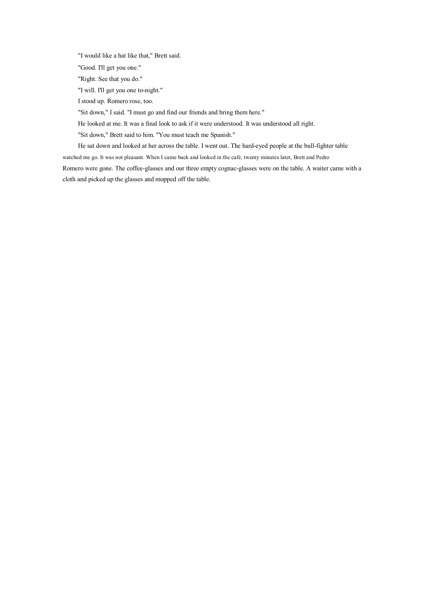"I would like <sup>a</sup> hat like that," Brett said.

"Good. I'll ge<sup>t</sup> you one."

"Right. See that you do."

"I will. I'll ge<sup>t</sup> you one to-night."

I stood up. Romero rose, too.

"Sit down," I said. "I must go and find our friends and bring them here."

He looked at me. It was <sup>a</sup> final look to ask if it were understood. It was understood all right.

"Sit down," Brett said to him. "You must teach me Spanish."

He sat down and looked at her across the table. I went out. The hard-eyed people at the bull-fighter table watched me go. It was not pleasant. When I came back and looked in the café, twenty minutes later, Brett and Pedro Romero were gone. The coffee-glasses and our three empty cognac-glasses were on the table. A waiter came with <sup>a</sup>

cloth and picked up the glasses and mopped off the table.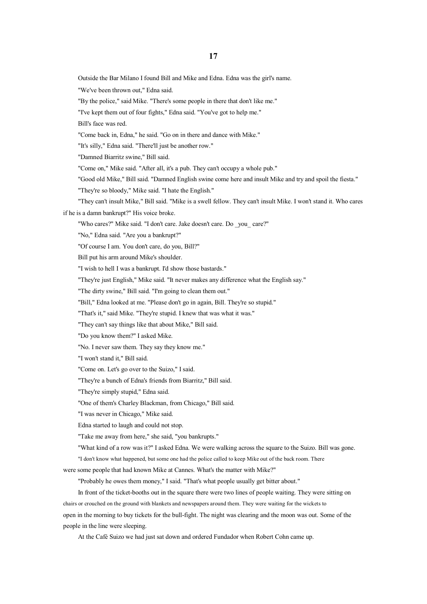Outside the Bar Milano I found Bill and Mike and Edna. Edna was the girl's name.

"We've been thrown out," Edna said.

"By the police," said Mike. "There's some people in there that don't like me."

"I've kept them out of four fights," Edna said. "You've go<sup>t</sup> to help me."

Bill's face was red.

"Come back in, Edna," he said. "Go on in there and dance with Mike."

"It's silly," Edna said. "There'll just be another row."

"Damned Biarritz swine," Bill said.

"Come on," Mike said. "After all, it's <sup>a</sup> pub. They can't occupy <sup>a</sup> whole pub."

"Good old Mike," Bill said. "Damned English swine come here and insult Mike and try and spoil the fiesta."

"They're so bloody," Mike said. "I hate the English."

"They can't insult Mike," Bill said. "Mike is <sup>a</sup> swell fellow. They can't insult Mike. I won't stand it. Who cares if he is <sup>a</sup> damn bankrupt?" His voice broke.

"Who cares?" Mike said. "I don't care. Jake doesn't care. Do \_you\_ care?"

"No," Edna said. "Are you <sup>a</sup> bankrupt?"

"Of course I am. You don't care, doyou, Bill?"

Bill pu<sup>t</sup> his arm around Mike's shoulder.

"I wish to hell I was <sup>a</sup> bankrupt. I'd show those bastards."

"They're just English," Mike said. "It never makes any difference what the English say."

"The dirty swine," Bill said. "I'm going to clean them out."

"Bill," Edna looked at me. "Please don't go in again, Bill. They're so stupid."

"That's it," said Mike. "They're stupid. I knew that was what it was."

"They can't say things like that about Mike," Bill said.

"Do you know them?" I asked Mike.

"No. I never saw them. They say they know me."

"I won't stand it," Bill said.

"Come on. Let's go over to the Suizo," I said.

"They're <sup>a</sup> bunch of Edna's friends from Biarritz," Bill said.

"They're simply stupid," Edna said.

"One of them's Charley Blackman, from Chicago," Bill said.

"I was never in Chicago," Mike said.

Edna started to laugh and could not stop.

"Take me away from here," she said, "you bankrupts."

"What kind of <sup>a</sup> row was it?" I asked Edna. We were walking across the square to the Suizo. Bill was gone.

"I don't know what happened, but some one had the police called to keep Mike out of the back room. There

were some people that had known Mike at Cannes. What's the matter with Mike?"

"Probably he owes them money," I said. "That's what people usually ge<sup>t</sup> bitter about."

In front of the ticket-booths out in the square there were two lines of people waiting. They were sitting on chairs or crouched on the ground with blankets and newspapers around them. They were waiting for the wickets to open in the morning to buy tickets for the bull-fight. The night was clearing and the moon was out. Some of the people in the line were sleeping.

At the Café Suizo we had just sat down and ordered Fundador when Robert Cohn came up.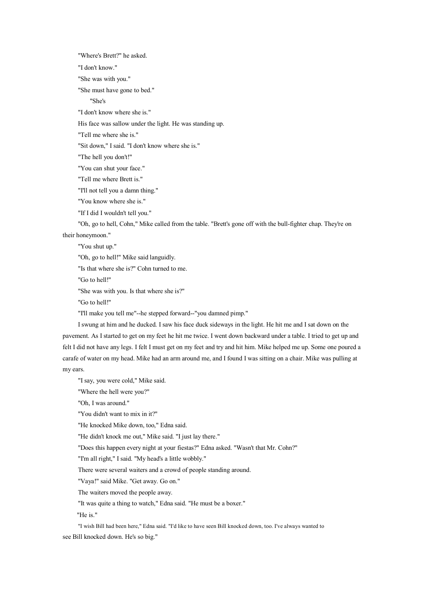"Where's Brett?" he asked.

"I don't know."

"She was with you."

"She must have gone to bed."

"She's

"I don't know where she is."

His face was sallow under the light. He was standing up.

"Tell me where she is."

"Sit down," I said. "I don't know where she is."

"The hell you don't!"

"You can shut your face."

"Tell me where Brett is."

"I'll not tell you <sup>a</sup> damn thing."

"You know where she is."

"If I did I wouldn't tell you."

"Oh, go to hell, Cohn," Mike called from the table. "Brett's gone off with the bull-fighter chap. They're on

their honeymoon."

"You shut up."

"Oh, go to hell!" Mike said languidly.

"Is that where she is?" Cohn turned to me.

"Go to hell!"

"She was with you. Is that where she is?"

"Go to hell!"

"I'll make you tell me"--he stepped forward--"you damned pimp."

I swung at him and he ducked. I sawhis face duck sideways in the light. He hit me and I sat down on the pavement. As I started to ge<sup>t</sup> on my feet he hit me twice. I went down backward under <sup>a</sup> table. I tried to ge<sup>t</sup> up and felt I did not have any legs. I felt I must ge<sup>t</sup> on my feet and try and hit him. Mike helped me up. Some one poured <sup>a</sup> carafe of water on my head. Mike had an arm around me, and I found I was sitting on <sup>a</sup> chair. Mike was pulling at my ears.

"I say, you were cold," Mike said.

"Where the hell were you?"

"Oh, I was around."

"You didn't want to mix in it?"

"He knocked Mike down, too," Edna said.

"He didn't knock me out," Mike said. "I just lay there."

"Does this happen every night at your fiestas?" Edna asked. "Wasn't that Mr. Cohn?"

"I'm all right," I said. "My head's <sup>a</sup> little wobbly."

There were several waiters and <sup>a</sup> crowd of people standing around.

"Vaya!" said Mike. "Get away. Go on."

The waiters moved the people away.

"It was quite <sup>a</sup> thing to watch," Edna said. "He must be <sup>a</sup> boxer."

"He is."

"I wish Bill had been here," Edna said. "I'd like to have seen Bill knocked down, too. I've always wanted to see Bill knocked down. He's so big."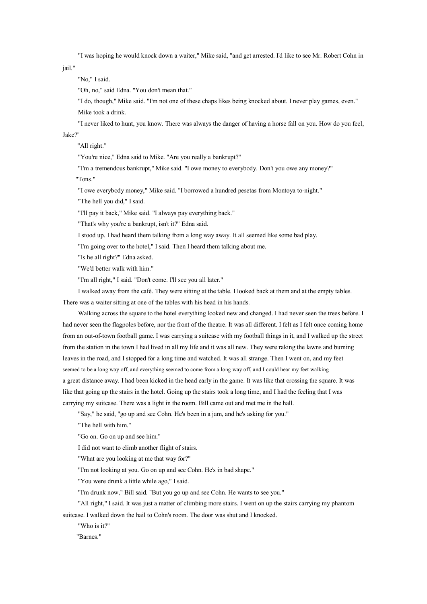"I was hoping he would knock down <sup>a</sup> waiter," Mike said, "and ge<sup>t</sup> arrested. I'dlike to see Mr. Robert Cohn in

jail."

"No," I said.

"Oh, no," said Edna. "You don't mean that."

"I do, though," Mike said. "I'm not one of these chaps likes being knocked about. I never play games, even." Mike took <sup>a</sup> drink.

"I never liked to hunt, you know. There was always the danger of having <sup>a</sup> horse fall on you. How do you feel,

## Jake?"

"All right."

"You're nice," Edna said to Mike. "Are you really <sup>a</sup> bankrupt?"

"I'm <sup>a</sup> tremendous bankrupt," Mike said. "I owe money to everybody. Don't you owe any money?"

"Tons."

"I owe everybody money," Mike said. "I borrowed <sup>a</sup> hundred pesetas from Montoya to-night."

"The hell you did," I said.

"I'll pay it back," Mike said. "I always pay everything back."

"That's why you're <sup>a</sup> bankrupt, isn't it?" Edna said.

I stood up. I had heard them talking from <sup>a</sup> long way away. It all seemed like some bad play.

"I'm going over to the hotel," I said. Then I heard them talking about me.

"Is he all right?" Edna asked.

"We'd better walk with him."

"I'm all right," I said. "Don't come. I'll see you all later."

I walked away from the café. They were sitting at the table. I looked back at them and at the empty tables. There was <sup>a</sup> waiter sitting at one of the tables with his head in his hands.

Walking across the square to the hotel everything looked new and changed. I had never seen the trees before. I had never seen the flagpoles before, nor the front of the theatre. It was all different. I felt as I felt once coming home from an out-of-town football game. I was carrying <sup>a</sup> suitcase with my football things in it, and I walked up the street from the station in the town I had lived in all my life and it was all new. They were raking the lawns and burning leaves in the road, and I stopped for <sup>a</sup> long time and watched. It was all strange. Then I went on, and my feet seemed to be <sup>a</sup> long way off, and everything seemed to come from <sup>a</sup> long way off, and I could hear my feet walking <sup>a</sup> great distance away. I had been kicked in the head early in the game. It was like that crossing the square. It was like that going up the stairs in the hotel. Going up the stairs took <sup>a</sup> long time, and I had the feeling that I was carrying my suitcase. There was <sup>a</sup> light in the room. Bill came out and met me in the hall.

"Say," he said, "go up and see Cohn. He's been in <sup>a</sup> jam, and he's asking for you."

"The hell with him."

"Go on. Go on up and see him."

I did not want to climb another flight of stairs.

"What are you looking at me that way for?"

"I'm not looking at you. Go on up and see Cohn. He's in bad shape."

"You were drunk <sup>a</sup> little while ago," I said.

"I'm drunk now," Bill said. "But you go up and see Cohn. He wants to see you."

"All right," I said. It was just <sup>a</sup> matter of climbing more stairs. I went on up the stairs carrying my phantom suitcase. I walked down the hail to Cohn's room. The door was shut and I knocked.

"Who is it?"

"Barnes."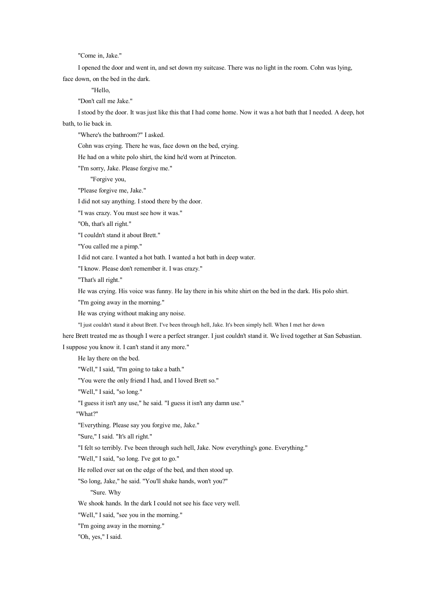"Come in, Jake."

I opened the door and went in, and set down my suitcase. There was no light in the room. Cohn was lying, face down, on the bed in the dark.

"Hello,

"Don't call me Jake."

I stood by the door. It was just like this that I had come home. Now it was <sup>a</sup> hot bath that I needed. A deep, hot bath, to lie back in.

"Where's the bathroom?" I asked.

Cohn was crying. There he was, face down on the bed, crying.

He had on <sup>a</sup> white polo shirt, the kind he'd worn at Princeton.

"I'm sorry, Jake. Please forgive me."

"Forgive you,

"Please forgive me, Jake."

I did not say anything. I stood there by the door.

"I was crazy. You must see how it was."

"Oh, that's all right."

"I couldn't stand it about Brett."

"You called me <sup>a</sup> pimp."

I did not care. I wanted <sup>a</sup> hot bath. I wanted <sup>a</sup> hot bath in deep water.

"I know. Please don't remember it. I was crazy."

"That's all right."

He was crying. His voice was funny. He lay there in his white shirt onthe bed in the dark. His polo shirt.

"I'm going away in the morning."

He was crying without making any noise.

"I just couldn't stand it about Brett. I've been through hell, Jake. It's been simply hell. When I met her down

here Brett treated me as though I were <sup>a</sup> perfect stranger. I just couldn't stand it. We lived together at San Sebastian. I suppose you know it. I can't stand it any more."

He lay there on the bed.

"Well," I said, "I'm going to take <sup>a</sup> bath."

"You were the only friend I had, and I loved Brett so."

"Well," I said, "so long."

"I guess it isn't any use," he said. "I guess it isn't any damn use."

"What?"

"Everything. Please say you forgive me, Jake."

"Sure," I said. "It's all right."

"I felt soterribly. I've been through such hell, Jake. Now everything's gone. Everything."

"Well," I said, "so long. I've got to go."

He rolled over sat on the edge of the bed, and then stood up.

"So long, Jake," he said. "You'll shake hands, won't you?"

"Sure. Why

We shook hands. In the dark I could not see his face very well.

"Well," I said, "see you in the morning."

"I'm going away in the morning."

"Oh, yes," I said.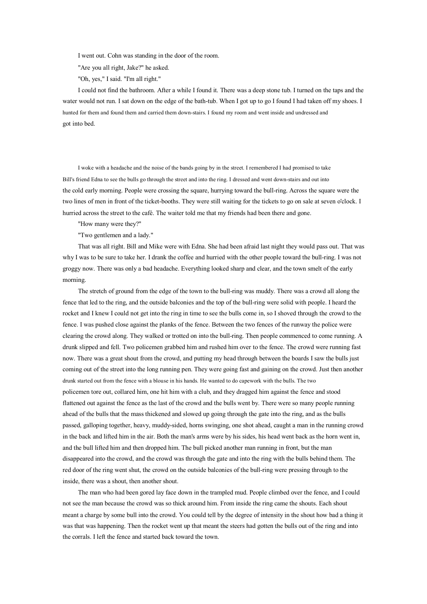I went out. Cohn was standing in the door of the room.

"Are you all right, Jake?" he asked.

"Oh, yes," I said. "I'm all right."

I could not find the bathroom. After <sup>a</sup> while I found it. There was <sup>a</sup> deep stone tub. I turned on the taps and the water would not run. I sat down on the edge of the bath-tub. When I go<sup>t</sup> up to go I found I had taken off my shoes. I hunted for themand found them and carried them down-stairs. I found my room and went inside and undressed and go<sup>t</sup> into bed.

I woke with <sup>a</sup> headache and the noise of the bands going by in the street. I remembered I had promised to take Bill's friend Edna to see the bulls go through the street and into the ring. I dressed and went down-stairs and out into the cold early morning. People were crossing the square, hurrying toward the bull-ring. Across the square were the two lines of men in front of the ticket-booths. They were still waiting for the tickets to go on sale at seven <sup>o</sup>'clock. I hurried across the street to the café. The waiter told me that my friends had been there and gone.

"How many were they?"

"Two gentlemen and <sup>a</sup> lady."

That was all right. Bill and Mike were with Edna. She had been afraid last night they would pass out. That was why I was to be sure to take her. I drank the coffee and hurried with the other people toward the bull-ring. I was not groggy now. There was only <sup>a</sup> bad headache. Everything looked sharp and clear, and the town smelt of the early morning.

The stretch of ground from the edge of the town to the bull-ring was muddy. There was <sup>a</sup> crowd all along the fence that led to the ring, and the outside balconies and the top of the bull-ring were solid with people. I heard the rocket and I knew I could not ge<sup>t</sup> into the ring in time to see the bulls come in, so I shoved through the crowd to the fence. I was pushed close against the planks of the fence. Between the two fences of the runway the police were clearing the crowd along. They walked or trotted on into the bull-ring. Then people commenced to come running. A drunk slipped and fell. Two policemen grabbed him and rushed him over to the fence. The crowd were running fast now. There was <sup>a</sup> grea<sup>t</sup> shout from the crowd, and putting my head through between the boards I saw the bulls just coming out of the street into the long running pen. They were going fast and gaining on the crowd. Just then another drunk started out from the fence with <sup>a</sup> blouse in his hands. He wanted to do capework with the bulls. The two policemen tore out, collared him, one hit him with <sup>a</sup> club, and they dragged him against the fence and stood flattened out against the fence as the last of the crowd and the bulls went by. There were so many people running ahead of the bulls that the mass thickened and slowed up going through the gate into the ring, and as the bulls passed, galloping together, heavy, muddy-sided, horns swinging, one shot ahead, caught <sup>a</sup> man in the running crowd in the back and lifted him in the air. Both the man's arms were by his sides, his head went back as the horn went in, and the bull lifted him and then dropped him. The bull picked another man running in front, but the man disappeared into the crowd, and the crowd was through the gate and into the ring with the bulls behind them. The red door of the ring went shut, the crowd on the outside balconies of the bull-ring were pressing through to the inside, there was <sup>a</sup> shout, then another shout.

The man who had been gored lay face down in the trampled mud. People climbed over the fence, and I could not see the man because the crowd was so thick around him. From inside the ring came the shouts. Each shout meant <sup>a</sup> charge by some bull into the crowd. You could tell by the degree of intensity in the shout how bad <sup>a</sup> thing it was that was happening. Then the rocket went up that meant the steers had gotten the bulls out of the ring and into the corrals. I left the fence and started back toward the town.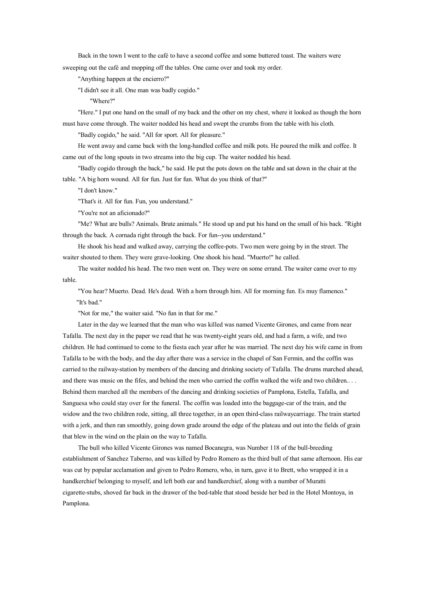Back in the town I went to the café to have <sup>a</sup> second coffee and some buttered toast. The waiters were sweeping out the café and mopping off the tables. One came over and took my order.

"Anything happen at the encierro?"

"I didn't see it all. One man was badly cogido."

"Where?"

"Here." I pu<sup>t</sup> one hand on the small of my back and the other on my chest, where it looked as though the horn must have come through. The waiter nodded his head and swep<sup>t</sup> the crumbs from the table with his cloth.

"Badly cogido," he said. "All for sport. All for pleasure."

He went away and came back with the long-handled coffee and milk pots. He poured the milk and coffee. It came out of the long spouts in two streams into the big cup. The waiter nodded his head.

"Badly cogido through the back," he said. He pu<sup>t</sup> the pots down on the table and sat down in the chair at the table. "A big horn wound. All for fun. Just for fun. What do you think of that?"

"I don't know."

"That's it. All for fun. Fun, you understand."

"You're not an aficionado?"

"Me? What are bulls? Animals. Brute animals." He stood up and put his hand on the small of his back. "Right through the back. A cornada right through the back. For fun--you understand."

He shook his head and walked away, carrying the coffee-pots. Two men were going by in the street. The waiter shouted to them. They were grave-looking. One shook his head. "Muerto!" he called.

The waiter nodded his head. The two men went on. They were on some errand. The waiter came over to my table.

"You hear? Muerto. Dead. He's dead. With <sup>a</sup> horn through him. All for morning fun. Es muy flamenco." "It's bad."

"Not for me," the waiter said. "No fun in that for me."

Later in the day we learned that the man who was killed was named Vicente Girones, and came from near Tafalla. The next day in the paper we read that he was twenty-eight years old, and had <sup>a</sup> farm, <sup>a</sup> wife, and two children. He had continued to come to the fiesta each year after he was married. The next day his wife came in from Tafalla to be with the body, and the day after there was <sup>a</sup> service in the chapel of San Fermin, and the coffin was carried to the railway-station by members of the dancing and drinking society of Tafalla. The drums marched ahead, and there was music on the fifes, and behind the men who carried the coffin walked the wife and two children.. . . Behind them marched all the members of the dancing and drinking societies of Pamplona, Estella, Tafalla, and Sanguesa who could stay over for the funeral. The coffin was loaded into the baggage-car of the train, and the widow and the two children rode, sitting, all three together, in an open third-class railwaycarriage. The train started with a jerk, and then ran smoothly, going down grade around the edge of the plateau and out into the fields of grain that blew in the wind on the plain on the way to Tafalla.

The bull who killed Vicente Girones was named Bocanegra, was Number 118 of the bull-breeding establishment of Sanchez Taberno, and was killed by Pedro Romero as the third bull of that same afternoon. His ear was cut by popular acclamation and given to Pedro Romero, who, in turn, gave it to Brett, who wrapped it in <sup>a</sup> handkerchief belonging to myself, and left both ear and handkerchief, along with <sup>a</sup> number of Muratti cigarette-stubs, shoved far back in the drawer of the bed-table that stood beside her bed in the Hotel Montoya, in Pamplona.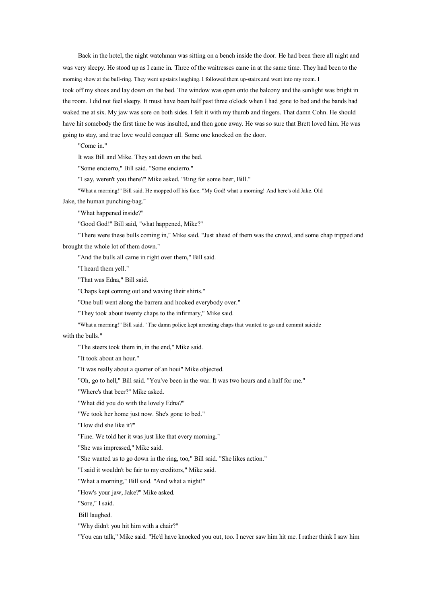Back in the hotel, the night watchman was sitting on <sup>a</sup> bench inside the door. He had been there all night and was very sleepy. He stood up as I came in. Three of the waitresses came in at the same time. They had been to the morning show at the bull-ring. They went upstairs laughing. I followed them up-stairs and went into my room. I took off my shoes and lay down on the bed. The window was open onto the balcony and the sunlight was bright in the room. I did not feel sleepy. It must have been half pas<sup>t</sup> three <sup>o</sup>'clock when I had gone to bed and the bands had waked me at six. My jaw was sore on both sides. I felt it with my thumb and fingers. That damn Cohn. He should have hit somebody the first time he was insulted, and then gone away. He was so sure that Brett loved him. He was going to stay, and true love would conquer all. Some one knocked on the door.

"Come in."

It was Bill and Mike. They sat down on the bed.

"Some encierro," Bill said. "Some encierro."

"I say, weren't you there?" Mike asked. "Ring for some beer, Bill."

"What <sup>a</sup> morning!" Bill said. He mopped off his face. "My God! what <sup>a</sup> morning! And here's old Jake. Old

Jake, the human punching-bag."

"What happened inside?"

"Good God!" Bill said, "what happened, Mike?"

"There were these bulls coming in," Mike said. "Just ahead of them was the crowd, and some chap tripped and brought the whole lot of them down."

"And the bulls all came in right over them," Bill said.

"I heard them yell."

"That was Edna," Bill said.

"Chaps kept coming out and waving their shirts."

"One bull went along the barrera and hooked everybody over."

"They took about twenty chaps to the infirmary," Mike said.

"What <sup>a</sup> morning!" Bill said. "The damn police kept arresting chaps that wanted to go and commit suicide

## with the bulls."

"The steers took them in, in the end," Mike said.

"It took about an hour."

"It was really about <sup>a</sup> quarter of an houi" Mike objected.

"Oh, go to hell," Bill said. "You've been in the war. It was two hours and <sup>a</sup> half for me."

"Where's that beer?" Mike asked.

"What did you do with the lovely Edna?"

"We took her home just now. She's gone to bed."

"How did she like it?"

"Fine. We told her it was just like that every morning."

"She was impressed," Mike said.

"She wanted us to go down in the ring, too," Bill said. "She likes action."

"I said it wouldn't be fair to my creditors," Mike said.

"What <sup>a</sup> morning," Bill said. "And what <sup>a</sup> night!"

"How's your jaw, Jake?" Mike asked.

"Sore," I said.

Bill laughed.

"Why didn't you hit him with <sup>a</sup> chair?"

"You can talk," Mike said. "He'd have knocked you out, too. I never saw him hit me. I rather think I saw him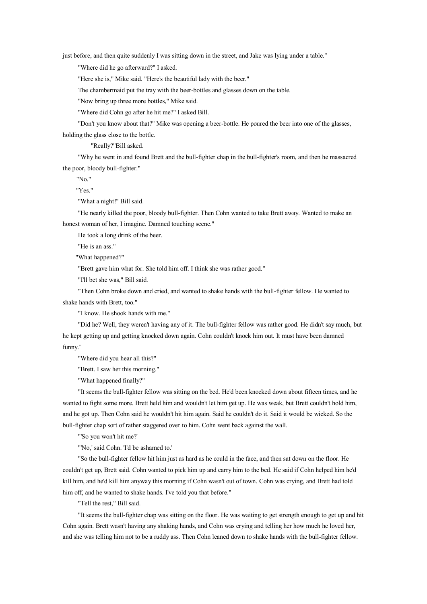just before, and then quite suddenly I was sitting down in the street, and Jake was lying under <sup>a</sup> table."

"Where did he go afterward?" I asked.

"Here she is," Mike said. "Here's the beautiful lady with the beer."

The chambermaid put the tray with the beer-bottles and glasses down on the table.

"Now bring up three more bottles," Mike said.

"Where did Cohn go after he hit me?" I asked Bill.

"Don't you know about that?" Mike was opening <sup>a</sup> beer-bottle. He poured the beer into one of the glasses,

holding the glass close to the bottle.

"Really?"Bill asked.

"Why he went in and found Brett and the bull-fighter chap in the bull-fighter's room, and then he massacred the poor, bloody bull-fighter."

"No."

"Yes."

"What <sup>a</sup> night!" Bill said.

"He nearly killed the poor, bloody bull-fighter. Then Cohn wanted to take Brett away. Wanted to make an honest woman of her, I imagine. Damned touching scene."

He took <sup>a</sup> long drink of the beer.

"He is an ass."

"What happened?"

"Brett gave him what for. She told him off. I think she was rather good."

"I'll bet she was," Bill said.

"Then Cohn broke down and cried, and wanted to shake hands with the bull-fighter fellow. He wanted to shake hands with Brett, too."

"I know. He shook hands with me."

"Did he? Well, they weren't having any of it. The bull-fighter fellow was rather good. He didn't say much, but he kept getting up and getting knocked down again. Cohn couldn't knock him out. It must have been damned funny."

"Where did you hear all this?"

"Brett. I saw her this morning."

"What happened finally?"

"It seems the bull-fighter fellow was sitting on the bed. He'd been knocked down about fifteen times, and he wanted to fight some more. Brett held him and wouldn't let him ge<sup>t</sup> up. He was weak, but Brett couldn't hold him, and he go<sup>t</sup> up. Then Cohn said he wouldn't hit him again. Said he couldn't do it. Said it would be wicked. Sothe bull-fighter chap sort of rather staggered over to him. Cohn went back against the wall.

"'So you won't hit me?'

"'No,' said Cohn. 'I'd be ashamed to.'

"So the bull-fighter fellow hit him just as hard as he could in the face, and then sat down on the floor. He couldn't ge<sup>t</sup> up, Brett said. Cohn wanted to pick him up and carry him to the bed. He said if Cohn helped him he'd kill him, and he'd kill him anyway this morning if Cohn wasn't out of town. Cohn was crying, and Brett had told him off, and he wanted to shake hands. I've told you that before."

"Tell the rest," Bill said.

"It seems the bull-fighter chap was sitting on the floor. He was waiting to ge<sup>t</sup> strength enough to ge<sup>t</sup> upand hit Cohn again. Brett wasn't having any shaking hands, and Cohn was crying and telling her how much he loved her, and she was telling him not to be <sup>a</sup> ruddy ass. Then Cohn leaned down to shake hands with the bull-fighter fellow.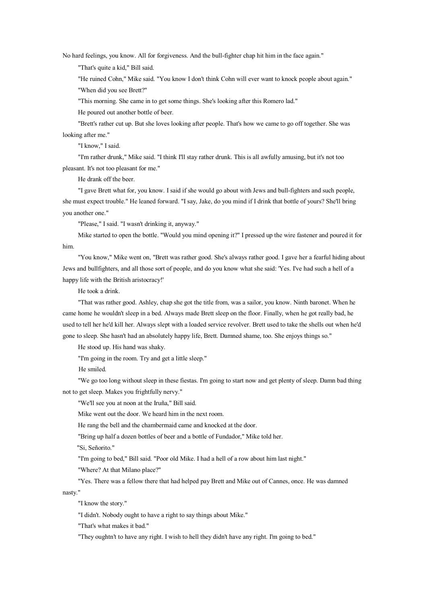No hard feelings, you know. All for forgiveness. And the bull-fighter chap hit him in the face again."

"That's quite <sup>a</sup> kid," Bill said.

"He ruined Cohn," Mike said. "You know I don't think Cohn will ever want to knock people about again."

"When did you see Brett?"

"This morning. She came in to ge<sup>t</sup> some things. She's looking after this Romero lad."

He poured out another bottle of beer.

"Brett's rather cut up. But she loves looking after people. That's how we came to go off together. She was looking after me."

"I know," I said.

"I'm rather drunk," Mike said. "I think I'll stay rather drunk. This is all awfully amusing, but it's not too pleasant. It's not too pleasant for me."

He drank off the beer.

"I gave Brett what for, you know. I said if she would go about with Jews and bull-fighters and such people, she must expec<sup>t</sup> trouble." He leaned forward. "I say, Jake, doyou mind if I drink that bottle of yours? She'll bring you another one."

"Please," I said. "I wasn't drinking it, anyway."

Mike started to open the bottle. "Would you mind opening it?" I pressed up the wire fastener and poured it for him.

"You know," Mike went on, "Brett was rather good. She's always rather good. I gave her <sup>a</sup> fearful hiding about Jews and bullfighters, and all those sort of people, and do you know what she said: 'Yes. I've had such <sup>a</sup> hell of <sup>a</sup> happy life with the British aristocracy!'

He took <sup>a</sup> drink.

"That was rather good. Ashley, chap she go<sup>t</sup> the title from, was <sup>a</sup> sailor, you know. Ninth baronet. When he came home he wouldn't sleep in <sup>a</sup> bed. Always made Brett sleep on the floor. Finally, when he go<sup>t</sup> really bad, he used to tell her he'd kill her. Always slept with <sup>a</sup> loaded service revolver. Brett used to take the shells out when he'd gone to sleep. She hasn't had an absolutely happy life, Brett. Damned shame, too. She enjoys things so."

He stood up. His hand was shaky.

"I'm going in the room. Try and ge<sup>t</sup> <sup>a</sup> little sleep."

He smiled.

"We go too long without sleep in these fiestas. I'm going to start now and ge<sup>t</sup> plenty of sleep. Damn bad thing not to ge<sup>t</sup> sleep. Makes you frightfully nervy."

"We'll see you at noon at the Iruña," Bill said.

Mike went out the door. We heard him in the next room.

He rang the bell and the chambermaid came and knocked at the door.

"Bring up half <sup>a</sup> dozen bottles of beer and <sup>a</sup> bottle of Fundador," Mike told her.

"Si, Señorito."

"I'm going to bed," Bill said. "Poor old Mike. I had <sup>a</sup> hell of <sup>a</sup> row about him last night."

"Where? At that Milano place?"

"Yes. There was <sup>a</sup> fellow there that had helped pay Brett and Mike out of Cannes, once. He was damned nasty."

"I know the story."

"I didn't. Nobody ought to have <sup>a</sup> right to say things about Mike."

"That's what makes it bad."

"They oughtn't to have any right. I wish to hell they didn't have any right. I'm going to bed."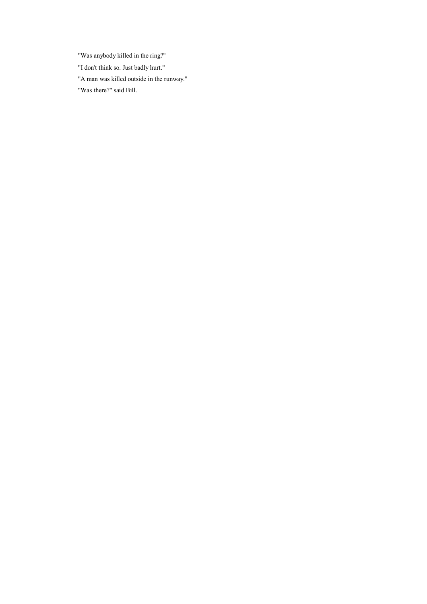"Was anybody killed in the ring?" "I don't think so. Just badly hurt." "A man was killed outside in the runway." "Was there?" said Bill.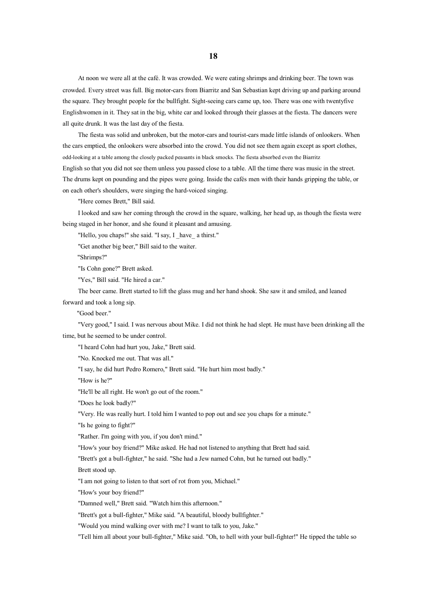At noon we were all at the café. It was crowded. We were eating shrimps and drinking beer. The town was crowded. Every street was full. Big motor-cars from Biarritz and San Sebastian kept driving up and parking around the square. They brought people for the bullfight. Sight-seeing cars came up, too. There was one with twentyfive Englishwomen in it. They sat in the big, white car and looked through their glasses at the fiesta. The dancers were all quite drunk. It was the last day of the fiesta.

The fiesta was solid and unbroken, but the motor-cars and tourist-cars made little islands of onlookers. When the cars emptied, the onlookers were absorbed into the crowd. You did not see them again excep<sup>t</sup> as spor<sup>t</sup> clothes, odd-looking at <sup>a</sup> table among the closely packed peasants in black smocks. The fiesta absorbed even the Biarritz English so that you did not see them unless you passed close to <sup>a</sup> table. All the time there was music in the street. The drums kept on pounding and the pipes were going. Inside the cafés men with their hands gripping the table, or on each other's shoulders, were singing the hard-voiced singing.

"Here comes Brett," Bill said.

I looked and saw her coming through the crowd in the square, walking, her head up, as though the fiesta were being staged in her honor, and she found it pleasant and amusing.

"Hello, you chaps!" she said. "I say, I have a thirst."

"Get another big beer," Bill said to the waiter.

"Shrimps?"

"Is Cohn gone?" Brett asked.

"Yes," Bill said. "He hired <sup>a</sup> car."

The beer came. Brett started to lift the glass mug and her hand shook. She saw it and smiled, and leaned forward and took <sup>a</sup> long sip.

"Good beer."

"Very good," I said. I was nervous about Mike. I did not think he had slept. He must have been drinking all the time, but he seemed to be under control.

"I heard Cohn had hurt you, Jake," Brett said.

"No. Knocked me out. That was all."

"I say, he did hurt Pedro Romero," Brett said. "He hurt him most badly."

"How is he?"

"He'll be all right. He won't go out of the room."

"Does he look badly?"

"Very. He was really hurt. I told him I wanted to pop out and see you chaps for <sup>a</sup> minute."

"Is he going to fight?"

"Rather. I'm going with you, if you don't mind."

"How's your boy friend?" Mike asked. He had not listened to anything that Brett had said.

"Brett's go<sup>t</sup> <sup>a</sup> bull-fighter," he said. "She had <sup>a</sup> Jew named Cohn, but he turned out badly."

Brett stood up.

"I am not going to listen to that sort of rot from you, Michael."

"How's your boy friend?"

"Damned well," Brett said. "Watch him this afternoon."

"Brett's go<sup>t</sup> <sup>a</sup> bull-fighter," Mike said. "A beautiful, bloody bullfighter."

"Would you mind walking over with me? I want to talk to you, Jake."

"Tell him all about your bull-fighter," Mike said. "Oh, to hell with your bull-fighter!" He tipped the table so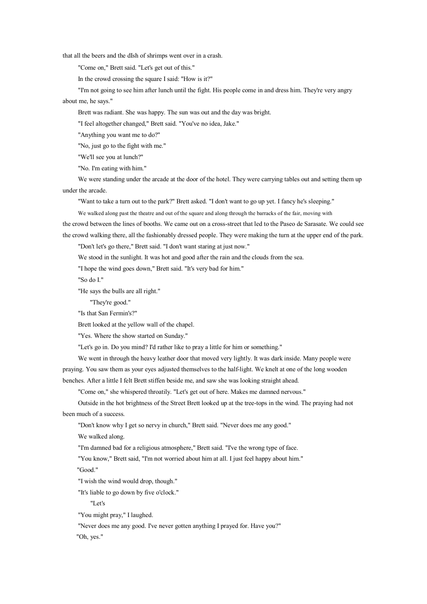that all the beers and the dIsh of shrimps went over in <sup>a</sup> crash.

"Come on," Brett said. "Let's ge<sup>t</sup> out of this."

In the crowd crossing the square I said: "How is it?"

"I'm not going to see himafter lunch until the fight. His people come in and dress him. They're very angry about me, he says."

Brett was radiant. She was happy. The sun was out and the day was bright.

"I feel altogether changed," Brett said. "You've no idea, Jake."

"Anything you want me to do?"

"No, just go to the fight with me."

"We'll see you at lunch?"

"No. I'm eating with him."

We were standing under the arcade at the door of the hotel. They were carrying tables out and setting them up under the arcade.

"Want to take <sup>a</sup> turn out to the park?" Brett asked. "I don't want to go up yet. I fancy he's sleeping."

We walked along pas<sup>t</sup> the theatre and out of the square and along through the barracks of the fair, moving with

the crowd between the lines of booths. We came out ona cross-street that led to the Paseo de Sarasate. We could see

the crowd walking there, all the fashionably dressed people. They were making the turn at the upper end of the park. "Don't let's go there," Brett said. "I don't want staring at just now."

We stood in the sunlight. It was hot and good after the rain and the clouds from the sea.

"I hope the wind goes down," Brett said. "It's very bad for him."

"So do I."

"He says the bulls are all right."

"They're good."

"Is that San Fermin's?"

Brett looked at the yellow wall of the chapel.

"Yes. Where the show started on Sunday."

"Let's go in. Do you mind? I'd rather like to pray <sup>a</sup> little for him or something."

We went in through the heavy leather door that moved very lightly. It was dark inside. Many people were

praying. You saw them as your eyes adjusted themselves to the half-light. We knelt at one of the long wooden

benches. After <sup>a</sup> little I felt Brett stiffen beside me, and saw she was looking straight ahead.

"Come on," she whispered throatily. "Let's ge<sup>t</sup> out of here. Makes me damned nervous."

Outside in the hot brightness of the Street Brett looked up at the tree-tops in the wind. The praying had not been much of <sup>a</sup> success.

"Don't know why I ge<sup>t</sup> so nervy in church," Brett said. "Never does me any good."

We walked along.

"I'm damned bad for <sup>a</sup> religious atmosphere," Brett said. "I've the wrong type of face.

"You know," Brett said, "I'm not worried about him at all. I just feel happy about him."

"Good."

"I wish the wind would drop, though."

"It's liable to go down by five <sup>o</sup>'clock."

"Let's

"You might pray," I laughed.

"Never does me any good. I've never gotten anything I prayed for. Have you?"

"Oh, yes."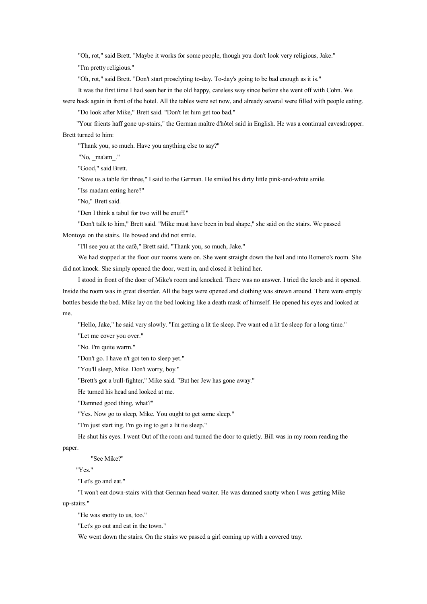"Oh, rot," said Brett. "Maybe it works for some people, though you don't look very religious, Jake."

"I'm pretty religious."

"Oh, rot," said Brett. "Don't start proselyting to-day. To-day's going to be bad enough as it is."

It was the first time I had seen her in the old happy, careless way since before she went off with Cohn. We

were back again in front of the hotel. All the tables were set now, and already several were filled with people eating. "Do look after Mike," Brett said. "Don't let him ge<sup>t</sup> too bad."

"Your frients haff gone up-stairs," the German maître d'hôtel said in English. He was <sup>a</sup> continual eavesdropper. Brett turned to him:

"Thank you, so much. Have you anything else to say?"

"No, ma'am<sup>"</sup>

"Good," said Brett.

"Save us <sup>a</sup> table for three," I said to the German. He smiled his dirty little pink-and-white smile.

"Iss madam eating here?"

"No," Brett said.

"Den I think <sup>a</sup> tabul for two will be enuff."

"Don't talk to him," Brett said. "Mike must have been in bad shape," she said on the stairs. We passed

Montoya on the stairs. He bowed and did not smile.

"I'll see you at the café," Brett said. "Thank you, so much, Jake."

We had stopped at the floor our rooms were on. She went straight down the hail and into Romero's room. She did not knock. She simply opened the door, went in, and closed it behind her.

I stood in front of the door of Mike's room and knocked. There was no answer. I tried the knob and it opened. Inside the room was in grea<sup>t</sup> disorder. All the bags were opened and clothing was strewn around. There were empty bottles beside the bed. Mike lay on the bed looking like <sup>a</sup> death mask of himself. He opened his eyes and looked at me.

"Hello, Jake," he said very slowly. "I'm getting <sup>a</sup> lit tle sleep. I've want ed <sup>a</sup> lit tle sleep for <sup>a</sup> long time."

"Let me cover you over."

"No. I'm quite warm."

"Don't go. I have <sup>n</sup>'t go<sup>t</sup> ten to sleep yet."

"You'll sleep, Mike. Don't worry, boy."

"Brett's go<sup>t</sup> <sup>a</sup> bull-fighter," Mike said. "But her Jew has gone away."

He turned his head and looked at me.

"Damned good thing, what?"

"Yes. Now go to sleep, Mike. You ought to ge<sup>t</sup> some sleep."

"I'm just start ing. I'm go ing to ge<sup>t</sup> <sup>a</sup> lit tie sleep."

He shut his eyes. I went Out of the room and turned the door to quietly. Bill was in my room reading the paper.

"See Mike?"

"Yes."

"Let's go and eat."

"I won't eat down-stairs with that German head waiter. He was damned snotty when I was getting Mike up-stairs."

"He was snotty to us, too."

"Let's go out and eat in the town."

We went down the stairs. On the stairs we passed <sup>a</sup> girl coming up with <sup>a</sup> covered tray.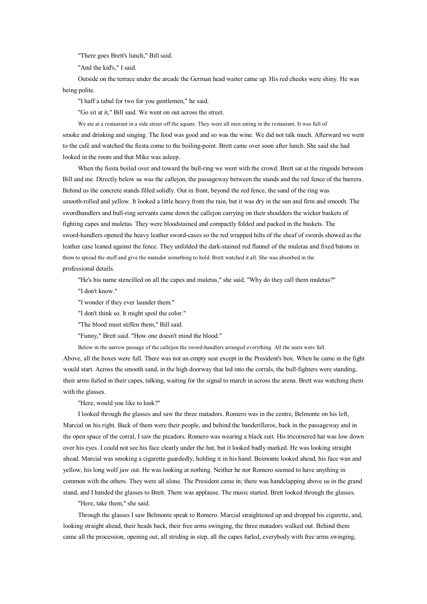"There goes Brett's lunch," Bill said.

"And the kid's," I said.

Outside on the terrace under the arcade the German head waiter came up. His red cheeks were shiny. He was being polite.

"I haff <sup>a</sup> tabul for two for you gentlemen," he said.

"Go sit at it," Bill said. We went on out across the street.

We ate at <sup>a</sup> restaurant in <sup>a</sup> side street off the square. They were all men eating in the restaurant. It was full of smoke and drinking and singing. The food was good and so was the wine. We did not talk much. Afterward we went to the café and watched the fiesta come to the boiling-point. Brett came over soon after lunch. She said she had looked in the room and that Mike was asleep.

When the fiesta boiled over and toward the bull-ring we went with the crowd. Brett sat at the ringside between Bill and me. Directly below us was the callejon, the passageway between the stands and the red fence of the barrera. Behind us the concrete stands filled solidly. Out in front, beyond the red fence, the sand of the ring was smooth-rolled and yellow. It looked <sup>a</sup> little heavy from the rain, but it was dry in the sun and firm and smooth. The swordhandlers and bull-ring servants came down the callejon carrying on their shoulders the wicker baskets of fighting capes and muletas. They were bloodstained and compactly folded and packed in the baskets. The sword-handlers opened the heavy leather sword-cases so the red wrapped hilts of the sheaf of swords showed as the leather case leaned against the fence. They unfolded the dark-stained red flannel of the muletas and fixed batons in them to spread the stuff and give the matador something to hold. Brett watched it all. She was absorbed in the professional details.

"He's his name stencilled on all the capes and muletas," she said. "Why do they call them muletas?"

"I don't know."

"I wonder if they ever launder them."

"I don't think so. It might spoil the color."

"The blood must stiffen them," Bill said.

"Funny," Brett said. "How one doesn't mind the blood."

Below in the narrow passage of the callejon the sword-handlers arranged everything. All the seats were full.

Above, all the boxes were full. There was not anempty seat excep<sup>t</sup> in the President's box. When he came in the fight would start. Across the smooth sand, in the high doorway that led into the corrals, the bull-fighters were standing, their arms furled in their capes, talking, waiting for the signal to march in across the arena. Brett was watching them with the glasses.

"Here, would you like to look?"

I looked through the glasses and saw the three matadors. Romero was in the centre, Belmonte on his left, Marcial on his right. Back of themwere their people, and behind the banderilleros, back in the passageway and in the open space of the corral, I saw the picadors. Romero was wearing <sup>a</sup> black suit. His tricornered hat was lowdown over his eyes. I could not see his face clearly under the hat, but it looked badly marked. He was looking straight ahead. Marcial was smoking <sup>a</sup> cigarette guardedly, holding it in his hand. Beimonte looked ahead, his face wan and yellow, his long wolf jaw out. He was looking at nothing. Neither he nor Romero seemed to have anything in common with the others. They were all alone. The President came in; there was handclapping above us in the grand stand, and I handed the glasses to Brett. There was applause. The music started. Brett looked through the glasses.

"Here, take them," she said.

Through the glasses I saw Belmonte speak to Romero. Marcial straightened up and dropped his cigarette, and, looking straight ahead, their heads back, their free arms swinging, the three matadors walked out. Behind them came all the procession, opening out, all striding in step, all the capes furled, everybody with free arms swinging,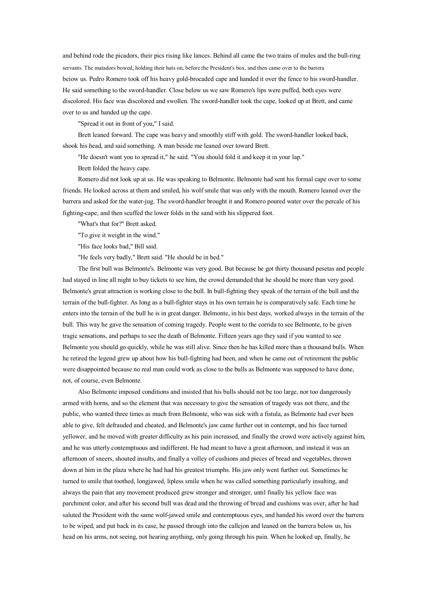and behind rode the picadors, their pics rising like lances. Behind all came the two trains of mules and the bull-ring servants. The matadors bowed, holding their hats on, before the President's box, and then came over to the barrera beiow us. Pedro Romero took off his heavy gold-brocaded cape and handed it over the fence to his sword-handler. He said something to the sword-handler. Close below us we saw Romero's lips were puffed, both eyes were discolored. His face was discolored and swollen. The sword-handler took the cape, looked up at Brett, and came over to us and handed up the cape.

"Spread it out in front of you," I said.

Brett leaned forward. The cape was heavy and smoothly stiff with gold. The sword-handler looked back, shook his head, and said something. A man beside me leaned over toward Brett.

"He doesn't want you to spread it," he said. "You should fold it and keep it in your lap."

Brett folded the heavy cape.

Romero did not look up at us. He was speaking to Belmonte. Belmonte had sent his formal cape over to some friends. He looked across at them and smiled, his wolf smile that was only with the mouth. Romero leaned over the barrera and asked for the water-jug. The sword-handler brought it and Romero poured water over the percale of his fighting-cape, and then scuffed the lower folds in the sand with his slippered foot.

"What's that for?" Brett asked.

"To give it weight in the wind."

"His face looks bad," Bill said.

"He feels very badly," Brett said. "He should be in bed."

The first bull was Belmonte's. Belmonte was very good. But because he go<sup>t</sup> thirty thousand pesetas and people had stayed in line all night to buy tickets to see him, the crowd demanded that he should be more than very good. Belmonte's great attraction is working close to the bull. In bull-fighting they speak of the terrain of the bull and the terrain of the bull-fighter. As long as <sup>a</sup> bull-fighter stays in his own terrain he is comparatively safe. Each time he enters into the terrain of the bull he is in great danger. Belmonte, in his best days, worked always in the terrain of the bull. This way he gave the sensation of coming tragedy. People went to the corrida to see Belmonte, to be given tragic sensations, and perhaps to see the death of Belmonte. Fifteen years ago they said if you wanted to see Belmonte you should go quickly, while he was still alive. Since then he has killed more than <sup>a</sup> thousand bulls. When he retired the legend grew up about how his bull-fighting had been, and when he came out of retirement the public were disappointed because no real man could work as close to the bulls as Belmonte was supposed to have done, not, of course, even Belmonte.

Also Belmonte imposed conditions and insisted that his bulls should not be too large, nor too dangerously armed with horns, and so the element that was necessary to give the sensation of tragedy was not there, and the public, who wanted three times as much from Belmonte, who was sick with <sup>a</sup> fistula, as Belmonte had ever been able to give, felt defrauded and cheated, and Belmonte's jawcame further out in contempt, and his face turned yellower, and he moved with greater difficulty as his pain increased, and finally the crowd were actively against him, and he was utterly contemptuous and indifferent. He had meant to have <sup>a</sup> great afternoon, and instead it was an afternoon of sneers, shouted insults, and finally <sup>a</sup> volley of cushions and pieces of bread and vegetables, thrown down at him in the plaza where he had had his greatest triumphs. His jawonly went further out. Sometimes he turned to smile that toothed, longjawed, lipless smile when he was called something particularly insulting, and always the pain that any movement produced grew stronger and stronger, until finally his yellow face was parchment color, and after his second bull was dead and the throwing of bread and cushions was over, after he had saluted the President with the same wolf-jawed smile and contemptuous eyes, and handed his sword over the barrera to be wiped, and put back in its case, he passed through into the callejon and leaned on the barrera below us, his head on his arms, not seeing, not hearing anything, only going through his pain. When he looked up, finally, he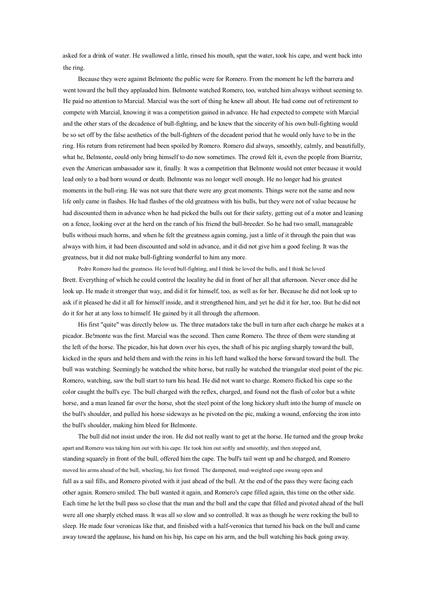asked for <sup>a</sup> drink of water. He swallowed <sup>a</sup> little, rinsed his mouth, spat the water, took his cape, and went back into the ring.

Because they were against Belmonte the public were for Romero. From the moment he left the barrera and went toward the bull they applauded him. Belmonte watched Romero, too, watched him always without seeming to. He paid no attention to Marcial. Marcial was the sort of thing he knew all about. He had come out of retirement to compete with Marcial, knowing it was <sup>a</sup> competition gained in advance. He had expected to compete with Marcial and the other stars of the decadence of bull-fighting, and he knew that the sincerity of his own bull-fighting would be so set off by the false aesthetics of the bull-fighters of the decadent period that he would only have to be in the ring. His return from retirement had been spoiled by Romero. Romero did always, smoothly, calmly, and beautifully, what he, Belmonte, could only bring himself to do now sometimes. The crowd felt it, even the people from Biarritz, even the American ambassador saw it, finally. It was <sup>a</sup> competition that Belmonte would not enter because it would lead only to <sup>a</sup> bad horn wound or death. Belmonte was no longer well enough. He no longer had his greatest moments in the bull-ring. He was not sure that there were any grea<sup>t</sup> moments. Things were not the same and now life only came in flashes. He had flashes of the old greatness with his bulls, but they were not of value because he had discounted them in advance when he had picked the bulls out for their safety, getting out of <sup>a</sup> motor and leaning on <sup>a</sup> fence, looking over at the herd on the ranch of his friend the bull-breeder. Sohe had two small, manageable bulls withoui much horns, and when he felt the greatness again coming, just <sup>a</sup> little of it through the pain that was always with him, it had been discounted and sold in advance, and it did not give him <sup>a</sup> good feeling. It was the greatness, but it did not make bull-fighting wonderful to him any more.

Pedro Romero had the greatness. He loved bull-fighting, and I think he loved the bulls, and I think he loved Brett. Everything of which he could control the locality he did in front of her all that afternoon. Never once did he look up. He made it stronger that way, and did it for himself, too, as well as for her. Because he did not look up to ask if it pleased he did it all for himself inside, and it strengthened him, and ye<sup>t</sup> he did it for her, too. But he did not do it for her at any loss to himself. He gained by it all through the afternoon.

His first "quite" was directly below us. The three matadors take the bull in turn after each charge he makes at <sup>a</sup> picador. Be!monte was the first. Marcial was the second. Then came Romero. The three of them were standing at the left of the horse. The picador, his hat down over his eyes, the shaft of his pic angling sharply toward the bull, kicked in the spurs and held them and with the reins in his left hand walked the horse forward toward the bull. The bull was watching. Seemingly he watched the white horse, but really he watched the triangular steel point of the pic. Romero, watching, saw the bull start to turn his head. He did not want to charge. Romero flicked his cape so the color caught the bull's eye. The bull charged with the reflex, charged, and found not the flash of color but <sup>a</sup> white horse, and <sup>a</sup> man leaned far over the horse, shot the steel point of the long hickory shaft into the hump of muscle on the bull's shoulder, and pulled his horse sideways as he pivoted on the pic, making <sup>a</sup> wound, enforcing the iron into the bull's shoulder, making him bleed for Belmonte.

The bull did not insist under the iron. He did not really want to ge<sup>t</sup> at the horse. He turned and the group broke apar<sup>t</sup> and Romero was taking him out with his cape. He took him out softly and smoothly, and then stopped and, standing squarely in front of the bull, offered him the cape. The bull's tail went up and he charged, and Romero moved his arms ahead of the bull, wheeling, his feet firmed. The dampened, mud-weighted cape swung open and full as a sail fills, and Romero pivoted with it just ahead of the bull. At the end of the pass they were facing each other again. Romero smiled. The bull wanted it again, and Romero's cape filled again, this time on the other side. Each time he let the bull pass so close that the man and the bull and the cape that filled and pivoted ahead of the bull were all one sharply etched mass. It was all so slow and so controlled. It was as though he were rocking the bull to sleep. He made four veronicas like that, and finished with <sup>a</sup> half-veronica that turned his back on the bull and came away toward the applause, his hand on his hip, his cape on his arm, and the bull watching his back going away.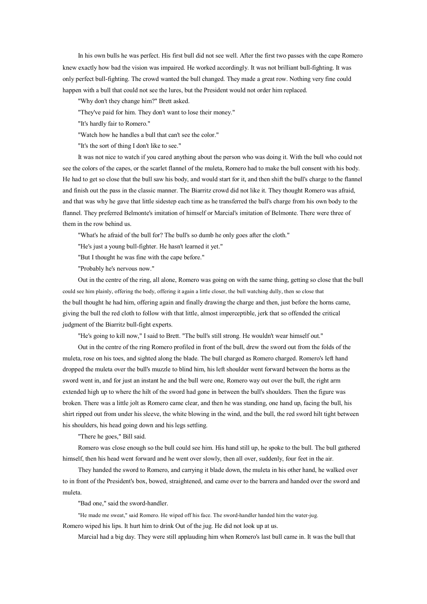In his own bulls he was perfect. His first bull did not see well. After the first two passes with the cape Romero knew exactly how bad the vision was impaired. He worked accordingly. It was not brilliant bull-fighting. It was only perfect bull-fighting. The crowd wanted the bull changed. They made <sup>a</sup> grea<sup>t</sup> row. Nothing very fine could happen with <sup>a</sup> bull that could not see the lures, but the President would not order him replaced.

"Why don't they change him?" Brett asked.

"They've paid for him. They don't want to lose their money."

"It's hardly fair to Romero."

"Watch how he handles <sup>a</sup> bull that can't see the color."

"It's the sort of thing I don't like to see."

It was not nice to watch if you cared anything about the person who was doing it. With the bull who could not see the colors of the capes, or the scarlet flannel of the muleta, Romero had to make the bull consent with his body. He had to ge<sup>t</sup> soclose that the bull saw his body, and would start for it, and then shift the bull's charge to the flannel and finish out the pass in the classic manner. The Biarritz crowd did not like it. They thought Romero was afraid, and that was why he gave that little sidestep each time as he transferred the bull's charge from his own body to the flannel. They preferred Belmonte's imitation of himself or Marcial's imitation of Belmonte. There were three of them in the row behind us.

"What's he afraid of the bull for? The bull's so dumb he only goes after the cloth."

"He's just <sup>a</sup> young bull-fighter. He hasn't learned it yet."

"But I thought he was fine with the cape before."

"Probably he's nervous now."

Out in the centre of the ring, all alone, Romero was going on with the same thing, getting so close that the bull could see him plainly, offering the body, offering it again <sup>a</sup> little closer, the bull watching dully, then so close that the bull thought he had him, offering again and finally drawing the charge and then, just before the horns came, giving the bull the red cloth to follow with that little, almost imperceptible, jerk that sooffended the critical judgment of the Biarritz bull-fight experts.

"He's going to kill now," I said to Brett. "The bull's still strong. He wouldn't wear himself out."

Out in the centre of the ring Romero profiled in front of the bull, drew the sword out from the folds of the muleta, rose on his toes, and sighted along the blade. The bull charged as Romero charged. Romero's left hand dropped the muleta over the bull's muzzle to blind him, his left shoulder went forward between the horns as the sword went in, and for just aninstant he and the bull were one, Romero way out over the bull, the right arm extended high up to where the hilt of the sword had gone in between the bull's shoulders. Then the figure was broken. There was <sup>a</sup> little jolt as Romero came clear, and then he was standing, one hand up, facing the bull, his shirt ripped out from under his sleeve, the white blowing in the wind, and the bull, the red sword hilt tight between his shoulders, his head going down and his legs settling.

"There he goes," Bill said.

Romero was close enough so the bull could see him. His hand still up, he spoke to the bull. The bull gathered himself, then his head went forward and he went over slowly, then all over, suddenly, four feet in the air.

They handed the sword to Romero, and carrying it blade down, the muleta in his other hand, he walked over to in front of the President's box, bowed, straightened, and came over to the barrera and handed over the sword and muleta.

"Bad one," said the sword-handler.

"He made me sweat," said Romero. He wiped off his face. The sword-handler handed him the water-jug.

Romero wiped his lips. It hurt him to drink Out of the jug. He did not look up at us.

Marcial had <sup>a</sup> big day. They were still applauding him when Romero's last bull came in. It was the bull that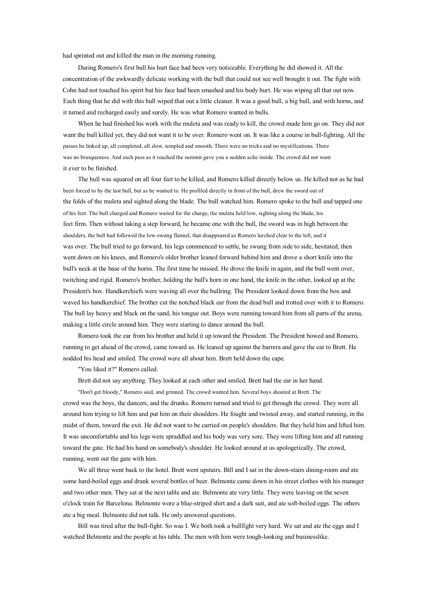had sprinted out and killed the man in the morning running.

During Romero's first bull his hurt face had been very noticeable. Everything he did showed it. All the concentration of the awkwardly delicate working with the bull that could not see well brought it out. The fight with Cohn had not touched his spirit but his face had been smashed and his body hurt. He was wiping all that out now. Each thing that he did with this bull wiped that out <sup>a</sup> little cleaner. It was <sup>a</sup> good bull, <sup>a</sup> big bull, and with horns, and it turned and recharged easily and surely. He was what Romero wanted in bulls.

When he had finished his work with the muleta and was ready to kill, the crowd made him go on. They did not want the bull killed yet, they did not want it to be over. Romero went on. It was like <sup>a</sup> course in bull-fighting. All the passes he linked up, all completed, all slow, templed and smooth. There were no tricks and no mystifications. There was no brusqueness. And each pass as it reached the summit gave you <sup>a</sup> sudden ache inside. The crowd did not want it ever to be finished.

The bull was squared on all four feet to be killed, and Romero killed directly below us. He killed not as he had been forced to by the last bull, but as he wanted to. He profiled directly in front of the bull, drew the sword out of the folds of the muleta and sighted along the blade. The bull watched him. Romero spoke to the bull and tapped one of his feet. The bull charged and Romero waited for the charge, the muleta held low, sighting along the blade, his feet firm. Then without taking <sup>a</sup> step forward, he became one with the bull, the sword was in high between the shoulders, the bull had followed the low-swung flannel, that disappeared as Romero lurched clear to the left, and it was over. The bull tried to go forward, his legs commenced to settle, he swung from side to side, hesitated, then went down on his knees, and Romero's older brother leaned forward behind him and drove <sup>a</sup> short knife into the bull's neck at the base of the horns. The first time he missed. He drove the knife in again, and the bull went over, twitching and rigid. Romero's brother, holding the bull's horn in one hand, the knife in the other, looked up at the President's box. Handkerchiefs were waving all over the bullring. The President looked down from the box and waved his handkerchief. The brother cut the notched black ear from the dead bull and trotted over with it to Romero. The bull lay heavy and black on the sand, his tongue out. Boys were running toward him from all parts of the arena, making <sup>a</sup> little circle around him. They were starting to dance around the bull.

Romero took the ear from his brother and held it up toward the President. The President bowed and Romero, running to ge<sup>t</sup> ahead of the crowd, came toward us. He leaned up against the barrera and gave the ear to Brett. He nodded his head and smiled. The crowd were all about him. Brett held down the cape.

"You liked it?" Romero called.

Brett did not say anything. They looked at each other and smiled. Brett had the ear in her hand.

"Don't ge<sup>t</sup> bloody," Romero said, and grinned. The crowd wanted him. Several boys shouted at Brett. The crowd was the boys, the dancers, and the drunks. Romero turned and tried to ge<sup>t</sup> through the crowd. They were all around him trying to lift him and put him on their shoulders. He fought and twisted away, and started running, in the midst of them, toward the exit. He did not want to be carried on people's shoulders. But they held him and lifted him. It was uncomfortable and his legs were spraddled and his body was very sore. They were lifting him and all running toward the gate. He had his hand on somebody's shoulder. He looked around at us apologetically. The crowd, running, went out the gate with him.

We all three went back to the hotel. Brett went upstairs. Bill and I sat in the down-stairs dining-room and ate some hard-boiled eggs and drank several bottles of beer. Belmonte came down in his street clothes with his manager and two other men. They sat at the next table and ate. Belmonte ate very little. They were leaving on the seven <sup>o</sup>'clock train for Barcelona. Belmonte wore <sup>a</sup> blue-striped shirt and <sup>a</sup> dark suit, and ate soft-boiled eggs. The others ate <sup>a</sup> big meal. Belmonte did not talk. He only answered questions.

Bill was tired after the bull-fight. Sowas I. We both took <sup>a</sup> bullfight very hard. We sat and ate the eggs and I watched Belmonte and the people at his table. The men with him were tough-looking and businesslike.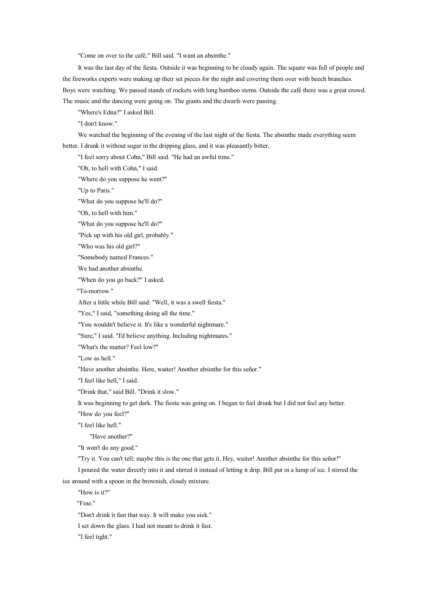"Come on over to the café," Bill said. "I want an absinthe."

It was the last day of the fiesta. Outside it was beginning to be cloudy again. The square was full of people and the fireworks experts were making up their set pieces for the night and covering them over with beech branches. Boys were watching. We passed stands of rockets with long bamboo stems. Outside the café there was <sup>a</sup> great crowd. The music and the dancing were going on. The giants and the dwarfs were passing.

"Where's Edna?" I asked Bill.

"I don't know."

We watched the beginning of the evening of the last night of the fiesta. The absinthe made everything seem better. I drank it without sugar in the dripping glass, and it was pleasantly bitter.

"I feel sorry about Cohn," Bill said. "He had an awful time."

"Oh, to hell with Cohn," I said.

"Where do you suppose he went?"

"Up to Paris."

"What do you suppose he'll do?"

"Oh, to hell with him."

"What do you suppose he'll do?"

"Pick up with his old girl, probably."

"Who was his old girl?"

"Somebody named Frances."

We had another absinthe.

"When do you go back?" I asked.

"To-morrow."

After <sup>a</sup> little while Bill said: "Well, it was <sup>a</sup> swell fiesta."

"Yes," I said, "something doing all the time."

"You wouldn't believe it. It's like <sup>a</sup> wonderful nightmare."

"Sure," I said. "I'd believe anything. Including nightmares."

"What's the matter? Feel low?"

"Low as hell."

"Have another absinthe. Here, waiter! Another absinthe for this señor."

"I feel like hell," I said.

"Drink that," said Bill. "Drink it slow."

It was beginning to ge<sup>t</sup> dark. The fiesta was going on. I began to feel drunk but I did not feel any better.

"How do you feel?"

"I feel like hell."

"Have another?"

"It won't do any good."

"Try it. You can't tell; maybe this is the one that gets it. Hey, waiter! Another absinthe for this señor!"

I poured the water directly into it and stirred it instead of letting it drip. Bill put in <sup>a</sup> lump of ice. I stirred the ice around with <sup>a</sup> spoon in the brownish, cloudy mixture.

"How is it?"

"Fine."

"Don't drink it fast that way. It will make you sick."

I set down the glass. I had not meant to drink it fast.

"I feel tight."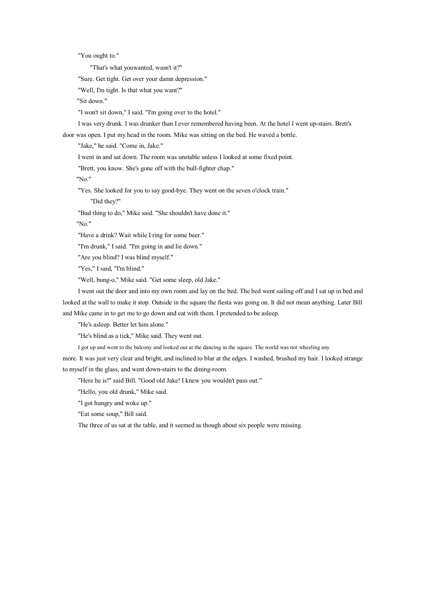"You ought to."

"That's what youwanted, wasn't it?"

"Sure. Get tight. Get over your damn depression."

"Well, I'm tight. Is that what you want?"

"Sit down."

"I won't sit down," I said. "I'm going over to the hotel."

I was very drunk. I was drunker than I ever remembered having been. At the hotel I went up-stairs. Brett's

door was open. I pu<sup>t</sup> my head in the room. Mike was sitting on the bed. He waved <sup>a</sup> bottle.

"Jake," he said. "Come in, Jake."

I went in and sat down. The room was unstable unless I looked at some fixed point.

"Brett, you know. She's gone off with the bull-fighter chap."

"No."

"Yes. She looked for you to say good-bye. They went on the seven <sup>o</sup>'clock train."

"Did they?"

"Bad thing to do," Mike said. "She shouldn't have done it."

"No."

"Have <sup>a</sup> drink? Wait while I ring for some beer."

"I'm drunk," I said. "I'm going in and lie down."

"Are you blind? I was blind myself."

"Yes," I said, "I'm blind."

"Well, bung-o," Mike said. "Get some sleep, old Jake."

I went out the door and into my own room and lay on the bed. The bed went sailing off and I sat up in bed and looked at the wall to make it stop. Outside in the square the fiesta was going on. It did not mean anything. Later Bill and Mike came in to ge<sup>t</sup> me to go down and eat with them. I pretended to be asleep.

"He's asleep. Better let him alone."

"He's blind as <sup>a</sup> tick," Mike said. They went out.

I go<sup>t</sup> up and went to the balcony and looked out at the dancing in the square. The world was not wheeling any

more. It was just very clear and bright, and inclined to blur at the edges. I washed, brushed my hair. I looked strange to myself in the glass, and went down-stairs to the dining-room.

"Here he is!" said Bill. "Good old Jake! I knew you wouldn't pass out."

"Hello, you old drunk," Mike said.

"I go<sup>t</sup> hungry and woke up."

"Eat some soup," Bill said.

The three of us sat at the table, and it seemed as though about six people were missing.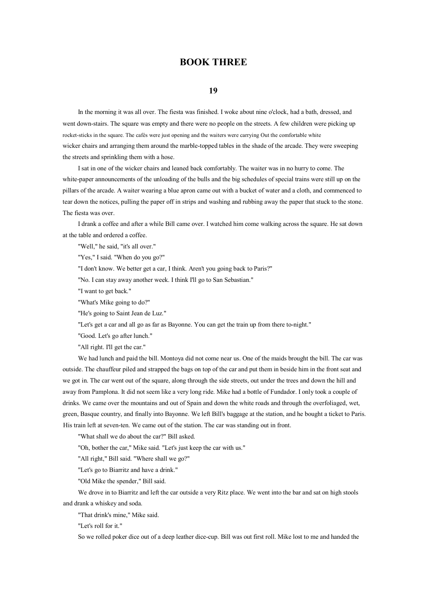# **BOOK THREE**

#### **19**

In the morning it was all over. The fiesta was finished. I woke about nine <sup>o</sup>'clock, had <sup>a</sup> bath, dressed, and went down-stairs. The square was empty and there were no people on the streets. A few children were picking up rocket-sticks in the square. The cafés were just opening and the waiters were carrying Out the comfortable white wicker chairs and arranging them around the marble-topped tables in the shade of the arcade. They were sweeping the streets and sprinkling them with <sup>a</sup> hose.

I sat in one of the wicker chairs and leaned back comfortably. The waiter was in no hurry to come. The white-paper announcements of the unloading of the bulls and the big schedules of special trains were still up on the pillars of the arcade. A waiter wearing <sup>a</sup> blue apron came out with <sup>a</sup> bucket of water and <sup>a</sup> cloth, and commenced to tear down the notices, pulling the paper off in strips and washing and rubbing away the paper that stuck to the stone. The fiesta was over.

I drank <sup>a</sup> coffee and after <sup>a</sup> while Bill came over. I watched him come walking across the square. He sat down at the table and ordered <sup>a</sup> coffee.

"Well," he said, "it's all over."

"Yes," I said. "When do you go?"

"I don't know. We better ge<sup>t</sup> <sup>a</sup> car, I think. Aren't you going back to Paris?"

"No. I can stay away another week. I think I'll go to San Sebastian."

"I want to ge<sup>t</sup> back."

"What's Mike going to do?"

"He's going to Saint Jean de Luz."

"Let's ge<sup>t</sup> <sup>a</sup> car and all go as far as Bayonne. You can ge<sup>t</sup> the train up from there to-night."

"Good. Let's go after lunch."

"All right. I'll get the car."

We had lunch and paid the bill. Montoya did not come near us. One of the maids brought the bill. The car was outside. The chauffeur piled and strapped the bags on top of the car and put them in beside him in the front seat and we go<sup>t</sup> in. The car went out of the square, along through the side streets, out under the trees and down the hill and away from Pamplona. It did not seem like <sup>a</sup> very long ride. Mike had <sup>a</sup> bottle of Fundador. I only took <sup>a</sup> couple of drinks. We came over the mountains and out of Spain and down the white roads and through the overfoliaged, wet, green, Basque country, and finally into Bayonne. We left Bill's baggage at the station, and he bought <sup>a</sup> ticket to Paris. His train left at seven-ten. We came out of the station. The car was standing out in front.

"What shall we do about the car?" Bill asked.

"Oh, bother the car," Mike said. "Let's just keep the car with us."

"All right," Bill said. "Where shall we go?"

"Let's go to Biarritz and have <sup>a</sup> drink."

"Old Mike the spender," Bill said.

We drove in to Biarritz and left the car outside <sup>a</sup> very Ritz place. We went into the bar and sat on high stools and drank <sup>a</sup> whiskey and soda.

"That drink's mine," Mike said.

"Let's roll for it."

So we rolled poker dice out of <sup>a</sup> deep leather dice-cup. Bill was out first roll. Mike lost to me and handed the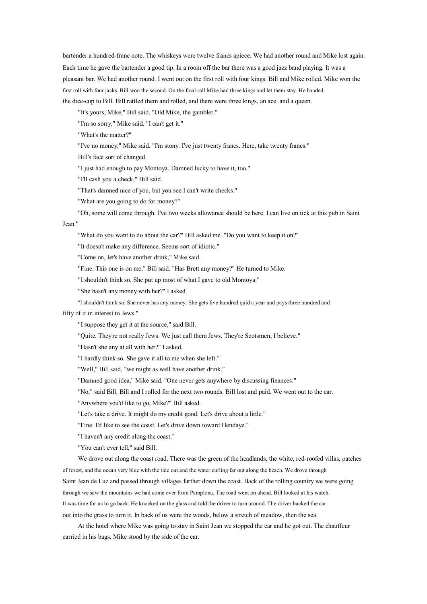bartender <sup>a</sup> hundred-franc note. The whiskeys were twelve francs apiece. We had another round and Mike lost again. Each time he gave the bartender <sup>a</sup> good tip. In <sup>a</sup> room off the bar there was <sup>a</sup> good jazz band playing. It was <sup>a</sup> pleasant bar. We had another round. I went out on the first roll with four kings. Bill and Mike rolled. Mike won the first roll with four jacks. Bill won the second. On the final roll Mike had three kings and let them stay. He handed the dice-cup to Bill. Bill rattled them and rolled, and there were three kings, an ace. and <sup>a</sup> queen.

"It's yours, Mike," Bill said. "Old Mike, the gambler."

"I'm so sorry," Mike said. "I can't ge<sup>t</sup> it."

"What's the matter?"

"I've no money," Mike said. "I'm stony. I've just twenty francs. Here, take twenty francs."

Bill's face sort of changed.

"I just had enough to pay Montoya. Damned lucky to have it, too."

"I'll cash you <sup>a</sup> check," Bill said.

"That's damned nice of you, but you see I can't write checks."

"What are you going to do for money?"

"Oh, some will come through. I've two weeks allowance should be here. I can live on tick at this pub in Saint Jean."

"What do you want to do about the car?" Bill asked me. "Do you want to keep it on?"

"It doesn't make any difference. Seems sort of idiotic."

"Come on, let's have another drink," Mike said.

"Fine. This one is on me," Bill said. "Has Brett any money?" He turned to Mike.

"I shouldn't think so. She pu<sup>t</sup> up most of what I gave to old Montoya."

"She hasn't any money with her?" I asked.

"I shouldn't think so. She never has any money. She gets five hundred quid <sup>a</sup> year and pays three hundred and

fifty of it in interest to Jews."

"I suppose they ge<sup>t</sup> it at the source," said Bill.

"Quite. They're not really Jews. We just call them Jews. They're Scotsmen, I believe."

"Hasn't she any at all with her?" I asked.

"I hardly think so. She gave it all to me when she left."

"Well," Bill said, "we might as well have another drink."

"Damned good idea," Mike said. "One never gets anywhere by discussing finances."

"No," said Bill. Bill and I rolled for the next two rounds. Bill lost and paid. We went out to the car.

"Anywhere you'd like to go, Mike?" Bill asked.

"Let's take <sup>a</sup> drive. It might do my credit good. Let's drive about <sup>a</sup> little."

"Fine. I'd like to see the coast. Let's drive down toward Hendaye."

"I haven't any credit along the coast."

"You can't ever tell," said Bill.

We drove out along the coast road. There was the green of the headlands, the white, red-roofed villas, patches of forest, and the ocean very blue with the tide out and the water curling far out along the beach. We drove through Saint Jean de Luz and passed through villages farther down the coast. Back of the rolling country we were going through we saw the mountains we had come over from Pamplona. The road went on ahead. Bill looked at his watch. It was time for us to go back. He knocked on the glass and told the driver to turn around. The driver backed the car out into the grass to turn it. In back of us were the woods, below <sup>a</sup> stretch of meadow, then the sea.

At the hotel where Mike was going to stay in Saint Jean we stopped the car and he go<sup>t</sup> out. The chauffeur carried in his bags. Mike stood by the side of the car.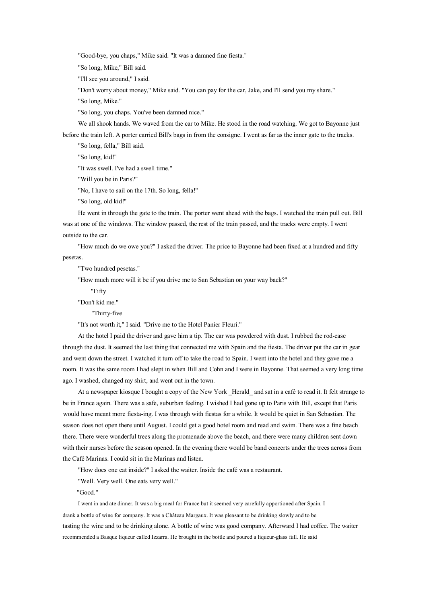"Good-bye, you chaps," Mike said. "It was <sup>a</sup> damned fine fiesta."

"So long, Mike," Bill said.

"I'll see you around," I said.

"Don't worry about money," Mike said. "You can pay for the car, Jake, and I'll send you my share."

"So long, Mike."

"So long, you chaps. You've been damned nice."

We all shook hands. We waved from the car to Mike. He stood in the road watching. We go<sup>t</sup> to Bayonne just

before the train left. A porter carried Bill's bags in from the consigne. I went as far as the inner gate to the tracks. "So long, fella," Bill said.

"So long, kid!"

"It was swell. I've had <sup>a</sup> swell time."

"Will you be in Paris?"

"No, I have to sail on the 17th. So long, fella!"

"So long, old kid!"

He went in through the gate to the train. The porter went ahead with the bags. I watched the train pull out. Bill was at one of the windows. The window passed, the rest of the train passed, and the tracks were empty. I went outside to the car.

"How much do we owe you?" I asked the driver. The price to Bayonne had been fixed at <sup>a</sup> hundred and fifty pesetas.

"Two hundred pesetas."

"How much more will it be if you drive me to San Sebastian on your way back?"

"Fifty

"Don't kid me."

"Thirty-five

"It's not worth it," I said. "Drive me to the Hotel Panier Fleuri."

At the hotel I paid the driver and gave him <sup>a</sup> tip. The car was powdered with dust. I rubbed the rod-case through the dust. It seemed the last thing that connected me with Spain and the fiesta. The driver put the car in gear and went down the street. I watched it turn off to take the road to Spain. I went into the hotel and they gave me <sup>a</sup> room. It was the same room I had slept in when Bill and Cohn and I were in Bayonne. That seemed <sup>a</sup> very long time ago. I washed, changed my shirt, and went out in the town.

At a newspaper kiosque I bought a copy of the New York Herald and sat in a café to read it. It felt strange to be in France again. There was <sup>a</sup> safe, suburban feeling. I wished I had gone up to Paris with Bill, excep<sup>t</sup> that Paris would have meant more fiesta-ing. I was through with fiestas for <sup>a</sup> while. It would be quiet in San Sebastian. The season does not open there until August. I could ge<sup>t</sup> <sup>a</sup> good hotel room and read and swim. There was <sup>a</sup> fine beach there. There were wonderful trees along the promenade above the beach, and there were many children sent down with their nurses before the season opened. In the evening there would be band concerts under the trees across from the Café Marinas. I could sit in the Marinas and listen.

"How does one eat inside?" I asked the waiter. Inside the café was <sup>a</sup> restaurant.

"Well. Very well. One eats very well."

"Good."

I went in and ate dinner. It was <sup>a</sup> big meal for France but it seemed very carefully apportioned after Spain. I drank <sup>a</sup> bottle of wine for company. It was <sup>a</sup> Château Margaux. It was pleasant to be drinking slowly and to be tasting the wine and to be drinking alone. A bottle of wine was good company. Afterward I had coffee. The waiter recommended a Basque liqueur called Izzarra. He brought in the bottle and poured a liqueur-glass full. He said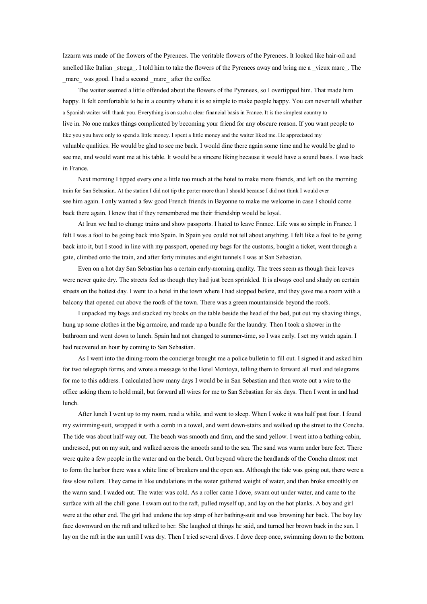Izzarra was made of the flowers of the Pyrenees. The veritable flowers of the Pyrenees. It looked like hair-oil and smelled like Italian \_strega\_. I told him to take the flowers of the Pyrenees away and bring me <sup>a</sup> \_vieux marc\_. The marc was good. I had a second marc after the coffee.

The waiter seemed <sup>a</sup> little offended about the flowers of the Pyrenees, so I overtipped him. That made him happy. It felt comfortable to be in <sup>a</sup> country where it is so simple to make people happy. You can never tell whether <sup>a</sup> Spanish waiter will thank you. Everything is on such <sup>a</sup> clear financial basis in France. It is the simplest country to live in. No one makes things complicated by becoming your friend for any obscure reason. If you want people to like you you have only to spend <sup>a</sup> little money. I spent <sup>a</sup> little money and the waiter liked me. He appreciated my valuable qualities. He would be glad to see me back. I would dine there again some time and he would be glad to see me, and would want me at his table. It would be <sup>a</sup> sincere liking because it would have <sup>a</sup> sound basis. I was back in France.

Next morning I tipped every one <sup>a</sup> little too much at the hotel to make more friends, and left on the morning train for San Sebastian. At the station I did not tip the porter more than I should because I did not think I would ever see him again. I only wanted <sup>a</sup> few good French friends in Bayonne to make me welcome in case I should come back there again. I knew that if they remembered me their friendship would be loyal.

At Irun we had to change trains and show passports. I hated to leave France. Life was so simple in France. I felt I was <sup>a</sup> fool to be going back into Spain. In Spain you could not tell about anything. I felt like <sup>a</sup> fool to be going back into it, but I stood in line with my passport, opened my bags for the customs, bought <sup>a</sup> ticket, went through <sup>a</sup> gate, climbed onto the train, and after forty minutes and eight tunnels I was at San Sebastian.

Even on <sup>a</sup> hot day San Sebastian has <sup>a</sup> certain early-morning quality. The trees seem as though their leaves were never quite dry. The streets feel as though they had just been sprinkled. It is always cool and shady on certain streets on the hottest day. I went to <sup>a</sup> hotel in the town where I had stopped before, and they gave me <sup>a</sup> room with <sup>a</sup> balcony that opened out above the roofs of the town. There was <sup>a</sup> green mountainside beyond the roofs.

I unpacked my bags and stacked my books on the table beside the head of the bed, put out my shaving things, hung up some clothes in the big armoire, and made up <sup>a</sup> bundle for the laundry. Then I took <sup>a</sup> shower in the bathroom and went down to lunch. Spain had not changed to summer-time, so I was early. I set my watch again. I had recovered an hour by coming to San Sebastian.

As I went into the dining-room the concierge brought me <sup>a</sup> police bulletin to fill out. I signed it and asked him for two telegraph forms, and wrote <sup>a</sup> message to the Hotel Montoya, telling them to forward all mail and telegrams for me to this address. I calculated how many days I would be in San Sebastian and then wrote out <sup>a</sup> wire to the office asking them to hold mail, but forward all wires for me to San Sebastian for six days. Then I went in and had lunch.

After lunch I went up to my room, read <sup>a</sup> while, and went to sleep. When I woke it was half pas<sup>t</sup> four. I found my swimming-suit, wrapped it with <sup>a</sup> comb in <sup>a</sup> towel, and went down-stairs and walked up the street to the Concha. The tide was about half-way out. The beach was smooth and firm, and the sand yellow. I went into <sup>a</sup> bathing-cabin, undressed, pu<sup>t</sup> on my suit, and walked across the smooth sand to the sea. The sand was warm under bare feet. There were quite <sup>a</sup> few people in the water and on the beach. Out beyond where the headlands of the Concha almost met to form the harbor there was <sup>a</sup> white line of breakers and the open sea. Although the tide was going out, there were <sup>a</sup> few slow rollers. They came in like undulations in the water gathered weight of water, and then broke smoothly on the warm sand. I waded out. The water was cold. As <sup>a</sup> roller came I dove, swam out under water, and came to the surface with all the chill gone. I swam out to the raft, pulled myself up, and lay on the hot planks. A boy and girl were at the other end. The girl had undone the top strap of her bathing-suit and was browning her back. The boy lay face downward on the raft and talked to her. She laughed at things he said, and turned her brown back in the sun. I lay on the raft in the sun until I was dry. Then I tried several dives. I dove deep once, swimming down to the bottom.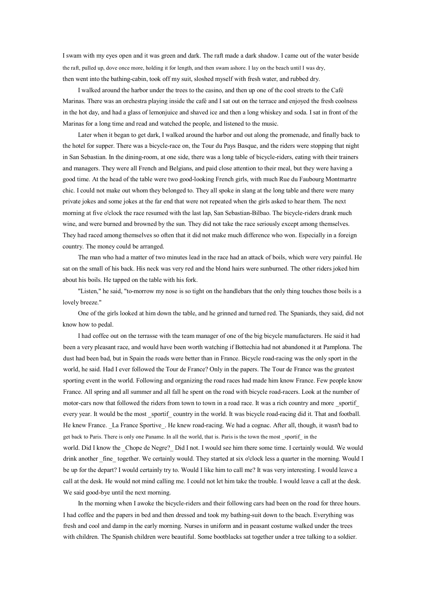I swam with my eyes open and it was green and dark. The raft made <sup>a</sup> dark shadow. I came out of the water beside the raft, pulled up, dove once more, holding it for length, and then swam ashore. I lay on the beach until I was dry, then went into the bathing-cabin, took off my suit, sloshed myself with fresh water, and rubbed dry.

I walked around the harbor under the trees to the casino, and then up one of the cool streets to the Café Marinas. There was an orchestra playing inside the café and I sat out on the terrace and enjoyed the fresh coolness in the hot day, and had <sup>a</sup> glass of lemonjuice and shaved ice and then <sup>a</sup> long whiskey and soda. I sat in front of the Marinas for <sup>a</sup> long time and read and watched the people, and listened to the music.

Later when it began to ge<sup>t</sup> dark, I walked around the harbor and out along the promenade, and finally back to the hotel for supper. There was <sup>a</sup> bicycle-race on, the Tour du Pays Basque, and the riders were stopping that night in San Sebastian. In the dining-room, at one side, there was <sup>a</sup> long table of bicycle-riders, eating with their trainers and managers. They were all French and Belgians, and paid close attention to their meal, but they were having <sup>a</sup> good time. At the head of the table were two good-looking French girls, with much Rue du Faubourg Montmartre chic. I could not make out whom they belonged to. They all spoke in slang at the long table and there were many private jokes and some jokes at the far end that were not repeated when the girls asked to hear them. The next morning at five <sup>o</sup>'clock the race resumed with the last lap, San Sebastian-Bilbao. The bicycle-riders drank much wine, and were burned and browned by the sun. They did not take the race seriously excep<sup>t</sup> among themselves. They had raced among themselves so often that it did not make much difference who won. Especially in <sup>a</sup> foreign country. The money could be arranged.

The man who had <sup>a</sup> matter of two minutes lead in the race had an attack of boils, which were very painful. He sat on the small of his back. His neck was very red and the blond hairs were sunburned. The other riders joked him about his boils. He tapped on the table with his fork.

"Listen," he said, "to-morrow my nose is so tight on the handlebars that the only thing touches those boils is <sup>a</sup> lovely breeze."

One of the girls looked at him down the table, and he grinned and turned red. The Spaniards, they said, did not know how to pedal.

I had coffee out on the terrasse with the team manager of one of the big bicycle manufacturers. He said it had been <sup>a</sup> very pleasant race, and would have been worth watching if Bottechia had not abandoned it at Pamplona. The dust had been bad, but in Spain the roads were better than in France. Bicycle road-racing was the only spor<sup>t</sup> in the world, he said. Had I ever followed the Tour de France? Only in the papers. The Tour de France was the greatest sporting event in the world. Following and organizing the road races had made him know France. Few people know France. All spring and all summer and all fall he spent on the road with bicycle road-racers. Look at the number of motor-cars now that followed the riders from town to town in a road race. It was a rich country and more sportif every year. It would be the most sportif country in the world. It was bicycle road-racing did it. That and football. He knew France. \_La France Sportive\_. He knew road-racing. We had <sup>a</sup> cognac. After all, though, it wasn't bad to get back to Paris. There is only one Paname. In all the world, that is. Paris is the town the most sportif in the world. Did I know the \_Chope de Negre?\_ Did I not. I would see himthere some time. I certainly would. We would drink another \_fine\_ together. We certainly would. They started at six <sup>o</sup>'clock less <sup>a</sup> quarter in the morning. Would I be up for the depart? I would certainly try to. Would I like him to call me? It was very interesting. I would leave <sup>a</sup> call at the desk. He would not mind calling me. I could not let him take the trouble. I would leave <sup>a</sup> call at the desk. We said good-bye until the next morning.

In the morning when I awoke the bicycle-riders and their following cars had been on the road for three hours. I had coffee and the papers in bed and then dressed and took my bathing-suit down to the beach. Everything was fresh and cool and damp in the early morning. Nurses in uniform and in peasant costume walked under the trees with children. The Spanish children were beautiful. Some bootblacks sat together under <sup>a</sup> tree talking to <sup>a</sup> soldier.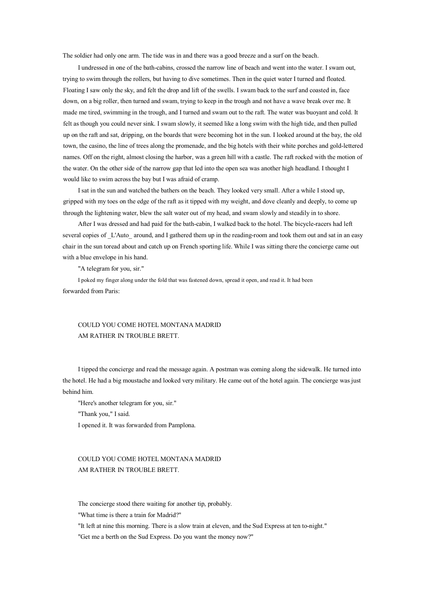The soldier had only one arm. The tide was in and there was <sup>a</sup> good breeze and <sup>a</sup> surf on the beach.

I undressed in one of the bath-cabins, crossed the narrow line of beach and went into the water. I swam out, trying to swim through the rollers, but having to dive sometimes. Then in the quiet water I turned and floated. Floating I saw only the sky, and felt the drop and lift of the swells. I swam back to the surf and coasted in, face down, on <sup>a</sup> big roller, then turned and swam, trying to keep in the trough and not have <sup>a</sup> wave break over me. It made me tired, swimming in the trough, and I turned and swam out to the raft. The water was buoyant and cold. It felt as though you could never sink. I swam slowly, it seemed like <sup>a</sup> long swim with the high tide, and then pulled up on the raft and sat, dripping, onthe boards that were becoming hot inthe sun. I looked around at the bay, the old town, the casino, the line of trees along the promenade, and the big hotels with their white porches and gold-lettered names. Off on the right, almost closing the harbor, was <sup>a</sup> green hill with <sup>a</sup> castle. The raft rocked with the motion of the water. On the other side of the narrow gap that led into the open sea was another high headland. I thought I would like to swim across the bay but I was afraid of cramp.

I sat in the sun and watched the bathers on the beach. They looked very small. After <sup>a</sup> while I stood up, gripped with my toes on the edge of the raft as it tipped with my weight, and dove cleanly and deeply, to come up through the lightening water, blew the salt water out of my head, and swam slowly and steadily in to shore.

After I was dressed and had paid for the bath-cabin, I walked back to the hotel. The bicycle-racers had left several copies of L'Auto around, and I gathered them up in the reading-room and took them out and sat in an easy chair in the sun toread about and catch up on French sporting life. While I was sitting there the concierge came out with <sup>a</sup> blue envelope in his hand.

"A telegram for you, sir."

I poked my finger along under the fold that was fastened down, spread it open, and read it. It had been forwarded from Paris:

### COULD YOU COME HOTEL MONTANA MADRID AM RATHER IN TROUBLE BRETT.

I tipped the concierge and read the message again. A postman was coming along the sidewalk. He turned into the hotel. He had <sup>a</sup> big moustache and looked very military. He came out of the hotel again. The concierge was just behind him.

"Here's another telegram for you, sir."

"Thank you," I said.

I opened it. It was forwarded from Pamplona.

#### COULD YOU COME HOTEL MONTANA MADRID AM RATHER IN TROUBLE BRETT.

The concierge stood there waiting for another tip, probably.

"What time is there <sup>a</sup> train for Madrid?"

"It left at nine this morning. There is <sup>a</sup> slow train at eleven, and the Sud Express at ten to-night."

"Get me <sup>a</sup> berth on the Sud Express. Do you want the money now?"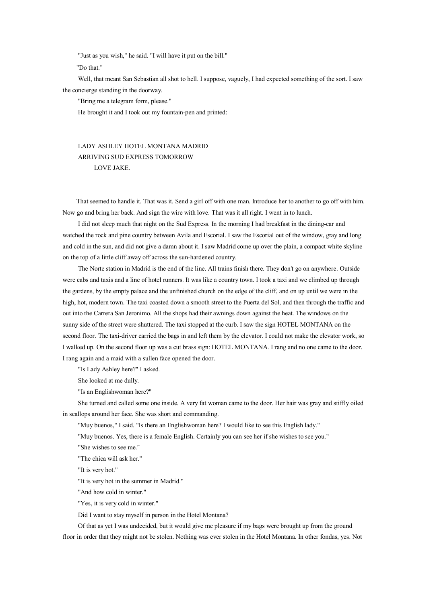"Just as you wish," he said. "I will have it put on the bill."

"Do that."

Well, that meant San Sebastian all shot to hell. I suppose, vaguely, I had expected something of the sort. I saw the concierge standing in the doorway.

"Bring me <sup>a</sup> telegram form, please."

He brought it and I took out my fountain-pen and printed:

# LADY ASHLEY HOTEL MONTANA MADRID ARRIVING SUD EXPRESS TOMORROW LOVE JAKE.

That seemed to handle it. That was it. Send <sup>a</sup> girl off with one man. Introduce her to another to go off with him. Now go and bring her back. And sign the wire with love. That was it all right. I went in to lunch.

I did not sleep much that night on the Sud Express. In the morning I had breakfast in the dining-car and watched the rock and pine country between Avila and Escorial. I saw the Escorial out of the window, gray and long and cold in the sun, and did not give <sup>a</sup> damn about it. I saw Madrid come up over the plain, <sup>a</sup> compac<sup>t</sup> white skyline on the top of <sup>a</sup> little cliff away off across the sun-hardened country.

The Norte station in Madrid is the end of the line. All trains finish there. They don't go on anywhere. Outside were cabs and taxis and <sup>a</sup> line of hotel runners. It was like <sup>a</sup> country town. I took <sup>a</sup> taxi and we climbed up through the gardens, bythe empty palace and the unfinished church on the edge of the cliff, and on up until we were in the high, hot, modern town. The taxi coasted down <sup>a</sup> smooth street to the Puerta del Sol, and then through the traffic and out into the Carrera San Jeronimo. All the shops had their awnings down against the heat. The windows on the sunny side of the street were shuttered. The taxi stopped at the curb. I saw the sign HOTEL MONTANA on the second floor. The taxi-driver carried the bags in and left them by the elevator. I could not make the elevator work, so I walked up. On the second floor up was <sup>a</sup> cut brass sign: HOTEL MONTANA. I rang and no one came to the door. I rang again and <sup>a</sup> maid with <sup>a</sup> sullen face opened the door.

"Is Lady Ashley here?" I asked.

She looked at me dully.

"Is an Englishwoman here?"

She turned and called some one inside. A very fat woman came to the door. Her hair was gray and stiffly oiled in scallops around her face. She was short and commanding.

"Muy buenos," I said. "Is there an Englishwoman here? I would like to see this English lady."

"Muy buenos. Yes, there is <sup>a</sup> female English. Certainly you can see her if she wishes to see you."

"She wishes to see me."

"The chica will ask her."

"It is very hot."

"It is very hot in the summer in Madrid."

"And how cold in winter."

"Yes, it is very cold in winter."

Did I want to stay myself in person in the Hotel Montana?

Of that as ye<sup>t</sup> I was undecided, but it would give me pleasure if my bags were brought up from the ground floor in order that they might not be stolen. Nothing was ever stolen in the Hotel Montana. In other fondas, yes. Not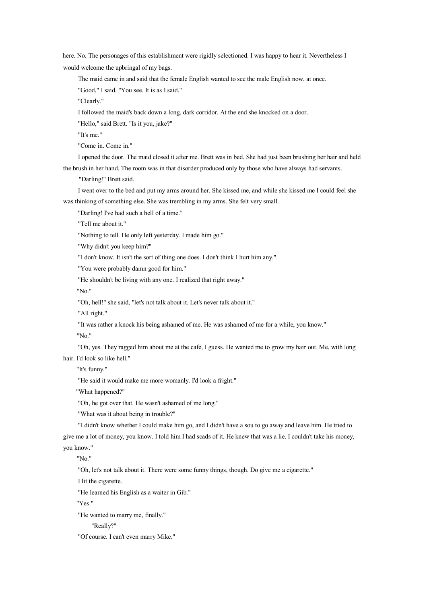here. No. The personages of this establishment were rigidly selectioned. I was happy to hear it. Nevertheless I would welcome the upbringal of my bags.

The maid came in and said that the female English wanted to see the male English now, at once.

"Good," I said. "You see. It is as I said."

"Clearly."

I followed the maid's back down <sup>a</sup> long, dark corridor. At the end she knocked on <sup>a</sup> door.

"Hello," said Brett. "Is it you, jake?"

"It's me."

"Come in. Come in."

I opened the door. The maid closed it after me. Brett was in bed. She had just been brushing her hair and held the brush in her hand. The room was in that disorder produced only by those who have always had servants.

"Darling!" Brett said.

I went over to the bed and pu<sup>t</sup> my arms around her. She kissed me, and while she kissed me I could feel she was thinking of something else. She was trembling in my arms. She felt very small.

"Darling! I've had such <sup>a</sup> hell of <sup>a</sup> time."

"Tell me about it."

"Nothing to tell. He only left yesterday. I made him go."

"Why didn't you keep him?"

"I don't know. It isn't the sort of thing one does. I don't think I hurt him any."

"You were probably damn good for him."

"He shouldn't be living with any one. I realized that right away."

"No."

"Oh, hell!" she said, "let's not talk about it. Let's never talk about it."

"All right."

"It was rather <sup>a</sup> knock his being ashamed of me. He was ashamed of me for <sup>a</sup> while, you know."

"No."

"Oh, yes. They ragged him about me at the café, I guess. He wanted me to grow my hair out. Me, with long hair. I'd look so like hell."

"It's funny."

"He said it would make me more womanly. I'd look a fright."

"What happened?"

"Oh, he go<sup>t</sup> over that. He wasn't ashamed of me long."

"What was it about being in trouble?"

"I didn't know whether I could make himgo, and I didn't have <sup>a</sup> sou to go away and leave him. He tried to

give me <sup>a</sup> lot of money, you know. I told him I had scads of it. He knew that was <sup>a</sup> lie. I couldn't take his money, you know."

"No."

"Oh, let's not talk about it. There were some funny things, though. Do give me <sup>a</sup> cigarette."

I lit the cigarette.

"He learned his English as <sup>a</sup> waiter in Gib."

"Yes."

"He wanted to marry me, finally."

"Really?"

"Of course. I can't even marry Mike."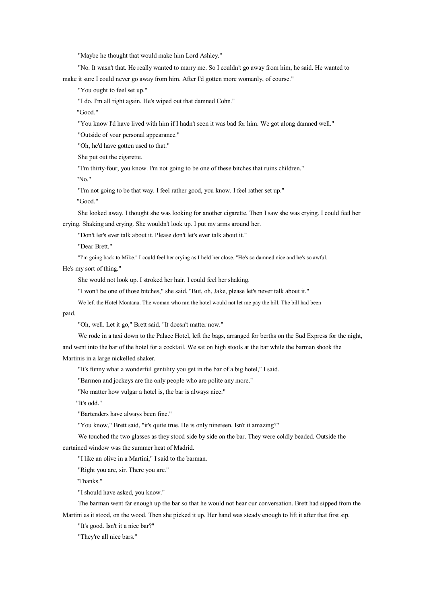"Maybe he thought that would make him Lord Ashley."

"No. It wasn't that. He really wanted to marry me. SoI couldn't go away from him, he said. He wanted to make it sure I could never go away from him. After I'd gotten more womanly, of course."

"You ought to feel set up."

"I do. I'm all right again. He's wiped out that damned Cohn."

"Good."

"You know I'd have lived with him if I hadn't seen it was bad for him. We go<sup>t</sup> along damned well."

"Outside of your personal appearance."

"Oh, he'd have gotten used to that."

She pu<sup>t</sup> out the cigarette.

"I'm thirty-four, you know. I'm not going to be one of these bitches that ruins children."

"No."

"I'm not going to be that way. I feel rather good, you know. I feel rather set up."

"Good."

She looked away. I thought she was looking for another cigarette. Then I saw she was crying. I could feel her crying. Shaking and crying. She wouldn't look up. I pu<sup>t</sup> my arms around her.

"Don't let's ever talk about it. Please don't let's ever talk about it."

"Dear Brett."

"I'm going back to Mike." I could feel her crying as I held her close. "He's so damned nice and he's so awful.

He's my sort of thing."

She would not look up. I stroked her hair. I could feel her shaking.

"I won't be one of those bitches," she said. "But, oh, Jake, please let's never talk about it."

We left the Hotel Montana. The woman who ran the hotel would not let me pay the bill. The bill had been

paid.

"Oh, well. Let it go," Brett said. "It doesn't matter now."

We rode in <sup>a</sup> taxi down to the Palace Hotel, left the bags, arranged for berths on the Sud Express for the night,

and went into the bar of the hotel for a cocktail. We sat on high stools at the bar while the barman shook the

Martinis in <sup>a</sup> large nickelled shaker.

"It's funny what <sup>a</sup> wonderful gentility you ge<sup>t</sup> inthe bar of <sup>a</sup> big hotel," I said.

"Barmen and jockeys are the only people who are polite any more."

"No matter how vulgar <sup>a</sup> hotel is, the bar is always nice."

"It's odd."

"Bartenders have always been fine."

"You know," Brett said, "it's quite true. He is only nineteen. Isn't it amazing?"

We touched the two glasses as they stood side by side on the bar. They were coldly beaded. Outside the curtained window was the summer heat of Madrid.

"I like an olive in <sup>a</sup> Martini," I said to the barman.

"Right you are, sir. There you are."

"Thanks."

"I should have asked, you know."

The barman went far enough up the bar so that he would not hear our conversation. Brett had sipped from the Martini as it stood, on the wood. Then she picked it up. Her hand was steady enough to lift it after that first sip.

"It's good. Isn't it <sup>a</sup> nice bar?"

"They're all nice bars."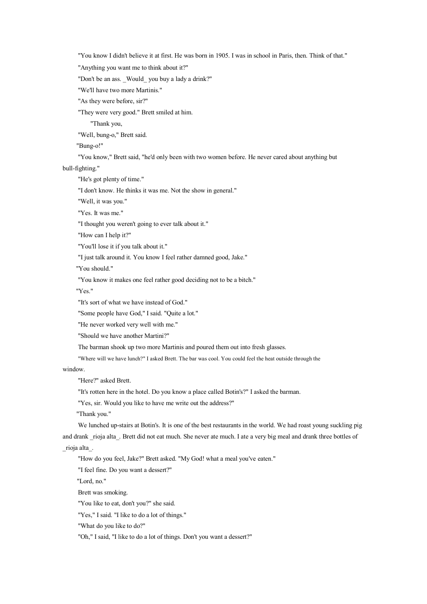"You know I didn't believe it at first. He was born in 1905. I was in school in Paris, then. Think of that."

"Anything you want me to think about it?"

"Don't be an ass. \_Would\_ you buy <sup>a</sup> lady <sup>a</sup> drink?"

"We'll have two more Martinis."

"As they were before, sir?"

"They were very good." Brett smiled at him.

"Thank you,

"Well, bung-o," Brett said.

"Bung-o!"

"You know," Brett said, "he'd only been with two women before. He never cared about anything but

bull-fighting."

"He's go<sup>t</sup> plenty of time."

"I don't know. He thinks it was me. Not the show in general."

"Well, it was you."

"Yes. It was me."

"I thought you weren't going to ever talk about it."

"How can I help it?"

"You'll lose it if you talk about it."

"I just talk around it. You know I feel rather damned good, Jake."

"You should."

"You know it makes one feel rather good deciding not to be <sup>a</sup> bitch."

"Yes."

"It's sort of what we have instead of God."

"Some people have God," I said. "Quite <sup>a</sup> lot."

"He never worked very well with me."

"Should we have another Martini?"

The barman shook up two more Martinis and poured them out into fresh glasses.

"Where will we have lunch?" I asked Brett. The bar was cool. You could feel the heat outside through the

window.

"Here?" asked Brett.

"It's rotten here in the hotel. Do you know <sup>a</sup> place called Botin's?" I asked the barman.

"Yes, sir. Would you like to have me write out the address?"

"Thank you."

We lunched up-stairs at Botin's. It is one of the best restaurants in the world. We had roast young suckling pig and drank rioja alta. Brett did not eat much. She never ate much. I ate a very big meal and drank three bottles of

\_rioja alta\_.

"How do you feel, Jake?" Brett asked. "My God! what <sup>a</sup> meal you've eaten."

"I feel fine. Do you want <sup>a</sup> dessert?"

"Lord, no."

Brett was smoking.

"You like to eat, don't you?" she said.

"Yes," I said. "I like to do <sup>a</sup> lot of things."

"What do you like to do?"

"Oh," I said, "I like to do <sup>a</sup> lot of things. Don't you want <sup>a</sup> dessert?"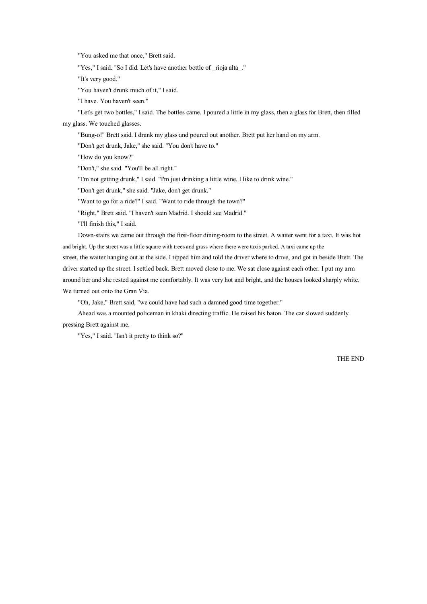"You asked me that once," Brett said.

"Yes," I said. "So I did. Let's have another bottle of \_rioja alta\_."

"It's very good."

"You haven't drunk much of it," I said.

"I have. You haven't seen."

"Let's ge<sup>t</sup> two bottles," I said. The bottles came. I poured <sup>a</sup> little in my glass, then <sup>a</sup> glass for Brett, then filled my glass. We touched glasses.

"Bung-o!" Brett said. I drank my glass and poured out another. Brett pu<sup>t</sup> her hand on my arm.

"Don't ge<sup>t</sup> drunk, Jake," she said. "You don't have to."

"How do you know?"

"Don't," she said. "You'll be all right."

"I'm not getting drunk," I said. "I'm just drinking <sup>a</sup> little wine. I like to drink wine."

"Don't ge<sup>t</sup> drunk," she said. "Jake, don't ge<sup>t</sup> drunk."

"Want to go for <sup>a</sup> ride?" I said. "Want to ride through the town?"

"Right," Brett said. "I haven't seen Madrid. I should see Madrid."

"I'll finish this," I said.

Down-stairs we came out through the first-floor dining-room to the street. A waiter went for <sup>a</sup> taxi. It was hot and bright. Up the street was <sup>a</sup> little square with trees and grass where there were taxis parked. A taxi came up the street, the waiter hanging out at the side. I tipped him and told the driver where to drive, and go<sup>t</sup> in beside Brett. The driver started up the street. I settled back. Brett moved close to me. We sat close against each other. I pu<sup>t</sup> my arm around her and she rested against me comfortably. It was very hot and bright, and the houses looked sharply white. We turned out onto the Gran Via.

"Oh, Jake," Brett said, "we could have had such <sup>a</sup> damned good time together."

Ahead was <sup>a</sup> mounted policeman in khaki directing traffic. He raised his baton. The car slowed suddenly pressing Brett against me.

"Yes," I said. "Isn't it pretty to think so?"

THE END